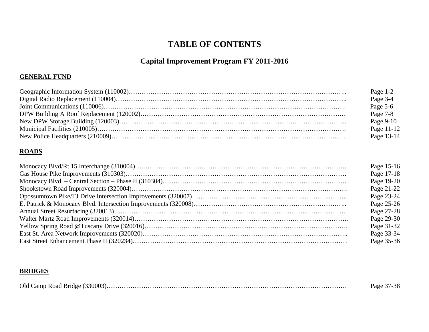### **Capital Improvement Program FY 2011-2016**

#### **GENERAL FUND**

| Page $1-2$ |
|------------|
| Page 3-4   |
| Page 5-6   |
| Page 7-8   |
| Page 9-10  |
| Page 11-12 |
| Page 13-14 |

#### **ROADS**

| Page 15-16 |
|------------|
| Page 17-18 |
| Page 19-20 |
| Page 21-22 |
| Page 23-24 |
| Page 25-26 |
| Page 27-28 |
| Page 29-30 |
| Page 31-32 |
| Page 33-34 |
| Page 35-36 |

#### **BRIDGES**

|  | 27.20<br>Page 37-38 |
|--|---------------------|
|--|---------------------|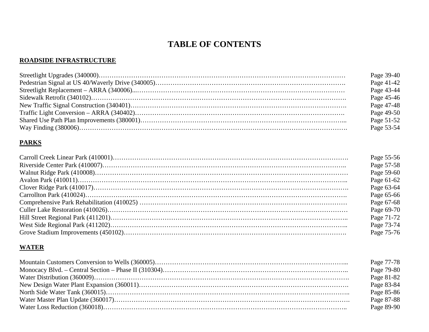#### **ROADSIDE INFRASTRUCTURE**

| Page 39-40 |
|------------|
| Page 41-42 |
| Page 43-44 |
| Page 45-46 |
| Page 47-48 |
| Page 49-50 |
| Page 51-52 |
| Page 53-54 |

### **PARKS**

| Page 55-56 |
|------------|
| Page 57-58 |
| Page 59-60 |
| Page 61-62 |
| Page 63-64 |
| Page 65-66 |
| Page 67-68 |
| Page 69-70 |
| Page 71-72 |
| Page 73-74 |
| Page 75-76 |

#### **WATER**

| Page 77-78 |
|------------|
| Page 79-80 |
| Page 81-82 |
| Page 83-84 |
| Page 85-86 |
| Page 87-88 |
| Page 89-90 |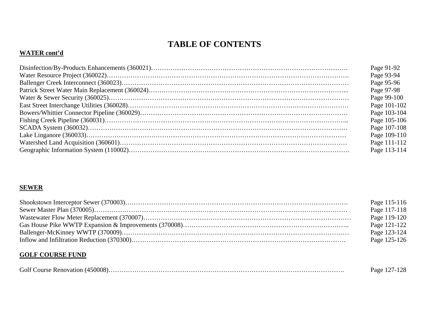#### **WATER cont'd**

| Page 91-92   |
|--------------|
| Page 93-94   |
| Page 95-96   |
| Page 97-98   |
| Page 99-100  |
| Page 101-102 |
| Page 103-104 |
| Page 105-106 |
| Page 107-108 |
| Page 109-110 |
| Page 111-112 |
| Page 113-114 |

### **SEWER**

| Page 115-116 |
|--------------|
| Page 117-118 |
| Page 119-120 |
| Page 121-122 |
| Page 123-124 |
| Page 125-126 |

#### **GOLF COURSE FUND**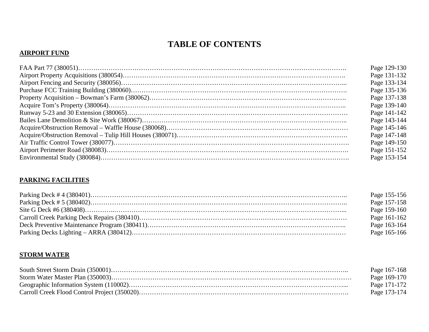#### **AIRPORT FUND**

| Page 129-130 |
|--------------|
| Page 131-132 |
| Page 133-134 |
| Page 135-136 |
| Page 137-138 |
| Page 139-140 |
| Page 141-142 |
| Page 143-144 |
| Page 145-146 |
| Page 147-148 |
| Page 149-150 |
| Page 151-152 |
| Page 153-154 |
|              |

### **PARKING FACILITIES**

| Page 155-156 |
|--------------|
| Page 157-158 |
| Page 159-160 |
| Page 161-162 |
| Page 163-164 |
| Page 165-166 |

#### **STORM WATER**

| Page 167-168 |
|--------------|
| Page 169-170 |
| Page 171-172 |
| Page 173-174 |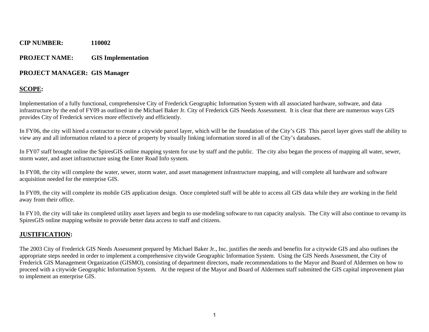#### **PROJECT NAME: GIS Implementation**

#### **PROJECT MANAGER: GIS Manager**

### **SCOPE:**

Implementation of a fully functional, comprehensive City of Frederick Geographic Information System with all associated hardware, software, and data infrastructure by the end of FY09 as outlined in the Michael Baker Jr. City of Frederick GIS Needs Assessment. It is clear that there are numerous ways GIS provides City of Frederick services more effectively and efficiently.

In FY06, the city will hired a contractor to create a citywide parcel layer, which will be the foundation of the City's GIS This parcel layer gives staff the ability to view any and all information related to a piece of property by visually linking information stored in all of the City's databases.

In FY07 staff brought online the SpiresGIS online mapping system for use by staff and the public. The city also began the process of mapping all water, sewer, storm water, and asset infrastructure using the Enter Road Info system.

In FY08, the city will complete the water, sewer, storm water, and asset management infrastructure mapping, and will complete all hardware and software acquisition needed for the enterprise GIS.

In FY09, the city will complete its mobile GIS application design. Once completed staff will be able to access all GIS data while they are working in the field away from their office.

In FY10, the city will take its completed utility asset layers and begin to use modeling software to run capacity analysis. The City will also continue to revamp its SpiresGIS online mapping website to provide better data access to staff and citizens.

### **JUSTIFICATION:**

The 2003 City of Frederick GIS Needs Assessment prepared by Michael Baker Jr., Inc. justifies the needs and benefits for a citywide GIS and also outlines the appropriate steps needed in order to implement a comprehensive citywide Geographic Information System. Using the GIS Needs Assessment, the City of Frederick GIS Management Organization (GISMO), consisting of department directors, made recommendations to the Mayor and Board of Aldermen on how to proceed with a citywide Geographic Information System. At the request of the Mayor and Board of Aldermen staff submitted the GIS capital improvement plan to implement an enterprise GIS.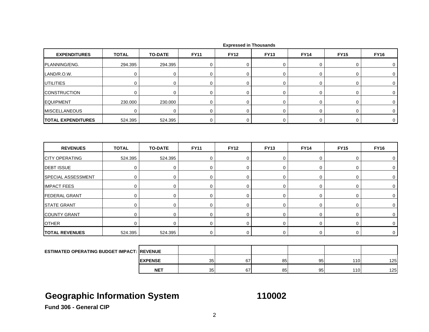| <b>EXPENDITURES</b>                               | <b>TOTAL</b>     | <b>TO-DATE</b> | <b>FY11</b> | <b>FY12</b> | <b>FY13</b> | <b>FY14</b> | <b>FY15</b> | <b>FY16</b> |
|---------------------------------------------------|------------------|----------------|-------------|-------------|-------------|-------------|-------------|-------------|
| PLANNING/ENG.                                     | 294.395          | 294.395        | 0           | 0           | 0           | 0           | 0           | $\mathbf 0$ |
| LAND/R.O.W.                                       | $\pmb{0}$        | 0              | $\mathbf 0$ | $\mathbf 0$ | $\mathbf 0$ | $\pmb{0}$   | $\mathbf 0$ | 0           |
| <b>UTILITIES</b>                                  | 0                | 0              | 0           | 0           | 0           | 0           | 0           | 0           |
| <b>CONSTRUCTION</b>                               | $\boldsymbol{0}$ | 0              | 0           | $\mathbf 0$ | $\mathbf 0$ | 0           | $\mathbf 0$ | $\mathbf 0$ |
| <b>EQUIPMENT</b>                                  | 230.000          | 230.000        | 0           | $\mathbf 0$ | $\mathbf 0$ | 0           | $\mathbf 0$ | $\mathbf 0$ |
| <b>MISCELLANEOUS</b>                              | $\mathbf 0$      | $\mathbf 0$    | $\mathbf 0$ | $\mathbf 0$ | $\mathbf 0$ | 0           | $\mathbf 0$ | $\mathbf 0$ |
| <b>TOTAL EXPENDITURES</b>                         | 524.395          | 524.395        | $\mathbf 0$ | $\mathbf 0$ | $\mathbf 0$ | 0           | $\mathbf 0$ | $\mathbf 0$ |
|                                                   |                  |                |             |             |             |             |             |             |
| <b>REVENUES</b>                                   | <b>TOTAL</b>     | <b>TO-DATE</b> | <b>FY11</b> | <b>FY12</b> | <b>FY13</b> | <b>FY14</b> | <b>FY15</b> | <b>FY16</b> |
| <b>CITY OPERATING</b>                             | 524.395          | 524.395        | 0           | 0           | 0           | 0           | 0           | 0           |
| <b>DEBT ISSUE</b>                                 | $\boldsymbol{0}$ | 0              | 0           | $\mathbf 0$ | $\mathbf 0$ | 0           | $\mathbf 0$ | $\mathbf 0$ |
| SPECIAL ASSESSMENT                                | $\mathbf 0$      | 0              | $\mathbf 0$ | $\mathbf 0$ | $\pmb{0}$   | 0           | $\mathbf 0$ | $\mathbf 0$ |
| <b>IMPACT FEES</b>                                | $\boldsymbol{0}$ | 0              | $\mathbf 0$ | $\mathbf 0$ | $\mathbf 0$ | 0           | $\pmb{0}$   | $\mathbf 0$ |
| <b>FEDERAL GRANT</b>                              | $\boldsymbol{0}$ | 0              | $\mathbf 0$ | $\mathbf 0$ | $\mathbf 0$ | 0           | $\mathbf 0$ | 0           |
| <b>STATE GRANT</b>                                | $\mathbf 0$      | $\mathbf 0$    | 0           | $\mathbf 0$ | $\mathbf 0$ | 0           | $\mathbf 0$ | $\mathbf 0$ |
| <b>COUNTY GRANT</b>                               | $\mathbf 0$      | $\mathbf 0$    | $\mathbf 0$ | $\mathbf 0$ | $\mathbf 0$ | 0           | $\mathbf 0$ | $\mathbf 0$ |
| <b>OTHER</b>                                      | $\mathbf 0$      | $\mathbf 0$    | 0           | $\mathbf 0$ | $\mathbf 0$ | $\pmb{0}$   | $\mathbf 0$ | $\mathbf 0$ |
| <b>TOTAL REVENUES</b>                             | 524.395          | 524.395        | $\mathbf 0$ | $\mathbf 0$ | $\mathbf 0$ | 0           | $\mathbf 0$ | $\mathbf 0$ |
|                                                   |                  |                |             |             |             |             |             |             |
| <b>ESTIMATED OPERATING BUDGET IMPACT: REVENUE</b> |                  |                |             |             |             |             |             |             |
|                                                   |                  | <b>EXPENSE</b> | 35          | 67          | 85          | 95          | 110         | 125         |
|                                                   |                  | <b>NET</b>     | 35          | 67          | 85          | 95          | 110         | 125         |

# **Geographic Information System 110002**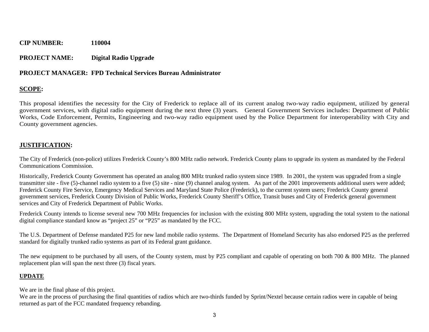#### **PROJECT NAME: Digital Radio Upgrade**

#### **PROJECT MANAGER: FPD Technical Services Bureau Administrator**

### **SCOPE:**

This proposal identifies the necessity for the City of Frederick to replace all of its current analog two-way radio equipment, utilized by general government services, with digital radio equipment during the next three (3) years. General Government Services includes: Department of Public Works, Code Enforcement, Permits, Engineering and two-way radio equipment used by the Police Department for interoperability with City and County government agencies.

#### **JUSTIFICATION:**

The City of Frederick (non-police) utilizes Frederick County's 800 MHz radio network. Frederick County plans to upgrade its system as mandated by the Federal Communications Commission.

Historically, Frederick County Government has operated an analog 800 MHz trunked radio system since 1989. In 2001, the system was upgraded from a single transmitter site - five (5)-channel radio system to a five (5) site - nine (9) channel analog system. As part of the 2001 improvements additional users were added; Frederick County Fire Service, Emergency Medical Services and Maryland State Police (Frederick), to the current system users; Frederick County general government services, Frederick County Division of Public Works, Frederick County Sheriff's Office, Transit buses and City of Frederick general government services and City of Frederick Department of Public Works.

Frederick County intends to license several new 700 MHz frequencies for inclusion with the existing 800 MHz system, upgrading the total system to the national digital compliance standard know as "project 25" or "P25" as mandated by the FCC.

The U.S. Department of Defense mandated P25 for new land mobile radio systems. The Department of Homeland Security has also endorsed P25 as the preferred standard for digitally trunked radio systems as part of its Federal grant guidance.

The new equipment to be purchased by all users, of the County system, must by P25 compliant and capable of operating on both 700 & 800 MHz. The planned replacement plan will span the next three (3) fiscal years.

#### **UPDATE**

We are in the final phase of this project.

We are in the process of purchasing the final quantities of radios which are two-thirds funded by Sprint/Nextel because certain radios were in capable of being returned as part of the FCC mandated frequency rebanding.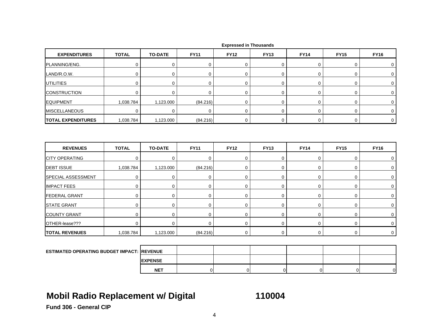| <b>EXPENDITURES</b>                                | <b>TOTAL</b> | <b>TO-DATE</b> | <b>FY11</b> | <b>FY12</b> | <b>FY13</b> | <b>FY14</b> | <b>FY15</b> | <b>FY16</b> |
|----------------------------------------------------|--------------|----------------|-------------|-------------|-------------|-------------|-------------|-------------|
| PLANNING/ENG.                                      | $\mathbf 0$  | 0              | 0           | $\mathbf 0$ | 0           | 0           | 0           | 0           |
| LAND/R.O.W.                                        | $\mathbf 0$  | $\mathbf 0$    | 0           | $\mathbf 0$ | 0           | $\mathbf 0$ | 0           | $\mathbf 0$ |
| <b>UTILITIES</b>                                   | $\pmb{0}$    | $\mathbf 0$    | $\mathbf 0$ | $\mathbf 0$ | 0           | $\mathsf 0$ | 0           | $\pmb{0}$   |
| <b>CONSTRUCTION</b>                                | $\mathbf 0$  | $\mathbf 0$    | $\mathbf 0$ | $\mathbf 0$ | 0           | 0           | 0           | 0           |
| <b>EQUIPMENT</b>                                   | 1,038.784    | 1,123.000      | (84.216)    | 0           | 0           | $\mathbf 0$ | 0           | $\mathbf 0$ |
| <b>MISCELLANEOUS</b>                               | $\mathbf 0$  | $\mathbf 0$    | $\mathbf 0$ | $\Omega$    | $\mathbf 0$ | 0           | 0           | 0           |
| <b>TOTAL EXPENDITURES</b>                          | 1,038.784    | 1,123.000      | (84.216)    | $\mathbf 0$ | 0           | 0           | 0           | $\mathbf 0$ |
|                                                    |              |                |             |             |             |             |             |             |
| <b>REVENUES</b>                                    | <b>TOTAL</b> | <b>TO-DATE</b> | <b>FY11</b> | <b>FY12</b> | <b>FY13</b> | <b>FY14</b> | <b>FY15</b> | <b>FY16</b> |
| <b>CITY OPERATING</b>                              | $\mathbf 0$  | $\mathbf 0$    | $\mathbf 0$ | $\mathbf 0$ | 0           | $\mathbf 0$ | 0           | 0           |
| <b>DEBT ISSUE</b>                                  | 1,038.784    | 1,123.000      | (84.216)    | 0           | 0           | $\mathsf 0$ | 0           | 0           |
| SPECIAL ASSESSMENT                                 | $\mathbf 0$  | $\mathbf 0$    | $\mathbf 0$ | $\mathbf 0$ | 0           | $\mathbf 0$ | 0           | 0           |
| <b>IMPACT FEES</b>                                 | 0            | 0              | $\mathbf 0$ | $\mathbf 0$ | 0           | 0           | 0           | 0           |
| <b>FEDERAL GRANT</b>                               | 0            | $\mathbf 0$    | $\mathbf 0$ | $\mathbf 0$ | $\pmb{0}$   | 0           | 0           | 0           |
| <b>STATE GRANT</b>                                 | $\mathbf 0$  | $\mathbf 0$    | $\mathbf 0$ | $\mathbf 0$ | 0           | $\mathbf 0$ | 0           | 0           |
| <b>COUNTY GRANT</b>                                | 0            | $\mathbf 0$    | $\mathbf 0$ | $\mathbf 0$ | 0           | 0           | 0           | 0           |
| OTHER-lease???                                     | $\Omega$     | $\mathbf 0$    | $\mathbf 0$ | $\mathbf 0$ | 0           | 0           | 0           | $\mathbf 0$ |
| <b>TOTAL REVENUES</b>                              | 1,038.784    | 1,123.000      | (84.216)    | $\mathbf 0$ | 0           | 0           | 0           | $\mathbf 0$ |
|                                                    |              |                |             |             |             |             |             |             |
| <b>ESTIMATED OPERATING BUDGET IMPACT: IREVENUE</b> |              |                |             |             |             |             |             |             |
|                                                    |              | <b>EXPENSE</b> |             |             |             |             |             |             |

# **Mobil Radio Replacement w/ Digital 110004**

**NET**

T | 0| 0| 0| 0| 0| 0|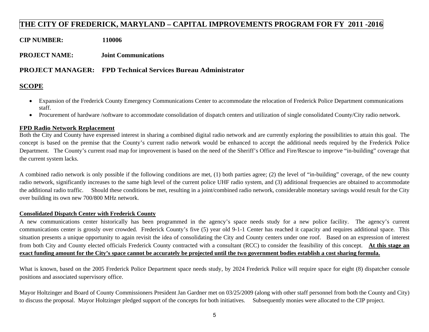### **THE CITY OF FREDERICK, MARYLAND – CAPITAL IMPROVEMENTS PROGRAM FOR FY 2011 -2016**

**CIP NUMBER: 110006** 

**PROJECT NAME: Joint Communications** 

#### **PROJECT MANAGER: FPD Technical Services Bureau Administrator**

#### **SCOPE**

- Expansion of the Frederick County Emergency Communications Center to accommodate the relocation of Frederick Police Department communications staff.
- Procurement of hardware /software to accommodate consolidation of dispatch centers and utilization of single consolidated County/City radio network.

#### **FPD Radio Network Replacement**

Both the City and County have expressed interest in sharing a combined digital radio network and are currently exploring the possibilities to attain this goal. The concept is based on the premise that the County's current radio network would be enhanced to accept the additional needs required by the Frederick Police Department. The County's current road map for improvement is based on the need of the Sheriff's Office and Fire/Rescue to improve "in-building" coverage that the current system lacks.

A combined radio network is only possible if the following conditions are met, (1) both parties agree; (2) the level of "in-building" coverage, of the new county radio network, significantly increases to the same high level of the current police UHF radio system, and (3) additional frequencies are obtained to accommodate the additional radio traffic. Should these conditions be met, resulting in a joint/combined radio network, considerable monetary savings would result for the City over building its own new 700/800 MHz network.

#### **Consolidated Dispatch Center with Frederick County**

A new communications center historically has been programmed in the agency's space needs study for a new police facility. The agency's current communications center is grossly over crowded. Frederick County's five (5) year old 9-1-1 Center has reached it capacity and requires additional space. This situation presents a unique opportunity to again revisit the idea of consolidating the City and County centers under one roof. Based on an expression of interest from both City and County elected officials Frederick County contracted with a consultant (RCC) to consider the feasibility of this concept. **At this stage an exact funding amount for the City's space cannot be accurately be projected until the two government bodies establish a cost sharing formula.**

What is known, based on the 2005 Frederick Police Department space needs study, by 2024 Frederick Police will require space for eight (8) dispatcher console positions and associated supervisory office.

Mayor Holtzinger and Board of County Commissioners President Jan Gardner met on 03/25/2009 (along with other staff personnel from both the County and City) to discuss the proposal. Mayor Holtzinger pledged support of the concepts for both initiatives. Subsequently monies were allocated to the CIP project.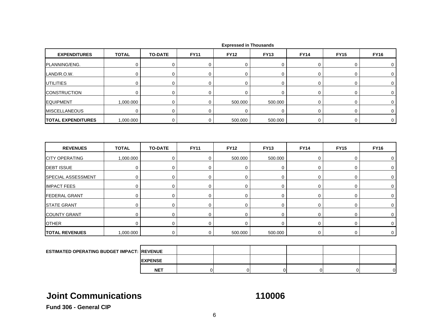| <b>EXPENDITURES</b>       | <b>TOTAL</b> | <b>TO-DATE</b> | <b>FY11</b> | <b>FY12</b> | <b>FY13</b> | <b>FY14</b> | <b>FY15</b> | <b>FY16</b> |
|---------------------------|--------------|----------------|-------------|-------------|-------------|-------------|-------------|-------------|
| PLANNING/ENG.             | 0            | 0              | 0           | $\mathbf 0$ | $\mathbf 0$ | $\mathbf 0$ | 0           | $\mathbf 0$ |
| LAND/R.O.W.               | $\mathbf 0$  | $\mathbf 0$    | 0           | $\mathbf 0$ | 0           | $\mathbf 0$ | 0           | 0           |
| <b>UTILITIES</b>          | $\mathbf 0$  | $\mathbf 0$    | $\mathbf 0$ | $\mathbf 0$ | $\mathbf 0$ | 0           | 0           | 0           |
| <b>CONSTRUCTION</b>       | $\mathbf 0$  | 0              | 0           | $\mathbf 0$ | 0           | 0           | 0           | $\mathbf 0$ |
| <b>EQUIPMENT</b>          | 1,000.000    | $\mathbf 0$    | $\mathbf 0$ | 500.000     | 500.000     | $\mathbf 0$ | 0           | 0           |
| <b>MISCELLANEOUS</b>      | $\mathbf 0$  | $\pmb{0}$      | 0           | $\mathbf 0$ | $\mathbf 0$ | $\mathbf 0$ | 0           | $\mathbf 0$ |
| <b>TOTAL EXPENDITURES</b> | 1,000.000    | $\mathbf 0$    | 0           | 500.000     | 500.000     | 0           | 0           | $\mathbf 0$ |
| <b>REVENUES</b>           | <b>TOTAL</b> | <b>TO-DATE</b> | <b>FY11</b> | <b>FY12</b> | <b>FY13</b> | <b>FY14</b> | <b>FY15</b> | <b>FY16</b> |
| <b>CITY OPERATING</b>     | 1,000.000    | $\mathbf 0$    | 0           | 500.000     | 500.000     | 0           | 0           | 0           |
| <b>DEBT ISSUE</b>         | $\mathbf 0$  | $\mathbf 0$    | $\mathbf 0$ | $\mathbf 0$ | 0           | $\mathbf 0$ | 0           | $\mathbf 0$ |
| SPECIAL ASSESSMENT        | $\mathbf 0$  | $\mathbf 0$    | 0           | $\mathbf 0$ | 0           | $\mathbf 0$ | 0           | $\mathbf 0$ |
| <b>IMPACT FEES</b>        | $\mathbf 0$  | 0              | $\mathbf 0$ | $\mathbf 0$ | 0           | $\mathbf 0$ | 0           | 0           |
| <b>FEDERAL GRANT</b>      | $\pmb{0}$    | $\mathbf 0$    | $\mathbf 0$ | $\mathbf 0$ | $\mathbf 0$ | $\mathbf 0$ | 0           | $\mathbf 0$ |
| <b>STATE GRANT</b>        | $\mathbf 0$  | 0              | $\mathbf 0$ | $\mathbf 0$ | 0           | 0           | 0           | 0           |
| <b>COUNTY GRANT</b>       | $\mathbf 0$  | $\mathbf 0$    | $\mathbf 0$ | $\mathbf 0$ | 0           | $\mathbf 0$ | 0           | $\mathbf 0$ |
| <b>OTHER</b>              | $\mathbf 0$  | 0              | $\mathbf 0$ | 0           | 0           | 0           | 0           | $\mathbf 0$ |
| <b>TOTAL REVENUES</b>     | 1,000.000    | 0              | 0           | 500.000     | 500.000     | 0           | 0           | $\mathbf 0$ |
|                           |              |                |             |             |             |             |             |             |

**Expressed in Thousands**

| <b>ESTIMATED OPERATING BUDGET IMPACT: REVENUE</b> |                 |  |  |  |
|---------------------------------------------------|-----------------|--|--|--|
|                                                   | <b>IEXPENSE</b> |  |  |  |
|                                                   | <b>NET</b>      |  |  |  |

# **Joint Communications**

**110006**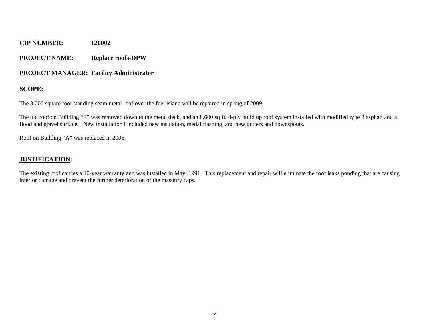#### **PROJECT NAME: Replace roofs-DPW**

#### **PROJECT MANAGER: Facility Administrator**

#### **SCOPE:**

The 3,000 square foot standing seam metal roof over the fuel island will be repaired in spring of 2009.

The old roof on Building "E" was removed down to the metal deck, and an 8,600 sq ft. 4-ply build up roof system installed with modified type 3 asphalt and a flood and gravel surface. New installation l included new insulation, medal flashing, and new gutters and downspouts.

Roof on Building "A" was replaced in 2006.

#### **JUSTIFICATION:**

The existing roof carries a 10-year warranty and was installed in May, 1991. This replacement and repair will eliminate the roof leaks ponding that are causing interior damage and prevent the further deterioration of the masonry caps.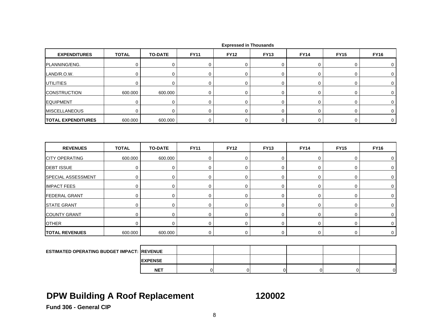| <b>TOTAL</b> | <b>TO-DATE</b> | <b>FY11</b> | <b>FY12</b> | <b>FY13</b> | <b>FY14</b> | <b>FY15</b> | <b>FY16</b>    |
|--------------|----------------|-------------|-------------|-------------|-------------|-------------|----------------|
| $\mathbf 0$  | 0              | 0           | $\mathbf 0$ | 0           | 0           | 0           | 0              |
| $\mathbf 0$  | $\mathbf 0$    | $\mathbf 0$ | $\mathbf 0$ | 0           | $\mathbf 0$ | 0           | 0              |
| $\mathbf 0$  | 0              | 0           | $\mathbf 0$ | 0           | $\mathbf 0$ | 0           | 0              |
| 600.000      | 600.000        | $\mathbf 0$ | 0           | $\mathbf 0$ | $\mathbf 0$ | 0           | 0              |
| $\mathbf 0$  | $\mathbf 0$    | 0           | $\mathbf 0$ | $\mathbf 0$ | 0           | 0           | $\mathbf 0$    |
| $\Omega$     | $\Omega$       | $\mathbf 0$ | $\mathbf 0$ | 0           | 0           | 0           | 0              |
| 600.000      | 600.000        | 0           | 0           | 0           | 0           | 0           | $\mathbf 0$    |
| <b>TOTAL</b> | <b>TO-DATE</b> | <b>FY11</b> | <b>FY12</b> | <b>FY13</b> | <b>FY14</b> | <b>FY15</b> | <b>FY16</b>    |
|              |                |             |             |             |             |             |                |
| 600.000      | 600.000        | 0           | $\mathbf 0$ | 0           | $\mathbf 0$ | 0           | 0              |
| $\mathbf 0$  | 0              | $\mathbf 0$ | $\mathbf 0$ | 0           | 0           | 0           | 0              |
| 0            | $\mathbf 0$    | $\mathbf 0$ | 0           | 0           | $\mathbf 0$ | 0           | 0              |
| $\mathbf 0$  | $\mathbf 0$    | $\mathbf 0$ | $\mathbf 0$ | 0           | $\mathbf 0$ | 0           | $\mathbf 0$    |
| $\mathbf 0$  | $\mathbf 0$    | $\pmb{0}$   | $\mathbf 0$ | 0           | $\pmb{0}$   | 0           | $\mathbf 0$    |
| $\mathbf 0$  | 0              | $\mathbf 0$ | $\mathbf 0$ | $\mathbf 0$ | $\mathbf 0$ | 0           | 0              |
| $\mathbf 0$  | $\mathbf 0$    | $\pmb{0}$   | $\mathbf 0$ | 0           | 0           | 0           | 0              |
| 0            | $\mathbf 0$    | $\mathbf 0$ | $\mathbf 0$ | $\mathbf 0$ | $\mathbf 0$ | 0           | 0              |
| 600.000      | 600.000        | $\pmb{0}$   | $\mathbf 0$ | 0           | $\mathbf 0$ | 0           | $\overline{0}$ |
|              |                |             |             |             |             |             |                |
|              |                |             |             |             |             |             |                |

**ESTIMATED OPERATING BUDGET IMPACT: REVENUE EXPENSENET**T | 0| 0| 0| 0| 0| 0|

# **DPW Building A Roof Replacement 120002**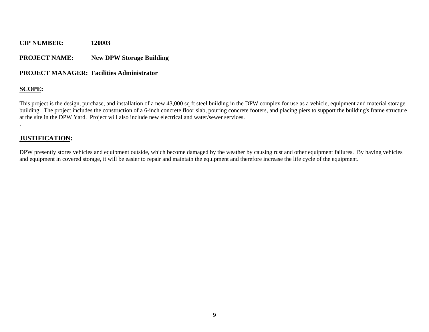#### **PROJECT NAME: New DPW Storage Building**

#### **PROJECT MANAGER: Facilities Administrator**

### **SCOPE:**

.

This project is the design, purchase, and installation of a new 43,000 sq ft steel building in the DPW complex for use as a vehicle, equipment and material storage building. The project includes the construction of a 6-inch concrete floor slab, pouring concrete footers, and placing piers to support the building's frame structure at the site in the DPW Yard. Project will also include new electrical and water/sewer services.

#### **JUSTIFICATION:**

DPW presently stores vehicles and equipment outside, which become damaged by the weather by causing rust and other equipment failures. By having vehicles and equipment in covered storage, it will be easier to repair and maintain the equipment and therefore increase the life cycle of the equipment.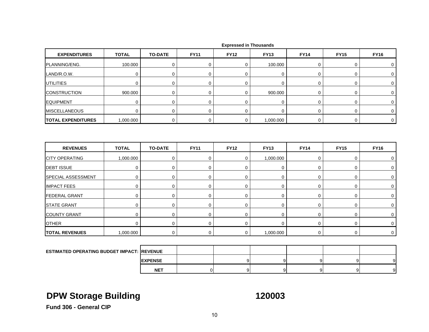| <b>EXPENDITURES</b>                               | <b>TOTAL</b> | <b>TO-DATE</b> | <b>FY11</b>    | <b>FY12</b> | <b>FY13</b>    | <b>FY14</b> | <b>FY15</b> | <b>FY16</b> |
|---------------------------------------------------|--------------|----------------|----------------|-------------|----------------|-------------|-------------|-------------|
| PLANNING/ENG.                                     | 100.000      | $\pmb{0}$      | $\pmb{0}$      | $\mathbf 0$ | 100.000        | $\pmb{0}$   | 0           | 0           |
| LAND/R.O.W.                                       | $\mathbf 0$  | 0              | $\mathbf 0$    | $\mathbf 0$ | 0              | $\mathbf 0$ | 0           | $\mathbf 0$ |
| <b>UTILITIES</b>                                  | $\mathbf 0$  | 0              | $\mathbf 0$    | 0           | 0              | 0           | 0           | 0           |
| <b>CONSTRUCTION</b>                               | 900.000      | $\mathbf 0$    | 0              | $\mathbf 0$ | 900.000        | $\mathsf 0$ | 0           | $\mathbf 0$ |
| <b>EQUIPMENT</b>                                  | $\mathbf 0$  | 0              | 0              | $\mathbf 0$ | 0              | 0           | 0           | $\mathbf 0$ |
| <b>MISCELLANEOUS</b>                              | $\mathbf 0$  | $\mathbf 0$    | $\mathbf 0$    | $\mathbf 0$ | $\mathbf 0$    | $\mathbf 0$ | 0           | 0           |
| <b>TOTAL EXPENDITURES</b>                         | 1,000.000    | 0              | 0              | $\mathbf 0$ | 1,000.000      | $\mathbf 0$ | 0           | $\mathbf 0$ |
|                                                   |              |                |                |             |                |             |             |             |
| <b>REVENUES</b>                                   | <b>TOTAL</b> | <b>TO-DATE</b> | <b>FY11</b>    | <b>FY12</b> | <b>FY13</b>    | <b>FY14</b> | <b>FY15</b> | <b>FY16</b> |
| <b>CITY OPERATING</b>                             | 1,000.000    | $\mathbf 0$    | $\mathbf 0$    | $\mathbf 0$ | 1,000.000      | 0           | 0           | 0           |
| <b>DEBT ISSUE</b>                                 | $\mathbf 0$  | 0              | 0              | $\mathbf 0$ | $\pmb{0}$      | 0           | 0           | 0           |
| SPECIAL ASSESSMENT                                | $\mathbf 0$  | $\mathbf 0$    | $\mathbf 0$    | $\mathbf 0$ | 0              | $\mathbf 0$ | 0           | 0           |
| <b>IMPACT FEES</b>                                | 0            | $\mathbf 0$    | $\mathbf 0$    | $\mathbf 0$ | 0              | $\mathbf 0$ | 0           | $\mathbf 0$ |
| <b>FEDERAL GRANT</b>                              | $\mathbf 0$  | 0              | $\mathbf 0$    | $\mathbf 0$ | 0              | 0           | 0           | $\mathbf 0$ |
| <b>STATE GRANT</b>                                | $\pmb{0}$    | $\pmb{0}$      | $\pmb{0}$      | $\mathbf 0$ | $\pmb{0}$      | $\pmb{0}$   | 0           | $\pmb{0}$   |
| <b>COUNTY GRANT</b>                               | $\mathbf 0$  | $\mathbf 0$    | $\mathbf 0$    | $\mathbf 0$ | $\mathbf 0$    | 0           | 0           | 0           |
| <b>OTHER</b>                                      | 0            | $\mathbf 0$    | $\mathbf 0$    | $\mathbf 0$ | $\overline{0}$ | $\mathbf 0$ | 0           | $\mathbf 0$ |
| <b>TOTAL REVENUES</b>                             | 1,000.000    | $\mathbf 0$    | $\mathbf 0$    | $\mathbf 0$ | 1,000.000      | $\mathbf 0$ | 0           | $\mathbf 0$ |
|                                                   |              |                |                |             |                |             |             |             |
| <b>ESTIMATED OPERATING BUDGET IMPACT: REVENUE</b> |              |                |                |             |                |             |             |             |
|                                                   |              | <b>EXPENSE</b> |                | 9           | 9              | 9           | 9           | 9           |
|                                                   |              | <b>NET</b>     | $\overline{0}$ | 9           | 9              | 9           | 9           | $9 \mid$    |

# **DPW Storage Building 120003**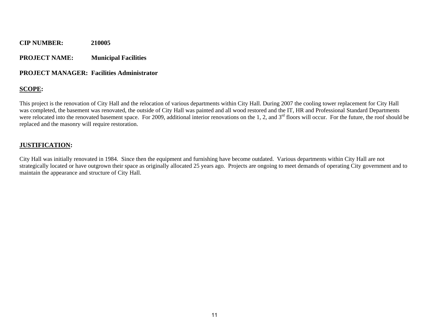#### **PROJECT NAME: Municipal Facilities**

#### **PROJECT MANAGER: Facilities Administrator**

### **SCOPE:**

This project is the renovation of City Hall and the relocation of various departments within City Hall. During 2007 the cooling tower replacement for City Hall was completed, the basement was renovated, the outside of City Hall was painted and all wood restored and the IT, HR and Professional Standard Departments were relocated into the renovated basement space. For 2009, additional interior renovations on the 1, 2, and  $3<sup>rd</sup>$  floors will occur. For the future, the roof should be replaced and the masonry will require restoration.

#### **JUSTIFICATION:**

City Hall was initially renovated in 1984. Since then the equipment and furnishing have become outdated. Various departments within City Hall are not strategically located or have outgrown their space as originally allocated 25 years ago. Projects are ongoing to meet demands of operating City government and to maintain the appearance and structure of City Hall.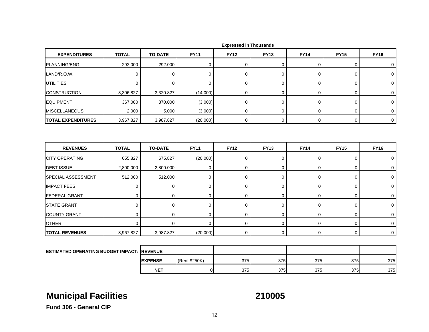| <b>EXPENDITURES</b>                                | <b>TOTAL</b> | <b>TO-DATE</b> | <b>FY11</b>   | <b>FY12</b>    | <b>FY13</b> | <b>FY14</b> | <b>FY15</b> | <b>FY16</b>    |
|----------------------------------------------------|--------------|----------------|---------------|----------------|-------------|-------------|-------------|----------------|
| PLANNING/ENG.                                      | 292.000      | 292.000        | $\mathbf 0$   | 0              | 0           | 0           | 0           | 0              |
| LAND/R.O.W.                                        | $\mathbf 0$  | $\mathbf 0$    | 0             | 0              | $\mathbf 0$ | $\mathbf 0$ | 0           | $\mathbf 0$    |
| UTILITIES                                          | $\mathbf 0$  | 0              | 0             | 0              | $\mathbf 0$ | 0           | 0           | 0              |
| <b>CONSTRUCTION</b>                                | 3,306.827    | 3,320.827      | (14.000)      | 0              | $\mathbf 0$ | 0           | 0           | 0              |
| <b>EQUIPMENT</b>                                   | 367.000      | 370.000        | (3.000)       | $\pmb{0}$      | $\pmb{0}$   | 0           | 0           | $\mathbf 0$    |
| <b>MISCELLANEOUS</b>                               | 2.000        | 5.000          | (3.000)       | $\overline{0}$ | $\mathbf 0$ | 0           | 0           | 0              |
| <b>TOTAL EXPENDITURES</b>                          | 3,967.827    | 3,987.827      | (20.000)      | $\mathbf 0$    | $\pmb{0}$   | $\pmb{0}$   | 0           | $\overline{0}$ |
| <b>REVENUES</b>                                    | <b>TOTAL</b> | <b>TO-DATE</b> | <b>FY11</b>   | <b>FY12</b>    | <b>FY13</b> | <b>FY14</b> | <b>FY15</b> | <b>FY16</b>    |
| <b>CITY OPERATING</b>                              | 655.827      | 675.827        | (20.000)      | $\pmb{0}$      | $\pmb{0}$   | $\pmb{0}$   | 0           | 0              |
| <b>DEBT ISSUE</b>                                  | 2,800.000    | 2,800.000      | 0             | 0              | $\mathbf 0$ | 0           | 0           | $\mathbf 0$    |
| <b>SPECIAL ASSESSMENT</b>                          | 512.000      | 512.000        | $\mathbf 0$   | 0              | $\mathbf 0$ | 0           | 0           | 0              |
| <b>IMPACT FEES</b>                                 | 0            | $\mathbf 0$    | 0             | 0              | $\mathbf 0$ | 0           | 0           | 0              |
| <b>FEDERAL GRANT</b>                               | 0            | 0              | 0             | 0              | $\mathbf 0$ | 0           | 0           | $\mathbf 0$    |
| <b>STATE GRANT</b>                                 | $\mathbf 0$  | $\mathbf 0$    | $\mathbf 0$   | 0              | $\mathbf 0$ | $\mathbf 0$ | 0           | $\mathbf 0$    |
| <b>COUNTY GRANT</b>                                | 0            | 0              | 0             | 0              | $\mathbf 0$ | 0           | 0           | $\mathbf 0$    |
| <b>OTHER</b>                                       | $\mathbf 0$  | 0              | 0             | 0              | $\mathbf 0$ | 0           | 0           | $\mathbf 0$    |
| <b>TOTAL REVENUES</b>                              | 3,967.827    | 3,987.827      | (20.000)      | $\mathbf 0$    | 0           | 0           | $\mathbf 0$ | $\overline{0}$ |
|                                                    |              |                |               |                |             |             |             |                |
| <b>ESTIMATED OPERATING BUDGET IMPACT: IREVENUE</b> |              |                |               |                |             |             |             |                |
|                                                    |              | <b>EXPENSE</b> | (Rent \$250K) | 375            | 375         | 375         | 375         | 375            |

# **Municipal Facilities 210005**

**T** | 0| 375| 375| 375| 375| 375

**Fund 306 - General CIP**

**NET**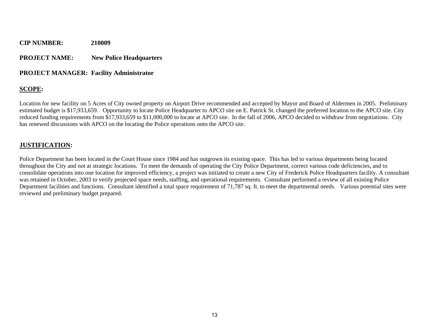#### **PROJECT NAME: New Police Headquarters**

#### **PROJECT MANAGER: Facility Administrator**

### **SCOPE:**

Location for new facility on 5 Acres of City owned property on Airport Drive recommended and accepted by Mayor and Board of Aldermen in 2005. Preliminary estimated budget is \$17,933,659. Opportunity to locate Police Headquarter to APCO site on E. Patrick St. changed the preferred location to the APCO site. City reduced funding requirements from \$17,933,659 to \$11,000,000 to locate at APCO site. In the fall of 2006, APCO decided to withdraw from negotiations. City has renewed discussions with APCO on the locating the Police operations onto the APCO site.

### **JUSTIFICATION:**

Police Department has been located in the Court House since 1984 and has outgrown its existing space. This has led to various departments being located throughout the City and not at strategic locations. To meet the demands of operating the City Police Department, correct various code deficiencies, and to consolidate operations into one location for improved efficiency, a project was initiated to create a new City of Frederick Police Headquarters facility. A consultant was retained in October, 2003 to verify projected space needs, staffing, and operational requirements. Consultant performed a review of all existing Police Department facilities and functions. Consultant identified a total space requirement of 71,787 sq. ft. to meet the departmental needs. Various potential sites were reviewed and preliminary budget prepared.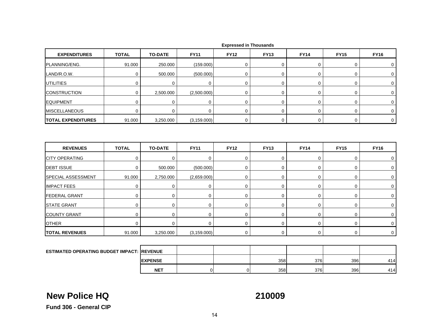| <b>EXPENDITURES</b>       | <b>TOTAL</b> | <b>TO-DATE</b> | <b>FY11</b>  | <b>FY12</b> | <b>FY13</b>    | <b>FY14</b> | <b>FY15</b> | <b>FY16</b> |
|---------------------------|--------------|----------------|--------------|-------------|----------------|-------------|-------------|-------------|
| PLANNING/ENG.             | 91.000       | 250.000        | (159.000)    | 0           | 0              | $\pmb{0}$   | 0           | 0           |
| LAND/R.O.W.               | $\mathbf 0$  | 500.000        | (500.000)    | $\mathbf 0$ | $\overline{0}$ | $\mathbf 0$ | 0           | $\mathbf 0$ |
| <b>UTILITIES</b>          | 0            | 0              | 0            | 0           | 0              | 0           | 0           | 0           |
| <b>CONSTRUCTION</b>       | 0            | 2,500.000      | (2,500.000)  | $\mathbf 0$ | 0              | $\mathbf 0$ | 0           | $\mathbf 0$ |
| <b>EQUIPMENT</b>          | $\mathbf 0$  | 0              | $\mathbf 0$  | $\mathbf 0$ | 0              | 0           | 0           | 0           |
| <b>MISCELLANEOUS</b>      | $\mathbf 0$  | $\mathbf 0$    | $\mathbf 0$  | $\mathbf 0$ | $\overline{0}$ | $\mathbf 0$ | 0           | $\mathbf 0$ |
| <b>TOTAL EXPENDITURES</b> | 91.000       | 3,250.000      | (3, 159.000) | 0           | 0              | $\mathbf 0$ | 0           | $\mathbf 0$ |
|                           |              |                |              |             |                |             |             |             |
|                           |              |                |              |             |                |             |             |             |
| <b>REVENUES</b>           | <b>TOTAL</b> | <b>TO-DATE</b> | <b>FY11</b>  | <b>FY12</b> | <b>FY13</b>    | <b>FY14</b> | <b>FY15</b> | <b>FY16</b> |
| <b>CITY OPERATING</b>     | 0            | $\mathbf 0$    | $\mathbf 0$  | $\mathbf 0$ | 0              | $\mathbf 0$ | 0           | 0           |
| <b>DEBT ISSUE</b>         | 0            | 500.000        | (500.000)    | 0           | 0              | $\mathbf 0$ | 0           | 0           |
| SPECIAL ASSESSMENT        | 91.000       | 2,750.000      | (2,659.000)  | $\mathbf 0$ | 0              | 0           | 0           | 0           |
| <b>IMPACT FEES</b>        | $\mathbf 0$  | 0              | 0            | $\mathbf 0$ | 0              | 0           | 0           | 0           |
| <b>FEDERAL GRANT</b>      | 0            | $\mathbf 0$    | 0            | $\mathbf 0$ | 0              | $\mathbf 0$ | 0           | 0           |
| <b>STATE GRANT</b>        | 0            | 0              | 0            | 0           | 0              | 0           | 0           | 0           |
| <b>COUNTY GRANT</b>       | $\mathbf 0$  | $\mathbf 0$    | $\mathbf 0$  | $\mathbf 0$ | 0              | $\mathbf 0$ | 0           | 0           |
| <b>OTHER</b>              | $\mathbf 0$  | $\mathbf 0$    | $\mathbf 0$  | $\mathbf 0$ | 0              | $\mathbf 0$ | 0           | $\mathbf 0$ |

 **Expressed in Thousands**

| ESTIMATED OPERATING BUDGET IMPACT: REVENUE |                 |  |     |     |     |     |
|--------------------------------------------|-----------------|--|-----|-----|-----|-----|
|                                            | <b>IEXPENSE</b> |  | 358 | 376 | 396 | 414 |
|                                            | <b>NET</b>      |  | 358 | 376 | 396 | 414 |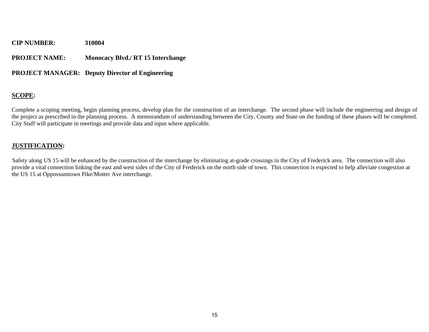**PROJECT NAME: Monocacy Blvd./ RT 15 Interchange** 

#### **PROJECT MANAGER: Deputy Director of Engineering**

#### **SCOPE:**

Complete a scoping meeting, begin planning process, develop plan for the construction of an interchange. The second phase will include the engineering and design of the project as prescribed in the planning process. A memorandum of understanding between the City, County and State on the funding of these phases will be completed. City Staff will participate in meetings and provide data and input where applicable.

#### **JUSTIFICATION:**

Safety along US 15 will be enhanced by the construction of the interchange by eliminating at-grade crossings in the City of Frederick area. The connection will also provide a vital connection linking the east and west sides of the City of Frederick on the north side of town. This connection is expected to help alleviate congestion at the US 15 at Oppossumtown Pike/Motter Ave interchange.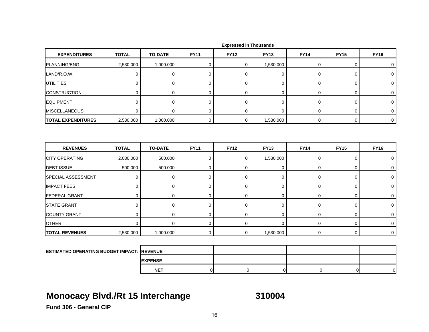| <b>EXPENDITURES</b>       | <b>TOTAL</b> | <b>TO-DATE</b> | <b>FY11</b> | <b>FY12</b> | <b>FY13</b> | <b>FY14</b> | <b>FY15</b> | <b>FY16</b> |
|---------------------------|--------------|----------------|-------------|-------------|-------------|-------------|-------------|-------------|
| PLANNING/ENG.             | 2,530.000    | 1,000.000      | 0           | 0           | 1,530.000   | $\mathbf 0$ | $\mathbf 0$ | 0           |
| LAND/R.O.W.               | 0            | 0              | 0           | 0           | 0           | 0           | 0           | 0           |
| UTILITIES                 | $\mathbf 0$  | $\mathbf 0$    | 0           | 0           | $\mathbf 0$ | $\mathbf 0$ | $\mathbf 0$ | 0           |
| <b>CONSTRUCTION</b>       | 0            | 0              | 0           | 0           | 0           | 0           | 0           | 0           |
| <b>EQUIPMENT</b>          | 0            | 0              | 0           | 0           | 0           | 0           | 0           | 0           |
| <b>MISCELLANEOUS</b>      | $\mathbf 0$  | $\mathbf 0$    | 0           | 0           | $\mathbf 0$ | 0           | $\mathbf 0$ | $\mathbf 0$ |
| <b>TOTAL EXPENDITURES</b> | 2,530.000    | 1,000.000      | $\mathbf 0$ | $\mathbf 0$ | 1,530.000   | $\mathbf 0$ | 0           | $\mathbf 0$ |
| <b>REVENUES</b>           | <b>TOTAL</b> | <b>TO-DATE</b> | <b>FY11</b> | <b>FY12</b> | <b>FY13</b> | <b>FY14</b> | <b>FY15</b> | <b>FY16</b> |
|                           |              |                |             |             |             |             |             |             |
| <b>CITY OPERATING</b>     | 2,030.000    | 500.000        | 0           | $\mathbf 0$ | 1,530.000   | $\mathbf 0$ | $\mathbf 0$ | 0           |
| <b>DEBT ISSUE</b>         | 500.000      | 500.000        | 0           | 0           | 0           | $\mathbf 0$ | 0           | 0           |
| SPECIAL ASSESSMENT        | 0            | $\mathbf 0$    | 0           | 0           | 0           | $\mathbf 0$ | $\mathbf 0$ | 0           |
| <b>IMPACT FEES</b>        | 0            | 0              | 0           | 0           | 0           | 0           | 0           | 0           |
| <b>FEDERAL GRANT</b>      | $\mathbf 0$  | $\mathbf 0$    | 0           | $\mathbf 0$ | 0           | 0           | 0           | 0           |
| <b>STATE GRANT</b>        | $\mathbf 0$  | $\mathbf 0$    | 0           | 0           | $\mathbf 0$ | 0           | $\mathbf 0$ | 0           |
| <b>COUNTY GRANT</b>       | 0            | 0              | 0           | 0           | 0           | 0           | 0           | 0           |
| <b>OTHER</b>              | $\mathbf 0$  | 0              | 0           | 0           | 0           | $\mathbf 0$ | 0           | 0           |
| <b>TOTAL REVENUES</b>     | 2,530.000    | 1,000.000      | 0           | $\mathbf 0$ | 1,530.000   | $\mathbf 0$ | 0           | $\mathbf 0$ |
|                           |              |                |             |             |             |             |             |             |

|  |  | <b>Expressed in Thousands</b> |
|--|--|-------------------------------|
|--|--|-------------------------------|

| <b>ESTIMATED OPERATING BUDGET IMPACT: REVENUE</b> |                 |  |  |    |
|---------------------------------------------------|-----------------|--|--|----|
|                                                   | <b>IEXPENSE</b> |  |  |    |
|                                                   | <b>NET</b>      |  |  | ΩL |

# **Monocacy Blvd./Rt 15 Interchange 310004**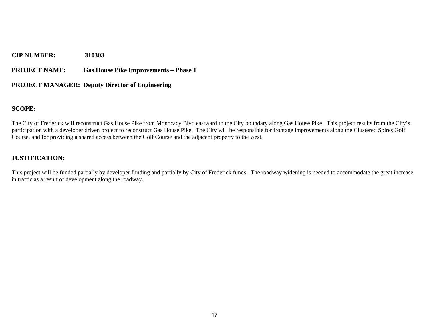**PROJECT NAME: Gas House Pike Improvements – Phase 1** 

### **PROJECT MANAGER: Deputy Director of Engineering**

#### **SCOPE:**

The City of Frederick will reconstruct Gas House Pike from Monocacy Blvd eastward to the City boundary along Gas House Pike. This project results from the City's participation with a developer driven project to reconstruct Gas House Pike. The City will be responsible for frontage improvements along the Clustered Spires Golf Course, and for providing a shared access between the Golf Course and the adjacent property to the west.

#### **JUSTIFICATION:**

This project will be funded partially by developer funding and partially by City of Frederick funds. The roadway widening is needed to accommodate the great increase in traffic as a result of development along the roadway.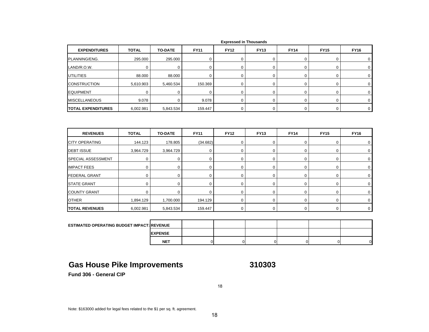| <b>EXPENDITURES</b>                               | <b>TOTAL</b> | <b>TO-DATE</b> | <b>FY11</b>    | <b>FY12</b>    | <b>FY13</b> | <b>FY14</b>    | <b>FY15</b>    | <b>FY16</b>    |
|---------------------------------------------------|--------------|----------------|----------------|----------------|-------------|----------------|----------------|----------------|
| PLANNING/ENG.                                     | 295.000      | 295.000        | 0              | $\mathbf 0$    | $\mathsf 0$ | 0              | 0              | 0              |
| LAND/R.O.W.                                       | $\mathbf 0$  | $\mathbf 0$    | 0              | $\mathbf 0$    | $\mathbf 0$ | 0              | 0              | 0              |
| <b>UTILITIES</b>                                  | 88.000       | 88.000         | $\mathbf 0$    | $\mathbf 0$    | $\mathbf 0$ | 0              | 0              | 0              |
| <b>CONSTRUCTION</b>                               | 5,610.903    | 5,460.534      | 150.369        | $\mathbf 0$    | $\mathbf 0$ | 0              | 0              | 0              |
| <b>EQUIPMENT</b>                                  | $\mathbf 0$  | 0              | $\mathbf 0$    | $\mathbf 0$    | $\mathbf 0$ | $\mathsf 0$    | 0              | 0              |
| <b>MISCELLANEOUS</b>                              | 9.078        | $\mathbf 0$    | 9.078          | $\mathbf 0$    | $\mathbf 0$ | 0              | $\mathbf 0$    | 0              |
| <b>TOTAL EXPENDITURES</b>                         | 6,002.981    | 5,843.534      | 159.447        | 0              | 0           | $\mathbf 0$    | 0              | $\mathbf 0$    |
|                                                   |              |                |                |                |             |                |                |                |
| <b>REVENUES</b>                                   | <b>TOTAL</b> | <b>TO-DATE</b> | <b>FY11</b>    | <b>FY12</b>    | <b>FY13</b> | <b>FY14</b>    | <b>FY15</b>    | <b>FY16</b>    |
| <b>CITY OPERATING</b>                             | 144.123      | 178.805        | (34.682)       | $\mathbf 0$    | $\mathbf 0$ | 0              | 0              | 0              |
| <b>DEBT ISSUE</b>                                 | 3,964.729    | 3,964.729      | 0              | $\mathbf 0$    | $\mathbf 0$ | 0              | 0              | 0              |
| SPECIAL ASSESSMENT                                | $\mathbf 0$  | 0              | 0              | $\mathbf 0$    | $\mathbf 0$ | 0              | 0              | 0              |
| <b>IMPACT FEES</b>                                | 0            | 0              | $\mathbf 0$    | $\mathbf 0$    | $\mathbf 0$ | 0              | 0              | 0              |
| <b>FEDERAL GRANT</b>                              | $\mathbf 0$  | 0              | 0              | $\mathbf 0$    | $\mathbf 0$ | 0              | 0              | 0              |
| <b>STATE GRANT</b>                                | $\mathbf 0$  | $\mathbf 0$    | $\mathbf 0$    | $\mathbf 0$    | $\mathbf 0$ | $\mathbf 0$    | $\mathbf 0$    | 0              |
| <b>COUNTY GRANT</b>                               | $\mathbf 0$  | $\mathbf 0$    | 0              | $\mathbf 0$    | $\mathbf 0$ | 0              | 0              | 0              |
| <b>OTHER</b>                                      | 1,894.129    | 1,700.000      | 194.129        | $\mathbf 0$    | $\mathbf 0$ | 0              | $\mathbf 0$    | $\mathbf 0$    |
| <b>TOTAL REVENUES</b>                             | 6,002.981    | 5,843.534      | 159.447        | 0              | $\mathsf 0$ | $\mathbf 0$    | 0              | $\mathbf 0$    |
|                                                   |              |                |                |                |             |                |                |                |
| <b>ESTIMATED OPERATING BUDGET IMPACT: REVENUE</b> |              |                |                |                |             |                |                |                |
|                                                   |              | <b>EXPENSE</b> |                |                |             |                |                |                |
|                                                   |              | <b>NET</b>     | $\overline{0}$ | $\overline{0}$ | $\mathbf 0$ | $\overline{0}$ | $\overline{0}$ | $\overline{0}$ |

### **Gas House Pike Improvements 310303**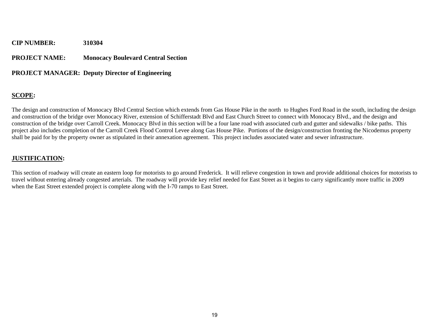#### **PROJECT NAME: Monocacy Boulevard Central Section**

#### **PROJECT MANAGER: Deputy Director of Engineering**

#### **SCOPE:**

The design and construction of Monocacy Blvd Central Section which extends from Gas House Pike in the north to Hughes Ford Road in the south, including the design and construction of the bridge over Monocacy River, extension of Schifferstadt Blvd and East Church Street to connect with Monocacy Blvd., and the design and construction of the bridge over Carroll Creek. Monocacy Blvd in this section will be a four lane road with associated curb and gutter and sidewalks / bike paths. This project also includes completion of the Carroll Creek Flood Control Levee along Gas House Pike. Portions of the design/construction fronting the Nicodemus property shall be paid for by the property owner as stipulated in their annexation agreement. This project includes associated water and sewer infrastructure.

#### **JUSTIFICATION:**

This section of roadway will create an eastern loop for motorists to go around Frederick. It will relieve congestion in town and provide additional choices for motorists to travel without entering already congested arterials. The roadway will provide key relief needed for East Street as it begins to carry significantly more traffic in 2009 when the East Street extended project is complete along with the I-70 ramps to East Street.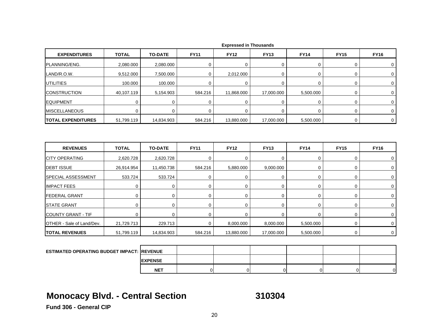| <b>EXPENDITURES</b>       | <b>TOTAL</b> | <b>TO-DATE</b> | <b>FY11</b> | <b>FY12</b> | <b>FY13</b>    | <b>FY14</b> | <b>FY15</b> | <b>FY16</b> |
|---------------------------|--------------|----------------|-------------|-------------|----------------|-------------|-------------|-------------|
| PLANNING/ENG.             | 2,080.000    | 2,080.000      | 0           | 0           | 0              | 0           | 0           | 0           |
| LAND/R.O.W.               | 9,512.000    | 7,500.000      | 0           | 2,012.000   | $\mathbf 0$    | 0           | 0           | $\mathbf 0$ |
| UTILITIES                 | 100.000      | 100.000        | 0           | $\mathbf 0$ | $\mathbf 0$    | 0           | 0           | $\mathbf 0$ |
| <b>CONSTRUCTION</b>       | 40,107.119   | 5,154.903      | 584.216     | 11,868.000  | 17,000.000     | 5,500.000   | 0           | 0           |
| <b>EQUIPMENT</b>          | 0            | $\mathbf 0$    | $\mathbf 0$ | $\mathbf 0$ | 0              | $\mathbf 0$ | $\pmb{0}$   | $\mathbf 0$ |
| <b>MISCELLANEOUS</b>      | $\mathbf 0$  | $\mathbf 0$    | $\mathbf 0$ | $\Omega$    | $\mathbf 0$    | $\mathbf 0$ | 0           | $\mathbf 0$ |
| <b>TOTAL EXPENDITURES</b> | 51,799.119   | 14,834.903     | 584.216     | 13,880.000  | 17,000.000     | 5,500.000   | 0           | 0           |
| <b>REVENUES</b>           | <b>TOTAL</b> | <b>TO-DATE</b> | <b>FY11</b> | <b>FY12</b> | <b>FY13</b>    | <b>FY14</b> | <b>FY15</b> | <b>FY16</b> |
| <b>CITY OPERATING</b>     | 2,620.728    | 2,620.728      | $\mathbf 0$ | $\Omega$    | $\mathbf 0$    | 0           | 0           | $\Omega$    |
| <b>DEBT ISSUE</b>         | 26,914.954   | 11,450.738     | 584.216     | 5,880.000   | 9,000.000      | 0           | $\pmb{0}$   | $\mathbf 0$ |
| <b>SPECIAL ASSESSMENT</b> | 533.724      | 533.724        | $\mathbf 0$ | $\mathbf 0$ | 0              | 0           | 0           | 0           |
| <b>IMPACT FEES</b>        | $\mathbf 0$  | $\mathbf 0$    | 0           | $\mathbf 0$ | $\overline{0}$ | 0           | 0           | $\mathbf 0$ |
| <b>FEDERAL GRANT</b>      | 0            | $\mathbf 0$    | 0           | 0           | 0              | 0           | 0           | 0           |
| <b>STATE GRANT</b>        | 0            | $\mathbf 0$    | 0           | $\mathbf 0$ | 0              | 0           | 0           | $\mathbf 0$ |
| <b>COUNTY GRANT - TIF</b> | $\mathbf 0$  | $\mathbf 0$    | $\mathbf 0$ | $\mathbf 0$ | $\mathbf 0$    | 0           | $\mathbf 0$ | $\mathbf 0$ |
| OTHER - Sale of Land/Dev. | 21,729.713   | 229.713        | $\mathbf 0$ | 8,000.000   | 8,000.000      | 5,500.000   | 0           | $\mathbf 0$ |
| <b>TOTAL REVENUES</b>     | 51,799.119   | 14,834.903     | 584.216     | 13,880.000  | 17,000.000     | 5,500.000   | 0           | $\mathbf 0$ |
|                           |              |                |             |             |                |             |             |             |

|  |  | <b>Expressed in Thousands</b> |
|--|--|-------------------------------|
|--|--|-------------------------------|

| <b>ESTIMATED OPERATING BUDGET IMPACT: REVENUE</b> |                |  |  |   |
|---------------------------------------------------|----------------|--|--|---|
|                                                   | <b>EXPENSE</b> |  |  |   |
|                                                   | <b>NET</b>     |  |  | ി |

# **Monocacy Blvd. - Central Section 310304**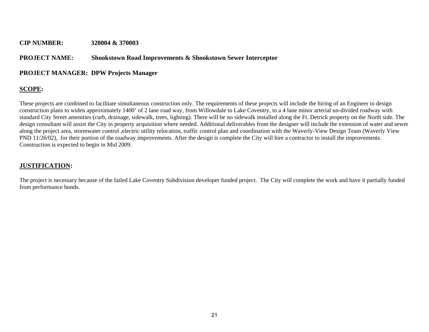#### **CIP NUMBER: 320004 & 370003**

#### **PROJECT NAME: Shookstown Road Improvements & Shookstown Sewer Interceptor**

#### **PROJECT MANAGER: DPW Projects Manager**

### **SCOPE:**

These projects are combined to facilitate simultaneous construction only. The requirements of these projects will include the hiring of an Engineer to design construction plans to widen approximately 1400' of 2 lane road way, from Willowdale to Lake Coventry, to a 4 lane minor arterial un-divided roadway with standard City Street amenities (curb, drainage, sidewalk, trees, lighting). There will be no sidewalk installed along the Ft. Detrick property on the North side. The design consultant will assist the City in property acquisition where needed. Additional deliverables from the designer will include the extension of water and sewer along the project area, stormwater control ,electric utility relocation, traffic control plan and coordination with the Waverly-View Design Team (Waverly View PND 11/26/02), for their portion of the roadway improvements. After the design is complete the City will hire a contractor to install the improvements. Construction is expected to begin in Mid 2009.

#### **JUSTIFICATION:**

The project is necessary because of the failed Lake Coventry Subdivision developer funded project. The City will complete the work and have it partially funded from performance bonds.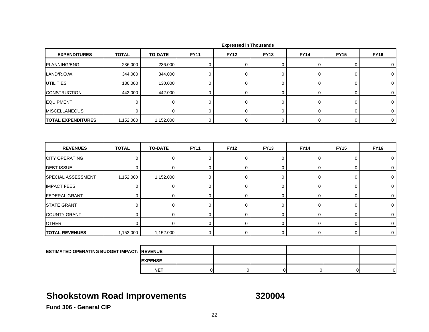| <b>EXPENDITURES</b>       | <b>TOTAL</b> | <b>TO-DATE</b> | <b>FY11</b> | <b>FY12</b> | <b>FY13</b> | <b>FY14</b> | <b>FY15</b>  | <b>FY16</b> |
|---------------------------|--------------|----------------|-------------|-------------|-------------|-------------|--------------|-------------|
| PLANNING/ENG.             | 236.000      | 236.000        | 0           | $\mathbf 0$ | 0           | 0           | 0            | 0           |
| LAND/R.O.W.               | 344.000      | 344.000        | 0           | $\mathbf 0$ | $\mathbf 0$ | 0           | 0            | 0           |
| <b>UTILITIES</b>          | 130.000      | 130.000        | 0           | 0           | $\mathbf 0$ | $\mathbf 0$ | 0            | $\mathbf 0$ |
| <b>CONSTRUCTION</b>       | 442.000      | 442.000        | $\mathbf 0$ | $\mathbf 0$ | $\mathbf 0$ | $\mathbf 0$ | 0            | $\mathbf 0$ |
| EQUIPMENT                 | $\mathbf 0$  | 0              | $\mathbf 0$ | 0           | $\mathbf 0$ | 0           | 0            | $\mathbf 0$ |
| <b>MISCELLANEOUS</b>      | $\mathbf 0$  | 0              | 0           | $\mathbf 0$ | $\mathbf 0$ | 0           | 0            | 0           |
| <b>TOTAL EXPENDITURES</b> | 1,152.000    | 1,152.000      | $\mathbf 0$ | $\mathbf 0$ | $\mathbf 0$ | $\mathbf 0$ | 0            | $\mathbf 0$ |
| <b>REVENUES</b>           | <b>TOTAL</b> | <b>TO-DATE</b> | <b>FY11</b> | <b>FY12</b> | <b>FY13</b> | <b>FY14</b> | <b>FY15</b>  | <b>FY16</b> |
|                           |              |                |             |             |             |             |              |             |
| <b>CITY OPERATING</b>     | $\mathbf 0$  | $\mathbf 0$    | $\mathbf 0$ | $\mathbf 0$ | $\mathbf 0$ | 0           | 0            | 0           |
| <b>DEBT ISSUE</b>         | $\mathbf 0$  | $\mathbf 0$    | 0           | $\mathbf 0$ | $\mathbf 0$ | 0           | 0            | 0           |
| SPECIAL ASSESSMENT        | 1,152.000    | 1,152.000      | 0           | $\mathbf 0$ | $\mathbf 0$ | $\mathbf 0$ | 0            | $\mathbf 0$ |
| <b>IMPACT FEES</b>        | $\mathbf 0$  | 0              | $\mathbf 0$ | $\mathbf 0$ | $\mathbf 0$ | 0           | 0            | 0           |
| <b>FEDERAL GRANT</b>      | $\mathbf 0$  | $\mathbf 0$    | 0           | $\mathbf 0$ | $\mathbf 0$ | 0           | 0            | 0           |
| <b>STATE GRANT</b>        | $\mathbf 0$  | $\mathbf 0$    | $\mathbf 0$ | $\mathbf 0$ | $\mathbf 0$ | $\mathbf 0$ | 0            | $\mathbf 0$ |
| <b>COUNTY GRANT</b>       | $\mathbf 0$  | 0              | 0           | 0           | $\mathbf 0$ | 0           | 0            | 0           |
| <b>OTHER</b>              | $\mathbf 0$  | $\mathbf 0$    | 0           | $\mathbf 0$ | $\mathbf 0$ | 0           | 0            | $\mathbf 0$ |
| <b>TOTAL REVENUES</b>     | 1,152.000    | 1,152.000      | $\mathbf 0$ | $\mathbf 0$ | $\mathbf 0$ | $\mathbf 0$ | $\mathbf{0}$ | $\mathbf 0$ |

|  |  | <b>Expressed in Thousands</b> |
|--|--|-------------------------------|
|--|--|-------------------------------|

| <b>ESTIMATED OPERATING BUDGET IMPACT: REVENUE</b> |                 |  |  |    |
|---------------------------------------------------|-----------------|--|--|----|
|                                                   | <b>IEXPENSE</b> |  |  |    |
|                                                   | <b>NET</b>      |  |  | ∩∎ |

# **Shookstown Road Improvements 320004**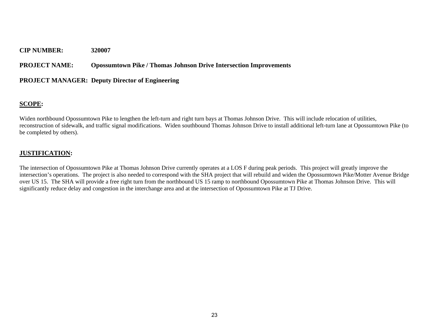**PROJECT NAME: Opossumtown Pike / Thomas Johnson Drive Intersection Improvements** 

#### **PROJECT MANAGER: Deputy Director of Engineering**

### **SCOPE:**

Widen northbound Opossumtown Pike to lengthen the left-turn and right turn bays at Thomas Johnson Drive. This will include relocation of utilities, reconstruction of sidewalk, and traffic signal modifications. Widen southbound Thomas Johnson Drive to install additional left-turn lane at Opossumtown Pike (to be completed by others).

#### **JUSTIFICATION:**

The intersection of Opossumtown Pike at Thomas Johnson Drive currently operates at a LOS F during peak periods. This project will greatly improve the intersection's operations. The project is also needed to correspond with the SHA project that will rebuild and widen the Opossumtown Pike/Motter Avenue Bridge over US 15. The SHA will provide a free right turn from the northbound US 15 ramp to northbound Opossumtown Pike at Thomas Johnson Drive. This will significantly reduce delay and congestion in the interchange area and at the intersection of Opossumtown Pike at TJ Drive.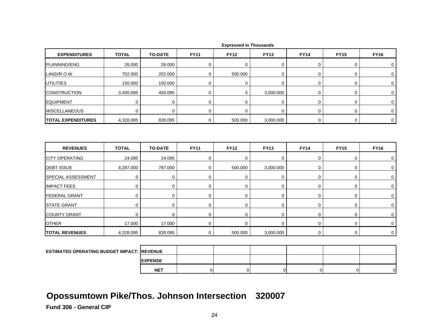| <b>EXPENDITURES</b>       | <b>TOTAL</b> | <b>TO-DATE</b> | <b>FY11</b> | <b>FY12</b> | <b>FY13</b> | <b>FY14</b> | <b>FY15</b> | <b>FY16</b> |
|---------------------------|--------------|----------------|-------------|-------------|-------------|-------------|-------------|-------------|
| PLANNING/ENG.             | 26.000       | 26.000         | 0           | $\mathbf 0$ | 0           | $\mathbf 0$ | $\mathbf 0$ | 0           |
| LAND/R.O.W.               | 702.000      | 202.000        | $\mathbf 0$ | 500.000     | 0           | 0           | 0           | 0           |
| <b>UTILITIES</b>          | 150.000      | 150.000        | 0           | $\mathbf 0$ | 0           | 0           | 0           | 0           |
| <b>CONSTRUCTION</b>       | 3,450.095    | 450.095        | 0           | $\mathbf 0$ | 3,000.000   | $\mathbf 0$ | $\mathbf 0$ | $\mathbf 0$ |
| <b>EQUIPMENT</b>          | 0            | 0              | 0           | $\mathbf 0$ | 0           | 0           | 0           | 0           |
| <b>MISCELLANEOUS</b>      | $\Omega$     | $\mathbf 0$    | $\mathbf 0$ | 0           | 0           | 0           | 0           | $\mathbf 0$ |
| <b>TOTAL EXPENDITURES</b> | 4,328.095    | 828.095        | 0           | 500.000     | 3,000.000   | $\mathbf 0$ | 0           | $\mathbf 0$ |
| <b>REVENUES</b>           | <b>TOTAL</b> | <b>TO-DATE</b> | <b>FY11</b> | <b>FY12</b> | <b>FY13</b> | <b>FY14</b> | <b>FY15</b> | <b>FY16</b> |
| <b>CITY OPERATING</b>     | 24.095       | 24.095         | 0           | 0           | 0           | 0           | 0           | 0           |
| <b>DEBT ISSUE</b>         | 4,287.000    | 787.000        | $\mathbf 0$ | 500.000     | 3,000.000   | $\mathbf 0$ | $\mathbf 0$ | $\mathbf 0$ |
| SPECIAL ASSESSMENT        | $\mathbf 0$  | 0              | 0           | 0           | 0           | 0           | 0           | 0           |
| <b>IMPACT FEES</b>        | $\mathbf 0$  | 0              | 0           | 0           | 0           | 0           | 0           | 0           |
| <b>FEDERAL GRANT</b>      | $\mathbf 0$  | 0              | 0           | 0           | 0           | 0           | 0           | 0           |
| <b>STATE GRANT</b>        | $\Omega$     | $\mathbf 0$    | 0           | $\mathbf 0$ | 0           | 0           | 0           | $\mathbf 0$ |
| <b>COUNTY GRANT</b>       | $\Omega$     | 0              | 0           | $\mathbf 0$ | 0           | 0           | 0           | 0           |
| <b>OTHER</b>              | 17.000       | 17.000         | 0           | $\mathbf 0$ | 0           | $\mathbf 0$ | 0           | 0           |
| <b>TOTAL REVENUES</b>     | 4,328.095    | 828.095        | 0           | 500.000     | 3,000.000   | 0           | 0           | 0           |
|                           |              |                |             |             |             |             |             |             |

| <b>ESTIMATED OPERATING BUDGET IMPACT: REVENUE</b> |                 |  |  |   |
|---------------------------------------------------|-----------------|--|--|---|
|                                                   | <b>IEXPENSE</b> |  |  |   |
|                                                   | <b>NET</b>      |  |  | ി |

# **Opossumtown Pike/Thos. Johnson Intersection 320007**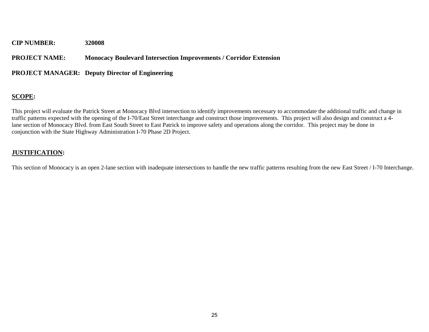#### **PROJECT NAME: Monocacy Boulevard Intersection Improvements / Corridor Extension**

#### **PROJECT MANAGER: Deputy Director of Engineering**

#### **SCOPE:**

This project will evaluate the Patrick Street at Monocacy Blvd intersection to identify improvements necessary to accommodate the additional traffic and change in traffic patterns expected with the opening of the I-70/East Street interchange and construct those improvements. This project will also design and construct a 4 lane section of Monocacy Blvd. from East South Street to East Patrick to improve safety and operations along the corridor. This project may be done in conjunction with the State Highway Administration I-70 Phase 2D Project.

#### **JUSTIFICATION:**

This section of Monocacy is an open 2-lane section with inadequate intersections to handle the new traffic patterns resulting from the new East Street / I-70 Interchange.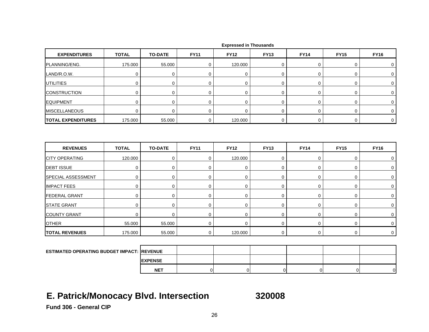| <b>EXPENDITURES</b>                        | <b>TOTAL</b> | <b>TO-DATE</b> | <b>FY11</b> | <b>FY12</b> | <b>FY13</b> | <b>FY14</b> | <b>FY15</b> | <b>FY16</b>    |
|--------------------------------------------|--------------|----------------|-------------|-------------|-------------|-------------|-------------|----------------|
| PLANNING/ENG.                              | 175.000      | 55.000         | 0           | 120.000     | 0           | 0           | 0           | $\mathbf 0$    |
| LAND/R.O.W.                                | $\mathbf 0$  | $\mathbf 0$    | $\mathbf 0$ | $\mathbf 0$ | 0           | $\mathbf 0$ | 0           | 0              |
| <b>UTILITIES</b>                           | $\mathbf 0$  | 0              | $\pmb{0}$   | $\mathbf 0$ | 0           | $\mathsf 0$ | 0           | 0              |
| <b>CONSTRUCTION</b>                        | $\mathbf 0$  | $\mathbf 0$    | $\mathbf 0$ | $\mathbf 0$ | 0           | 0           | 0           | 0              |
| <b>EQUIPMENT</b>                           | $\mathbf 0$  | $\mathbf 0$    | 0           | 0           | 0           | 0           | 0           | 0              |
| <b>MISCELLANEOUS</b>                       | $\mathbf 0$  | 0              | $\mathbf 0$ | $\mathbf 0$ | $\mathbf 0$ | $\mathbf 0$ | 0           | $\mathbf 0$    |
| <b>TOTAL EXPENDITURES</b>                  | 175.000      | 55.000         | 0           | 120.000     | 0           | $\mathbf 0$ | 0           | $\overline{0}$ |
|                                            |              |                |             |             |             |             |             |                |
|                                            |              |                |             |             |             |             |             |                |
| <b>REVENUES</b>                            | <b>TOTAL</b> | <b>TO-DATE</b> | <b>FY11</b> | <b>FY12</b> | <b>FY13</b> | <b>FY14</b> | <b>FY15</b> | <b>FY16</b>    |
| <b>CITY OPERATING</b>                      | 120.000      | $\mathbf 0$    | 0           | 120.000     | 0           | $\mathbf 0$ | 0           | $\mathbf 0$    |
| <b>DEBT ISSUE</b>                          | $\mathbf 0$  | $\mathbf 0$    | $\mathbf 0$ | $\mathbf 0$ | 0           | 0           | 0           | $\mathbf 0$    |
|                                            | $\pmb{0}$    | 0              | $\mathbf 0$ | $\mathbf 0$ | 0           | $\mathbf 0$ | 0           | 0              |
| SPECIAL ASSESSMENT<br><b>IMPACT FEES</b>   | $\mathbf 0$  | $\mathbf 0$    | $\mathbf 0$ | $\mathbf 0$ | 0           | $\mathbf 0$ | 0           | $\mathbf 0$    |
|                                            | $\mathbf 0$  | 0              | 0           | $\mathbf 0$ | 0           | 0           | 0           | 0              |
| <b>FEDERAL GRANT</b><br><b>STATE GRANT</b> | $\mathbf 0$  | 0              | $\mathbf 0$ | $\mathbf 0$ | 0           | $\mathbf 0$ | 0           | $\mathbf 0$    |
| <b>COUNTY GRANT</b>                        | $\mathbf 0$  | $\mathbf 0$    | 0           | $\mathbf 0$ | 0           | 0           | 0           | $\mathbf 0$    |
| <b>OTHER</b>                               | 55.000       | 55.000         | 0           | $\Omega$    | $\mathbf 0$ | 0           | 0           | $\mathbf 0$    |

**EXPENSE NET**T | 0| 0| 0| 0| 0| 0|

# **E. Patrick/Monocacy Blvd. Intersection 320008**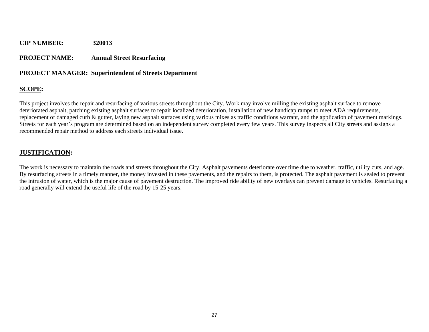#### **PROJECT NAME: Annual Street Resurfacing**

#### **PROJECT MANAGER: Superintendent of Streets Department**

#### **SCOPE:**

This project involves the repair and resurfacing of various streets throughout the City. Work may involve milling the existing asphalt surface to remove deteriorated asphalt, patching existing asphalt surfaces to repair localized deterioration, installation of new handicap ramps to meet ADA requirements, replacement of damaged curb & gutter, laying new asphalt surfaces using various mixes as traffic conditions warrant, and the application of pavement markings. Streets for each year's program are determined based on an independent survey completed every few years. This survey inspects all City streets and assigns a recommended repair method to address each streets individual issue.

#### **JUSTIFICATION:**

The work is necessary to maintain the roads and streets throughout the City. Asphalt pavements deteriorate over time due to weather, traffic, utility cuts, and age. By resurfacing streets in a timely manner, the money invested in these pavements, and the repairs to them, is protected. The asphalt pavement is sealed to prevent the intrusion of water, which is the major cause of pavement destruction. The improved ride ability of new overlays can prevent damage to vehicles. Resurfacing a road generally will extend the useful life of the road by 15-25 years.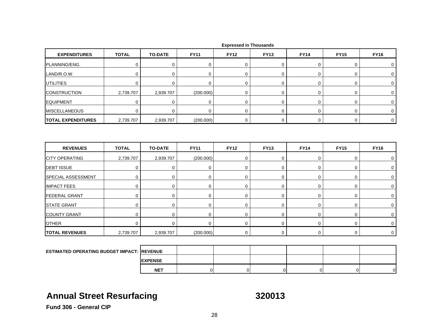| <b>EXPENDITURES</b>                                | <b>TOTAL</b> | <b>TO-DATE</b> | <b>FY11</b> | <b>FY12</b> | <b>FY13</b> | <b>FY14</b> | <b>FY15</b> | <b>FY16</b> |
|----------------------------------------------------|--------------|----------------|-------------|-------------|-------------|-------------|-------------|-------------|
| PLANNING/ENG.                                      | $\mathbf 0$  | 0              | 0           | 0           | 0           | 0           | 0           | 0           |
| LAND/R.O.W.                                        | $\mathbf 0$  | $\mathbf 0$    | $\mathbf 0$ | $\Omega$    | 0           | 0           | 0           | $\mathbf 0$ |
| <b>UTILITIES</b>                                   | $\mathbf 0$  | $\mathbf 0$    | $\mathbf 0$ | 0           | 0           | 0           | 0           | 0           |
| <b>CONSTRUCTION</b>                                | 2,739.707    | 2,939.707      | (200.000)   | 0           | $\mathbf 0$ | 0           | 0           | 0           |
| <b>EQUIPMENT</b>                                   | $\mathbf 0$  | $\mathbf 0$    | 0           | $\mathbf 0$ | 0           | 0           | 0           | $\mathbf 0$ |
| <b>MISCELLANEOUS</b>                               | $\mathbf 0$  | $\mathbf 0$    | $\mathbf 0$ | $\Omega$    | $\mathbf 0$ | 0           | 0           | $\mathbf 0$ |
| <b>TOTAL EXPENDITURES</b>                          | 2,739.707    | 2,939.707      | (200.000)   | 0           | $\mathbf 0$ | 0           | 0           | $\mathbf 0$ |
| <b>REVENUES</b>                                    | <b>TOTAL</b> | <b>TO-DATE</b> | <b>FY11</b> | <b>FY12</b> | <b>FY13</b> | <b>FY14</b> | <b>FY15</b> | <b>FY16</b> |
| <b>CITY OPERATING</b>                              | 2,739.707    | 2,939.707      | (200.000)   | 0           | 0           | 0           | 0           | 0           |
| <b>DEBT ISSUE</b>                                  | $\mathbf 0$  | 0              | 0           | $\mathbf 0$ | 0           | 0           | 0           | $\mathbf 0$ |
| SPECIAL ASSESSMENT                                 | $\mathbf 0$  | $\mathbf 0$    | 0           | $\mathbf 0$ | 0           | 0           | 0           | $\mathbf 0$ |
| <b>IMPACT FEES</b>                                 | $\mathbf 0$  | 0              | $\mathbf 0$ | 0           | 0           | 0           | 0           | 0           |
| <b>FEDERAL GRANT</b>                               | $\mathbf 0$  | $\mathbf 0$    | 0           | 0           | 0           | 0           | 0           | 0           |
| <b>STATE GRANT</b>                                 | $\mathbf 0$  | 0              | $\mathbf 0$ | $\mathbf 0$ | 0           | 0           | 0           | $\mathbf 0$ |
| <b>COUNTY GRANT</b>                                | $\mathbf 0$  | $\mathbf 0$    | $\mathbf 0$ | 0           | 0           | $\mathbf 0$ | 0           | 0           |
| <b>OTHER</b>                                       | $\mathbf 0$  | $\mathbf 0$    | $\mathbf 0$ | 0           | 0           | 0           | 0           | 0           |
| <b>TOTAL REVENUES</b>                              | 2,739.707    | 2,939.707      | (200.000)   | $\mathbf 0$ | 0           | $\mathbf 0$ | $\mathbf 0$ | $\mathbf 0$ |
|                                                    |              |                |             |             |             |             |             |             |
| <b>ESTIMATED OPERATING BUDGET IMPACT: IREVENUE</b> |              |                |             |             |             |             |             |             |
|                                                    |              | <b>EXPENSE</b> |             |             |             |             |             |             |

# **Annual Street Resurfacing 320013**

**NET**

T | 0| 0| 0| 0| 0| 0|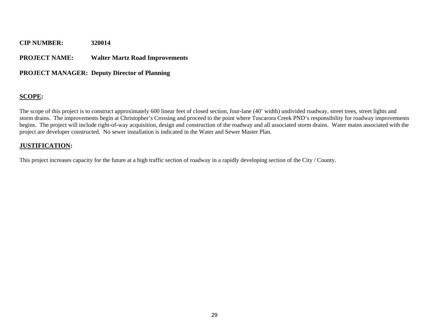#### **PROJECT NAME: Walter Martz Road Improvements**

#### **PROJECT MANAGER: Deputy Director of Planning**

#### **SCOPE:**

The scope of this project is to construct approximately 600 linear feet of closed section, four-lane (40' width) undivided roadway, street trees, street lights and storm drains. The improvements begin at Christopher's Crossing and proceed to the point where Tuscarora Creek PND's responsibility for roadway improvements begins. The project will include right-of-way acquisition, design and construction of the roadway and all associated storm drains. Water mains associated with the project are developer constructed. No sewer installation is indicated in the Water and Sewer Master Plan.

#### **JUSTIFICATION:**

This project increases capacity for the future at a high traffic section of roadway in a rapidly developing section of the City / County.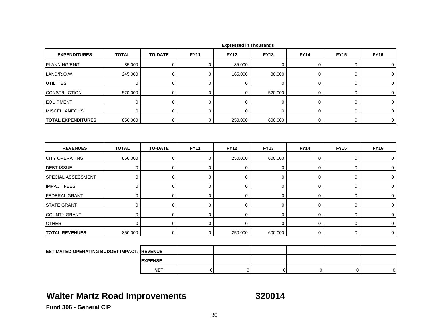| <b>EXPENDITURES</b>                               | <b>TOTAL</b> | <b>TO-DATE</b> | <b>FY11</b> | <b>FY12</b> | <b>FY13</b> | <b>FY14</b> | <b>FY15</b> | <b>FY16</b> |
|---------------------------------------------------|--------------|----------------|-------------|-------------|-------------|-------------|-------------|-------------|
| PLANNING/ENG.                                     | 85.000       | $\mathbf 0$    | $\mathbf 0$ | 85.000      | 0           | 0           | 0           | 0           |
| LAND/R.O.W.                                       | 245.000      | $\mathbf 0$    | $\mathbf 0$ | 165.000     | 80.000      | $\mathbf 0$ | 0           | $\mathbf 0$ |
| <b>UTILITIES</b>                                  | $\mathbf 0$  | $\pmb{0}$      | $\mathbf 0$ | $\mathbf 0$ | 0           | $\mathbf 0$ | 0           | 0           |
| <b>CONSTRUCTION</b>                               | 520.000      | 0              | $\mathbf 0$ | $\mathbf 0$ | 520.000     | 0           | 0           | 0           |
| <b>EQUIPMENT</b>                                  | $\mathbf 0$  | $\mathbf 0$    | $\mathbf 0$ | $\mathbf 0$ | 0           | 0           | 0           | 0           |
| <b>MISCELLANEOUS</b>                              | $\mathbf 0$  | $\mathbf 0$    | $\mathbf 0$ | $\Omega$    | $\mathbf 0$ | $\mathbf 0$ | 0           | $\mathbf 0$ |
| <b>TOTAL EXPENDITURES</b>                         | 850.000      | $\pmb{0}$      | 0           | 250.000     | 600.000     | $\mathsf 0$ | 0           | $\mathbf 0$ |
| <b>REVENUES</b>                                   | <b>TOTAL</b> | <b>TO-DATE</b> | <b>FY11</b> | <b>FY12</b> | <b>FY13</b> | <b>FY14</b> | <b>FY15</b> | <b>FY16</b> |
| <b>CITY OPERATING</b>                             | 850.000      | $\pmb{0}$      | $\mathbf 0$ | 250.000     | 600.000     | $\mathbf 0$ | 0           | 0           |
| <b>DEBT ISSUE</b>                                 | $\mathbf 0$  | $\mathbf 0$    | $\mathbf 0$ | $\mathbf 0$ | 0           | 0           | 0           | 0           |
| <b>SPECIAL ASSESSMENT</b>                         | 0            | $\pmb{0}$      | $\mathbf 0$ | $\mathbf 0$ | 0           | $\mathbf 0$ | 0           | $\mathbf 0$ |
| <b>IMPACT FEES</b>                                | $\pmb{0}$    | $\pmb{0}$      | $\mathbf 0$ | $\mathbf 0$ | 0           | $\mathsf 0$ | 0           | 0           |
| <b>FEDERAL GRANT</b>                              | 0            | $\mathbf 0$    | 0           | $\mathbf 0$ | 0           | 0           | 0           | 0           |
| <b>STATE GRANT</b>                                | $\mathbf 0$  | $\mathbf 0$    | $\mathbf 0$ | $\mathbf 0$ | 0           | $\mathbf 0$ | 0           | $\mathbf 0$ |
| <b>COUNTY GRANT</b>                               | $\mathbf 0$  | 0              | $\mathbf 0$ | $\mathbf 0$ | 0           | $\mathbf 0$ | 0           | 0           |
| <b>OTHER</b>                                      | $\Omega$     | $\pmb{0}$      | $\mathbf 0$ | $\mathbf 0$ | 0           | $\mathbf 0$ | 0           | 0           |
| <b>TOTAL REVENUES</b>                             | 850.000      | 0              | $\mathbf 0$ | 250.000     | 600.000     | 0           | 0           | $\mathbf 0$ |
|                                                   |              |                |             |             |             |             |             |             |
| <b>ESTIMATED OPERATING BUDGET IMPACT: REVENUE</b> |              |                |             |             |             |             |             |             |

# **Walter Martz Road Improvements 320014**

**EXPENSE NET**

T | 0| 0| 0| 0| 0| 0|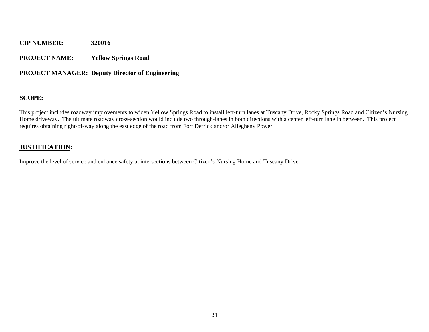**PROJECT NAME: Yellow Springs Road** 

#### **PROJECT MANAGER: Deputy Director of Engineering**

#### **SCOPE:**

This project includes roadway improvements to widen Yellow Springs Road to install left-turn lanes at Tuscany Drive, Rocky Springs Road and Citizen's Nursing Home driveway. The ultimate roadway cross-section would include two through-lanes in both directions with a center left-turn lane in between. This project requires obtaining right-of-way along the east edge of the road from Fort Detrick and/or Allegheny Power.

#### **JUSTIFICATION:**

Improve the level of service and enhance safety at intersections between Citizen's Nursing Home and Tuscany Drive.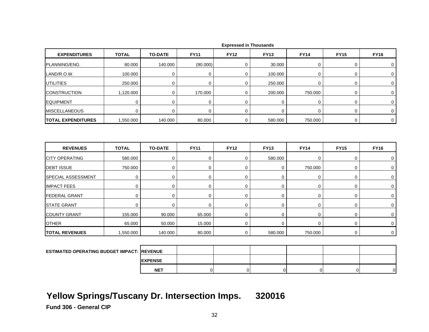| <b>EXPENDITURES</b>                               | <b>TOTAL</b> | <b>TO-DATE</b> | <b>FY11</b>    | <b>FY12</b>    | <b>FY13</b>    | <b>FY14</b>    | <b>FY15</b>    | <b>FY16</b>    |
|---------------------------------------------------|--------------|----------------|----------------|----------------|----------------|----------------|----------------|----------------|
| PLANNING/ENG.                                     | 80.000       | 140.000        | (90.000)       | 0              | 30.000         | 0              | 0              | 0              |
| LAND/R.O.W.                                       | 100.000      | $\mathbf 0$    | 0              | $\mathsf 0$    | 100.000        | $\mathbf 0$    | $\mathbf 0$    | $\mathbf 0$    |
| <b>UTILITIES</b>                                  | 250.000      | $\mathbf 0$    | 0              | $\mathbf 0$    | 250.000        | $\mathbf 0$    | 0              | $\mathbf 0$    |
| <b>CONSTRUCTION</b>                               | 1,120.000    | 0              | 170.000        | $\mathbf 0$    | 200.000        | 750.000        | 0              | 0              |
| <b>EQUIPMENT</b>                                  | 0            | $\mathbf 0$    | 0              | $\mathbf 0$    | 0              | 0              | 0              | 0              |
| <b>MISCELLANEOUS</b>                              | $\mathbf 0$  | $\mathbf 0$    | $\mathbf 0$    | $\mathbf 0$    | $\mathbf 0$    | $\mathbf 0$    | $\mathbf 0$    | $\mathbf 0$    |
| <b>TOTAL EXPENDITURES</b>                         | 1,550.000    | 140.000        | 80.000         | $\mathbf 0$    | 580.000        | 750.000        | $\mathbf 0$    | $\mathbf 0$    |
|                                                   |              |                |                |                |                |                |                |                |
| <b>REVENUES</b>                                   | <b>TOTAL</b> | <b>TO-DATE</b> | <b>FY11</b>    | <b>FY12</b>    | <b>FY13</b>    | <b>FY14</b>    | <b>FY15</b>    | <b>FY16</b>    |
| <b>CITY OPERATING</b>                             | 580.000      | $\mathbf 0$    | 0              | $\mathbf 0$    | 580.000        | 0              | 0              | 0              |
| <b>DEBT ISSUE</b>                                 | 750.000      | 0              | 0              | $\mathbf 0$    | 0              | 750.000        | 0              | 0              |
| SPECIAL ASSESSMENT                                | 0            | $\mathbf 0$    | 0              | $\mathbf 0$    | 0              | $\mathbf 0$    | 0              | 0              |
| <b>IMPACT FEES</b>                                | $\pmb{0}$    | 0              | 0              | 0              | $\mathbf 0$    | 0              | $\mathbf 0$    | 0              |
| <b>FEDERAL GRANT</b>                              | $\pmb{0}$    | 0              | 0              | 0              | $\mathbf 0$    | $\pmb{0}$      | $\mathbf 0$    | $\mathbf 0$    |
| <b>STATE GRANT</b>                                | $\mathbf 0$  | $\mathbf 0$    | 0              | $\mathbf 0$    | $\pmb{0}$      | $\pmb{0}$      | $\pmb{0}$      | 0              |
| <b>COUNTY GRANT</b>                               | 155.000      | 90.000         | 65.000         | $\mathbf 0$    | 0              | $\mathsf 0$    | $\pmb{0}$      | 0              |
| <b>OTHER</b>                                      | 65.000       | 50.000         | 15.000         | $\pmb{0}$      | $\mathbf 0$    | $\mathbf 0$    | $\mathbf 0$    | $\mathbf 0$    |
| <b>TOTAL REVENUES</b>                             | 1,550.000    | 140.000        | 80.000         | 0              | 580.000        | 750.000        | 0              | 0              |
|                                                   |              |                |                |                |                |                |                |                |
| <b>ESTIMATED OPERATING BUDGET IMPACT: REVENUE</b> |              |                |                |                |                |                |                |                |
|                                                   |              | <b>EXPENSE</b> |                |                |                |                |                |                |
|                                                   |              | <b>NET</b>     | $\overline{0}$ | $\overline{0}$ | $\overline{0}$ | $\overline{0}$ | $\overline{0}$ | $\overline{0}$ |

# **Yellow Springs/Tuscany Dr. Intersection Imps. 320016**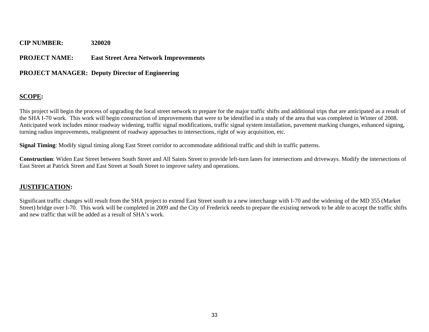## **PROJECT NAME: East Street Area Network Improvements**

## **PROJECT MANAGER: Deputy Director of Engineering**

## **SCOPE:**

This project will begin the process of upgrading the local street network to prepare for the major traffic shifts and additional trips that are anticipated as a result of the SHA I-70 work. This work will begin construction of improvements that were to be identified in a study of the area that was completed in Winter of 2008. Anticipated work includes minor roadway widening, traffic signal modifications, traffic signal system installation, pavement marking changes, enhanced signing, turning radius improvements, realignment of roadway approaches to intersections, right of way acquisition, etc.

**Signal Timing**: Modify signal timing along East Street corridor to accommodate additional traffic and shift in traffic patterns.

**Construction**: Widen East Street between South Street and All Saints Street to provide left-turn lanes for intersections and driveways. Modify the intersections of East Street at Patrick Street and East Street at South Street to improve safety and operations.

## **JUSTIFICATION:**

Significant traffic changes will result from the SHA project to extend East Street south to a new interchange with I-70 and the widening of the MD 355 (Market Street) bridge over I-70. This work will be completed in 2009 and the City of Frederick needs to prepare the existing network to be able to accept the traffic shifts and new traffic that will be added as a result of SHA's work.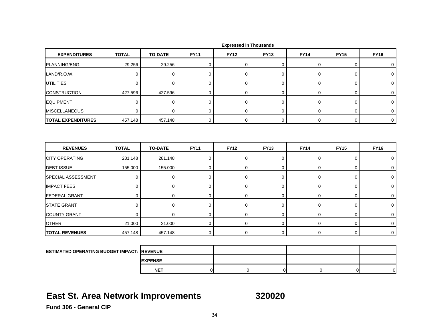| <b>EXPENDITURES</b>                               | <b>TOTAL</b> | <b>TO-DATE</b> | <b>FY11</b> | <b>FY12</b> | <b>FY13</b> | <b>FY14</b> | <b>FY15</b> | <b>FY16</b>      |
|---------------------------------------------------|--------------|----------------|-------------|-------------|-------------|-------------|-------------|------------------|
| PLANNING/ENG.                                     | 29.256       | 29.256         | 0           | $\mathbf 0$ | 0           | 0           | 0           | 0                |
| LAND/R.O.W.                                       | $\mathbf 0$  | 0              | 0           | $\mathbf 0$ | 0           | $\mathbf 0$ | 0           | $\mathbf 0$      |
| UTILITIES                                         | 0            | $\mathbf 0$    | $\mathbf 0$ | $\mathbf 0$ | 0           | 0           | 0           | 0                |
| <b>CONSTRUCTION</b>                               | 427.596      | 427.596        | $\mathbf 0$ | 0           | 0           | 0           | 0           | $\mathbf 0$      |
| <b>EQUIPMENT</b>                                  | $\mathbf 0$  | $\mathbf 0$    | $\mathbf 0$ | $\mathbf 0$ | $\mathbf 0$ | $\mathbf 0$ | 0           | 0                |
| <b>MISCELLANEOUS</b>                              | $\Omega$     | $\Omega$       | 0           | $\mathbf 0$ | 0           | 0           | 0           | $\mathbf 0$      |
| <b>TOTAL EXPENDITURES</b>                         | 457.148      | 457.148        | $\mathbf 0$ | $\mathbf 0$ | 0           | $\mathbf 0$ | 0           | $\mathbf 0$      |
| <b>REVENUES</b>                                   | <b>TOTAL</b> | <b>TO-DATE</b> | <b>FY11</b> | <b>FY12</b> | <b>FY13</b> | <b>FY14</b> | <b>FY15</b> | <b>FY16</b>      |
| <b>CITY OPERATING</b>                             | 281.148      | 281.148        | $\pmb{0}$   | $\mathbf 0$ | 0           | $\mathsf 0$ | 0           | 0                |
| <b>DEBT ISSUE</b>                                 | 155.000      | 155.000        | $\mathbf 0$ | $\mathbf 0$ | 0           | $\pmb{0}$   | 0           | 0                |
| SPECIAL ASSESSMENT                                | $\pmb{0}$    | $\mathbf 0$    | 0           | $\mathbf 0$ | $\pmb{0}$   | $\mathsf 0$ | 0           | $\mathbf 0$      |
| <b>IMPACT FEES</b>                                | $\mathbf 0$  | $\pmb{0}$      | 0           | $\mathbf 0$ | 0           | $\mathsf 0$ | 0           | $\boldsymbol{0}$ |
| <b>FEDERAL GRANT</b>                              | $\mathbf 0$  | $\mathbf 0$    | $\mathbf 0$ | $\mathbf 0$ | 0           | $\mathbf 0$ | 0           | 0                |
| <b>STATE GRANT</b>                                | $\mathbf 0$  | 0              | $\mathbf 0$ | $\mathbf 0$ | 0           | $\mathbf 0$ | 0           | $\mathbf 0$      |
| <b>COUNTY GRANT</b>                               | $\mathbf 0$  | $\mathbf 0$    | 0           | $\mathbf 0$ | $\pmb{0}$   | $\mathsf 0$ | 0           | 0                |
| <b>OTHER</b>                                      | 21.000       | 21.000         | $\mathbf 0$ | $\mathbf 0$ | 0           | $\mathbf 0$ | 0           | $\mathbf 0$      |
| <b>TOTAL REVENUES</b>                             | 457.148      | 457.148        | $\mathbf 0$ | $\mathbf 0$ | 0           | $\mathbf 0$ | 0           | $\mathbf 0$      |
|                                                   |              |                |             |             |             |             |             |                  |
| <b>ESTIMATED OPERATING BUDGET IMPACT: REVENUE</b> |              |                |             |             |             |             |             |                  |
|                                                   |              | <b>EXPENSE</b> |             |             |             |             |             |                  |

## **East St. Area Network Improvements 320020**

**NET**

T | 0| 0| 0| 0| 0| 0|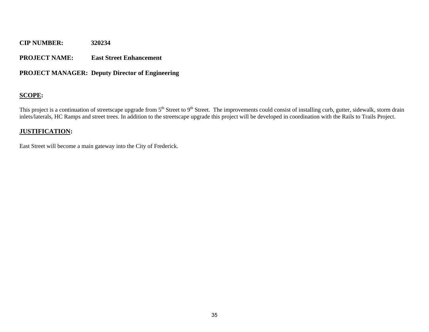## **PROJECT NAME: East Street Enhancement**

## **PROJECT MANAGER: Deputy Director of Engineering**

## **SCOPE:**

This project is a continuation of streetscape upgrade from 5<sup>th</sup> Street to 9<sup>th</sup> Street. The improvements could consist of installing curb, gutter, sidewalk, storm drain inlets/laterals, HC Ramps and street trees. In addition to the streetscape upgrade this project will be developed in coordination with the Rails to Trails Project.

## **JUSTIFICATION:**

East Street will become a main gateway into the City of Frederick.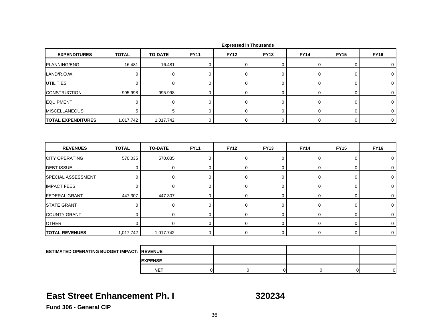| <b>EXPENDITURES</b>                                | <b>TOTAL</b> | <b>TO-DATE</b> | <b>FY11</b> | <b>FY12</b> | <b>FY13</b> | <b>FY14</b> | <b>FY15</b> | <b>FY16</b> |
|----------------------------------------------------|--------------|----------------|-------------|-------------|-------------|-------------|-------------|-------------|
| PLANNING/ENG.                                      | 16.481       | 16.481         | $\pmb{0}$   | 0           | 0           | 0           | 0           | 0           |
| LAND/R.O.W.                                        | $\mathbf 0$  | 0              | $\mathbf 0$ | 0           | $\mathbf 0$ | 0           | 0           | 0           |
| <b>UTILITIES</b>                                   | $\mathbf 0$  | $\mathbf 0$    | $\mathbf 0$ | $\mathbf 0$ | 0           | 0           | 0           | 0           |
| <b>CONSTRUCTION</b>                                | 995.998      | 995.998        | $\mathbf 0$ | 0           | 0           | 0           | 0           | $\mathbf 0$ |
| <b>EQUIPMENT</b>                                   | 0            | $\mathbf 0$    | 0           | 0           | $\mathbf 0$ | 0           | 0           | 0           |
| <b>MISCELLANEOUS</b>                               | 5            | 5              | $\mathbf 0$ | $\mathbf 0$ | 0           | $\mathbf 0$ | 0           | $\mathbf 0$ |
| <b>TOTAL EXPENDITURES</b>                          | 1,017.742    | 1,017.742      | $\mathbf 0$ | 0           | 0           | $\mathbf 0$ | 0           | $\mathbf 0$ |
| <b>REVENUES</b>                                    | <b>TOTAL</b> | <b>TO-DATE</b> | <b>FY11</b> | <b>FY12</b> | <b>FY13</b> | <b>FY14</b> | <b>FY15</b> | <b>FY16</b> |
|                                                    |              |                |             |             |             |             |             |             |
| <b>CITY OPERATING</b>                              | 570.035      | 570.035        | $\mathbf 0$ | 0           | 0           | $\mathbf 0$ | 0           | 0           |
| <b>DEBT ISSUE</b>                                  | 0            | 0              | 0           | $\mathbf 0$ | $\mathbf 0$ | 0           | 0           | 0           |
| SPECIAL ASSESSMENT                                 | $\mathbf 0$  | 0              | $\mathbf 0$ | 0           | 0           | 0           | 0           | $\mathbf 0$ |
| <b>IMPACT FEES</b>                                 | 0            | $\mathbf 0$    | 0           | $\mathbf 0$ | 0           | 0           | 0           | 0           |
| <b>FEDERAL GRANT</b>                               | 447.307      | 447.307        | $\mathbf 0$ | 0           | 0           | 0           | 0           | $\mathbf 0$ |
| <b>STATE GRANT</b>                                 | $\mathbf 0$  | $\mathbf 0$    | 0           | $\mathbf 0$ | $\mathbf 0$ | 0           | 0           | $\mathbf 0$ |
| <b>COUNTY GRANT</b>                                | $\mathbf 0$  | $\mathbf 0$    | $\mathbf 0$ | $\mathbf 0$ | 0           | 0           | 0           | $\mathbf 0$ |
| <b>OTHER</b>                                       | $\mathbf 0$  | $\mathbf 0$    | $\mathbf 0$ | 0           | 0           | $\mathbf 0$ | 0           | 0           |
| <b>TOTAL REVENUES</b>                              | 1,017.742    | 1,017.742      | $\mathbf 0$ | 0           | 0           | $\mathbf 0$ | 0           | $\mathbf 0$ |
|                                                    |              |                |             |             |             |             |             |             |
| <b>ESTIMATED OPERATING BUDGET IMPACT: IREVENUE</b> |              |                |             |             |             |             |             |             |
|                                                    |              | <b>EXPENSE</b> |             |             |             |             |             |             |

## **East Street Enhancement Ph. I**

**NET**

320234

T | 0| 0| 0| 0| 0| 0|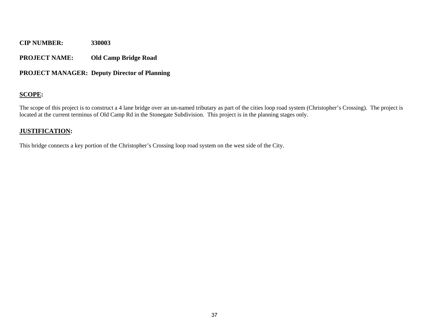## **PROJECT NAME: Old Camp Bridge Road**

## **PROJECT MANAGER: Deputy Director of Planning**

## **SCOPE:**

The scope of this project is to construct a 4 lane bridge over an un-named tributary as part of the cities loop road system (Christopher's Crossing). The project is located at the current terminus of Old Camp Rd in the Stonegate Subdivision. This project is in the planning stages only.

## **JUSTIFICATION:**

This bridge connects a key portion of the Christopher's Crossing loop road system on the west side of the City.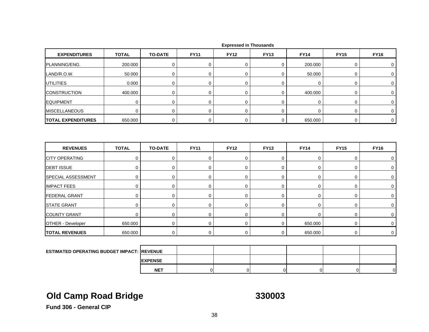| <b>EXPENDITURES</b>                               | <b>TOTAL</b> | <b>TO-DATE</b> | <b>FY11</b> | <b>FY12</b> | <b>FY13</b> | <b>FY14</b> | <b>FY15</b> | <b>FY16</b> |
|---------------------------------------------------|--------------|----------------|-------------|-------------|-------------|-------------|-------------|-------------|
| PLANNING/ENG.                                     | 200.000      | 0              | 0           | 0           | 0           | 200.000     | 0           | 0           |
| LAND/R.O.W.                                       | 50.000       | $\mathbf 0$    | $\mathbf 0$ | $\mathbf 0$ | 0           | 50.000      | $\mathbf 0$ | 0           |
| <b>UTILITIES</b>                                  | 0.000        | $\mathbf 0$    | 0           | $\mathbf 0$ | 0           | $\mathbf 0$ | 0           | 0           |
| <b>CONSTRUCTION</b>                               | 400.000      | 0              | 0           | 0           | 0           | 400.000     | 0           | $\mathbf 0$ |
| <b>EQUIPMENT</b>                                  | $\mathbf 0$  | 0              | $\mathbf 0$ | $\mathbf 0$ | 0           | 0           | $\mathbf 0$ | 0           |
| <b>MISCELLANEOUS</b>                              | $\mathbf 0$  | $\mathbf 0$    | $\mathbf 0$ | $\mathbf 0$ | $\mathbf 0$ | $\mathbf 0$ | $\mathbf 0$ | 0           |
| <b>TOTAL EXPENDITURES</b>                         | 650.000      | $\mathbf 0$    | $\mathbf 0$ | $\mathbf 0$ | 0           | 650.000     | $\mathbf 0$ | 0           |
| <b>REVENUES</b>                                   | <b>TOTAL</b> | <b>TO-DATE</b> | <b>FY11</b> | <b>FY12</b> | <b>FY13</b> | <b>FY14</b> | <b>FY15</b> | <b>FY16</b> |
| <b>CITY OPERATING</b>                             | $\mathbf 0$  | $\mathbf 0$    | 0           | $\mathbf 0$ | 0           | $\pmb{0}$   | 0           | 0           |
| <b>DEBT ISSUE</b>                                 | 0            | 0              | 0           | $\mathbf 0$ | 0           | 0           | $\mathsf 0$ | 0           |
| SPECIAL ASSESSMENT                                | $\mathbf 0$  | $\pmb{0}$      | $\mathbf 0$ | 0           | $\mathbf 0$ | $\mathsf 0$ | $\mathsf 0$ | 0           |
| <b>IMPACT FEES</b>                                | 0            | 0              | 0           | $\mathbf 0$ | 0           | $\mathbf 0$ | $\mathbf 0$ | 0           |
| <b>FEDERAL GRANT</b>                              | 0            | 0              | 0           | $\mathbf 0$ | 0           | 0           | 0           | 0           |
| <b>STATE GRANT</b>                                | $\mathsf 0$  | $\pmb{0}$      | $\mathbf 0$ | 0           | $\pmb{0}$   | $\pmb{0}$   | $\mathbf 0$ | 0           |
| <b>COUNTY GRANT</b>                               | $\mathbf 0$  | $\mathbf 0$    | 0           | $\mathbf 0$ | 0           | $\mathbf 0$ | 0           | 0           |
| <b>OTHER - Developer</b>                          | 650.000      | $\mathbf 0$    | 0           | $\mathbf 0$ | 0           | 650.000     | 0           | 0           |
| <b>TOTAL REVENUES</b>                             | 650.000      | 0              | 0           | 0           | 0           | 650.000     | $\mathbf 0$ | $\mathbf 0$ |
|                                                   |              |                |             |             |             |             |             |             |
| <b>ESTIMATED OPERATING BUDGET IMPACT: REVENUE</b> |              |                |             |             |             |             |             |             |
|                                                   |              | <b>EXPENSE</b> |             |             |             |             |             |             |

# **Old Camp Road Bridge 330003**

T | 0| 0| 0| 0| 0| 0|

**Fund 306 - General CIP**

**NET**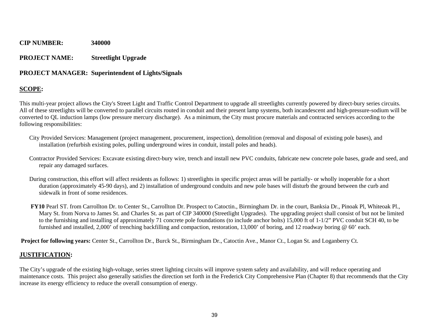## **PROJECT NAME: Streetlight Upgrade**

## **PROJECT MANAGER: Superintendent of Lights/Signals**

## **SCOPE:**

This multi-year project allows the City's Street Light and Traffic Control Department to upgrade all streetlights currently powered by direct-bury series circuits. All of these streetlights will be converted to parallel circuits routed in conduit and their present lamp systems, both incandescent and high-pressure-sodium will be converted to QL induction lamps (low pressure mercury discharge). As a minimum, the City must procure materials and contracted services according to the following responsibilities:

- City Provided Services: Management (project management, procurement, inspection), demolition (removal and disposal of existing pole bases), and installation (refurbish existing poles, pulling underground wires in conduit, install poles and heads).
- Contractor Provided Services: Excavate existing direct-bury wire, trench and install new PVC conduits, fabricate new concrete pole bases, grade and seed, and repair any damaged surfaces.
- During construction, this effort will affect residents as follows: 1) streetlights in specific project areas will be partially- or wholly inoperable for a short duration (approximately 45-90 days), and 2) installation of underground conduits and new pole bases will disturb the ground between the curb and sidewalk in front of some residences.
- **FY10** Pearl ST. from Carrollton Dr. to Center St., Carrollton Dr. Prospect to Catoctin., Birmingham Dr. in the court, Banksia Dr., Pinoak Pl, Whiteoak Pl., Mary St. from Norva to James St. and Charles St. as part of CIP 340000 (Streetlight Upgrades). The upgrading project shall consist of but not be limited to the furnishing and installing of approximately 71 concrete pole foundations (to include anchor bolts) 15,000 ft of 1-1/2" PVC conduit SCH 40, to be furnished and installed, 2,000' of trenching backfilling and compaction, restoration, 13,000' of boring, and 12 roadway boring @ 60' each.

**Project for following years:** Center St., Carrollton Dr., Burck St., Birmingham Dr., Catoctin Ave., Manor Ct., Logan St. and Loganberry Ct.

## **JUSTIFICATION:**

The City's upgrade of the existing high-voltage, series street lighting circuits will improve system safety and availability, and will reduce operating and maintenance costs. This project also generally satisfies the direction set forth in the Frederick City Comprehensive Plan (Chapter 8) that recommends that the City increase its energy efficiency to reduce the overall consumption of energy.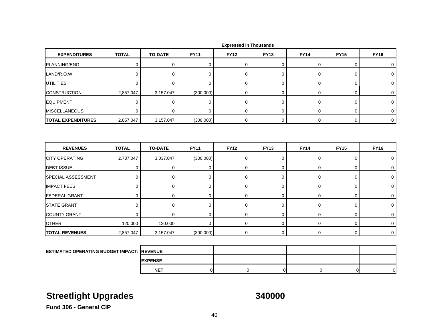| <b>EXPENDITURES</b>                                | <b>TOTAL</b> | <b>TO-DATE</b> | <b>FY11</b> | <b>FY12</b> | <b>FY13</b> | <b>FY14</b> | <b>FY15</b> | <b>FY16</b> |
|----------------------------------------------------|--------------|----------------|-------------|-------------|-------------|-------------|-------------|-------------|
| PLANNING/ENG.                                      | 0            | 0              | 0           | 0           | 0           | 0           | 0           | 0           |
| LAND/R.O.W.                                        | $\mathbf 0$  | 0              | 0           | 0           | 0           | 0           | 0           | 0           |
| <b>UTILITIES</b>                                   | $\mathbf 0$  | $\mathbf 0$    | $\mathbf 0$ | $\mathbf 0$ | $\mathbf 0$ | $\mathbf 0$ | $\pmb{0}$   | 0           |
| <b>CONSTRUCTION</b>                                | 2,857.047    | 3,157.047      | (300.000)   | 0           | $\mathbf 0$ | 0           | $\mathbf 0$ | $\mathbf 0$ |
| <b>EQUIPMENT</b>                                   | 0            | 0              | 0           | 0           | 0           | 0           | 0           | 0           |
| <b>MISCELLANEOUS</b>                               | 0            | $\mathbf 0$    | 0           | $\mathbf 0$ | 0           | $\mathbf 0$ | $\mathbf 0$ | 0           |
| <b>TOTAL EXPENDITURES</b>                          | 2,857.047    | 3,157.047      | (300.000)   | 0           | $\mathbf 0$ | $\mathbf 0$ | $\mathsf 0$ | 0           |
| <b>REVENUES</b>                                    | <b>TOTAL</b> | <b>TO-DATE</b> | <b>FY11</b> | <b>FY12</b> | <b>FY13</b> | <b>FY14</b> | <b>FY15</b> | <b>FY16</b> |
| <b>CITY OPERATING</b>                              | 2,737.047    | 3,037.047      | (300.000)   | $\pmb{0}$   | $\pmb{0}$   | $\pmb{0}$   | $\pmb{0}$   | 0           |
| <b>DEBT ISSUE</b>                                  | 0            | 0              | 0           | $\mathbf 0$ | 0           | 0           | $\mathbf 0$ | 0           |
| SPECIAL ASSESSMENT                                 | $\mathbf 0$  | 0              | $\mathbf 0$ | $\mathbf 0$ | $\mathbf 0$ | $\mathbf 0$ | $\mathbf 0$ | 0           |
| <b>IMPACT FEES</b>                                 | $\mathbf 0$  | 0              | $\mathbf 0$ | $\mathbf 0$ | $\mathbf 0$ | $\mathbf 0$ | $\mathbf 0$ | 0           |
| <b>FEDERAL GRANT</b>                               | 0            | 0              | 0           | 0           | 0           | 0           | 0           | 0           |
| <b>STATE GRANT</b>                                 | $\mathbf 0$  | $\mathbf 0$    | $\mathbf 0$ | 0           | $\mathbf 0$ | $\pmb{0}$   | $\mathbf 0$ | 0           |
| <b>COUNTY GRANT</b>                                | $\mathbf 0$  | $\mathbf 0$    | 0           | $\mathbf 0$ | $\mathbf 0$ | 0           | 0           | 0           |
| <b>OTHER</b>                                       | 120.000      | 120.000        | $\mathbf 0$ | 0           | $\mathbf 0$ | 0           | $\mathbf 0$ | 0           |
| <b>TOTAL REVENUES</b>                              | 2,857.047    | 3,157.047      | (300.000)   | $\mathbf 0$ | 0           | 0           | $\mathbf 0$ | $\mathbf 0$ |
|                                                    |              |                |             |             |             |             |             |             |
| <b>ESTIMATED OPERATING BUDGET IMPACT: IREVENUE</b> |              |                |             |             |             |             |             |             |
|                                                    |              | <b>EXPENSE</b> |             |             |             |             |             |             |

# **Streetlight Upgrades 340000**

T | 0| 0| 0| 0| 0| 0|

**Fund 306 - General CIP**

**NET**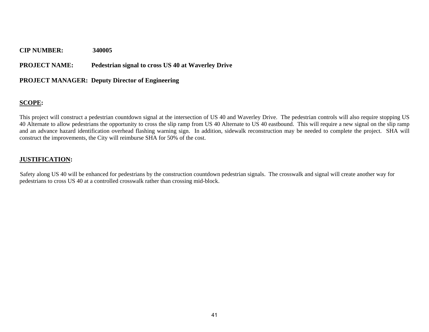## **PROJECT NAME: Pedestrian signal to cross US 40 at Waverley Drive**

## **PROJECT MANAGER: Deputy Director of Engineering**

## **SCOPE:**

This project will construct a pedestrian countdown signal at the intersection of US 40 and Waverley Drive. The pedestrian controls will also require stopping US 40 Alternate to allow pedestrians the opportunity to cross the slip ramp from US 40 Alternate to US 40 eastbound. This will require a new signal on the slip ramp and an advance hazard identification overhead flashing warning sign. In addition, sidewalk reconstruction may be needed to complete the project. SHA will construct the improvements, the City will reimburse SHA for 50% of the cost.

## **JUSTIFICATION:**

Safety along US 40 will be enhanced for pedestrians by the construction countdown pedestrian signals. The crosswalk and signal will create another way for pedestrians to cross US 40 at a controlled crosswalk rather than crossing mid-block.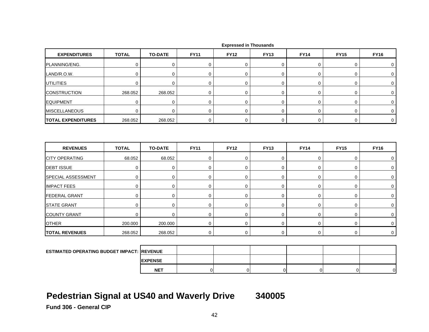| <b>EXPENDITURES</b>                               | <b>TOTAL</b> | <b>TO-DATE</b> | <b>FY11</b> | <b>FY12</b> | <b>FY13</b>      | <b>FY14</b> | <b>FY15</b> | <b>FY16</b>  |
|---------------------------------------------------|--------------|----------------|-------------|-------------|------------------|-------------|-------------|--------------|
| PLANNING/ENG.                                     | $\mathbf 0$  | $\mathbf 0$    | 0           | 0           | 0                | 0           | 0           | 0            |
| LAND/R.O.W.                                       | $\mathbf 0$  | $\mathbf 0$    | $\mathbf 0$ | $\mathbf 0$ | $\boldsymbol{0}$ | 0           | 0           | $\mathbf 0$  |
| <b>UTILITIES</b>                                  | $\mathbf 0$  | $\mathbf 0$    | $\mathbf 0$ | $\mathbf 0$ | 0                | 0           | 0           | 0            |
| <b>CONSTRUCTION</b>                               | 268.052      | 268.052        | $\mathbf 0$ | 0           | 0                | 0           | 0           | 0            |
| <b>EQUIPMENT</b>                                  | $\mathbf 0$  | $\mathbf 0$    | $\mathbf 0$ | $\mathbf 0$ | 0                | 0           | 0           | $\mathbf 0$  |
| <b>MISCELLANEOUS</b>                              | $\mathbf 0$  | $\mathbf 0$    | $\mathbf 0$ | $\mathbf 0$ | $\mathbf 0$      | $\mathbf 0$ | $\mathbf 0$ | 0            |
| <b>TOTAL EXPENDITURES</b>                         | 268.052      | 268.052        | $\mathbf 0$ | $\mathbf 0$ | $\boldsymbol{0}$ | $\mathbf 0$ | $\mathbf 0$ | $\mathbf 0$  |
| <b>REVENUES</b>                                   | <b>TOTAL</b> | <b>TO-DATE</b> | <b>FY11</b> | <b>FY12</b> | <b>FY13</b>      | <b>FY14</b> | <b>FY15</b> | <b>FY16</b>  |
| <b>CITY OPERATING</b>                             | 68.052       | 68.052         | $\mathbf 0$ | $\mathbf 0$ | $\mathbf 0$      | $\mathbf 0$ | $\mathbf 0$ | 0            |
| <b>DEBT ISSUE</b>                                 | $\mathbf 0$  | $\mathbf 0$    | $\mathbf 0$ | $\mathbf 0$ | $\mathbf 0$      | $\mathbf 0$ | 0           | 0            |
| SPECIAL ASSESSMENT                                | $\mathbf 0$  | 0              | $\mathbf 0$ | 0           | 0                | 0           | 0           | 0            |
| <b>IMPACT FEES</b>                                | $\mathbf 0$  | 0              | 0           | $\mathbf 0$ | 0                | 0           | 0           | 0            |
| <b>FEDERAL GRANT</b>                              | $\mathbf 0$  | 0              | 0           | $\mathbf 0$ | 0                | 0           | 0           | 0            |
| <b>STATE GRANT</b>                                | $\mathbf 0$  | $\mathbf 0$    | $\mathbf 0$ | $\mathbf 0$ | $\mathbf 0$      | 0           | 0           | 0            |
| <b>COUNTY GRANT</b>                               | $\mathbf 0$  | $\mathbf 0$    | $\mathbf 0$ | $\mathbf 0$ | 0                | 0           | 0           | 0            |
| <b>OTHER</b>                                      | 200.000      | 200.000        | $\mathbf 0$ | $\mathbf 0$ | $\mathbf 0$      | 0           | 0           | 0            |
| <b>TOTAL REVENUES</b>                             | 268.052      | 268.052        | $\mathbf 0$ | $\mathbf 0$ | $\mathbf 0$      | $\mathbf 0$ | $\mathbf 0$ | $\mathbf{0}$ |
|                                                   |              |                |             |             |                  |             |             |              |
| <b>ESTIMATED OPERATING BUDGET IMPACT: REVENUE</b> |              |                |             |             |                  |             |             |              |
|                                                   |              | <b>EXPENSE</b> |             |             |                  |             |             |              |

## **Pedestrian Signal at US40 and Waverly Drive 340005**

**NET**

**Fund 306 - General CIP**

T | 0| 0| 0| 0| 0| 0|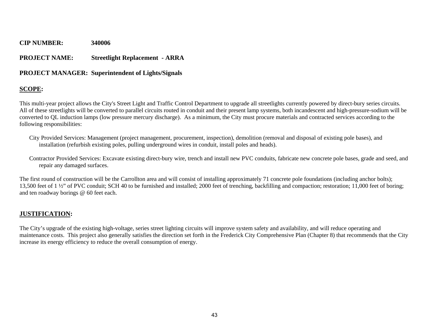## **PROJECT NAME: Streetlight Replacement - ARRA**

## **PROJECT MANAGER: Superintendent of Lights/Signals**

## **SCOPE:**

This multi-year project allows the City's Street Light and Traffic Control Department to upgrade all streetlights currently powered by direct-bury series circuits. All of these streetlights will be converted to parallel circuits routed in conduit and their present lamp systems, both incandescent and high-pressure-sodium will be converted to QL induction lamps (low pressure mercury discharge). As a minimum, the City must procure materials and contracted services according to the following responsibilities:

- City Provided Services: Management (project management, procurement, inspection), demolition (removal and disposal of existing pole bases), and installation (refurbish existing poles, pulling underground wires in conduit, install poles and heads).
- Contractor Provided Services: Excavate existing direct-bury wire, trench and install new PVC conduits, fabricate new concrete pole bases, grade and seed, and repair any damaged surfaces.

The first round of construction will be the Carrollton area and will consist of installing approximately 71 concrete pole foundations (including anchor bolts); 13,500 feet of 1 ½" of PVC conduit; SCH 40 to be furnished and installed; 2000 feet of trenching, backfilling and compaction; restoration; 11,000 feet of boring; and ten roadway borings @ 60 feet each.

## **JUSTIFICATION:**

The City's upgrade of the existing high-voltage, series street lighting circuits will improve system safety and availability, and will reduce operating and maintenance costs. This project also generally satisfies the direction set forth in the Frederick City Comprehensive Plan (Chapter 8) that recommends that the City increase its energy efficiency to reduce the overall consumption of energy.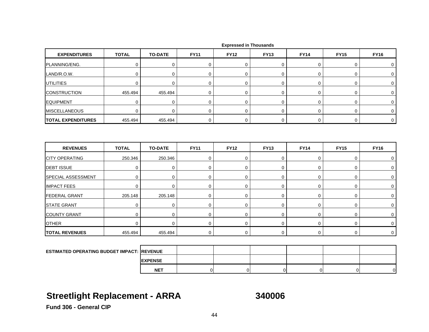| <b>EXPENDITURES</b>                                | <b>TOTAL</b> | <b>TO-DATE</b> | <b>FY11</b> | <b>FY12</b> | <b>FY13</b>    | <b>FY14</b> | <b>FY15</b> | <b>FY16</b> |
|----------------------------------------------------|--------------|----------------|-------------|-------------|----------------|-------------|-------------|-------------|
| PLANNING/ENG.                                      | $\mathbf 0$  | 0              | $\mathbf 0$ | 0           | 0              | 0           | 0           | 0           |
| LAND/R.O.W.                                        | 0            | $\mathbf 0$    | 0           | $\mathbf 0$ | 0              | 0           | 0           | 0           |
| <b>UTILITIES</b>                                   | 0            | $\mathbf 0$    | $\mathbf 0$ | $\mathbf 0$ | 0              | $\mathbf 0$ | 0           | 0           |
| <b>CONSTRUCTION</b>                                | 455.494      | 455.494        | $\mathbf 0$ | $\mathbf 0$ | 0              | 0           | 0           | $\mathbf 0$ |
| <b>EQUIPMENT</b>                                   | $\mathbf 0$  | $\pmb{0}$      | $\pmb{0}$   | $\mathbf 0$ | $\pmb{0}$      | $\mathsf 0$ | 0           | 0           |
| <b>MISCELLANEOUS</b>                               | 0            | $\pmb{0}$      | 0           | $\mathbf 0$ | 0              | 0           | 0           | 0           |
| <b>TOTAL EXPENDITURES</b>                          | 455.494      | 455.494        | $\mathbf 0$ | $\mathbf 0$ | 0              | $\mathbf 0$ | 0           | $\mathbf 0$ |
| <b>REVENUES</b>                                    | <b>TOTAL</b> | <b>TO-DATE</b> | <b>FY11</b> | <b>FY12</b> | <b>FY13</b>    | <b>FY14</b> | <b>FY15</b> | <b>FY16</b> |
| <b>CITY OPERATING</b>                              | 250.346      | 250.346        | $\mathbf 0$ | $\mathbf 0$ | 0              | $\mathbf 0$ | 0           | 0           |
| <b>DEBT ISSUE</b>                                  | $\mathbf 0$  | $\mathbf 0$    | 0           | $\mathbf 0$ | $\pmb{0}$      | 0           | 0           | 0           |
| SPECIAL ASSESSMENT                                 | $\mathbf 0$  | $\mathbf 0$    | $\mathbf 0$ | $\mathbf 0$ | 0              | $\mathbf 0$ | 0           | $\mathbf 0$ |
| <b>IMPACT FEES</b>                                 | 0            | $\mathbf 0$    | 0           | $\mathbf 0$ | 0              | 0           | 0           | 0           |
| <b>FEDERAL GRANT</b>                               | 205.148      | 205.148        | $\mathbf 0$ | $\mathbf 0$ | 0              | 0           | 0           | 0           |
| <b>STATE GRANT</b>                                 | $\mathbf 0$  | $\mathbf 0$    | $\mathbf 0$ | $\mathbf 0$ | 0              | $\mathbf 0$ | 0           | 0           |
| <b>COUNTY GRANT</b>                                | 0            | $\mathbf 0$    | $\mathbf 0$ | $\mathbf 0$ | 0              | $\mathbf 0$ | 0           | 0           |
| <b>OTHER</b>                                       | $\mathbf 0$  | $\mathbf 0$    | $\mathbf 0$ | $\mathbf 0$ | $\overline{0}$ | 0           | 0           | $\mathbf 0$ |
| <b>TOTAL REVENUES</b>                              | 455.494      | 455.494        | $\mathbf 0$ | $\mathbf 0$ | 0              | $\mathbf 0$ | $\mathbf 0$ | $\mathbf 0$ |
|                                                    |              |                |             |             |                |             |             |             |
| <b>ESTIMATED OPERATING BUDGET IMPACT: IREVENUE</b> |              |                |             |             |                |             |             |             |
|                                                    |              | <b>EXPENSE</b> |             |             |                |             |             |             |

## **Streetlight Replacement - ARRA 340006**

**NET**

T | 0| 0| 0| 0| 0| 0|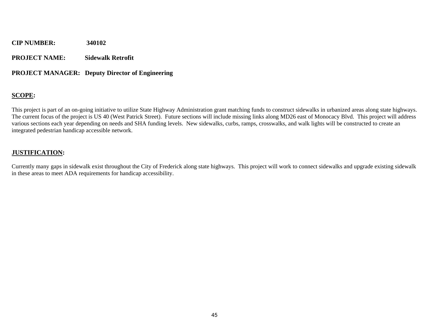**PROJECT NAME: Sidewalk Retrofit** 

## **PROJECT MANAGER: Deputy Director of Engineering**

## **SCOPE:**

This project is part of an on-going initiative to utilize State Highway Administration grant matching funds to construct sidewalks in urbanized areas along state highways. The current focus of the project is US 40 (West Patrick Street). Future sections will include missing links along MD26 east of Monocacy Blvd. This project will address various sections each year depending on needs and SHA funding levels. New sidewalks, curbs, ramps, crosswalks, and walk lights will be constructed to create an integrated pedestrian handicap accessible network.

## **JUSTIFICATION:**

Currently many gaps in sidewalk exist throughout the City of Frederick along state highways. This project will work to connect sidewalks and upgrade existing sidewalk in these areas to meet ADA requirements for handicap accessibility.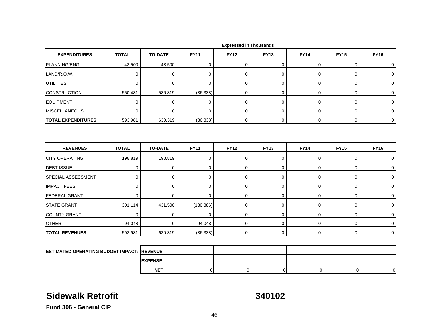| <b>EXPENDITURES</b>                               | <b>TOTAL</b> | <b>TO-DATE</b> | <b>FY11</b> | <b>FY12</b> | <b>FY13</b> | <b>FY14</b> | <b>FY15</b> | <b>FY16</b> |
|---------------------------------------------------|--------------|----------------|-------------|-------------|-------------|-------------|-------------|-------------|
| PLANNING/ENG.                                     | 43.500       | 43.500         | 0           | 0           | 0           | 0           | 0           | 0           |
| LAND/R.O.W.                                       | $\mathbf 0$  | $\mathbf 0$    | $\mathbf 0$ | 0           | 0           | 0           | 0           | 0           |
| UTILITIES                                         | 0            | 0              | 0           | $\mathbf 0$ | 0           | 0           | 0           | 0           |
| <b>CONSTRUCTION</b>                               | 550.481      | 586.819        | (36.338)    | 0           | $\mathbf 0$ | 0           | 0           | 0           |
| <b>EQUIPMENT</b>                                  | $\mathbf 0$  | 0              | $\mathbf 0$ | $\mathbf 0$ | 0           | 0           | 0           | $\mathbf 0$ |
| <b>MISCELLANEOUS</b>                              | $\mathbf 0$  | $\mathbf 0$    | $\mathbf 0$ | $\mathbf 0$ | 0           | $\mathbf 0$ | 0           | 0           |
| <b>TOTAL EXPENDITURES</b>                         | 593.981      | 630.319        | (36.338)    | 0           | 0           | 0           | 0           | $\mathbf 0$ |
| <b>REVENUES</b>                                   | <b>TOTAL</b> | <b>TO-DATE</b> | <b>FY11</b> | <b>FY12</b> | <b>FY13</b> | <b>FY14</b> | <b>FY15</b> | <b>FY16</b> |
| <b>CITY OPERATING</b>                             | 198.819      | 198.819        | 0           | $\mathbf 0$ | 0           | 0           | 0           | 0           |
| <b>DEBT ISSUE</b>                                 | $\pmb{0}$    | $\pmb{0}$      | $\pmb{0}$   | 0           | 0           | 0           | 0           | $\mathbf 0$ |
| <b>SPECIAL ASSESSMENT</b>                         | $\mathbf 0$  | $\mathbf 0$    | 0           | $\mathbf 0$ | 0           | $\mathbf 0$ | 0           | 0           |
| <b>IMPACT FEES</b>                                | $\mathbf 0$  | $\mathbf 0$    | $\mathbf 0$ | $\mathbf 0$ | 0           | 0           | 0           | 0           |
| <b>FEDERAL GRANT</b>                              | $\mathbf 0$  | $\mathbf 0$    | $\mathbf 0$ | $\mathbf 0$ | 0           | 0           | 0           | 0           |
| <b>STATE GRANT</b>                                | 301.114      | 431.500        | (130.386)   | 0           | 0           | 0           | 0           | 0           |
| <b>COUNTY GRANT</b>                               | $\mathbf 0$  | $\mathbf 0$    | $\mathbf 0$ | $\mathbf 0$ | 0           | $\mathbf 0$ | 0           | 0           |
| <b>OTHER</b>                                      | 94.048       | $\mathbf 0$    | 94.048      | $\mathbf 0$ | 0           | 0           | 0           | $\mathbf 0$ |
| <b>TOTAL REVENUES</b>                             | 593.981      | 630.319        | (36.338)    | 0           | 0           | 0           | 0           | $\mathbf 0$ |
|                                                   |              |                |             |             |             |             |             |             |
| <b>ESTIMATED OPERATING BUDGET IMPACT: REVENUE</b> |              |                |             |             |             |             |             |             |
|                                                   |              | <b>EXPENSE</b> |             |             |             |             |             |             |

## **Sidewalk Retrofit**

**340102**

T | 0| 0| 0| 0| 0| 0|

**Fund 306 - General CIP**

**NET**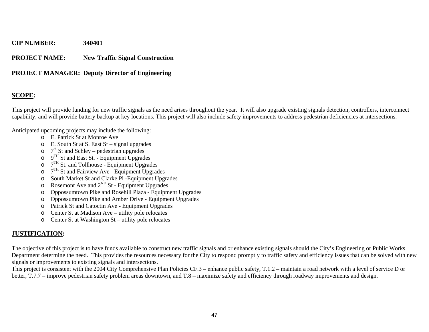## **PROJECT NAME: New Traffic Signal Construction**

## **PROJECT MANAGER: Deputy Director of Engineering**

## **SCOPE:**

This project will provide funding for new traffic signals as the need arises throughout the year. It will also upgrade existing signals detection, controllers, interconnect capability, and will provide battery backup at key locations. This project will also include safety improvements to address pedestrian deficiencies at intersections.

Anticipated upcoming projects may include the following:

- o E. Patrick St at Monroe Ave
- o E. South St at S. East St signal upgrades
- $\circ$  7<sup>th</sup> St and Schley pedestrian upgrades
- o $9<sup>TH</sup>$  St and East St. - Equipment Upgrades
- o $7<sup>TH</sup>$  St. and Tollhouse - Equipment Upgrades
- o $7<sup>TH</sup>$  St and Fairview Ave - Equipment Upgrades
- oSouth Market St and Clarke Pl -Equipment Upgrades
- oRosemont Ave and  $2^{ND}$  St - Equipment Upgrades
- oOppossumtown Pike and Rosehill Plaza - Equipment Upgrades
- oOppossumtown Pike and Amber Drive - Equipment Upgrades
- o Patrick St and Catoctin Ave Equipment Upgrades
- oCenter St at Madison Ave – utility pole relocates
- o Center St at Washington St utility pole relocates

## **JUSTIFICATION:**

The objective of this project is to have funds available to construct new traffic signals and or enhance existing signals should the City's Engineering or Public Works Department determine the need. This provides the resources necessary for the City to respond promptly to traffic safety and efficiency issues that can be solved with new signals or improvements to existing signals and intersections.

This project is consistent with the 2004 City Comprehensive Plan Policies CF.3 – enhance public safety, T.1.2 – maintain a road network with a level of service D or better, T.7.7 – improve pedestrian safety problem areas downtown, and T.8 – maximize safety and efficiency through roadway improvements and design.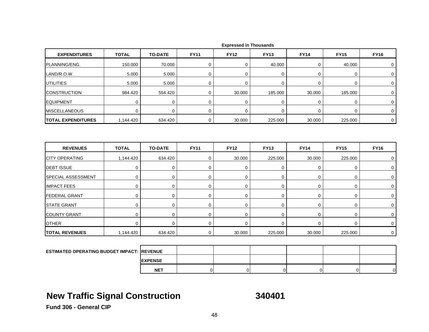| 40.000<br>$\mathbf 0$<br>0<br>40.000<br>0<br>0<br>0<br>0<br>$\mathbf 0$<br>0<br>$\mathbf 0$<br>$\overline{0}$<br>$\mathbf 0$<br>0<br>0<br>30.000<br>185.000<br>30.000<br>185.000<br>0<br>0<br>0<br>$\mathbf 0$<br>0<br>0<br>$\Omega$<br>$\mathbf 0$<br>0<br>0<br>$\mathbf 0$<br>30.000<br>225.000<br>30.000<br>225.000<br>$\mathbf 0$ |
|---------------------------------------------------------------------------------------------------------------------------------------------------------------------------------------------------------------------------------------------------------------------------------------------------------------------------------------|
|                                                                                                                                                                                                                                                                                                                                       |
|                                                                                                                                                                                                                                                                                                                                       |
|                                                                                                                                                                                                                                                                                                                                       |
|                                                                                                                                                                                                                                                                                                                                       |
|                                                                                                                                                                                                                                                                                                                                       |
|                                                                                                                                                                                                                                                                                                                                       |
|                                                                                                                                                                                                                                                                                                                                       |
| <b>FY16</b><br><b>FY13</b><br><b>FY14</b><br><b>FY15</b>                                                                                                                                                                                                                                                                              |
|                                                                                                                                                                                                                                                                                                                                       |
| 225.000<br>30.000<br>30.000<br>225.000<br>0                                                                                                                                                                                                                                                                                           |
| 0<br>$\mathbf 0$<br>0<br>$\mathbf 0$<br>$\mathbf 0$                                                                                                                                                                                                                                                                                   |
| $\mathbf 0$<br>0<br>0<br>0<br>0                                                                                                                                                                                                                                                                                                       |
| $\mathbf 0$<br>0<br>0<br>0<br>0                                                                                                                                                                                                                                                                                                       |
| $\mathbf 0$<br>0<br>$\mathbf 0$<br>0<br>0                                                                                                                                                                                                                                                                                             |
| 0<br>0<br>0<br>$\mathbf 0$<br>0                                                                                                                                                                                                                                                                                                       |
|                                                                                                                                                                                                                                                                                                                                       |
| $\mathbf 0$<br>0<br>0<br>0<br>0                                                                                                                                                                                                                                                                                                       |
| $\mathbf 0$<br>0<br>0<br>0<br>0                                                                                                                                                                                                                                                                                                       |
|                                                                                                                                                                                                                                                                                                                                       |

**EXPENSE NET**T | 0| 0| 0| 0| 0| 0|

## **New Traffic Signal Construction 340401**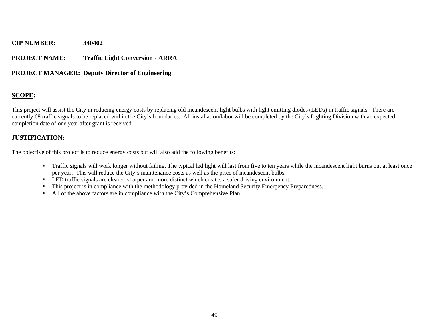## **PROJECT NAME: Traffic Light Conversion - ARRA**

## **PROJECT MANAGER: Deputy Director of Engineering**

## **SCOPE:**

This project will assist the City in reducing energy costs by replacing old incandescent light bulbs with light emitting diodes (LEDs) in traffic signals. There are currently 68 traffic signals to be replaced within the City's boundaries. All installation/labor will be completed by the City's Lighting Division with an expected completion date of one year after grant is received.

## **JUSTIFICATION:**

The objective of this project is to reduce energy costs but will also add the following benefits:

- Traffic signals will work longer without failing. The typical led light will last from five to ten years while the incandescent light burns out at least once per year. This will reduce the City's maintenance costs as well as the price of incandescent bulbs.
- **LED** traffic signals are clearer, sharper and more distinct which creates a safer driving environment.
- $\blacksquare$ This project is in compliance with the methodology provided in the Homeland Security Emergency Preparedness.
- If All of the above factors are in compliance with the City's Comprehensive Plan.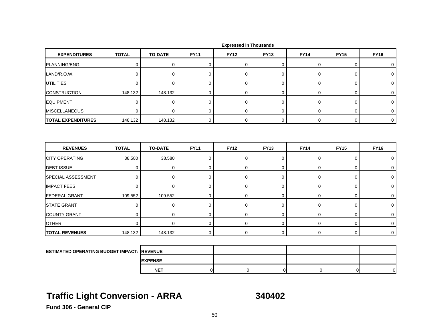| <b>EXPENDITURES</b>                                | <b>TOTAL</b> | <b>TO-DATE</b> | <b>FY11</b> | <b>FY12</b> | <b>FY13</b> | <b>FY14</b> | <b>FY15</b> | <b>FY16</b>    |
|----------------------------------------------------|--------------|----------------|-------------|-------------|-------------|-------------|-------------|----------------|
| PLANNING/ENG.                                      | 0            | $\pmb{0}$      | $\mathbf 0$ | 0           | $\pmb{0}$   | 0           | 0           | 0              |
| LAND/R.O.W.                                        | $\mathbf 0$  | $\mathbf 0$    | $\mathbf 0$ | 0           | $\mathbf 0$ | $\mathbf 0$ | 0           | $\mathbf 0$    |
| <b>UTILITIES</b>                                   | $\mathbf 0$  | 0              | $\mathbf 0$ | 0           | $\mathbf 0$ | $\mathbf 0$ | 0           | 0              |
| <b>CONSTRUCTION</b>                                | 148.132      | 148.132        | 0           | 0           | $\mathbf 0$ | 0           | 0           | 0              |
| <b>EQUIPMENT</b>                                   | 0            | $\mathbf 0$    | 0           | $\mathbf 0$ | $\mathbf 0$ | $\pmb{0}$   | 0           | 0              |
| <b>MISCELLANEOUS</b>                               | $\mathbf 0$  | $\mathbf 0$    | 0           | 0           | $\mathbf 0$ | 0           | $\mathbf 0$ | $\mathbf 0$    |
| <b>TOTAL EXPENDITURES</b>                          | 148.132      | 148.132        | $\mathbf 0$ | $\mathbf 0$ | $\mathbf 0$ | $\mathbf 0$ | 0           | $\mathbf 0$    |
| <b>REVENUES</b>                                    | <b>TOTAL</b> | <b>TO-DATE</b> | <b>FY11</b> | <b>FY12</b> | <b>FY13</b> | <b>FY14</b> | <b>FY15</b> | <b>FY16</b>    |
| <b>CITY OPERATING</b>                              | 38.580       | 38.580         | 0           | 0           | $\pmb{0}$   | 0           | $\pmb{0}$   | 0              |
| <b>DEBT ISSUE</b>                                  | 0            | 0              | 0           | 0           | $\mathbf 0$ | 0           | 0           | 0              |
| <b>SPECIAL ASSESSMENT</b>                          | $\mathbf 0$  | $\mathbf 0$    | $\mathbf 0$ | 0           | 0           | 0           | 0           | 0              |
| <b>IMPACT FEES</b>                                 | 0            | $\mathbf 0$    | $\mathbf 0$ | 0           | $\mathbf 0$ | $\mathbf 0$ | 0           | $\mathbf 0$    |
| <b>FEDERAL GRANT</b>                               | 109.552      | 109.552        | $\mathbf 0$ | $\mathbf 0$ | $\mathbf 0$ | $\pmb{0}$   | $\pmb{0}$   | 0              |
| <b>STATE GRANT</b>                                 | $\mathbf 0$  | $\mathbf 0$    | $\mathbf 0$ | 0           | $\mathbf 0$ | $\mathbf 0$ | 0           | $\mathbf 0$    |
| <b>COUNTY GRANT</b>                                | 0            | 0              | 0           | 0           | $\mathbf 0$ | 0           | 0           | 0              |
| <b>OTHER</b>                                       | $\mathbf 0$  | $\mathbf 0$    | $\mathbf 0$ | 0           | $\mathbf 0$ | $\mathbf 0$ | 0           | 0              |
| <b>TOTAL REVENUES</b>                              | 148.132      | 148.132        | $\mathbf 0$ | $\mathbf 0$ | $\mathbf 0$ | $\mathbf 0$ | $\mathbf 0$ | $\overline{0}$ |
|                                                    |              |                |             |             |             |             |             |                |
| <b>ESTIMATED OPERATING BUDGET IMPACT: IREVENUE</b> |              |                |             |             |             |             |             |                |
|                                                    |              | <b>EXPENSE</b> |             |             |             |             |             |                |

## **Traffic Light Conversion - ARRA 340402**

**NET**

T | 0| 0| 0| 0| 0| 0|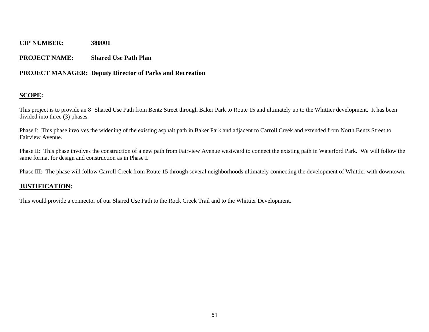## **PROJECT NAME: Shared Use Path Plan**

## **PROJECT MANAGER: Deputy Director of Parks and Recreation**

## **SCOPE:**

This project is to provide an 8' Shared Use Path from Bentz Street through Baker Park to Route 15 and ultimately up to the Whittier development. It has been divided into three (3) phases.

Phase I: This phase involves the widening of the existing asphalt path in Baker Park and adjacent to Carroll Creek and extended from North Bentz Street to Fairview Avenue.

Phase II: This phase involves the construction of a new path from Fairview Avenue westward to connect the existing path in Waterford Park. We will follow the same format for design and construction as in Phase I.

Phase III: The phase will follow Carroll Creek from Route 15 through several neighborhoods ultimately connecting the development of Whittier with downtown.

## **JUSTIFICATION:**

This would provide a connector of our Shared Use Path to the Rock Creek Trail and to the Whittier Development.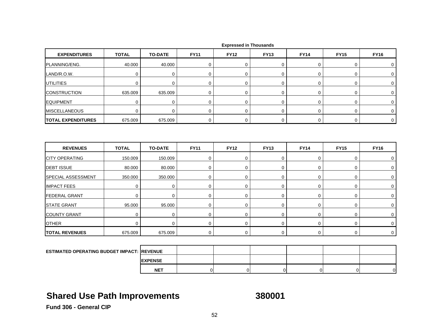| <b>EXPENDITURES</b>       | <b>TOTAL</b> | <b>TO-DATE</b> | <b>FY11</b> | <b>FY12</b> | <b>FY13</b> | <b>FY14</b> | <b>FY15</b> | <b>FY16</b> |
|---------------------------|--------------|----------------|-------------|-------------|-------------|-------------|-------------|-------------|
| PLANNING/ENG.             | 40.000       | 40.000         | 0           | $\mathbf 0$ | 0           | 0           | 0           | 0           |
| LAND/R.O.W.               | $\mathbf 0$  | $\mathbf 0$    | 0           | $\Omega$    | 0           | 0           | 0           | 0           |
| <b>UTILITIES</b>          | $\mathbf 0$  | $\mathbf 0$    | $\mathbf 0$ | $\mathbf 0$ | 0           | $\mathbf 0$ | 0           | $\mathbf 0$ |
| <b>CONSTRUCTION</b>       | 635.009      | 635.009        | $\mathbf 0$ | $\mathbf 0$ | 0           | 0           | 0           | 0           |
| <b>EQUIPMENT</b>          | $\mathbf 0$  | $\mathbf 0$    | $\mathbf 0$ | $\mathbf 0$ | 0           | 0           | 0           | 0           |
| <b>MISCELLANEOUS</b>      | $\mathbf 0$  | $\mathbf 0$    | 0           | $\mathbf 0$ | 0           | 0           | 0           | $\mathbf 0$ |
| <b>TOTAL EXPENDITURES</b> | 675.009      | 675.009        | $\mathbf 0$ | $\mathbf 0$ | $\mathbf 0$ | $\mathbf 0$ | 0           | $\mathbf 0$ |
| <b>REVENUES</b>           | <b>TOTAL</b> | <b>TO-DATE</b> | <b>FY11</b> | <b>FY12</b> | <b>FY13</b> | <b>FY14</b> | <b>FY15</b> | <b>FY16</b> |
| <b>CITY OPERATING</b>     | 150.009      | 150.009        | $\mathbf 0$ | $\mathbf 0$ | 0           | $\mathbf 0$ | 0           | $\mathbf 0$ |
| <b>DEBT ISSUE</b>         | 80.000       | 80.000         | 0           | $\mathbf 0$ | 0           | 0           | 0           | 0           |
| SPECIAL ASSESSMENT        | 350.000      | 350.000        | 0           | $\mathbf 0$ | 0           | 0           | 0           | 0           |
| <b>IMPACT FEES</b>        | $\mathbf 0$  | $\mathbf 0$    | $\mathbf 0$ | $\mathbf 0$ | 0           | $\mathbf 0$ | 0           | 0           |
| <b>FEDERAL GRANT</b>      | $\mathbf 0$  | $\mathbf 0$    | 0           | $\mathbf 0$ | 0           | 0           | 0           | 0           |
| <b>STATE GRANT</b>        | 95.000       | 95.000         | $\mathbf 0$ | $\mathbf 0$ | 0           | $\mathbf 0$ | 0           | 0           |
| <b>COUNTY GRANT</b>       | $\mathbf 0$  | $\mathbf 0$    | $\mathbf 0$ | $\mathbf 0$ | 0           | 0           | 0           | 0           |
| <b>OTHER</b>              | $\mathbf 0$  | $\mathbf 0$    | $\mathbf 0$ | $\mathbf 0$ | 0           | $\mathbf 0$ | 0           | $\mathbf 0$ |
| <b>TOTAL REVENUES</b>     | 675.009      | 675.009        | $\mathbf 0$ | $\mathbf 0$ | 0           | $\mathbf 0$ | 0           | $\mathbf 0$ |
|                           |              |                |             |             |             |             |             |             |

| <b>ESTIMATED OPERATING BUDGET IMPACT: REVENUE</b> |                 |  |  |    |  |
|---------------------------------------------------|-----------------|--|--|----|--|
|                                                   | <b>IEXPENSE</b> |  |  |    |  |
|                                                   | <b>NET</b>      |  |  | OТ |  |

## **Shared Use Path Improvements 380001**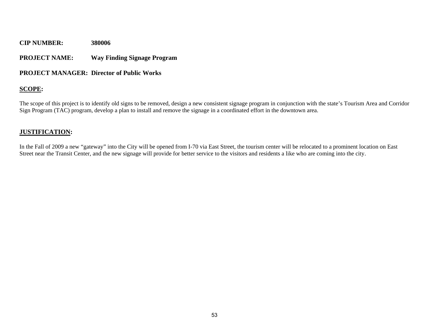## **PROJECT NAME: Way Finding Signage Program**

## **PROJECT MANAGER: Director of Public Works**

## **SCOPE:**

The scope of this project is to identify old signs to be removed, design a new consistent signage program in conjunction with the state's Tourism Area and Corridor Sign Program (TAC) program, develop a plan to install and remove the signage in a coordinated effort in the downtown area.

## **JUSTIFICATION:**

In the Fall of 2009 a new "gateway" into the City will be opened from I-70 via East Street, the tourism center will be relocated to a prominent location on East Street near the Transit Center, and the new signage will provide for better service to the visitors and residents a like who are coming into the city.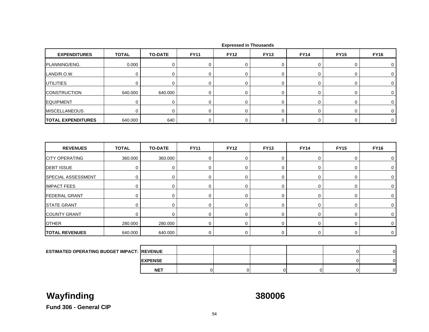| <b>EXPENDITURES</b>                                | <b>TOTAL</b> | <b>TO-DATE</b> | <b>FY11</b> | <b>FY12</b> | <b>FY13</b> | <b>FY14</b> | <b>FY15</b>    | <b>FY16</b>    |
|----------------------------------------------------|--------------|----------------|-------------|-------------|-------------|-------------|----------------|----------------|
| PLANNING/ENG.                                      | 0.000        | $\pmb{0}$      | $\mathbf 0$ | 0           | 0           | 0           | 0              | 0              |
| LAND/R.O.W.                                        | $\mathbf 0$  | 0              | $\mathbf 0$ | $\mathbf 0$ | 0           | $\mathbf 0$ | 0              | 0              |
| <b>UTILITIES</b>                                   | $\mathbf 0$  | $\mathbf 0$    | $\mathbf 0$ | 0           | 0           | $\mathbf 0$ | 0              | 0              |
| <b>CONSTRUCTION</b>                                | 640.000      | 640.000        | $\mathbf 0$ | 0           | 0           | 0           | 0              | 0              |
| <b>EQUIPMENT</b>                                   | $\mathbf 0$  | $\mathbf 0$    | 0           | 0           | 0           | 0           | 0              | 0              |
| <b>MISCELLANEOUS</b>                               | $\mathbf 0$  | $\mathbf 0$    | $\mathbf 0$ | 0           | 0           | $\mathbf 0$ | 0              | 0              |
| <b>TOTAL EXPENDITURES</b>                          | 640.000      | 640            | $\mathbf 0$ | 0           | 0           | 0           | 0              | $\mathbf 0$    |
| <b>REVENUES</b>                                    | <b>TOTAL</b> | <b>TO-DATE</b> | <b>FY11</b> | <b>FY12</b> | <b>FY13</b> | <b>FY14</b> | <b>FY15</b>    | <b>FY16</b>    |
| <b>CITY OPERATING</b>                              | 360.000      | 360.000        | $\mathbf 0$ | 0           | 0           | $\mathbf 0$ | 0              | 0              |
| <b>DEBT ISSUE</b>                                  | $\mathbf 0$  | $\mathbf 0$    | 0           | $\mathbf 0$ | 0           | 0           | 0              | 0              |
| <b>SPECIAL ASSESSMENT</b>                          | $\mathbf 0$  | 0              | $\mathbf 0$ | 0           | 0           | $\mathbf 0$ | 0              | $\mathbf 0$    |
| <b>IMPACT FEES</b>                                 | $\mathbf 0$  | $\mathbf 0$    | $\mathbf 0$ | $\mathbf 0$ | 0           | 0           | 0              | 0              |
| <b>FEDERAL GRANT</b>                               | $\mathbf 0$  | $\mathbf 0$    | $\mathbf 0$ | $\mathbf 0$ | 0           | 0           | 0              | 0              |
| <b>STATE GRANT</b>                                 | $\mathbf 0$  | $\mathbf 0$    | 0           | $\mathbf 0$ | 0           | 0           | 0              | 0              |
| <b>COUNTY GRANT</b>                                | $\mathbf 0$  | $\mathbf 0$    | $\mathbf 0$ | 0           | 0           | $\mathbf 0$ | 0              | 0              |
| <b>OTHER</b>                                       | 280.000      | 280.000        | $\mathbf 0$ | 0           | 0           | 0           | 0              | 0              |
| <b>TOTAL REVENUES</b>                              | 640.000      | 640.000        | $\mathbf 0$ | $\mathbf 0$ | 0           | $\mathbf 0$ | $\mathbf 0$    | $\mathbf 0$    |
|                                                    |              |                |             |             |             |             |                |                |
| <b>ESTIMATED OPERATING BUDGET IMPACT: IREVENUE</b> |              |                |             |             |             |             | $\Omega$       | $\overline{0}$ |
|                                                    |              | <b>EXPENSE</b> |             |             |             |             | $\overline{0}$ | $\overline{0}$ |

 **Expressed in Thousands**

T | 0| 0| 0| 0| 0| 0|

**NET**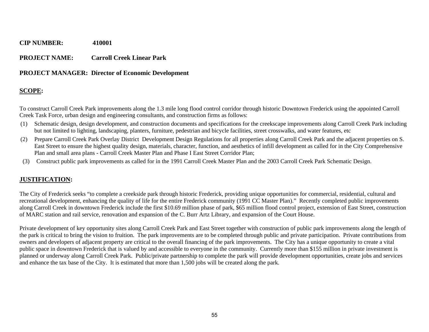## **PROJECT NAME: Carroll Creek Linear Park**

## **PROJECT MANAGER: Director of Economic Development**

## **SCOPE:**

To construct Carroll Creek Park improvements along the 1.3 mile long flood control corridor through historic Downtown Frederick using the appointed Carroll Creek Task Force, urban design and engineering consultants, and construction firms as follows:

- (1) Schematic design, design development, and construction documents and specifications for the creekscape improvements along Carroll Creek Park including but not limited to lighting, landscaping, planters, furniture, pedestrian and bicycle facilities, street crosswalks, and water features, etc
- (2) Prepare Carroll Creek Park Overlay District Development Design Regulations for all properties along Carroll Creek Park and the adjacent properties on S. East Street to ensure the highest quality design, materials, character, function, and aesthetics of infill development as called for in the City Comprehensive Plan and small area plans - Carroll Creek Master Plan and Phase I East Street Corridor Plan;
- (3) Construct public park improvements as called for in the 1991 Carroll Creek Master Plan and the 2003 Carroll Creek Park Schematic Design.

## **JUSTIFICATION:**

The City of Frederick seeks "to complete a creekside park through historic Frederick, providing unique opportunities for commercial, residential, cultural and recreational development, enhancing the quality of life for the entire Frederick community (1991 CC Master Plan)." Recently completed public improvements along Carroll Creek in downtown Frederick include the first \$10.69 million phase of park, \$65 million flood control project, extension of East Street, construction of MARC station and rail service, renovation and expansion of the C. Burr Artz Library, and expansion of the Court House.

Private development of key opportunity sites along Carroll Creek Park and East Street together with construction of public park improvements along the length of the park is critical to bring the vision to fruition. The park improvements are to be completed through public and private participation. Private contributions from owners and developers of adjacent property are critical to the overall financing of the park improvements. The City has a unique opportunity to create a vital public space in downtown Frederick that is valued by and accessible to everyone in the community. Currently more than \$155 million in private investment is planned or underway along Carroll Creek Park. Public/private partnership to complete the park will provide development opportunities, create jobs and services and enhance the tax base of the City. It is estimated that more than 1,500 jobs will be created along the park.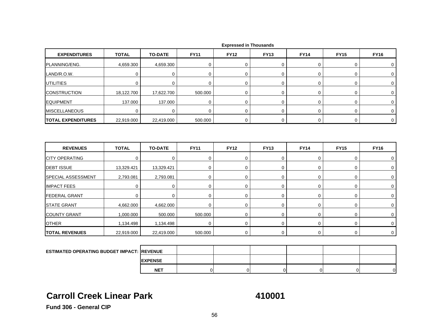| <b>EXPENDITURES</b>                                | <b>TOTAL</b> | <b>TO-DATE</b> | <b>FY11</b> | <b>FY12</b> | <b>FY13</b> | <b>FY14</b> | <b>FY15</b> | <b>FY16</b> |
|----------------------------------------------------|--------------|----------------|-------------|-------------|-------------|-------------|-------------|-------------|
| PLANNING/ENG.                                      | 4,659.300    | 4,659.300      | 0           | $\mathbf 0$ | 0           | 0           | 0           | 0           |
| LAND/R.O.W.                                        | $\mathbf 0$  | $\mathbf 0$    | $\mathbf 0$ | $\mathbf 0$ | 0           | $\mathbf 0$ | 0           | $\mathbf 0$ |
| <b>UTILITIES</b>                                   | 0            | 0              | $\mathbf 0$ | 0           | $\mathbf 0$ | 0           | 0           | 0           |
| <b>CONSTRUCTION</b>                                | 18,122.700   | 17,622.700     | 500.000     | $\mathbf 0$ | 0           | 0           | 0           | 0           |
| <b>EQUIPMENT</b>                                   | 137.000      | 137.000        | $\mathbf 0$ | $\mathbf 0$ | $\mathbf 0$ | $\mathbf 0$ | 0           | $\mathbf 0$ |
| <b>MISCELLANEOUS</b>                               | 0            | $\Omega$       | $\mathbf 0$ | $\mathbf 0$ | 0           | $\mathbf 0$ | 0           | 0           |
| <b>TOTAL EXPENDITURES</b>                          | 22,919.000   | 22,419.000     | 500.000     | 0           | 0           | 0           | 0           | $\mathbf 0$ |
|                                                    |              |                |             |             |             |             |             |             |
| <b>REVENUES</b>                                    | <b>TOTAL</b> | <b>TO-DATE</b> | <b>FY11</b> | <b>FY12</b> | <b>FY13</b> | <b>FY14</b> | <b>FY15</b> | <b>FY16</b> |
| <b>CITY OPERATING</b>                              | $\mathbf 0$  | $\mathbf 0$    | $\mathbf 0$ | $\mathbf 0$ | $\mathbf 0$ | $\mathbf 0$ | 0           | 0           |
| <b>DEBT ISSUE</b>                                  | 13,329.421   | 13,329.421     | $\mathbf 0$ | 0           | 0           | $\mathsf 0$ | 0           | $\mathbf 0$ |
| SPECIAL ASSESSMENT                                 | 2,793.081    | 2,793.081      | $\mathbf 0$ | $\mathbf 0$ | 0           | $\mathbf 0$ | 0           | $\mathbf 0$ |
| <b>IMPACT FEES</b>                                 | $\Omega$     | $\mathbf 0$    | $\mathbf 0$ | $\mathbf 0$ | 0           | $\mathbf 0$ | 0           | 0           |
| <b>FEDERAL GRANT</b>                               | $\mathbf 0$  | $\mathbf 0$    | $\mathbf 0$ | $\mathbf 0$ | 0           | $\mathbf 0$ | 0           | 0           |
| <b>STATE GRANT</b>                                 | 4,662.000    | 4,662.000      | $\mathbf 0$ | $\mathbf 0$ | 0           | 0           | 0           | 0           |
| <b>COUNTY GRANT</b>                                | 1,000.000    | 500.000        | 500.000     | $\mathbf 0$ | 0           | 0           | 0           | 0           |
| <b>OTHER</b>                                       | 1,134.498    | 1,134.498      | $\mathbf 0$ | $\mathbf 0$ | 0           | $\mathbf 0$ | 0           | $\mathbf 0$ |
| <b>TOTAL REVENUES</b>                              | 22,919.000   | 22,419.000     | 500.000     | $\mathbf 0$ | 0           | 0           | 0           | $\mathbf 0$ |
|                                                    |              |                |             |             |             |             |             |             |
| <b>ESTIMATED OPERATING BUDGET IMPACT: IREVENUE</b> |              |                |             |             |             |             |             |             |

 **Expressed in Thousands**

## **Carroll Creek Linear Park**

**EXPENSE NET**

**410001**

T | 0| 0| 0| 0| 0| 0|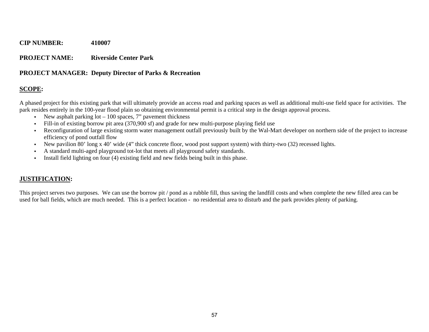## **PROJECT NAME: Riverside Center Park**

## **PROJECT MANAGER: Deputy Director of Parks & Recreation**

## **SCOPE:**

A phased project for this existing park that will ultimately provide an access road and parking spaces as well as additional multi-use field space for activities. The park resides entirely in the 100-year flood plain so obtaining environmental permit is a critical step in the design approval process.

- New asphalt parking lot 100 spaces, 7" pavement thickness
- Fill-in of existing borrow pit area (370,900 sf) and grade for new multi-purpose playing field use
- $\mathbf{r}$  Reconfiguration of large existing storm water management outfall previously built by the Wal-Mart developer on northern side of the project to increase efficiency of pond outfall flow
- New pavilion 80' long x 40' wide (4" thick concrete floor, wood post support system) with thirty-two (32) recessed lights.
- Г A standard multi-aged playground tot-lot that meets all playground safety standards.
- $\mathbf{u}$ Install field lighting on four (4) existing field and new fields being built in this phase.

## **JUSTIFICATION:**

This project serves two purposes. We can use the borrow pit / pond as a rubble fill, thus saving the landfill costs and when complete the new filled area can be used for ball fields, which are much needed. This is a perfect location - no residential area to disturb and the park provides plenty of parking.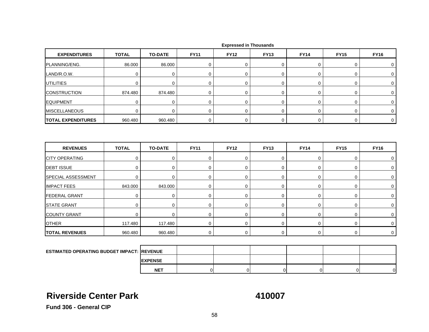| <b>EXPENDITURES</b>                               | <b>TOTAL</b>               | <b>TO-DATE</b>   | <b>FY11</b>      | <b>FY12</b>                | <b>FY13</b>      | <b>FY14</b>      | <b>FY15</b> | <b>FY16</b> |
|---------------------------------------------------|----------------------------|------------------|------------------|----------------------------|------------------|------------------|-------------|-------------|
| PLANNING/ENG.                                     | 86.000                     | 86.000           | 0                | $\mathbf 0$                | 0                | 0                | 0           | 0           |
| LAND/R.O.W.                                       | $\mathbf 0$                | $\mathbf 0$      | $\mathbf 0$      | $\mathbf 0$                | 0                | $\mathbf 0$      | 0           | 0           |
| <b>UTILITIES</b>                                  | 0                          | 0                | $\mathbf 0$      | $\mathbf 0$                | 0                | 0                | 0           | 0           |
| <b>CONSTRUCTION</b>                               | 874.480                    | 874.480          | 0                | 0                          | 0                | 0                | 0           | 0           |
| <b>EQUIPMENT</b>                                  | $\mathbf 0$                | $\mathbf 0$      | $\mathbf 0$      | $\mathbf 0$                | 0                | $\mathbf 0$      | 0           | 0           |
| <b>MISCELLANEOUS</b>                              | $\mathbf 0$                | $\mathbf 0$      | $\mathbf 0$      | $\mathbf 0$                | $\mathbf 0$      | $\mathbf 0$      | 0           | $\mathbf 0$ |
| <b>TOTAL EXPENDITURES</b>                         | 960.480                    | 960.480          | $\mathbf 0$      | $\mathbf 0$                | $\mathbf 0$      | $\mathbf 0$      | 0           | $\mathbf 0$ |
| <b>REVENUES</b>                                   | <b>TOTAL</b>               | <b>TO-DATE</b>   | <b>FY11</b>      | <b>FY12</b>                | <b>FY13</b>      | <b>FY14</b>      | <b>FY15</b> | <b>FY16</b> |
|                                                   |                            |                  |                  |                            |                  |                  |             |             |
| <b>CITY OPERATING</b>                             | 0                          | 0                | $\mathbf 0$      | $\mathbf 0$                | 0                | 0                | 0           | 0           |
| <b>DEBT ISSUE</b><br>SPECIAL ASSESSMENT           | $\mathbf 0$<br>$\mathbf 0$ | $\mathbf 0$<br>0 | $\mathbf 0$<br>0 | $\mathbf 0$<br>$\mathbf 0$ | $\mathbf 0$<br>0 | $\mathbf 0$<br>0 | 0<br>0      | 0<br>0      |
| <b>IMPACT FEES</b>                                | 843.000                    | 843.000          | $\mathbf 0$      | $\mathbf 0$                | 0                | 0                | 0           | 0           |
| <b>FEDERAL GRANT</b>                              | $\mathbf 0$                | $\mathbf 0$      | $\mathbf 0$      | $\mathbf 0$                | $\mathbf 0$      | $\mathbf 0$      | 0           | 0           |
| <b>STATE GRANT</b>                                | 0                          | 0                | 0                | $\mathbf 0$                | 0                | 0                | 0           | 0           |
| <b>COUNTY GRANT</b>                               | $\mathbf 0$                | 0                | $\mathbf 0$      | $\mathbf 0$                | 0                | 0                | 0           | 0           |
| <b>OTHER</b>                                      | 117.480                    | 117.480          | 0                | $\mathbf 0$                | 0                | 0                | 0           | 0           |
| <b>TOTAL REVENUES</b>                             | 960.480                    | 960.480          | $\mathbf 0$      | $\mathbf 0$                | $\mathbf 0$      | $\mathbf 0$      | 0           | $\mathbf 0$ |
|                                                   |                            |                  |                  |                            |                  |                  |             |             |
| <b>ESTIMATED OPERATING BUDGET IMPACT: REVENUE</b> |                            |                  |                  |                            |                  |                  |             |             |

## **Riverside Center Park**

**EXPENSE NET**

**410007**

T | 0| 0| 0| 0| 0| 0|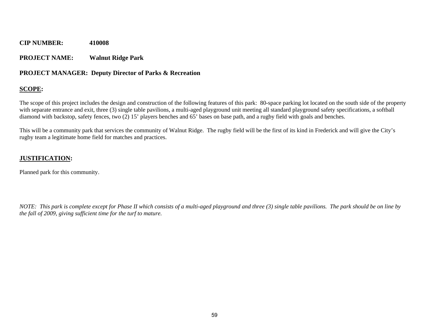## **PROJECT NAME: Walnut Ridge Park**

## **PROJECT MANAGER: Deputy Director of Parks & Recreation**

## **SCOPE:**

The scope of this project includes the design and construction of the following features of this park: 80-space parking lot located on the south side of the property with separate entrance and exit, three (3) single table pavilions, a multi-aged playground unit meeting all standard playground safety specifications, a softball diamond with backstop, safety fences, two (2) 15' players benches and 65' bases on base path, and a rugby field with goals and benches.

This will be a community park that services the community of Walnut Ridge. The rugby field will be the first of its kind in Frederick and will give the City's rugby team a legitimate home field for matches and practices.

## **JUSTIFICATION:**

Planned park for this community.

*NOTE: This park is complete except for Phase II which consists of a multi-aged playground and three (3) single table pavilions. The park should be on line by the fall of 2009, giving sufficient time for the turf to mature.*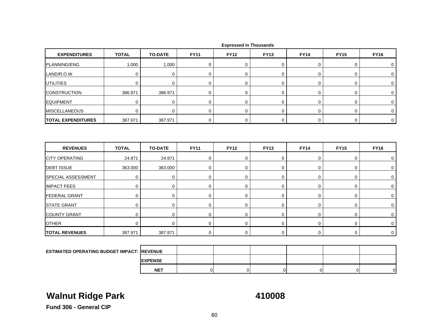| <b>EXPENDITURES</b>                               | <b>TOTAL</b> | <b>TO-DATE</b> | <b>FY11</b> | <b>FY12</b> | <b>FY13</b> | <b>FY14</b> | <b>FY15</b> | <b>FY16</b> |
|---------------------------------------------------|--------------|----------------|-------------|-------------|-------------|-------------|-------------|-------------|
| PLANNING/ENG.                                     | 1.000        | 1.000          | 0           | $\mathbf 0$ | 0           | 0           | 0           | 0           |
| LAND/R.O.W.                                       | $\mathbf 0$  | $\mathbf 0$    | $\mathbf 0$ | $\mathbf 0$ | 0           | $\mathbf 0$ | 0           | 0           |
| <b>UTILITIES</b>                                  | 0            | 0              | $\mathbf 0$ | $\mathbf 0$ | 0           | 0           | 0           | 0           |
| <b>CONSTRUCTION</b>                               | 386.971      | 386.971        | 0           | $\mathbf 0$ | 0           | 0           | 0           | 0           |
| <b>EQUIPMENT</b>                                  | $\mathbf 0$  | $\mathbf 0$    | $\mathbf 0$ | $\mathbf 0$ | 0           | $\mathbf 0$ | 0           | 0           |
| <b>MISCELLANEOUS</b>                              | $\Omega$     | $\mathbf 0$    | $\mathbf 0$ | $\mathbf 0$ | $\mathbf 0$ | $\mathbf 0$ | 0           | $\mathbf 0$ |
| <b>TOTAL EXPENDITURES</b>                         | 387.971      | 387.971        | 0           | 0           | 0           | 0           | 0           | $\mathbf 0$ |
| <b>REVENUES</b>                                   | <b>TOTAL</b> | <b>TO-DATE</b> | <b>FY11</b> | <b>FY12</b> | <b>FY13</b> | <b>FY14</b> | <b>FY15</b> | <b>FY16</b> |
| <b>CITY OPERATING</b>                             | 24.971       | 24.971         | 0           | $\mathbf 0$ | 0           | 0           | 0           | 0           |
| <b>DEBT ISSUE</b>                                 | 363.000      | 363.000        | $\mathbf 0$ | $\mathbf 0$ | 0           | 0           | 0           | 0           |
| SPECIAL ASSESSMENT                                | $\mathbf 0$  | $\mathbf 0$    | $\mathbf 0$ | $\mathbf 0$ | $\mathbf 0$ | $\pmb{0}$   | 0           | 0           |
| <b>IMPACT FEES</b>                                | $\pmb{0}$    | 0              | $\mathbf 0$ | $\mathbf 0$ | 0           | $\mathbf 0$ | 0           | 0           |
| <b>FEDERAL GRANT</b>                              | $\mathbf 0$  | $\pmb{0}$      | $\mathbf 0$ | $\mathbf 0$ | 0           | $\mathbf 0$ | 0           | 0           |
| <b>STATE GRANT</b>                                | $\mathbf 0$  | 0              | $\mathbf 0$ | $\mathbf 0$ | $\mathbf 0$ | 0           | 0           | 0           |
| <b>COUNTY GRANT</b>                               | 0            | $\mathbf 0$    | $\mathbf 0$ | $\mathbf 0$ | 0           | 0           | 0           | 0           |
| <b>OTHER</b>                                      | $\mathbf 0$  | $\mathbf 0$    | 0           | $\mathbf 0$ | $\mathbf 0$ | 0           | 0           | 0           |
| <b>TOTAL REVENUES</b>                             | 387.971      | 387.971        | 0           | 0           | 0           | 0           | 0           | $\mathbf 0$ |
|                                                   |              |                |             |             |             |             |             |             |
| <b>ESTIMATED OPERATING BUDGET IMPACT: REVENUE</b> |              |                |             |             |             |             |             |             |

 **Expressed in Thousands**

# **Walnut Ridge Park 410008**

**EXPENSE NET**

T | 0| 0| 0| 0| 0| 0|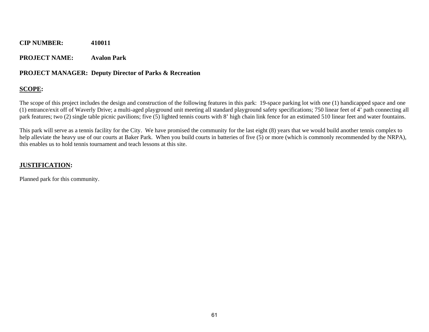## **PROJECT NAME: Avalon Park**

## **PROJECT MANAGER: Deputy Director of Parks & Recreation**

## **SCOPE:**

The scope of this project includes the design and construction of the following features in this park: 19-space parking lot with one (1) handicapped space and one (1) entrance/exit off of Waverly Drive; a multi-aged playground unit meeting all standard playground safety specifications; 750 linear feet of 4' path connecting all park features; two (2) single table picnic pavilions; five (5) lighted tennis courts with 8' high chain link fence for an estimated 510 linear feet and water fountains.

This park will serve as a tennis facility for the City. We have promised the community for the last eight (8) years that we would build another tennis complex to help alleviate the heavy use of our courts at Baker Park. When you build courts in batteries of five (5) or more (which is commonly recommended by the NRPA), this enables us to hold tennis tournament and teach lessons at this site.

## **JUSTIFICATION:**

Planned park for this community.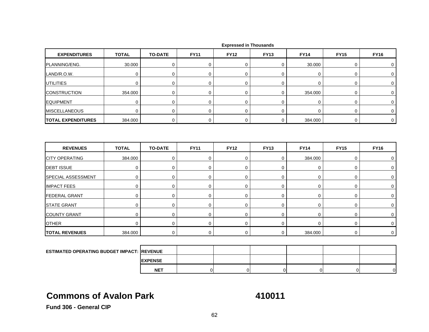| <b>EXPENDITURES</b>                                | <b>TOTAL</b> | <b>TO-DATE</b> | <b>FY11</b> | <b>FY12</b> | <b>FY13</b>    | <b>FY14</b> | <b>FY15</b> | <b>FY16</b> |
|----------------------------------------------------|--------------|----------------|-------------|-------------|----------------|-------------|-------------|-------------|
| PLANNING/ENG.                                      | 30.000       | $\pmb{0}$      | $\pmb{0}$   | $\mathbf 0$ | 0              | 30.000      | 0           | 0           |
| LAND/R.O.W.                                        | $\mathbf 0$  | $\mathbf 0$    | 0           | $\mathbf 0$ | 0              | 0           | 0           | 0           |
| <b>UTILITIES</b>                                   | 0            | $\mathbf 0$    | $\mathbf 0$ | $\mathbf 0$ | $\mathbf 0$    | 0           | 0           | 0           |
| <b>CONSTRUCTION</b>                                | 354.000      | 0              | $\mathbf 0$ | $\mathbf 0$ | 0              | 354.000     | 0           | 0           |
| <b>EQUIPMENT</b>                                   | $\mathbf 0$  | 0              | $\pmb{0}$   | $\mathbf 0$ | $\pmb{0}$      | $\pmb{0}$   | 0           | $\mathbf 0$ |
| <b>MISCELLANEOUS</b>                               | $\mathbf 0$  | 0              | $\mathbf 0$ | $\mathbf 0$ | $\overline{0}$ | $\mathbf 0$ | 0           | $\mathbf 0$ |
| <b>TOTAL EXPENDITURES</b>                          | 384.000      | 0              | $\mathbf 0$ | $\mathbf 0$ | 0              | 384.000     | 0           | $\mathbf 0$ |
| <b>REVENUES</b>                                    | <b>TOTAL</b> | <b>TO-DATE</b> | <b>FY11</b> | <b>FY12</b> | <b>FY13</b>    | <b>FY14</b> | <b>FY15</b> | <b>FY16</b> |
| <b>CITY OPERATING</b>                              | 384.000      | $\pmb{0}$      | $\mathbf 0$ | $\mathbf 0$ | 0              | 384.000     | 0           | 0           |
| <b>DEBT ISSUE</b>                                  | 0            | $\mathbf 0$    | 0           | 0           | 0              | 0           | 0           | 0           |
| SPECIAL ASSESSMENT                                 | $\mathbf 0$  | $\mathbf 0$    | $\mathbf 0$ | $\mathbf 0$ | 0              | $\mathbf 0$ | 0           | $\mathbf 0$ |
| <b>IMPACT FEES</b>                                 | 0            | $\mathbf 0$    | $\mathbf 0$ | $\mathbf 0$ | 0              | $\mathbf 0$ | 0           | 0           |
| <b>FEDERAL GRANT</b>                               | $\mathbf 0$  | 0              | $\mathbf 0$ | $\mathbf 0$ | 0              | $\mathbf 0$ | 0           | 0           |
| <b>STATE GRANT</b>                                 | $\mathbf 0$  | $\mathbf 0$    | $\mathbf 0$ | $\mathbf 0$ | 0              | $\mathbf 0$ | 0           | 0           |
| <b>COUNTY GRANT</b>                                | $\mathbf 0$  | 0              | $\mathbf 0$ | $\mathbf 0$ | 0              | 0           | 0           | 0           |
| <b>OTHER</b>                                       | $\mathbf 0$  | 0              | $\mathbf 0$ | $\mathbf 0$ | 0              | 0           | 0           | 0           |
| <b>TOTAL REVENUES</b>                              | 384.000      | $\mathbf 0$    | $\mathbf 0$ | $\mathbf 0$ | 0              | 384.000     | $\mathbf 0$ | $\mathbf 0$ |
|                                                    |              |                |             |             |                |             |             |             |
| <b>ESTIMATED OPERATING BUDGET IMPACT: IREVENUE</b> |              |                |             |             |                |             |             |             |
|                                                    |              | <b>EXPENSE</b> |             |             |                |             |             |             |

## **Commons of Avalon Park**

**NET**

**410011**

T | 0| 0| 0| 0| 0| 0|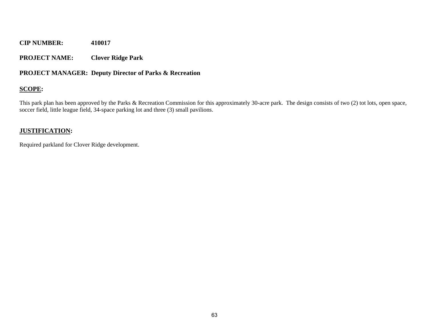## **PROJECT NAME: Clover Ridge Park**

## **PROJECT MANAGER: Deputy Director of Parks & Recreation**

## **SCOPE:**

This park plan has been approved by the Parks & Recreation Commission for this approximately 30-acre park. The design consists of two (2) tot lots, open space, soccer field, little league field, 34-space parking lot and three (3) small pavilions.

## **JUSTIFICATION:**

Required parkland for Clover Ridge development.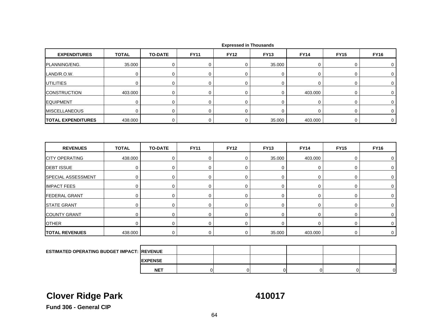| <b>EXPENDITURES</b>                                | <b>TOTAL</b> | <b>TO-DATE</b> | <b>FY11</b> | <b>FY12</b> | <b>FY13</b>    | <b>FY14</b> | <b>FY15</b> | <b>FY16</b> |
|----------------------------------------------------|--------------|----------------|-------------|-------------|----------------|-------------|-------------|-------------|
| PLANNING/ENG.                                      | 35.000       | $\mathbf 0$    | $\mathbf 0$ | 0           | 35.000         | 0           | 0           | 0           |
| LAND/R.O.W.                                        | $\mathbf 0$  | $\mathbf 0$    | 0           | $\mathbf 0$ | 0              | 0           | 0           | $\mathbf 0$ |
| <b>UTILITIES</b>                                   | 0            | $\mathbf 0$    | $\mathbf 0$ | $\mathbf 0$ | $\mathbf 0$    | 0           | 0           | 0           |
| <b>CONSTRUCTION</b>                                | 403.000      | $\mathbf 0$    | $\mathbf 0$ | $\mathbf 0$ | 0              | 403.000     | 0           | $\mathbf 0$ |
| <b>EQUIPMENT</b>                                   | $\mathbf 0$  | $\mathbf 0$    | $\pmb{0}$   | $\mathbf 0$ | $\pmb{0}$      | $\pmb{0}$   | 0           | 0           |
| <b>MISCELLANEOUS</b>                               | $\mathbf 0$  | $\pmb{0}$      | 0           | $\mathbf 0$ | $\overline{0}$ | 0           | 0           | 0           |
| <b>TOTAL EXPENDITURES</b>                          | 438.000      | $\mathbf 0$    | $\mathbf 0$ | $\mathbf 0$ | 35.000         | 403.000     | 0           | $\mathbf 0$ |
| <b>REVENUES</b>                                    | <b>TOTAL</b> | <b>TO-DATE</b> | <b>FY11</b> | <b>FY12</b> | <b>FY13</b>    | <b>FY14</b> | <b>FY15</b> | <b>FY16</b> |
| <b>CITY OPERATING</b>                              | 438.000      | $\mathbf 0$    | $\mathbf 0$ | $\mathbf 0$ | 35.000         | 403.000     | 0           | 0           |
| <b>DEBT ISSUE</b>                                  | $\mathbf 0$  | 0              | 0           | $\mathbf 0$ | $\pmb{0}$      | 0           | 0           | 0           |
| SPECIAL ASSESSMENT                                 | $\mathbf 0$  | $\mathbf 0$    | $\mathbf 0$ | $\mathbf 0$ | 0              | $\mathbf 0$ | 0           | $\mathbf 0$ |
| <b>IMPACT FEES</b>                                 | 0            | $\mathbf 0$    | 0           | $\mathbf 0$ | 0              | 0           | 0           | 0           |
| <b>FEDERAL GRANT</b>                               | $\mathbf 0$  | 0              | $\mathbf 0$ | $\mathbf 0$ | 0              | 0           | 0           | 0           |
| <b>STATE GRANT</b>                                 | $\mathbf 0$  | $\mathbf 0$    | $\mathbf 0$ | $\mathbf 0$ | 0              | $\mathbf 0$ | 0           | $\mathbf 0$ |
| <b>COUNTY GRANT</b>                                | 0            | $\mathbf 0$    | $\mathbf 0$ | $\mathbf 0$ | $\mathbf 0$    | $\mathbf 0$ | 0           | 0           |
| <b>OTHER</b>                                       | $\mathbf 0$  | $\mathbf 0$    | $\mathbf 0$ | $\mathbf 0$ | $\mathbf 0$    | $\mathbf 0$ | 0           | $\mathbf 0$ |
| <b>TOTAL REVENUES</b>                              | 438.000      | $\mathbf 0$    | $\mathbf 0$ | $\mathbf 0$ | 35.000         | 403.000     | $\mathbf 0$ | $\mathbf 0$ |
|                                                    |              |                |             |             |                |             |             |             |
| <b>ESTIMATED OPERATING BUDGET IMPACT: IREVENUE</b> |              |                |             |             |                |             |             |             |
|                                                    |              | <b>EXPENSE</b> |             |             |                |             |             |             |

# **Clover Ridge Park 410017**

T | 0| 0| 0| 0| 0| 0|

**Fund 306 - General CIP**

**NET**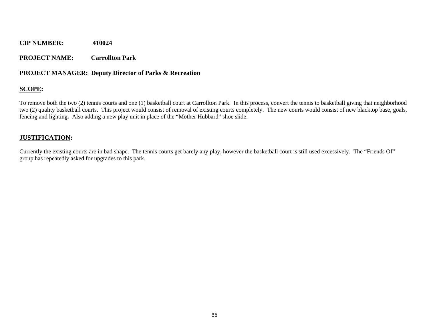## **PROJECT NAME: Carrollton Park**

## **PROJECT MANAGER: Deputy Director of Parks & Recreation**

## **SCOPE:**

To remove both the two (2) tennis courts and one (1) basketball court at Carrollton Park. In this process, convert the tennis to basketball giving that neighborhood two (2) quality basketball courts. This project would consist of removal of existing courts completely. The new courts would consist of new blacktop base, goals, fencing and lighting. Also adding a new play unit in place of the "Mother Hubbard" shoe slide.

## **JUSTIFICATION:**

Currently the existing courts are in bad shape. The tennis courts get barely any play, however the basketball court is still used excessively. The "Friends Of" group has repeatedly asked for upgrades to this park.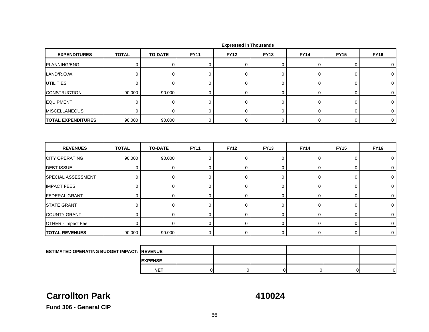| <b>EXPENDITURES</b>       | <b>TOTAL</b> | <b>TO-DATE</b> | <b>FY11</b> | <b>FY12</b> | <b>FY13</b> | <b>FY14</b> | <b>FY15</b> | <b>FY16</b> |
|---------------------------|--------------|----------------|-------------|-------------|-------------|-------------|-------------|-------------|
| PLANNING/ENG.             | $\mathbf 0$  | 0              | 0           | $\mathbf 0$ | 0           | 0           | 0           | 0           |
| LAND/R.O.W.               | $\mathbf 0$  | $\mathbf 0$    | 0           | $\mathbf 0$ | 0           | 0           | 0           | 0           |
| <b>UTILITIES</b>          | $\mathbf 0$  | $\mathbf 0$    | $\mathbf 0$ | 0           | 0           | $\mathbf 0$ | 0           | $\mathbf 0$ |
| <b>CONSTRUCTION</b>       | 90.000       | 90.000         | 0           | 0           | 0           | 0           | 0           | 0           |
| <b>EQUIPMENT</b>          | $\mathbf 0$  | $\mathbf 0$    | $\mathbf 0$ | 0           | 0           | $\mathbf 0$ | 0           | 0           |
| <b>MISCELLANEOUS</b>      | $\mathbf 0$  | $\mathbf 0$    | $\mathbf 0$ | 0           | 0           | $\mathbf 0$ | 0           | $\mathbf 0$ |
| <b>TOTAL EXPENDITURES</b> | 90.000       | 90.000         | $\mathbf 0$ | 0           | 0           | $\mathbf 0$ | $\mathbf 0$ | $\mathbf 0$ |
| <b>REVENUES</b>           | <b>TOTAL</b> | <b>TO-DATE</b> | <b>FY11</b> | <b>FY12</b> | <b>FY13</b> | <b>FY14</b> | <b>FY15</b> | <b>FY16</b> |
| <b>CITY OPERATING</b>     | 90.000       | 90.000         | $\mathbf 0$ | 0           | 0           | $\mathbf 0$ | 0           | $\mathbf 0$ |
| <b>DEBT ISSUE</b>         | $\mathbf 0$  | $\mathbf 0$    | $\mathbf 0$ | 0           | $\mathbf 0$ | $\mathbf 0$ | 0           | $\mathbf 0$ |
| SPECIAL ASSESSMENT        | $\mathbf 0$  | $\mathbf 0$    | $\mathbf 0$ | 0           | $\mathbf 0$ | $\mathbf 0$ | 0           | $\mathbf 0$ |
| <b>IMPACT FEES</b>        | $\mathbf 0$  | $\mathbf 0$    | 0           | 0           | 0           | 0           | 0           | 0           |
| <b>FEDERAL GRANT</b>      | $\mathbf 0$  | $\mathbf 0$    | $\mathbf 0$ | 0           | 0           | 0           | 0           | $\mathbf 0$ |
| <b>STATE GRANT</b>        | $\mathbf 0$  | $\mathbf 0$    | 0           | 0           | 0           | 0           | 0           | $\mathbf 0$ |
| <b>COUNTY GRANT</b>       | $\mathbf 0$  | $\mathbf 0$    | 0           | 0           | 0           | 0           | 0           | 0           |
| OTHER - Impact Fee        | $\mathbf 0$  | $\Omega$       | 0           | $\mathbf 0$ | 0           | 0           | 0           | 0           |
| <b>TOTAL REVENUES</b>     | 90.000       | 90.000         | $\mathbf 0$ | $\mathbf 0$ | 0           | 0           | 0           | $\mathbf 0$ |
|                           |              |                |             |             |             |             |             |             |

|  |  | <b>Expressed in Thousands</b> |
|--|--|-------------------------------|
|--|--|-------------------------------|

| <b>ESTIMATED OPERATING BUDGET IMPACT: REVENUE</b> |                |  |  |  |
|---------------------------------------------------|----------------|--|--|--|
|                                                   | <b>EXPENSE</b> |  |  |  |
|                                                   | <b>NET</b>     |  |  |  |

## **Carrollton Park**

**410024**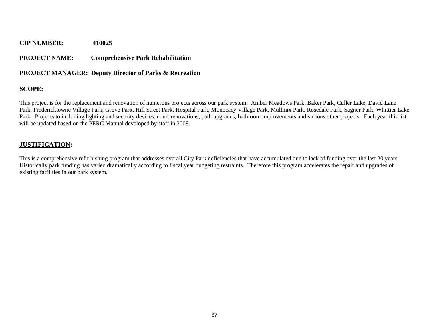## **PROJECT NAME: Comprehensive Park Rehabilitation**

### **PROJECT MANAGER: Deputy Director of Parks & Recreation**

## **SCOPE:**

This project is for the replacement and renovation of numerous projects across our park system: Amber Meadows Park, Baker Park, Culler Lake, David Lane Park, Fredericktowne Village Park, Grove Park, Hill Street Park, Hospital Park, Monocacy Village Park, Mullinix Park, Rosedale Park, Sagner Park, Whittier Lake Park. Projects to including lighting and security devices, court renovations, path upgrades, bathroom improvements and various other projects. Each year this list will be updated based on the PERC Manual developed by staff in 2008.

### **JUSTIFICATION:**

This is a comprehensive refurbishing program that addresses overall City Park deficiencies that have accumulated due to lack of funding over the last 20 years. Historically park funding has varied dramatically according to fiscal year budgeting restraints. Therefore this program accelerates the repair and upgrades of existing facilities in our park system.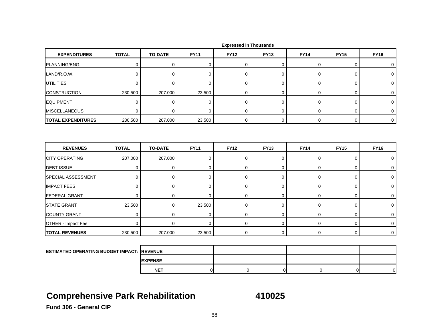| <b>EXPENDITURES</b>                               | <b>TOTAL</b> | <b>TO-DATE</b> | <b>FY11</b> | <b>FY12</b> | <b>FY13</b> | <b>FY14</b> | <b>FY15</b> | <b>FY16</b> |
|---------------------------------------------------|--------------|----------------|-------------|-------------|-------------|-------------|-------------|-------------|
| PLANNING/ENG.                                     | $\mathbf 0$  | $\mathbf 0$    | 0           | 0           | 0           | 0           | 0           | 0           |
| LAND/R.O.W.                                       | 0            | 0              | 0           | $\mathbf 0$ | 0           | $\mathbf 0$ | 0           | 0           |
| <b>UTILITIES</b>                                  | $\mathbf 0$  | $\mathbf 0$    | $\mathbf 0$ | $\mathbf 0$ | $\mathbf 0$ | $\mathbf 0$ | 0           | $\mathbf 0$ |
| <b>CONSTRUCTION</b>                               | 230.500      | 207.000        | 23.500      | $\mathbf 0$ | 0           | 0           | 0           | $\mathbf 0$ |
| <b>EQUIPMENT</b>                                  | $\mathbf 0$  | $\mathbf 0$    | $\mathbf 0$ | $\mathbf 0$ | 0           | $\mathbf 0$ | 0           | 0           |
| <b>MISCELLANEOUS</b>                              | $\mathbf 0$  | $\Omega$       | $\mathbf 0$ | $\mathbf 0$ | 0           | $\mathbf 0$ | 0           | 0           |
| <b>TOTAL EXPENDITURES</b>                         | 230.500      | 207.000        | 23.500      | $\mathbf 0$ | 0           | $\mathbf 0$ | 0           | $\mathbf 0$ |
|                                                   |              |                |             |             |             |             |             |             |
| <b>REVENUES</b>                                   | <b>TOTAL</b> | <b>TO-DATE</b> | <b>FY11</b> | <b>FY12</b> | <b>FY13</b> | <b>FY14</b> | <b>FY15</b> | <b>FY16</b> |
| <b>CITY OPERATING</b>                             | 207.000      | 207.000        | $\mathbf 0$ | $\mathbf 0$ | 0           | $\mathbf 0$ | 0           | 0           |
| <b>DEBT ISSUE</b>                                 | $\mathbf 0$  | $\mathbf 0$    | $\mathbf 0$ | $\mathbf 0$ | $\mathbf 0$ | $\mathbf 0$ | 0           | 0           |
| SPECIAL ASSESSMENT                                | $\mathbf 0$  | $\pmb{0}$      | $\mathbf 0$ | $\mathbf 0$ | 0           | $\mathsf 0$ | 0           | 0           |
| <b>IMPACT FEES</b>                                | $\mathbf 0$  | 0              | $\mathbf 0$ | $\mathbf 0$ | 0           | $\mathbf 0$ | 0           | $\mathbf 0$ |
| <b>FEDERAL GRANT</b>                              | $\mathbf 0$  | $\mathbf 0$    | 0           | 0           | 0           | $\mathsf 0$ | 0           | 0           |
| <b>STATE GRANT</b>                                | 23.500       | $\pmb{0}$      | 23.500      | $\mathbf 0$ | 0           | $\mathbf 0$ | 0           | $\mathbf 0$ |
| <b>COUNTY GRANT</b>                               | $\mathbf 0$  | $\mathbf 0$    | $\mathbf 0$ | $\mathbf 0$ | 0           | 0           | 0           | 0           |
| OTHER - Impact Fee                                | $\mathbf 0$  | $\mathbf 0$    | $\mathbf 0$ | $\mathbf 0$ | 0           | 0           | 0           | $\mathbf 0$ |
| <b>TOTAL REVENUES</b>                             | 230.500      | 207.000        | 23.500      | 0           | 0           | $\mathbf 0$ | 0           | $\mathbf 0$ |
|                                                   |              |                |             |             |             |             |             |             |
| <b>ESTIMATED OPERATING BUDGET IMPACT: REVENUE</b> |              |                |             |             |             |             |             |             |

## **Comprehensive Park Rehabilitation 410025**

**EXPENSE NET**

T | 0| 0| 0| 0| 0| 0|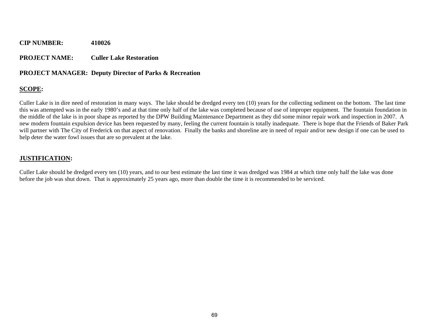#### **PROJECT NAME: Culler Lake Restoration**

#### **PROJECT MANAGER: Deputy Director of Parks & Recreation**

#### **SCOPE:**

Culler Lake is in dire need of restoration in many ways. The lake should be dredged every ten (10) years for the collecting sediment on the bottom. The last time this was attempted was in the early 1980's and at that time only half of the lake was completed because of use of improper equipment. The fountain foundation in the middle of the lake is in poor shape as reported by the DPW Building Maintenance Department as they did some minor repair work and inspection in 2007. A new modern fountain expulsion device has been requested by many, feeling the current fountain is totally inadequate. There is hope that the Friends of Baker Park will partner with The City of Frederick on that aspect of renovation. Finally the banks and shoreline are in need of repair and/or new design if one can be used to help deter the water fowl issues that are so prevalent at the lake.

#### **JUSTIFICATION:**

Culler Lake should be dredged every ten (10) years, and to our best estimate the last time it was dredged was 1984 at which time only half the lake was done before the job was shut down. That is approximately 25 years ago, more than double the time it is recommended to be serviced.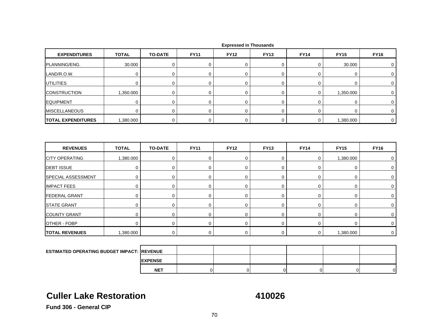| <b>EXPENDITURES</b>                                | <b>TOTAL</b> | <b>TO-DATE</b> | <b>FY11</b> | <b>FY12</b> | <b>FY13</b>    | <b>FY14</b> | <b>FY15</b> | <b>FY16</b>      |
|----------------------------------------------------|--------------|----------------|-------------|-------------|----------------|-------------|-------------|------------------|
| PLANNING/ENG.                                      | 30.000       | $\mathbf 0$    | $\mathbf 0$ | 0           | $\mathbf 0$    | 0           | 30.000      | 0                |
| LAND/R.O.W.                                        | $\mathbf 0$  | $\mathbf 0$    | 0           | $\mathbf 0$ | 0              | 0           | 0           | $\mathbf 0$      |
| <b>UTILITIES</b>                                   | 0            | $\mathbf 0$    | $\mathbf 0$ | $\mathbf 0$ | 0              | $\mathbf 0$ | 0           | 0                |
| <b>CONSTRUCTION</b>                                | 1,350.000    | $\mathbf 0$    | $\mathbf 0$ | $\mathbf 0$ | 0              | 0           | 1,350.000   | 0                |
| <b>EQUIPMENT</b>                                   | $\mathbf 0$  | $\mathbf 0$    | $\pmb{0}$   | $\mathbf 0$ | $\pmb{0}$      | $\pmb{0}$   | 0           | $\boldsymbol{0}$ |
| <b>MISCELLANEOUS</b>                               | $\mathbf 0$  | $\pmb{0}$      | 0           | $\mathbf 0$ | 0              | 0           | 0           | 0                |
| <b>TOTAL EXPENDITURES</b>                          | 1,380.000    | $\mathbf 0$    | $\mathbf 0$ | $\mathbf 0$ | 0              | $\mathbf 0$ | 1,380.000   | $\mathbf 0$      |
| <b>REVENUES</b>                                    | <b>TOTAL</b> | <b>TO-DATE</b> | <b>FY11</b> | <b>FY12</b> | <b>FY13</b>    | <b>FY14</b> | <b>FY15</b> | <b>FY16</b>      |
| <b>CITY OPERATING</b>                              | 1,380.000    | $\mathbf 0$    | $\mathbf 0$ | $\mathbf 0$ | 0              | $\mathbf 0$ | 1,380.000   | 0                |
| <b>DEBT ISSUE</b>                                  | $\mathbf 0$  | 0              | 0           | $\mathbf 0$ | $\pmb{0}$      | $\pmb{0}$   | 0           | 0                |
| SPECIAL ASSESSMENT                                 | $\mathbf 0$  | $\mathbf 0$    | $\mathbf 0$ | $\mathbf 0$ | 0              | $\mathbf 0$ | 0           | $\mathbf 0$      |
| <b>IMPACT FEES</b>                                 | 0            | 0              | 0           | $\mathbf 0$ | 0              | 0           | 0           | 0                |
| <b>FEDERAL GRANT</b>                               | $\mathbf 0$  | 0              | $\mathbf 0$ | $\mathbf 0$ | 0              | 0           | 0           | 0                |
| <b>STATE GRANT</b>                                 | $\mathbf 0$  | $\mathbf 0$    | $\mathbf 0$ | $\mathbf 0$ | 0              | $\mathbf 0$ | 0           | $\mathbf 0$      |
| <b>COUNTY GRANT</b>                                | 0            | $\mathbf 0$    | $\mathbf 0$ | $\mathbf 0$ | 0              | $\mathbf 0$ | 0           | 0                |
| <b>OTHER - FOBP</b>                                | $\mathbf 0$  | $\mathbf 0$    | $\mathbf 0$ | $\mathbf 0$ | $\overline{0}$ | 0           | 0           | $\mathbf 0$      |
| <b>TOTAL REVENUES</b>                              | 1,380.000    | $\mathbf 0$    | $\mathbf 0$ | $\mathbf 0$ | $\mathbf 0$    | $\mathbf 0$ | 1,380.000   | $\mathbf 0$      |
|                                                    |              |                |             |             |                |             |             |                  |
| <b>ESTIMATED OPERATING BUDGET IMPACT: IREVENUE</b> |              |                |             |             |                |             |             |                  |
|                                                    |              | <b>EXPENSE</b> |             |             |                |             |             |                  |

## **Culler Lake Restoration**

**410026**

T | 0| 0| 0| 0| 0| 0|

**Fund 306 - General CIP**

**NET**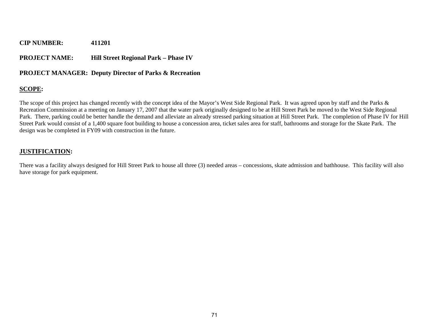#### **PROJECT NAME: Hill Street Regional Park – Phase IV**

#### **PROJECT MANAGER: Deputy Director of Parks & Recreation**

### **SCOPE:**

The scope of this project has changed recently with the concept idea of the Mayor's West Side Regional Park. It was agreed upon by staff and the Parks & Recreation Commission at a meeting on January 17, 2007 that the water park originally designed to be at Hill Street Park be moved to the West Side Regional Park. There, parking could be better handle the demand and alleviate an already stressed parking situation at Hill Street Park. The completion of Phase IV for Hill Street Park would consist of a 1,400 square foot building to house a concession area, ticket sales area for staff, bathrooms and storage for the Skate Park. The design was be completed in FY09 with construction in the future.

#### **JUSTIFICATION:**

There was a facility always designed for Hill Street Park to house all three (3) needed areas – concessions, skate admission and bathhouse. This facility will also have storage for park equipment.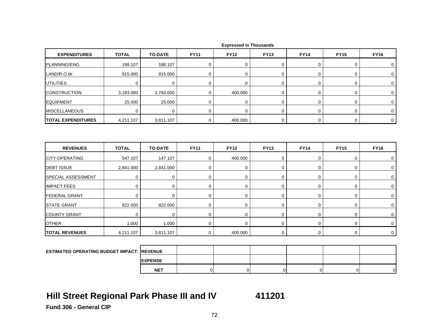| <b>EXPENDITURES</b>                               | <b>TOTAL</b> | <b>TO-DATE</b> | <b>FY11</b> | <b>FY12</b> | <b>FY13</b> | <b>FY14</b> | <b>FY15</b> | <b>FY16</b>  |
|---------------------------------------------------|--------------|----------------|-------------|-------------|-------------|-------------|-------------|--------------|
| PLANNING/ENG.                                     | 188.107      | 188.107        | 0           | 0           | 0           | 0           | 0           | 0            |
| LAND/R.O.W.                                       | 815.000      | 815.000        | $\mathbf 0$ | $\mathbf 0$ | 0           | $\mathsf 0$ | 0           | 0            |
| <b>UTILITIES</b>                                  | 0            | 0              | 0           | $\mathbf 0$ | 0           | 0           | 0           | $\mathbf 0$  |
| <b>CONSTRUCTION</b>                               | 3,183.000    | 2,783.000      | 0           | 400.000     | 0           | 0           | 0           | 0            |
| <b>EQUIPMENT</b>                                  | 25.000       | 25.000         | $\mathbf 0$ | $\mathbf 0$ | 0           | 0           | 0           | 0            |
| <b>MISCELLANEOUS</b>                              | $\mathbf 0$  | $\mathbf 0$    | $\mathbf 0$ | $\mathbf 0$ | $\mathbf 0$ | 0           | 0           | $\mathbf 0$  |
| <b>TOTAL EXPENDITURES</b>                         | 4,211.107    | 3,811.107      | 0           | 400.000     | 0           | 0           | 0           | $\mathbf 0$  |
| <b>REVENUES</b>                                   | <b>TOTAL</b> | <b>TO-DATE</b> | <b>FY11</b> | <b>FY12</b> | <b>FY13</b> | <b>FY14</b> | <b>FY15</b> | <b>FY16</b>  |
| <b>CITY OPERATING</b>                             | 547.107      | 147.107        | $\mathbf 0$ | 400.000     | 0           | $\mathbf 0$ | 0           | 0            |
| <b>DEBT ISSUE</b>                                 | 2,841.000    | 2,841.000      | $\mathbf 0$ | $\mathbf 0$ | 0           | $\mathbf 0$ | 0           | 0            |
| SPECIAL ASSESSMENT                                | $\mathbf 0$  | $\mathbf 0$    | $\mathbf 0$ | $\mathbf 0$ | 0           | 0           | 0           | 0            |
| <b>IMPACT FEES</b>                                | $\mathbf 0$  | 0              | 0           | $\mathbf 0$ | 0           | 0           | 0           | 0            |
| <b>FEDERAL GRANT</b>                              | $\mathbf 0$  | $\mathbf 0$    | $\mathbf 0$ | $\mathbf 0$ | 0           | 0           | 0           | $\mathbf 0$  |
| <b>STATE GRANT</b>                                | 822.000      | 822.000        | 0           | $\mathbf 0$ | 0           | 0           | 0           | $\mathbf 0$  |
| <b>COUNTY GRANT</b>                               | $\mathbf 0$  | $\mathbf 0$    | $\mathbf 0$ | $\mathbf 0$ | 0           | $\mathbf 0$ | 0           | 0            |
| <b>OTHER</b>                                      | 1.000        | 1.000          | 0           | $\Omega$    | 0           | 0           | 0           | $\mathbf{0}$ |
| <b>TOTAL REVENUES</b>                             | 4,211.107    | 3,811.107      | 0           | 400.000     | 0           | 0           | 0           | $\mathbf 0$  |
|                                                   |              |                |             |             |             |             |             |              |
| <b>ESTIMATED OPERATING BUDGET IMPACT: REVENUE</b> |              |                |             |             |             |             |             |              |

 **Expressed in Thousands**

## **Hill Street Regional Park Phase III and IV 411201**

**EXPENSE NET**

T | 0| 0| 0| 0| 0| 0|

**Fund 306 - General CIP**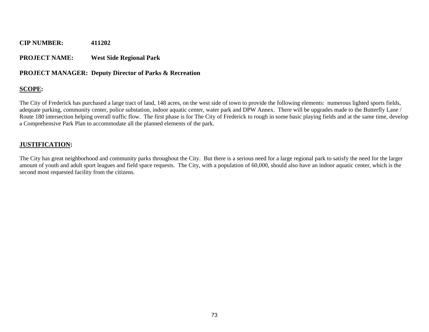#### **PROJECT NAME: West Side Regional Park**

#### **PROJECT MANAGER: Deputy Director of Parks & Recreation**

#### **SCOPE:**

The City of Frederick has purchased a large tract of land, 148 acres, on the west side of town to provide the following elements: numerous lighted sports fields, adequate parking, community center, police substation, indoor aquatic center, water park and DPW Annex. There will be upgrades made to the Butterfly Lane / Route 180 intersection helping overall traffic flow. The first phase is for The City of Frederick to rough in some basic playing fields and at the same time, develop a Comprehensive Park Plan to accommodate all the planned elements of the park.

#### **JUSTIFICATION:**

The City has great neighborhood and community parks throughout the City. But there is a serious need for a large regional park to satisfy the need for the larger amount of youth and adult sport leagues and field space requests. The City, with a population of 60,000, should also have an indoor aquatic center, which is the second most requested facility from the citizens.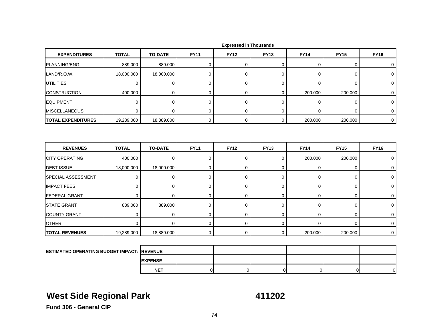| <b>EXPENDITURES</b>       | <b>TOTAL</b> | <b>TO-DATE</b> | <b>FY11</b> | <b>FY12</b> | <b>FY13</b> | <b>FY14</b>      | <b>FY15</b> | <b>FY16</b>    |
|---------------------------|--------------|----------------|-------------|-------------|-------------|------------------|-------------|----------------|
| PLANNING/ENG.             | 889.000      | 889.000        | 0           | $\mathbf 0$ | 0           | 0                | 0           | 0              |
| LAND/R.O.W.               | 18,000.000   | 18,000.000     | $\mathbf 0$ | 0           | $\mathbf 0$ | 0                | $\mathbf 0$ | $\mathbf 0$    |
| <b>UTILITIES</b>          | $\mathbf 0$  | 0              | 0           | 0           | $\mathbf 0$ | $\mathbf 0$      | 0           | $\mathbf 0$    |
| <b>CONSTRUCTION</b>       | 400.000      | 0              | 0           | 0           | $\mathbf 0$ | 200.000          | 200.000     | 0              |
| <b>EQUIPMENT</b>          | 0            | 0              | 0           | 0           | $\mathbf 0$ | $\boldsymbol{0}$ | 0           | 0              |
| <b>MISCELLANEOUS</b>      | $\mathbf 0$  | $\mathbf 0$    | $\mathbf 0$ | $\Omega$    | $\mathbf 0$ | $\mathbf 0$      | $\mathbf 0$ | $\mathbf 0$    |
| <b>TOTAL EXPENDITURES</b> | 19,289.000   | 18,889.000     | 0           | $\mathsf 0$ | 0           | 200.000          | 200.000     | $\overline{0}$ |
|                           |              |                |             |             |             |                  |             |                |
|                           |              |                |             |             |             |                  |             |                |
| <b>REVENUES</b>           | <b>TOTAL</b> | <b>TO-DATE</b> | <b>FY11</b> | <b>FY12</b> | <b>FY13</b> | <b>FY14</b>      | <b>FY15</b> | <b>FY16</b>    |
| <b>CITY OPERATING</b>     | 400.000      | 0              | 0           | 0           | $\mathbf 0$ | 200.000          | 200.000     | 0              |
| <b>DEBT ISSUE</b>         | 18,000.000   | 18,000.000     | 0           | 0           | $\mathbf 0$ | 0                | 0           | 0              |
| SPECIAL ASSESSMENT        | $\mathbf 0$  | $\mathbf 0$    | $\mathbf 0$ | 0           | $\mathbf 0$ | $\boldsymbol{0}$ | 0           | 0              |
| <b>IMPACT FEES</b>        | $\mathbf 0$  | 0              | 0           | $\mathbf 0$ | $\mathbf 0$ | 0                | 0           | $\mathbf 0$    |
| <b>FEDERAL GRANT</b>      | $\mathbf 0$  | $\mathbf 0$    | $\mathbf 0$ | $\mathbf 0$ | 0           | 0                | $\mathbf 0$ | $\mathbf 0$    |
| <b>STATE GRANT</b>        | 889.000      | 889.000        | 0           | $\mathbf 0$ | $\mathbf 0$ | 0                | 0           | 0              |
| <b>COUNTY GRANT</b>       | $\mathbf 0$  | $\mathbf 0$    | $\mathbf 0$ | 0           | $\mathbf 0$ | $\mathbf 0$      | 0           | $\mathbf 0$    |
| <b>OTHER</b>              | $\Omega$     | $\mathbf 0$    | 0           | $\mathbf 0$ | $\mathbf 0$ | $\mathbf 0$      | $\mathbf 0$ | $\mathbf 0$    |

 **Expressed in Thousands**

| <b>ESTIMATED OPERATING BUDGET IMPACT: IREVENUE</b> |                 |  |  |    |    |
|----------------------------------------------------|-----------------|--|--|----|----|
|                                                    | <b>IEXPENSE</b> |  |  |    |    |
|                                                    | <b>NET</b>      |  |  | D. | ΟI |

## **West Side Regional Park 111202**

**Fund 306 - General CIP**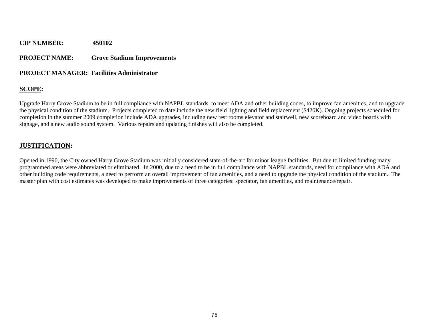#### **PROJECT NAME: Grove Stadium Improvements**

#### **PROJECT MANAGER: Facilities Administrator**

#### **SCOPE:**

Upgrade Harry Grove Stadium to be in full compliance with NAPBL standards, to meet ADA and other building codes, to improve fan amenities, and to upgrade the physical condition of the stadium. Projects completed to date include the new field lighting and field replacement (\$420K). Ongoing projects scheduled for completion in the summer 2009 completion include ADA upgrades, including new rest rooms elevator and stairwell, new scoreboard and video boards with signage, and a new audio sound system. Various repairs and updating finishes will also be completed.

#### **JUSTIFICATION:**

Opened in 1990, the City owned Harry Grove Stadium was initially considered state-of-the-art for minor league facilities. But due to limited funding many programmed areas were abbreviated or eliminated. In 2000, due to a need to be in full compliance with NAPBL standards, need for compliance with ADA and other building code requirements, a need to perform an overall improvement of fan amenities, and a need to upgrade the physical condition of the stadium. The master plan with cost estimates was developed to make improvements of three categories: spectator, fan amenities, and maintenance/repair.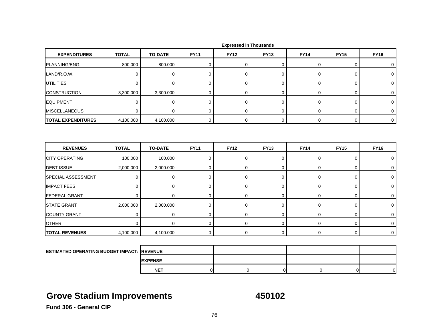| <b>EXPENDITURES</b>       | <b>TOTAL</b> | <b>TO-DATE</b> | <b>FY11</b> | <b>FY12</b> | <b>FY13</b> | <b>FY14</b> | <b>FY15</b> | <b>FY16</b> |
|---------------------------|--------------|----------------|-------------|-------------|-------------|-------------|-------------|-------------|
| PLANNING/ENG.             | 800.000      | 800.000        | 0           | 0           | 0           | 0           | $\mathbf 0$ | 0           |
| LAND/R.O.W.               | 0            | $\mathbf 0$    | $\mathbf 0$ | 0           | 0           | 0           | 0           | 0           |
| <b>UTILITIES</b>          | $\Omega$     | $\mathbf 0$    | 0           | 0           | 0           | 0           | $\mathbf 0$ | $\Omega$    |
| <b>CONSTRUCTION</b>       | 3,300.000    | 3,300.000      | $\mathbf 0$ | 0           | 0           | 0           | 0           | 0           |
| <b>EQUIPMENT</b>          | 0            | 0              | 0           | 0           | 0           | 0           | 0           | 0           |
| <b>MISCELLANEOUS</b>      | $\Omega$     | $\mathbf 0$    | $\mathbf 0$ | 0           | 0           | 0           | $\mathbf 0$ | $\Omega$    |
| <b>TOTAL EXPENDITURES</b> | 4,100.000    | 4,100.000      | 0           | 0           | 0           | 0           | 0           | 0           |
| <b>REVENUES</b>           | <b>TOTAL</b> | <b>TO-DATE</b> | <b>FY11</b> | <b>FY12</b> | <b>FY13</b> | <b>FY14</b> | <b>FY15</b> | <b>FY16</b> |
| <b>CITY OPERATING</b>     | 100.000      | 100.000        | 0           | 0           | 0           | 0           | $\mathbf 0$ | 0           |
| <b>DEBT ISSUE</b>         | 2,000.000    | 2,000.000      | 0           | 0           | 0           | 0           | 0           | 0           |
| <b>SPECIAL ASSESSMENT</b> | 0            | 0              | 0           | 0           | 0           | 0           | $\mathbf 0$ | $\Omega$    |
| <b>IMPACT FEES</b>        | 0            | $\mathbf 0$    | 0           | 0           | 0           | 0           | $\mathbf 0$ | $\Omega$    |
| <b>FEDERAL GRANT</b>      | 0            | 0              | $\mathbf 0$ | 0           | 0           | 0           | 0           | 0           |

|  |  | <b>Expressed in Thousands</b> |
|--|--|-------------------------------|
|--|--|-------------------------------|

| <b>ESTIMATED OPERATING BUDGET IMPACT: REVENUE</b> |                 |  |  |  |
|---------------------------------------------------|-----------------|--|--|--|
|                                                   | <b>IEXPENSE</b> |  |  |  |
|                                                   | <b>NET</b>      |  |  |  |

STATE GRANT | 2,000.000 | 2,000.000 | 0 | 0 | 0 | 0 | 0

R | 0| 0| 0| 0| 0| 0| 0| 0| 0

T | 0| 0| 0| 0| 0| 0| 0| 0|

**S** | 4,100.000 | 4,100.000 | 0 | 0 | 0 | 0 | 0 | 0

## **Grove Stadium Improvements 450102**

**Fund 306 - General CIP**

COUNTY GRANT

**TOTAL REVENUES**

**OTHER**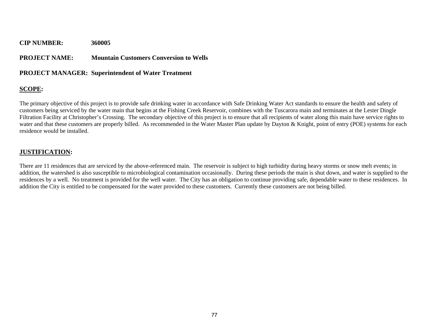#### **PROJECT NAME: Mountain Customers Conversion to Wells**

#### **PROJECT MANAGER: Superintendent of Water Treatment**

#### **SCOPE:**

The primary objective of this project is to provide safe drinking water in accordance with Safe Drinking Water Act standards to ensure the health and safety of customers being serviced by the water main that begins at the Fishing Creek Reservoir, combines with the Tuscarora main and terminates at the Lester Dingle Filtration Facility at Christopher's Crossing. The secondary objective of this project is to ensure that all recipients of water along this main have service rights to water and that these customers are properly billed. As recommended in the Water Master Plan update by Dayton & Knight, point of entry (POE) systems for each residence would be installed.

#### **JUSTIFICATION:**

There are 11 residences that are serviced by the above-referenced main. The reservoir is subject to high turbidity during heavy storms or snow melt events; in addition, the watershed is also susceptible to microbiological contamination occasionally. During these periods the main is shut down, and water is supplied to the residences by a well. No treatment is provided for the well water. The City has an obligation to continue providing safe, dependable water to these residences. In addition the City is entitled to be compensated for the water provided to these customers. Currently these customers are not being billed.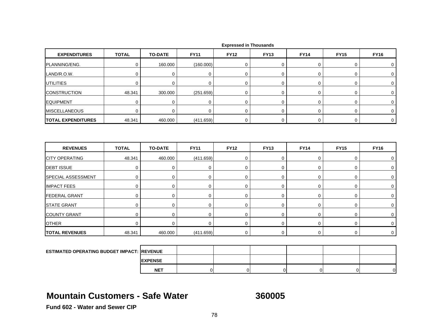| <b>EXPENDITURES</b>                               | <b>TOTAL</b> | <b>TO-DATE</b> | <b>FY11</b>    | <b>FY12</b>      | <b>FY13</b>    | <b>FY14</b>    | <b>FY15</b>    | <b>FY16</b>    |
|---------------------------------------------------|--------------|----------------|----------------|------------------|----------------|----------------|----------------|----------------|
| PLANNING/ENG.                                     | $\pmb{0}$    | 160.000        | (160.000)      | 0                | 0              | $\mathsf 0$    | 0              | 0              |
| LAND/R.O.W.                                       | $\mathbf 0$  | $\mathbf 0$    | $\mathbf 0$    | $\mathbf 0$      | $\mathbf 0$    | $\mathbf 0$    | 0              | $\mathbf 0$    |
| UTILITIES                                         | $\mathbf 0$  | $\mathbf 0$    | 0              | $\mathbf 0$      | 0              | 0              | 0              | 0              |
| <b>CONSTRUCTION</b>                               | 48.341       | 300.000        | (251.659)      | $\boldsymbol{0}$ | 0              | $\mathsf 0$    | 0              | $\mathbf 0$    |
| <b>EQUIPMENT</b>                                  | $\mathbf 0$  | $\mathbf 0$    | $\pmb{0}$      | $\mathbf 0$      | 0              | 0              | 0              | $\mathbf 0$    |
| <b>MISCELLANEOUS</b>                              | $\mathbf 0$  | $\Omega$       | $\mathbf 0$    | $\mathbf 0$      | 0              | $\mathbf 0$    | 0              | $\mathbf 0$    |
| <b>TOTAL EXPENDITURES</b>                         | 48.341       | 460.000        | (411.659)      | $\boldsymbol{0}$ | 0              | $\mathbf 0$    | 0              | $\mathbf 0$    |
|                                                   |              |                |                |                  |                |                |                |                |
| <b>REVENUES</b>                                   | <b>TOTAL</b> | <b>TO-DATE</b> | <b>FY11</b>    | <b>FY12</b>      | <b>FY13</b>    | <b>FY14</b>    | <b>FY15</b>    | <b>FY16</b>    |
| <b>CITY OPERATING</b>                             | 48.341       | 460.000        | (411.659)      | $\boldsymbol{0}$ | 0              | $\mathsf 0$    | 0              | $\mathbf 0$    |
| <b>DEBT ISSUE</b>                                 | $\mathbf 0$  | 0              | $\mathbf 0$    | 0                | 0              | $\mathbf 0$    | 0              | $\mathbf 0$    |
| SPECIAL ASSESSMENT                                | $\mathbf 0$  | 0              | $\mathbf 0$    | $\mathbf 0$      | 0              | 0              | 0              | $\mathbf 0$    |
| <b>IMPACT FEES</b>                                | 0            | 0              | 0              | 0                | 0              | 0              | 0              | $\mathbf 0$    |
| <b>FEDERAL GRANT</b>                              | $\mathbf 0$  | 0              | $\mathbf 0$    | $\mathbf 0$      | 0              | $\pmb{0}$      | 0              | 0              |
| <b>STATE GRANT</b>                                | $\mathbf 0$  | $\mathbf 0$    | $\mathbf 0$    | $\mathbf 0$      | $\mathbf 0$    | $\pmb{0}$      | 0              | 0              |
| <b>COUNTY GRANT</b>                               | $\mathbf 0$  | 0              | 0              | $\mathbf 0$      | $\mathbf 0$    | 0              | 0              | 0              |
| <b>OTHER</b>                                      | 0            | 0              | $\mathbf 0$    | $\mathbf 0$      | 0              | $\mathbf 0$    | 0              | $\mathbf 0$    |
| <b>TOTAL REVENUES</b>                             | 48.341       | 460.000        | (411.659)      | 0                | 0              | $\mathbf 0$    | 0              | $\mathbf 0$    |
|                                                   |              |                |                |                  |                |                |                |                |
| <b>ESTIMATED OPERATING BUDGET IMPACT: REVENUE</b> |              |                |                |                  |                |                |                |                |
|                                                   |              | <b>EXPENSE</b> |                |                  |                |                |                |                |
|                                                   |              | <b>NET</b>     | $\overline{0}$ | $\overline{0}$   | $\overline{0}$ | $\overline{0}$ | $\overline{0}$ | $\overline{0}$ |

### **Mountain Customers - Safe Water**

**360005**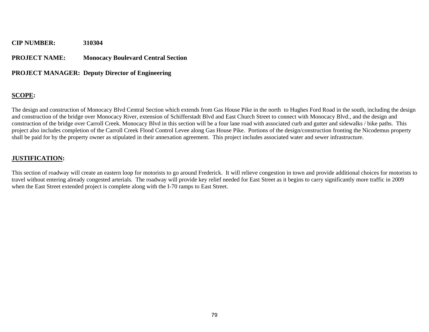#### **PROJECT NAME: Monocacy Boulevard Central Section**

#### **PROJECT MANAGER: Deputy Director of Engineering**

#### **SCOPE:**

The design and construction of Monocacy Blvd Central Section which extends from Gas House Pike in the north to Hughes Ford Road in the south, including the design and construction of the bridge over Monocacy River, extension of Schifferstadt Blvd and East Church Street to connect with Monocacy Blvd., and the design and construction of the bridge over Carroll Creek. Monocacy Blvd in this section will be a four lane road with associated curb and gutter and sidewalks / bike paths. This project also includes completion of the Carroll Creek Flood Control Levee along Gas House Pike. Portions of the design/construction fronting the Nicodemus property shall be paid for by the property owner as stipulated in their annexation agreement. This project includes associated water and sewer infrastructure.

#### **JUSTIFICATION:**

This section of roadway will create an eastern loop for motorists to go around Frederick. It will relieve congestion in town and provide additional choices for motorists to travel without entering already congested arterials. The roadway will provide key relief needed for East Street as it begins to carry significantly more traffic in 2009 when the East Street extended project is complete along with the I-70 ramps to East Street.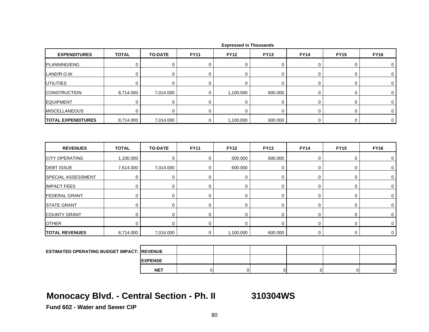| <b>EXPENDITURES</b>       | <b>TOTAL</b> | <b>TO-DATE</b> | <b>FY11</b> | <b>FY12</b> | <b>FY13</b> | <b>FY14</b> | <b>FY15</b> | <b>FY16</b> |
|---------------------------|--------------|----------------|-------------|-------------|-------------|-------------|-------------|-------------|
| PLANNING/ENG.             | 0            | 0              | 0           | $\mathbf 0$ | 0           | 0           | 0           | $\mathbf 0$ |
| LAND/R.O.W.               | 0            | $\mathbf 0$    | $\mathbf 0$ | $\Omega$    | 0           | 0           | 0           | $\mathbf 0$ |
| <b>UTILITIES</b>          | 0            | 0              | 0           | $\mathbf 0$ | 0           | 0           | 0           | $\mathbf 0$ |
| <b>CONSTRUCTION</b>       | 8,714.000    | 7,014.000      | 0           | 1,100.000   | 600.000     | 0           | 0           | 0           |
| <b>EQUIPMENT</b>          | $\mathbf 0$  | $\pmb{0}$      | $\mathbf 0$ | $\mathbf 0$ | $\mathbf 0$ | 0           | $\pmb{0}$   | $\mathbf 0$ |
| <b>MISCELLANEOUS</b>      | 0            | 0              | 0           | $\mathbf 0$ | 0           | 0           | 0           | $\mathbf 0$ |
| <b>TOTAL EXPENDITURES</b> | 8,714.000    | 7,014.000      | $\mathbf 0$ | 1,100.000   | 600.000     | $\mathbf 0$ | 0           | $\mathsf 0$ |
| <b>REVENUES</b>           | <b>TOTAL</b> | <b>TO-DATE</b> | <b>FY11</b> | <b>FY12</b> | <b>FY13</b> | <b>FY14</b> | <b>FY15</b> | <b>FY16</b> |
|                           |              |                |             |             |             |             |             |             |
| <b>CITY OPERATING</b>     | 1,100.000    | 0              | 0           | 500.000     | 600.000     | 0           | 0           | $\mathbf 0$ |
| <b>DEBT ISSUE</b>         | 7,614.000    | 7,014.000      | 0           | 600.000     | 0           | 0           | 0           | $\mathbf 0$ |
| SPECIAL ASSESSMENT        | $\mathbf 0$  | $\mathbf 0$    | $\mathbf 0$ | $\mathbf 0$ | $\mathbf 0$ | $\mathbf 0$ | $\pmb{0}$   | $\mathbf 0$ |
| <b>IMPACT FEES</b>        | 0            | $\mathbf 0$    | $\pmb{0}$   | $\mathbf 0$ | 0           | 0           | 0           | $\mathbf 0$ |
| <b>FEDERAL GRANT</b>      | $\mathbf 0$  | $\mathbf 0$    | $\mathbf 0$ | $\Omega$    | $\mathsf 0$ | 0           | $\mathbf 0$ | $\mathbf 0$ |
| <b>STATE GRANT</b>        | 0            | $\mathbf 0$    | $\mathbf 0$ | $\mathbf 0$ | 0           | 0           | 0           | $\mathbf 0$ |
| <b>COUNTY GRANT</b>       | $\mathbf 0$  | $\mathbf 0$    | $\mathbf 0$ | $\mathbf 0$ | 0           | 0           | $\pmb{0}$   | 0           |
| <b>OTHER</b>              | $\mathbf 0$  | $\mathbf 0$    | $\mathbf 0$ | $\Omega$    | 0           | 0           | 0           | $\mathbf 0$ |
| <b>TOTAL REVENUES</b>     | 8,714.000    | 7,014.000      | $\mathbf 0$ | 1,100.000   | 600.000     | $\mathbf 0$ | $\pmb{0}$   | $\mathbf 0$ |
|                           |              |                |             |             |             |             |             |             |

|  |  | <b>Expressed in Thousands</b> |
|--|--|-------------------------------|
|--|--|-------------------------------|

| <b>ESTIMATED OPERATING BUDGET IMPACT: REVENUE</b> |                 |  |  |  |
|---------------------------------------------------|-----------------|--|--|--|
|                                                   | <b>IEXPENSE</b> |  |  |  |
|                                                   | <b>NET</b>      |  |  |  |

## **Monocacy Blvd. - Central Section - Ph. II 310304WS**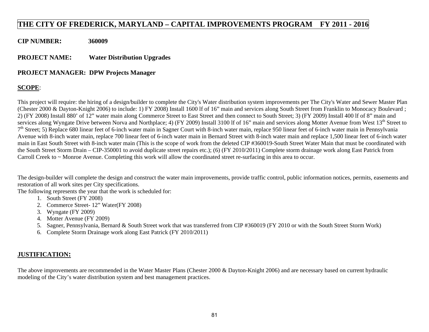### **THE CITY OF FREDERICK, MARYLAND – CAPITAL IMPROVEMENTS PROGRAM FY 2011 - 2016**

**CIP NUMBER: 360009** 

**PROJECT NAME: Water Distribution Upgrades** 

#### **PROJECT MANAGER: DPW Projects Manager**

#### **SCOPE**:

This project will require: the hiring of a design/builder to complete the City's Water distribution system improvements per The City's Water and Sewer Master Plan (Chester 2000 & Dayton-Knight 2006) to include: 1) FY 2008) Install 1600 lf of 16" main and services along South Street from Franklin to Monocacy Boulevard ; 2) (FY 2008) Install 880' of 12" water main along Commerce Street to East Street and then connect to South Street; 3) (FY 2009) Install 400 lf of 8" main and services along Wyngate Drive between Norva and Northplace; 4) (FY 2009) Install 3100 lf of 16" main and services along Motter Avenue from West  $13<sup>th</sup>$  Street to  $7<sup>th</sup>$  Street; 5) Replace 680 linear feet of 6-inch water main in Sagner Court with 8-inch water main, replace 950 linear feet of 6-inch water main in Pennsylvania Avenue with 8-inch water main, replace 700 linear feet of 6-inch water main in Bernard Street with 8-inch water main and replace 1,500 linear feet of 6-inch water main in East South Street with 8-inch water main (This is the scope of work from the deleted CIP #360019-South Street Water Main that must be coordinated with the South Street Storm Drain – CIP-350001 to avoid duplicate street repairs etc.); (6) (FY 2010/2011) Complete storm drainage work along East Patrick from Carroll Creek to ~ Monroe Avenue. Completing this work will allow the coordinated street re-surfacing in this area to occur.

The design-builder will complete the design and construct the water main improvements, provide traffic control, public information notices, permits, easements and restoration of all work sites per City specifications.

The following represents the year that the work is scheduled for:

- 1. South Street (FY 2008)
- 2. Commerce Street- 12" Water(FY 2008)
- 3. Wyngate (FY 2009)
- 4. Motter Avenue (FY 2009)
- 5. Sagner, Pennsylvania, Bernard & South Street work that was transferred from CIP #360019 (FY 2010 or with the South Street Storm Work)
- 6. Complete Storm Drainage work along East Patrick (FY 2010/2011)

### **JUSTIFICATION:**

The above improvements are recommended in the Water Master Plans (Chester 2000 & Dayton-Knight 2006) and are necessary based on current hydraulic modeling of the City's water distribution system and best management practices.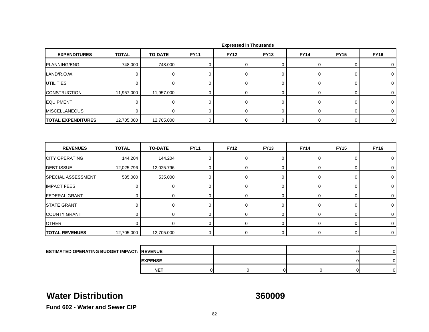| <b>EXPENDITURES</b>       | <b>TOTAL</b> | <b>TO-DATE</b> | <b>FY11</b> | <b>FY12</b> | <b>FY13</b> | <b>FY14</b> | <b>FY15</b> | <b>FY16</b> |
|---------------------------|--------------|----------------|-------------|-------------|-------------|-------------|-------------|-------------|
| PLANNING/ENG.             | 748.000      | 748.000        | 0           | $\mathbf 0$ | 0           | 0           | $\mathbf 0$ | 0           |
| LAND/R.O.W.               | $\Omega$     | 0              | 0           | 0           | 0           | 0           | 0           | 0           |
| <b>UTILITIES</b>          | $\Omega$     | $\mathbf 0$    | $\mathbf 0$ | $\mathbf 0$ | 0           | $\mathbf 0$ | $\mathbf 0$ | $\Omega$    |
| <b>CONSTRUCTION</b>       | 11,957.000   | 11,957.000     | 0           | $\mathbf 0$ | 0           | 0           | 0           | 0           |
| <b>EQUIPMENT</b>          | 0            | 0              | 0           | 0           | 0           | 0           | 0           | 0           |
| <b>MISCELLANEOUS</b>      | $\mathbf 0$  | $\mathbf 0$    | 0           | 0           | 0           | 0           | 0           | $\Omega$    |
| <b>TOTAL EXPENDITURES</b> | 12,705.000   | 12,705.000     | 0           | 0           | 0           | 0           | 0           | 0           |
| <b>REVENUES</b>           | <b>TOTAL</b> | <b>TO-DATE</b> | <b>FY11</b> | <b>FY12</b> | <b>FY13</b> | <b>FY14</b> | <b>FY15</b> | <b>FY16</b> |
| <b>CITY OPERATING</b>     | 144.204      | 144.204        | 0           | 0           | 0           | 0           | 0           | 0           |
| <b>DEBT ISSUE</b>         | 12,025.796   | 12,025.796     | 0           | $\mathbf 0$ | 0           | 0           | 0           | 0           |
| <b>SPECIAL ASSESSMENT</b> | 535.000      | 535.000        | 0           | 0           | 0           | 0           | 0           | $\Omega$    |
| <b>IMPACT FEES</b>        | $\mathbf 0$  | $\mathbf 0$    | $\mathbf 0$ | $\mathbf 0$ | 0           | 0           | $\mathbf 0$ | 0           |
| <b>FEDERAL GRANT</b>      | 0            | $\mathbf 0$    | 0           | $\mathbf 0$ | 0           | 0           | 0           | 0           |
| <b>STATE GRANT</b>        | 0            | 0              | 0           | 0           | 0           | 0           | 0           | 0           |

| <b>ESTIMATED OPERATING BUDGET IMPACT: REVENUE</b> |                 |  |  | ור | o |
|---------------------------------------------------|-----------------|--|--|----|---|
|                                                   | <b>IEXPENSE</b> |  |  | ΩL | n |
|                                                   | <b>NET</b>      |  |  | ΩI | n |

0 0 0 0 0 0 0 0

T | 0| 0| 0| 0| 0| 0| 0| 0|

12,705.000 12,705.000 0 0 0 0 0 0

### **Water Distribution**

COUNTY GRANT

**TOTAL REVENUES**

**OTHER** 

**360009**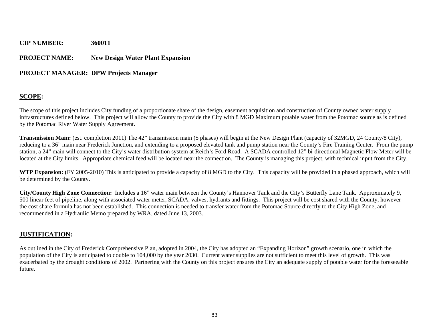### **CIP NUMBER: 360011 PROJECT NAME:** New Design Water Plant Expansion

### **PROJECT MANAGER: DPW Projects Manager**

### **SCOPE:**

The scope of this project includes City funding of a proportionate share of the design, easement acquisition and construction of County owned water supply infrastructures defined below. This project will allow the County to provide the City with 8 MGD Maximum potable water from the Potomac source as is defined by the Potomac River Water Supply Agreement.

**Transmission Main:** (est. completion 2011) The 42" transmission main (5 phases) will begin at the New Design Plant (capacity of 32MGD, 24 County/8 City), reducing to a 36" main near Frederick Junction, and extending to a proposed elevated tank and pump station near the County's Fire Training Center. From the pump station, a 24" main will connect to the City's water distribution system at Reich's Ford Road. A SCADA controlled 12" bi-directional Magnetic Flow Meter will be located at the City limits. Appropriate chemical feed will be located near the connection. The County is managing this project, with technical input from the City.

**WTP Expansion:** (FY 2005-2010) This is anticipated to provide a capacity of 8 MGD to the City. This capacity will be provided in a phased approach, which will be determined by the County.

**City/County High Zone Connection:** Includes a 16" water main between the County's Hannover Tank and the City's Butterfly Lane Tank. Approximately 9, 500 linear feet of pipeline, along with associated water meter, SCADA, valves, hydrants and fittings. This project will be cost shared with the County, however the cost share formula has not been established. This connection is needed to transfer water from the Potomac Source directly to the City High Zone, and recommended in a Hydraulic Memo prepared by WRA, dated June 13, 2003.

#### **JUSTIFICATION:**

As outlined in the City of Frederick Comprehensive Plan, adopted in 2004, the City has adopted an "Expanding Horizon" growth scenario, one in which the population of the City is anticipated to double to 104,000 by the year 2030. Current water supplies are not sufficient to meet this level of growth. This was exacerbated by the drought conditions of 2002. Partnering with the County on this project ensures the City an adequate supply of potable water for the foreseeable future.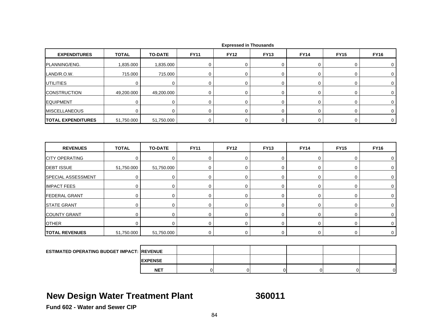| <b>EXPENDITURES</b>       | <b>TOTAL</b> | <b>TO-DATE</b> | <b>FY11</b> | <b>FY12</b> | <b>FY13</b> | <b>FY14</b> | <b>FY15</b> | <b>FY16</b>    |
|---------------------------|--------------|----------------|-------------|-------------|-------------|-------------|-------------|----------------|
| PLANNING/ENG.             | 1,835.000    | 1,835.000      | 0           | $\mathbf 0$ | 0           | 0           | $\mathbf 0$ | 0              |
| LAND/R.O.W.               | 715.000      | 715.000        | 0           | $\mathbf 0$ | 0           | 0           | $\mathbf 0$ | $\Omega$       |
| <b>UTILITIES</b>          | 0            | 0              | 0           | 0           | 0           | 0           | $\mathbf 0$ | 0              |
| <b>CONSTRUCTION</b>       | 49,200.000   | 49,200.000     | 0           | 0           | 0           | 0           | $\mathbf 0$ | 0              |
| <b>EQUIPMENT</b>          | 0            | $\mathbf 0$    | 0           | $\mathbf 0$ | 0           | 0           | 0           | 0              |
| <b>MISCELLANEOUS</b>      | 0            | 0              | 0           | 0           | 0           | 0           | 0           | 0              |
| <b>TOTAL EXPENDITURES</b> | 51,750.000   | 51,750.000     | 0           | 0           | 0           | 0           | 0           | $\overline{0}$ |
| <b>REVENUES</b>           | <b>TOTAL</b> |                |             |             |             |             |             |                |
| <b>CITY OPERATING</b>     |              | <b>TO-DATE</b> | <b>FY11</b> | <b>FY12</b> | <b>FY13</b> | <b>FY14</b> | <b>FY15</b> | <b>FY16</b>    |
|                           | 0            | $\mathbf 0$    | $\mathbf 0$ | 0           | 0           | 0           | 0           | 0              |
| <b>DEBT ISSUE</b>         | 51,750.000   | 51,750.000     | $\mathbf 0$ | 0           | $\mathbf 0$ | 0           | 0           | 0              |
| SPECIAL ASSESSMENT        | $\Omega$     | $\mathbf 0$    | $\mathbf 0$ | $\mathbf 0$ | 0           | 0           | $\mathbf 0$ | 0              |
| <b>IMPACT FEES</b>        | $\mathbf 0$  | $\mathbf 0$    | $\mathbf 0$ | $\mathbf 0$ | 0           | $\mathbf 0$ | $\mathbf 0$ | 0              |
| <b>FEDERAL GRANT</b>      | 0            | 0              | 0           | 0           | 0           | 0           | $\mathbf 0$ | $\Omega$       |

| <b>COUNTY GRANT</b>                               |            |            |  |  |  |
|---------------------------------------------------|------------|------------|--|--|--|
| <b>OTHER</b>                                      |            |            |  |  |  |
| <b>TOTAL REVENUES</b>                             | 51,750.000 | 51,750.000 |  |  |  |
|                                                   |            |            |  |  |  |
| <b>ESTIMATED OPERATING BUDGET IMPACT: REVENUE</b> |            |            |  |  |  |

| ESTIMATED OPERATING BUDGET IMPACT:  REVENUE |                 |  |  |    |
|---------------------------------------------|-----------------|--|--|----|
|                                             | <b>IEXPENSE</b> |  |  |    |
|                                             | <b>NET</b>      |  |  | ΩI |

## **New Design Water Treatment Plant 360011**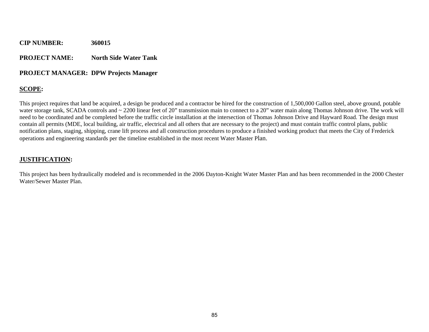#### **PROJECT NAME:** North Side Water Tank

#### **PROJECT MANAGER: DPW Projects Manager**

### **SCOPE:**

This project requires that land be acquired, a design be produced and a contractor be hired for the construction of 1,500,000 Gallon steel, above ground, potable water storage tank, SCADA controls and ~ 2200 linear feet of 20" transmission main to connect to a 20" water main along Thomas Johnson drive. The work will need to be coordinated and be completed before the traffic circle installation at the intersection of Thomas Johnson Drive and Hayward Road. The design must contain all permits (MDE, local building, air traffic, electrical and all others that are necessary to the project) and must contain traffic control plans, public notification plans, staging, shipping, crane lift process and all construction procedures to produce a finished working product that meets the City of Frederick operations and engineering standards per the timeline established in the most recent Water Master Plan.

### **JUSTIFICATION:**

This project has been hydraulically modeled and is recommended in the 2006 Dayton-Knight Water Master Plan and has been recommended in the 2000 Chester Water/Sewer Master Plan.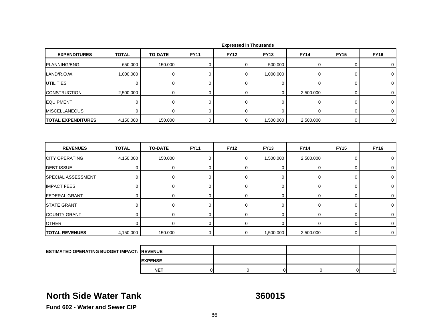| <b>EXPENDITURES</b>                                | <b>TOTAL</b> | <b>TO-DATE</b> | <b>FY11</b> | <b>FY12</b> | <b>FY13</b> | <b>FY14</b>      | <b>FY15</b> | <b>FY16</b>    |
|----------------------------------------------------|--------------|----------------|-------------|-------------|-------------|------------------|-------------|----------------|
| PLANNING/ENG.                                      | 650.000      | 150.000        | $\mathbf 0$ | $\mathbf 0$ | 500.000     | 0                | 0           | 0              |
| LAND/R.O.W.                                        | 1,000.000    | $\mathbf 0$    | $\mathbf 0$ | $\mathbf 0$ | 1,000.000   | 0                | 0           | $\mathbf 0$    |
| <b>UTILITIES</b>                                   | 0            | 0              | 0           | 0           | $\mathbf 0$ | 0                | $\pmb{0}$   | $\mathbf 0$    |
| <b>CONSTRUCTION</b>                                | 2,500.000    | 0              | 0           | 0           | 0           | 2,500.000        | 0           | $\mathbf 0$    |
| <b>EQUIPMENT</b>                                   | $\mathbf 0$  | 0              | 0           | $\mathbf 0$ | $\mathbf 0$ | 0                | 0           | 0              |
| <b>MISCELLANEOUS</b>                               | 0            | 0              | 0           | $\mathbf 0$ | $\mathbf 0$ | 0                | 0           | $\overline{0}$ |
| <b>TOTAL EXPENDITURES</b>                          | 4,150.000    | 150.000        | $\mathbf 0$ | $\mathbf 0$ | 1,500.000   | 2,500.000        | 0           | $\mathbf 0$    |
|                                                    |              |                |             |             |             |                  |             |                |
| <b>REVENUES</b>                                    | <b>TOTAL</b> | <b>TO-DATE</b> | <b>FY11</b> | <b>FY12</b> | <b>FY13</b> | <b>FY14</b>      | <b>FY15</b> | <b>FY16</b>    |
| <b>CITY OPERATING</b>                              | 4,150.000    | 150.000        | 0           | $\mathbf 0$ | 1,500.000   | 2,500.000        | 0           | 0              |
| <b>DEBT ISSUE</b>                                  | $\mathbf 0$  | $\mathbf 0$    | $\mathbf 0$ | 0           | $\mathbf 0$ | $\boldsymbol{0}$ | 0           | $\mathbf 0$    |
| <b>SPECIAL ASSESSMENT</b>                          | 0            | 0              | 0           | 0           | $\mathbf 0$ | 0                | 0           | $\mathbf 0$    |
| <b>IMPACT FEES</b>                                 | $\mathbf 0$  | 0              | 0           | 0           | $\mathbf 0$ | 0                | 0           | 0              |
| <b>FEDERAL GRANT</b>                               | $\mathbf 0$  | $\mathbf 0$    | $\mathbf 0$ | 0           | $\mathbf 0$ | $\mathbf 0$      | 0           | $\mathbf 0$    |
| <b>STATE GRANT</b>                                 | 0            | 0              | 0           | 0           | $\mathbf 0$ | 0                | 0           | 0              |
| <b>COUNTY GRANT</b>                                | $\mathbf 0$  | $\mathbf 0$    | 0           | $\mathbf 0$ | $\mathbf 0$ | 0                | $\mathbf 0$ | $\mathbf 0$    |
| <b>OTHER</b>                                       | $\Omega$     | $\mathbf 0$    | $\mathbf 0$ | 0           | $\mathbf 0$ | $\mathbf 0$      | 0           | $\mathbf 0$    |
| <b>TOTAL REVENUES</b>                              | 4,150.000    | 150.000        | 0           | 0           | 1,500.000   | 2,500.000        | 0           | 0              |
|                                                    |              |                |             |             |             |                  |             |                |
| <b>ESTIMATED OPERATING BUDGET IMPACT: IREVENUE</b> |              |                |             |             |             |                  |             |                |

# **North Side Water Tank**

**EXPENSE NET**

**360015**

T | 0| 0| 0| 0| 0| 0|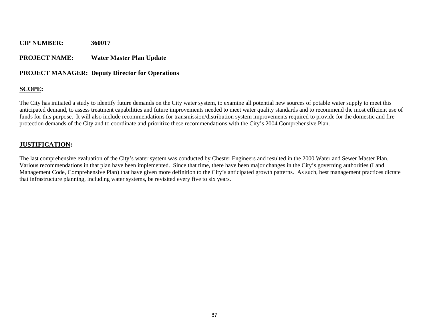#### **PROJECT NAME: Water Master Plan Update**

#### **PROJECT MANAGER: Deputy Director for Operations**

#### **SCOPE:**

The City has initiated a study to identify future demands on the City water system, to examine all potential new sources of potable water supply to meet this anticipated demand, to assess treatment capabilities and future improvements needed to meet water quality standards and to recommend the most efficient use of funds for this purpose. It will also include recommendations for transmission/distribution system improvements required to provide for the domestic and fire protection demands of the City and to coordinate and prioritize these recommendations with the City's 2004 Comprehensive Plan.

#### **JUSTIFICATION:**

The last comprehensive evaluation of the City's water system was conducted by Chester Engineers and resulted in the 2000 Water and Sewer Master Plan. Various recommendations in that plan have been implemented. Since that time, there have been major changes in the City's governing authorities (Land Management Code, Comprehensive Plan) that have given more definition to the City's anticipated growth patterns. As such, best management practices dictate that infrastructure planning, including water systems, be revisited every five to six years.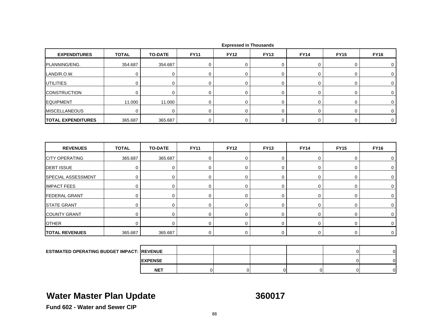| <b>EXPENDITURES</b>                                | <b>TOTAL</b> | <b>TO-DATE</b> | <b>FY11</b> | <b>FY12</b> | <b>FY13</b> | <b>FY14</b> | <b>FY15</b>    | <b>FY16</b>    |
|----------------------------------------------------|--------------|----------------|-------------|-------------|-------------|-------------|----------------|----------------|
| PLANNING/ENG.                                      | 354.687      | 354.687        | $\pmb{0}$   | $\mathbf 0$ | 0           | $\pmb{0}$   | 0              | 0              |
| LAND/R.O.W.                                        | $\mathbf 0$  | $\mathbf 0$    | $\mathbf 0$ | $\mathbf 0$ | $\mathbf 0$ | $\mathbf 0$ | 0              | 0              |
| <b>UTILITIES</b>                                   | 0            | $\mathbf 0$    | 0           | $\mathbf 0$ | 0           | 0           | 0              | 0              |
| <b>CONSTRUCTION</b>                                | $\mathbf 0$  | $\mathbf 0$    | $\pmb{0}$   | $\mathbf 0$ | 0           | 0           | 0              | 0              |
| <b>EQUIPMENT</b>                                   | 11.000       | 11.000         | $\mathbf 0$ | $\mathbf 0$ | $\mathbf 0$ | 0           | 0              | 0              |
| <b>MISCELLANEOUS</b>                               | $\Omega$     | $\mathbf 0$    | $\mathbf 0$ | $\mathbf 0$ | 0           | $\mathbf 0$ | 0              | $\mathbf 0$    |
| <b>TOTAL EXPENDITURES</b>                          | 365.687      | 365.687        | $\mathbf 0$ | $\mathbf 0$ | 0           | $\mathbf 0$ | 0              | $\mathbf 0$    |
| <b>REVENUES</b>                                    | <b>TOTAL</b> | <b>TO-DATE</b> | <b>FY11</b> | <b>FY12</b> | <b>FY13</b> | <b>FY14</b> | <b>FY15</b>    | <b>FY16</b>    |
| <b>CITY OPERATING</b>                              | 365.687      | 365.687        | $\mathbf 0$ | $\mathbf 0$ | 0           | $\mathbf 0$ | 0              | 0              |
| <b>DEBT ISSUE</b>                                  | 0            | $\mathbf 0$    | 0           | 0           | 0           | 0           | 0              | 0              |
| SPECIAL ASSESSMENT                                 | $\pmb{0}$    | $\pmb{0}$      | $\pmb{0}$   | $\mathbf 0$ | 0           | $\pmb{0}$   | 0              | 0              |
| <b>IMPACT FEES</b>                                 | 0            | 0              | $\mathbf 0$ | $\mathbf 0$ | 0           | 0           | 0              | 0              |
| <b>FEDERAL GRANT</b>                               | $\mathbf 0$  | $\pmb{0}$      | $\mathbf 0$ | $\mathbf 0$ | 0           | $\mathbf 0$ | 0              | 0              |
| <b>STATE GRANT</b>                                 | $\mathbf 0$  | 0              | 0           | $\mathbf 0$ | 0           | 0           | 0              | 0              |
| <b>COUNTY GRANT</b>                                | 0            | 0              | 0           | $\mathbf 0$ | 0           | 0           | 0              | 0              |
| <b>OTHER</b>                                       | $\mathbf 0$  | $\mathbf 0$    | $\mathbf 0$ | $\mathbf 0$ | 0           | 0           | 0              | 0              |
| <b>TOTAL REVENUES</b>                              | 365.687      | 365.687        | $\mathbf 0$ | $\mathbf 0$ | 0           | $\mathbf 0$ | 0              | $\mathsf 0$    |
|                                                    |              |                |             |             |             |             |                |                |
| <b>ESTIMATED OPERATING BUDGET IMPACT: IREVENUE</b> |              |                |             |             |             |             | $\overline{0}$ | $\overline{0}$ |
|                                                    |              | <b>EXPENSE</b> |             |             |             |             | $\overline{0}$ | $\overline{0}$ |

## **Water Master Plan Update 360017**

**NET**

T | 0| 0| 0| 0| 0| 0|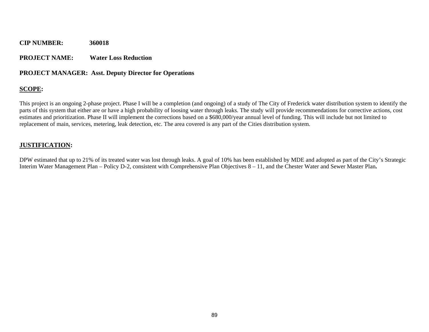#### **PROJECT NAME: Water Loss Reduction**

#### **PROJECT MANAGER: Asst. Deputy Director for Operations**

### **SCOPE:**

This project is an ongoing 2-phase project. Phase I will be a completion (and ongoing) of a study of The City of Frederick water distribution system to identify the parts of this system that either are or have a high probability of loosing water through leaks. The study will provide recommendations for corrective actions, cost estimates and prioritization. Phase II will implement the corrections based on a \$680,000/year annual level of funding. This will include but not limited to replacement of main, services, metering, leak detection, etc. The area covered is any part of the Cities distribution system.

#### **JUSTIFICATION:**

DPW estimated that up to 21% of its treated water was lost through leaks. A goal of 10% has been established by MDE and adopted as part of the City's Strategic Interim Water Management Plan – Policy D-2, consistent with Comprehensive Plan Objectives 8 – 11, and the Chester Water and Sewer Master Plan**.**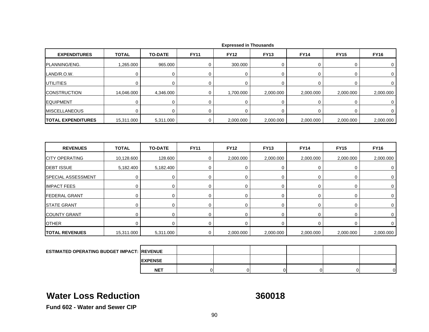| <b>EXPENDITURES</b>                               | <b>TOTAL</b> | <b>TO-DATE</b> | <b>FY11</b> | <b>FY12</b> | <b>FY13</b> | <b>FY14</b> | <b>FY15</b> | <b>FY16</b> |
|---------------------------------------------------|--------------|----------------|-------------|-------------|-------------|-------------|-------------|-------------|
| PLANNING/ENG.                                     | 1,265.000    | 965.000        | 0           | 300.000     | 0           | 0           | 0           | 0           |
| LAND/R.O.W.                                       | 0            | $\pmb{0}$      | $\mathbf 0$ | $\mathbf 0$ | 0           | 0           | 0           | 0           |
| <b>UTILITIES</b>                                  | $\mathbf 0$  | $\mathbf 0$    | 0           | $\mathbf 0$ | 0           | 0           | 0           | 0           |
| <b>CONSTRUCTION</b>                               | 14,046.000   | 4,346.000      | 0           | 1,700.000   | 2,000.000   | 2,000.000   | 2,000.000   | 2,000.000   |
| <b>EQUIPMENT</b>                                  | $\mathbf 0$  | $\mathbf 0$    | $\mathbf 0$ | 0           | 0           | 0           | 0           | 0           |
| <b>MISCELLANEOUS</b>                              | $\mathbf 0$  | $\pmb{0}$      | 0           | $\mathbf 0$ | $\mathbf 0$ | 0           | 0           | 0           |
| <b>TOTAL EXPENDITURES</b>                         | 15,311.000   | 5,311.000      | $\mathbf 0$ | 2,000.000   | 2,000.000   | 2,000.000   | 2,000.000   | 2,000.000   |
| <b>REVENUES</b>                                   | <b>TOTAL</b> | <b>TO-DATE</b> | <b>FY11</b> | <b>FY12</b> | <b>FY13</b> | <b>FY14</b> | <b>FY15</b> | <b>FY16</b> |
| <b>CITY OPERATING</b>                             | 10,128.600   | 128.600        | 0           | 2,000.000   | 2,000.000   | 2,000.000   | 2,000.000   | 2,000.000   |
| <b>DEBT ISSUE</b>                                 | 5,182.400    | 5,182.400      | $\mathbf 0$ | $\mathbf 0$ | 0           | $\mathbf 0$ | 0           | $\mathbf 0$ |
| SPECIAL ASSESSMENT                                | 0            | 0              | 0           | $\mathbf 0$ | 0           | 0           | 0           | 0           |
| <b>IMPACT FEES</b>                                | 0            | $\mathbf 0$    | 0           | 0           | 0           | 0           | 0           | 0           |
| <b>FEDERAL GRANT</b>                              | $\mathbf 0$  | $\mathbf 0$    | $\mathbf 0$ | $\mathbf 0$ | 0           | 0           | 0           | $\mathbf 0$ |
| <b>STATE GRANT</b>                                | 0            | $\mathbf 0$    | $\mathbf 0$ | $\mathbf 0$ | 0           | $\mathbf 0$ | 0           | $\mathbf 0$ |
| <b>COUNTY GRANT</b>                               | $\mathbf 0$  | $\mathbf 0$    | $\mathbf 0$ | $\mathbf 0$ | 0           | $\mathbf 0$ | 0           | 0           |
| <b>OTHER</b>                                      | 0            | $\mathbf 0$    | 0           | 0           | 0           | 0           | 0           | 0           |
| <b>TOTAL REVENUES</b>                             | 15,311.000   | 5,311.000      | $\mathbf 0$ | 2,000.000   | 2,000.000   | 2,000.000   | 2,000.000   | 2,000.000   |
|                                                   |              |                |             |             |             |             |             |             |
| <b>ESTIMATED OPERATING BUDGET IMPACT: REVENUE</b> |              |                |             |             |             |             |             |             |

# **Water Loss Reduction**

**EXPENSE NET**

**360018**

T | 0| 0| 0| 0| 0| 0|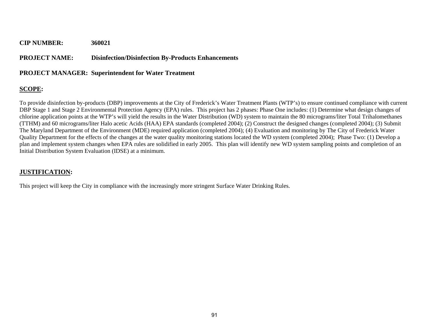#### **PROJECT NAME: Disinfection/Disinfection By-Products Enhancements**

#### **PROJECT MANAGER: Superintendent for Water Treatment**

### **SCOPE:**

To provide disinfection by-products (DBP) improvements at the City of Frederick's Water Treatment Plants (WTP's) to ensure continued compliance with current DBP Stage 1 and Stage 2 Environmental Protection Agency (EPA) rules. This project has 2 phases: Phase One includes: (1) Determine what design changes of chlorine application points at the WTP's will yield the results in the Water Distribution (WD) system to maintain the 80 micrograms/liter Total Trihalomethanes (TTHM) and 60 micrograms/liter Halo acetic Acids (HAA) EPA standards (completed 2004); (2) Construct the designed changes (completed 2004); (3) Submit The Maryland Department of the Environment (MDE) required application (completed 2004); (4) Evaluation and monitoring by The City of Frederick Water Quality Department for the effects of the changes at the water quality monitoring stations located the WD system (completed 2004); Phase Two: (1) Develop a plan and implement system changes when EPA rules are solidified in early 2005. This plan will identify new WD system sampling points and completion of an Initial Distribution System Evaluation (IDSE) at a minimum.

#### **JUSTIFICATION:**

This project will keep the City in compliance with the increasingly more stringent Surface Water Drinking Rules.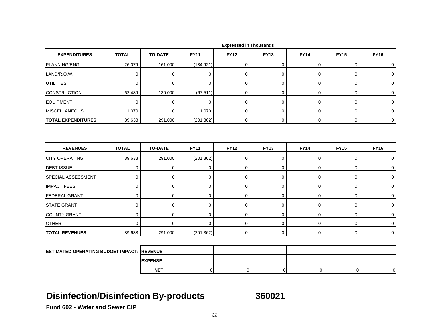| <b>EXPENDITURES</b>                               | <b>TOTAL</b> | <b>TO-DATE</b> | <b>FY11</b>    | <b>FY12</b>      | <b>FY13</b>    | <b>FY14</b>    | <b>FY15</b>    | <b>FY16</b>         |
|---------------------------------------------------|--------------|----------------|----------------|------------------|----------------|----------------|----------------|---------------------|
| PLANNING/ENG.                                     | 26.079       | 161.000        | (134.921)      | $\mathbf 0$      | 0              | $\pmb{0}$      | 0              | $\mathbf 0$         |
| LAND/R.O.W.                                       | $\mathbf 0$  | $\mathbf 0$    | $\mathbf 0$    | $\mathbf 0$      | $\mathbf 0$    | $\mathbf 0$    | 0              | $\mathbf 0$         |
| <b>UTILITIES</b>                                  | $\mathbf 0$  | $\mathbf 0$    | 0              | $\mathbf 0$      | 0              | 0              | 0              | 0                   |
| <b>CONSTRUCTION</b>                               | 62.489       | 130.000        | (67.511)       | $\boldsymbol{0}$ | 0              | $\mathsf 0$    | 0              | $\mathbf 0$         |
| <b>EQUIPMENT</b>                                  | $\mathbf 0$  | $\mathbf 0$    | $\mathbf 0$    | $\mathbf 0$      | 0              | 0              | 0              | $\mathbf 0$         |
| <b>MISCELLANEOUS</b>                              | 1.070        | $\Omega$       | 1.070          | $\mathbf 0$      | $\overline{0}$ | $\mathbf 0$    | 0              | $\mathbf 0$         |
| <b>TOTAL EXPENDITURES</b>                         | 89.638       | 291.000        | (201.362)      | $\boldsymbol{0}$ | 0              | $\mathbf 0$    | 0              | $\mathsf{O}\xspace$ |
|                                                   |              |                |                |                  |                |                |                |                     |
| <b>REVENUES</b>                                   | <b>TOTAL</b> | <b>TO-DATE</b> | <b>FY11</b>    | <b>FY12</b>      | <b>FY13</b>    | <b>FY14</b>    | <b>FY15</b>    | <b>FY16</b>         |
| <b>CITY OPERATING</b>                             | 89.638       | 291.000        | (201.362)      | $\boldsymbol{0}$ | 0              | $\mathsf 0$    | 0              | $\mathbf 0$         |
| <b>DEBT ISSUE</b>                                 | $\mathbf 0$  | $\mathbf 0$    | $\mathbf 0$    | $\mathbf 0$      | $\mathbf 0$    | $\mathbf 0$    | 0              | $\mathbf 0$         |
| SPECIAL ASSESSMENT                                | $\mathbf 0$  | $\mathbf 0$    | $\mathbf 0$    | $\mathbf 0$      | 0              | 0              | 0              | $\mathbf 0$         |
| <b>IMPACT FEES</b>                                | 0            | 0              | 0              | $\mathbf 0$      | 0              | 0              | 0              | $\mathbf 0$         |
| <b>FEDERAL GRANT</b>                              | $\mathbf 0$  | 0              | 0              | $\mathbf 0$      | 0              | $\mathsf 0$    | 0              | $\mathbf 0$         |
| <b>STATE GRANT</b>                                | $\mathbf 0$  | $\mathbf 0$    | $\mathbf 0$    | $\mathbf 0$      | $\mathbf 0$    | $\pmb{0}$      | 0              | 0                   |
| <b>COUNTY GRANT</b>                               | $\mathbf 0$  | 0              | 0              | $\mathbf 0$      | $\mathbf 0$    | 0              | 0              | 0                   |
| <b>OTHER</b>                                      | 0            | $\mathbf 0$    | $\mathbf 0$    | $\mathbf 0$      | 0              | $\mathbf 0$    | 0              | $\mathbf 0$         |
| <b>TOTAL REVENUES</b>                             | 89.638       | 291.000        | (201.362)      | 0                | 0              | $\mathbf 0$    | 0              | $\mathbf 0$         |
|                                                   |              |                |                |                  |                |                |                |                     |
| <b>ESTIMATED OPERATING BUDGET IMPACT: REVENUE</b> |              |                |                |                  |                |                |                |                     |
|                                                   |              | <b>EXPENSE</b> |                |                  |                |                |                |                     |
|                                                   |              | <b>NET</b>     | $\overline{0}$ | $\overline{0}$   | $\overline{0}$ | $\overline{0}$ | $\overline{0}$ | $\overline{0}$      |

## **Disinfection/Disinfection By-products 360021**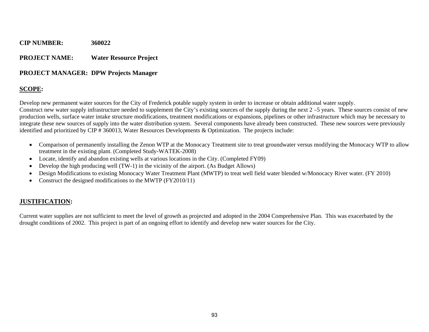#### **PROJECT NAME: Water Resource Project**

#### **PROJECT MANAGER: DPW Projects Manager**

### **SCOPE:**

Develop new permanent water sources for the City of Frederick potable supply system in order to increase or obtain additional water supply.

Construct new water supply infrastructure needed to supplement the City's existing sources of the supply during the next  $2-5$  years. These sources consist of new production wells, surface water intake structure modifications, treatment modifications or expansions, pipelines or other infrastructure which may be necessary to integrate these new sources of supply into the water distribution system. Several components have already been constructed. These new sources were previously identified and prioritized by CIP # 360013, Water Resources Developments & Optimization. The projects include:

- Comparison of permanently installing the Zenon WTP at the Monocacy Treatment site to treat groundwater versus modifying the Monocacy WTP to allow treatment in the existing plant. (Completed Study-WATEK-2008)
- Locate, identify and abandon existing wells at various locations in the City. (Completed FY09)
- 0 Develop the high producing well (TW-1) in the vicinity of the airport. (As Budget Allows)
- 0 Design Modifications to existing Monocacy Water Treatment Plant (MWTP) to treat well field water blended w/Monocacy River water. (FY 2010)
- Construct the designed modifications to the MWTP (FY2010/11)

### **JUSTIFICATION:**

Current water supplies are not sufficient to meet the level of growth as projected and adopted in the 2004 Comprehensive Plan. This was exacerbated by the drought conditions of 2002. This project is part of an ongoing effort to identify and develop new water sources for the City.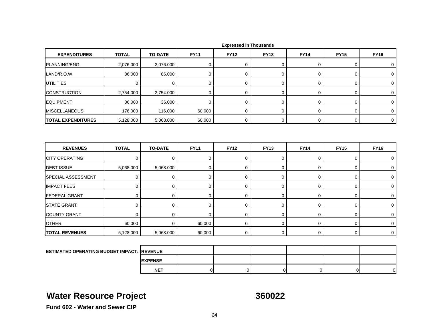| <b>EXPENDITURES</b>                        | <b>TOTAL</b>   | <b>TO-DATE</b>           | <b>FY11</b>                | <b>FY12</b>                | <b>FY13</b>                | <b>FY14</b>      | <b>FY15</b> | <b>FY16</b>                |
|--------------------------------------------|----------------|--------------------------|----------------------------|----------------------------|----------------------------|------------------|-------------|----------------------------|
| PLANNING/ENG.                              | 2,076.000      | 2,076.000                | 0                          | $\mathbf 0$                | 0                          | 0                | 0           | $\mathbf 0$                |
| LAND/R.O.W.                                | 86.000         | 86.000                   | $\mathbf 0$                | $\mathbf 0$                | $\mathbf 0$                | 0                | 0           | $\mathbf 0$                |
| UTILITIES                                  | $\mathbf 0$    | $\mathbf 0$              | $\mathbf 0$                | $\mathbf 0$                | $\mathbf 0$                | $\mathbf 0$      | 0           | $\mathbf 0$                |
| <b>CONSTRUCTION</b>                        | 2,754.000      | 2,754.000                | $\mathbf 0$                | $\mathbf 0$                | $\mathbf 0$                | 0                | 0           | $\mathbf 0$                |
| <b>EQUIPMENT</b>                           | 36.000         | 36.000                   | $\mathbf 0$                | 0                          | 0                          | 0                | 0           | 0                          |
| <b>MISCELLANEOUS</b>                       | 176.000        | 116.000                  | 60.000                     | $\Omega$                   | $\mathbf 0$                | 0                | 0           | $\mathbf 0$                |
| <b>TOTAL EXPENDITURES</b>                  | 5,128.000      | 5,068.000                | 60.000                     | $\mathbf 0$                | $\boldsymbol{0}$           | $\mathbf 0$      | 0           | $\mathbf 0$                |
| <b>REVENUES</b>                            | <b>TOTAL</b>   | <b>TO-DATE</b>           | <b>FY11</b>                | <b>FY12</b>                | <b>FY13</b>                | <b>FY14</b>      | <b>FY15</b> | <b>FY16</b>                |
|                                            |                |                          |                            |                            |                            |                  |             |                            |
| <b>CITY OPERATING</b><br><b>DEBT ISSUE</b> | $\mathbf 0$    | $\mathbf 0$              | $\mathbf 0$                | $\mathbf 0$                | $\mathbf 0$<br>$\mathbf 0$ | $\mathbf 0$      | 0           | 0                          |
| SPECIAL ASSESSMENT                         | 5,068.000<br>0 | 5,068.000<br>$\mathbf 0$ | $\mathbf 0$<br>$\mathbf 0$ | $\mathbf 0$<br>$\mathbf 0$ | 0                          | $\mathbf 0$<br>0 | 0<br>0      | $\mathbf 0$<br>$\mathbf 0$ |
| <b>IMPACT FEES</b>                         | $\mathsf 0$    | 0                        | 0                          | $\mathbf 0$                | $\boldsymbol{0}$           | $\mathbf 0$      | 0           | 0                          |
| <b>FEDERAL GRANT</b>                       | 0              | 0                        | 0                          | $\mathbf 0$                | $\mathbf 0$                | 0                | 0           | 0                          |
| <b>STATE GRANT</b>                         | $\mathbf 0$    | $\mathbf 0$              | $\mathbf 0$                | $\mathbf 0$                | $\boldsymbol{0}$           | 0                | 0           | $\mathbf 0$                |
| <b>COUNTY GRANT</b>                        | $\mathbf 0$    | $\mathbf 0$              | 0                          | $\mathbf 0$                | $\boldsymbol{0}$           | $\mathbf 0$      | 0           | $\mathbf 0$                |
| <b>OTHER</b>                               | 60.000         | $\mathbf 0$              | 60.000                     | $\mathbf 0$                | $\boldsymbol{0}$           | $\mathbf 0$      | 0           | $\mathbf 0$                |
| <b>TOTAL REVENUES</b>                      | 5,128.000      | 5,068.000                | 60.000                     | 0                          | 0                          | $\mathsf 0$      | 0           | $\mathbf 0$                |
|                                            |                |                          |                            |                            |                            |                  |             |                            |

| <b>ESTIMATED OPERATING BUDGET IMPACT: REVENUE</b> |                 |  |  |   |
|---------------------------------------------------|-----------------|--|--|---|
|                                                   | <b>IEXPENSE</b> |  |  |   |
|                                                   | <b>NET</b>      |  |  | n |

## **Water Resource Project 360022**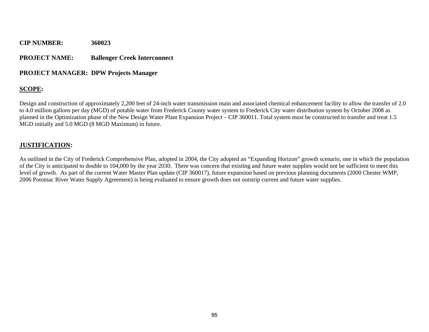#### **PROJECT NAME: Ballenger Creek Interconnect**

#### **PROJECT MANAGER: DPW Projects Manager**

#### **SCOPE:**

Design and construction of approximately 2,200 feet of 24-inch water transmission main and associated chemical enhancement facility to allow the transfer of 2.0 to 4.0 million gallons per day (MGD) of potable water from Frederick County water system to Frederick City water distribution system by October 2008 as planned in the Optimization phase of the New Design Water Plant Expansion Project – CIP 360011. Total system must be constructed to transfer and treat 1.5 MGD initially and 5.0 MGD (8 MGD Maximum) in future.

#### **JUSTIFICATION:**

As outlined in the City of Frederick Comprehensive Plan, adopted in 2004, the City adopted an "Expanding Horizon" growth scenario, one in which the population of the City is anticipated to double to 104,000 by the year 2030. There was concern that existing and future water supplies would not be sufficient to meet this level of growth. As part of the current Water Master Plan update (CIP 360017), future expansion based on previous planning documents (2000 Chester WMP, 2006 Potomac River Water Supply Agreement) is being evaluated to ensure growth does not outstrip current and future water supplies.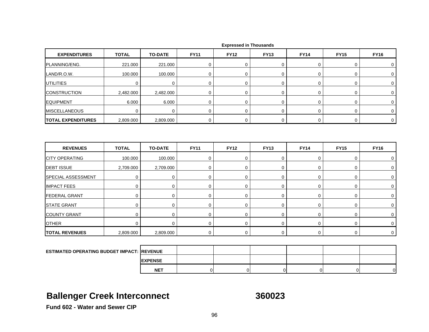| <b>EXPENDITURES</b>       | <b>TOTAL</b> | <b>TO-DATE</b> | <b>FY11</b> | <b>FY12</b> | <b>FY13</b> | <b>FY14</b> | <b>FY15</b> | <b>FY16</b> |
|---------------------------|--------------|----------------|-------------|-------------|-------------|-------------|-------------|-------------|
| PLANNING/ENG.             | 221.000      | 221.000        | 0           | $\mathbf 0$ | 0           | 0           | 0           | 0           |
| LAND/R.O.W.               | 100.000      | 100.000        | 0           | $\Omega$    | 0           | 0           | 0           | 0           |
| <b>UTILITIES</b>          | 0            | 0              | 0           | $\mathbf 0$ | 0           | 0           | 0           | 0           |
| <b>CONSTRUCTION</b>       | 2,482.000    | 2,482.000      | 0           | 0           | 0           | 0           | 0           | 0           |
| <b>EQUIPMENT</b>          | 6.000        | 6.000          | 0           | 0           | 0           | 0           | 0           | 0           |
| <b>MISCELLANEOUS</b>      | 0            | 0              | 0           | $\Omega$    | 0           | 0           | 0           | 0           |
| <b>TOTAL EXPENDITURES</b> | 2,809.000    | 2,809.000      | 0           | $\mathbf 0$ | 0           | 0           | 0           | 0           |
| <b>REVENUES</b>           | <b>TOTAL</b> | <b>TO-DATE</b> | <b>FY11</b> | <b>FY12</b> | <b>FY13</b> | <b>FY14</b> | <b>FY15</b> | <b>FY16</b> |
| <b>CITY OPERATING</b>     | 100.000      | 100.000        | $\Omega$    | $\Omega$    | 0           | 0           | 0           | 0           |
| <b>DEBT ISSUE</b>         | 2,709.000    | 2,709.000      | 0           | $\Omega$    | 0           | 0           | 0           | 0           |
| <b>SPECIAL ASSESSMENT</b> | $\Omega$     | $\mathbf 0$    | $\Omega$    | $\Omega$    | 0           | 0           | $\mathbf 0$ | $\Omega$    |
| <b>IMPACT FEES</b>        | 0            | 0              | 0           | 0           | 0           | 0           | 0           | $\mathbf 0$ |

|  |  | <b>Expressed in Thousands</b> |
|--|--|-------------------------------|
|--|--|-------------------------------|

| <b>OTHER</b>                                       |           |                 |  | 0 |  |
|----------------------------------------------------|-----------|-----------------|--|---|--|
| <b>TOTAL REVENUES</b>                              | 2,809.000 | 2,809.000       |  | U |  |
|                                                    |           |                 |  |   |  |
| <b>ESTIMATED OPERATING BUDGET IMPACT: IREVENUE</b> |           |                 |  |   |  |
|                                                    |           | <b>IEXPENSE</b> |  |   |  |
|                                                    |           | <b>NET</b>      |  |   |  |

T | 0| 0| 0| 0| 0| 0| 0| 0|

T | 0| 0| 0| 0| 0| 0| 0| 0|

T | 0| 0| 0| 0| 0| 0| 0| 0|

## **Ballenger Creek Interconnect 360023**

**Fund 602 - Water and Sewer CIP**

FEDERAL GRANT

STATE GRANT

COUNTY GRANT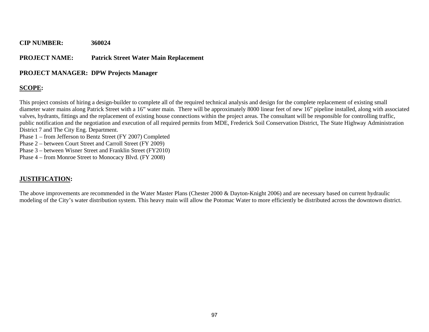#### **PROJECT NAME: Patrick Street Water Main Replacement**

#### **PROJECT MANAGER: DPW Projects Manager**

#### **SCOPE:**

This project consists of hiring a design-builder to complete all of the required technical analysis and design for the complete replacement of existing small diameter water mains along Patrick Street with a 16" water main. There will be approximately 8000 linear feet of new 16" pipeline installed, along with associated valves, hydrants, fittings and the replacement of existing house connections within the project areas. The consultant will be responsible for controlling traffic, public notification and the negotiation and execution of all required permits from MDE, Frederick Soil Conservation District, The State Highway Administration District 7 and The City Eng. Department.

Phase 1 – from Jefferson to Bentz Street (FY 2007) Completed

Phase 2 – between Court Street and Carroll Street (FY 2009)

Phase 3 – between Wisner Street and Franklin Street (FY2010)

Phase 4 – from Monroe Street to Monocacy Blvd. (FY 2008)

### **JUSTIFICATION:**

The above improvements are recommended in the Water Master Plans (Chester 2000 & Dayton-Knight 2006) and are necessary based on current hydraulic modeling of the City's water distribution system. This heavy main will allow the Potomac Water to more efficiently be distributed across the downtown district.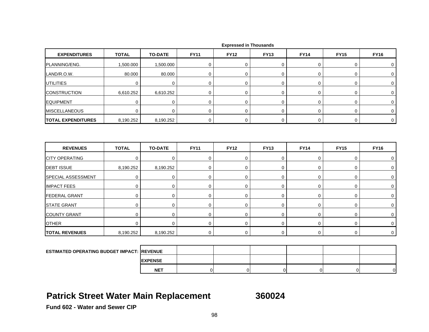| <b>EXPENDITURES</b>       | <b>TOTAL</b> | <b>TO-DATE</b> | <b>FY11</b> | <b>FY12</b> | <b>FY13</b>      | <b>FY14</b> | <b>FY15</b> | <b>FY16</b>    |
|---------------------------|--------------|----------------|-------------|-------------|------------------|-------------|-------------|----------------|
| PLANNING/ENG.             | 1,500.000    | 1,500.000      | $\mathbf 0$ | $\mathbf 0$ | 0                | 0           | $\mathbf 0$ | $\mathbf 0$    |
| LAND/R.O.W.               | 80.000       | 80.000         | $\mathbf 0$ | $\mathbf 0$ | 0                | $\pmb{0}$   | $\mathbf 0$ | $\mathbf 0$    |
| <b>UTILITIES</b>          | $\mathbf 0$  | $\mathbf 0$    | $\mathbf 0$ | 0           | $\mathbf 0$      | $\mathbf 0$ | $\mathbf 0$ | 0              |
| <b>CONSTRUCTION</b>       | 6,610.252    | 6,610.252      | $\mathbf 0$ | $\mathbf 0$ | $\boldsymbol{0}$ | $\mathbf 0$ | $\mathbf 0$ | $\mathbf 0$    |
| <b>EQUIPMENT</b>          | 0            | 0              | 0           | 0           | 0                | 0           | $\mathbf 0$ | 0              |
| <b>MISCELLANEOUS</b>      | $\mathbf 0$  | $\mathbf 0$    | 0           | 0           | 0                | 0           | 0           | $\mathbf 0$    |
| <b>TOTAL EXPENDITURES</b> | 8,190.252    | 8,190.252      | $\mathbf 0$ | $\mathbf 0$ | $\mathbf 0$      | $\mathbf 0$ | $\mathbf 0$ | $\overline{0}$ |
| <b>REVENUES</b>           | <b>TOTAL</b> | <b>TO-DATE</b> | <b>FY11</b> | <b>FY12</b> | <b>FY13</b>      | <b>FY14</b> | <b>FY15</b> | <b>FY16</b>    |
|                           |              |                |             |             |                  |             |             |                |
|                           |              |                |             |             |                  |             |             |                |
| <b>CITY OPERATING</b>     | $\mathbf 0$  | $\pmb{0}$      | $\mathbf 0$ | $\mathbf 0$ | 0                | 0           | $\mathbf 0$ | 0              |
| <b>DEBT ISSUE</b>         | 8,190.252    | 8,190.252      | $\mathbf 0$ | $\mathbf 0$ | 0                | 0           | $\mathbf 0$ | 0              |
| SPECIAL ASSESSMENT        | 0            | 0              | $\mathbf 0$ | $\mathbf 0$ | $\pmb{0}$        | 0           | $\pmb{0}$   | $\mathbf 0$    |
| <b>IMPACT FEES</b>        | 0            | 0              | 0           | $\mathbf 0$ | 0                | 0           | $\mathbf 0$ | $\mathbf 0$    |
| <b>FEDERAL GRANT</b>      | 0            | $\mathbf 0$    | $\mathbf 0$ | 0           | 0                | 0           | $\mathbf 0$ | $\mathbf 0$    |
| <b>STATE GRANT</b>        | $\mathbf 0$  | $\mathbf 0$    | $\mathbf 0$ | $\mathbf 0$ | $\boldsymbol{0}$ | $\mathbf 0$ | $\mathbf 0$ | $\mathbf 0$    |
| <b>COUNTY GRANT</b>       | $\mathbf 0$  | $\mathbf 0$    | $\mathbf 0$ | $\mathbf 0$ | 0                | 0           | $\mathbf 0$ | 0              |
| <b>OTHER</b>              | $\mathbf 0$  | $\mathbf 0$    | $\mathbf 0$ | $\mathbf 0$ | $\boldsymbol{0}$ | $\mathbf 0$ | $\mathbf 0$ | $\mathbf 0$    |
| <b>TOTAL REVENUES</b>     | 8,190.252    | 8,190.252      | 0           | 0           | 0                | 0           | $\mathbf 0$ | $\mathbf 0$    |
|                           |              |                |             |             |                  |             |             |                |

| <b>Expressed in Thousands</b> |  |
|-------------------------------|--|
|-------------------------------|--|

| <b>ESTIMATED OPERATING BUDGET IMPACT: REVENUE</b> |                 |  |  |   |
|---------------------------------------------------|-----------------|--|--|---|
|                                                   | <b>IEXPENSE</b> |  |  |   |
|                                                   | <b>NET</b>      |  |  | ി |

## **Patrick Street Water Main Replacement 360024**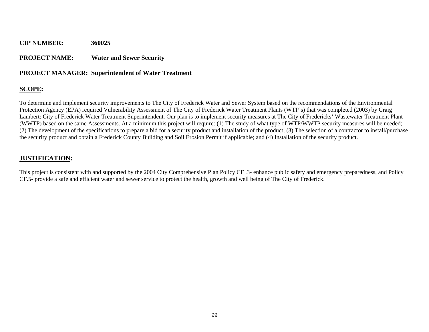#### **PROJECT NAME: Water and Sewer Security**

#### **PROJECT MANAGER: Superintendent of Water Treatment**

#### **SCOPE:**

To determine and implement security improvements to The City of Frederick Water and Sewer System based on the recommendations of the Environmental Protection Agency (EPA) required Vulnerability Assessment of The City of Frederick Water Treatment Plants (WTP's) that was completed (2003) by Craig Lambert: City of Frederick Water Treatment Superintendent. Our plan is to implement security measures at The City of Fredericks' Wastewater Treatment Plant (WWTP) based on the same Assessments. At a minimum this project will require: (1) The study of what type of WTP/WWTP security measures will be needed; (2) The development of the specifications to prepare a bid for a security product and installation of the product; (3) The selection of a contractor to install/purchase the security product and obtain a Frederick County Building and Soil Erosion Permit if applicable; and (4) Installation of the security product.

#### **JUSTIFICATION:**

This project is consistent with and supported by the 2004 City Comprehensive Plan Policy CF .3- enhance public safety and emergency preparedness, and Policy CF.5- provide a safe and efficient water and sewer service to protect the health, growth and well being of The City of Frederick.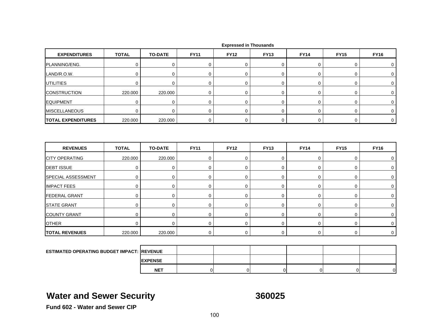| <b>EXPENDITURES</b>                                               | <b>TOTAL</b> | <b>TO-DATE</b> | <b>FY11</b> | <b>FY12</b> | <b>FY13</b> | <b>FY14</b> | <b>FY15</b> | <b>FY16</b>    |
|-------------------------------------------------------------------|--------------|----------------|-------------|-------------|-------------|-------------|-------------|----------------|
| PLANNING/ENG.                                                     | $\mathbf 0$  | $\mathbf 0$    | 0           | $\mathbf 0$ | 0           | $\mathbf 0$ | 0           | 0              |
| LAND/R.O.W.                                                       | $\mathbf 0$  | $\mathbf 0$    | $\mathbf 0$ | $\mathbf 0$ | 0           | 0           | 0           | 0              |
| <b>UTILITIES</b>                                                  | $\mathbf 0$  | $\pmb{0}$      | $\mathbf 0$ | $\mathbf 0$ | 0           | $\mathbf 0$ | 0           | $\mathbf 0$    |
| <b>CONSTRUCTION</b>                                               | 220.000      | 220.000        | $\mathbf 0$ | 0           | 0           | 0           | 0           | $\mathbf 0$    |
| <b>EQUIPMENT</b>                                                  | $\mathbf 0$  | $\mathbf 0$    | 0           | $\mathbf 0$ | 0           | 0           | 0           | 0              |
| <b>MISCELLANEOUS</b>                                              | $\mathbf 0$  | $\mathbf 0$    | $\mathbf 0$ | $\mathbf 0$ | 0           | $\mathbf 0$ | 0           | $\mathbf 0$    |
| <b>TOTAL EXPENDITURES</b>                                         | 220.000      | 220.000        | 0           | 0           | 0           | $\mathbf 0$ | 0           | $\overline{0}$ |
|                                                                   |              |                |             |             |             |             |             |                |
|                                                                   |              |                |             |             |             |             |             |                |
| <b>REVENUES</b>                                                   | <b>TOTAL</b> | <b>TO-DATE</b> | <b>FY11</b> | <b>FY12</b> | <b>FY13</b> | <b>FY14</b> | <b>FY15</b> | <b>FY16</b>    |
| <b>CITY OPERATING</b>                                             | 220.000      | 220.000        | $\mathbf 0$ | $\mathbf 0$ | 0           | $\mathbf 0$ | 0           | 0              |
| <b>DEBT ISSUE</b>                                                 | $\mathbf 0$  | $\mathbf 0$    | 0           | $\mathbf 0$ | 0           | 0           | 0           | 0              |
|                                                                   | $\mathbf 0$  | 0              | $\mathbf 0$ | $\mathbf 0$ | 0           | 0           | 0           | 0              |
| SPECIAL ASSESSMENT<br><b>IMPACT FEES</b>                          | $\mathbf 0$  | $\mathbf 0$    | $\mathbf 0$ | $\mathbf 0$ | 0           | $\mathbf 0$ | 0           | $\mathbf 0$    |
|                                                                   | $\mathbf 0$  | 0              | $\mathbf 0$ | $\mathbf 0$ | 0           | 0           | 0           | 0              |
|                                                                   | $\mathbf 0$  | 0              | 0           | $\mathbf 0$ | 0           | 0           | 0           | 0              |
| <b>FEDERAL GRANT</b><br><b>STATE GRANT</b><br><b>COUNTY GRANT</b> | $\mathbf 0$  | $\mathbf 0$    | $\mathbf 0$ | $\mathbf 0$ | 0           | $\mathbf 0$ | 0           | $\mathbf 0$    |
| <b>OTHER</b>                                                      | $\mathbf 0$  | $\mathbf 0$    | $\mathbf 0$ | $\mathbf 0$ | 0           | 0           | 0           | $\mathbf 0$    |

**ESTIMATED OPERATING BUDGET IMPACT: REVENUEEXPENSENET**T | 0| 0| 0| 0| 0| 0|

## **Water and Sewer Security <b>360025**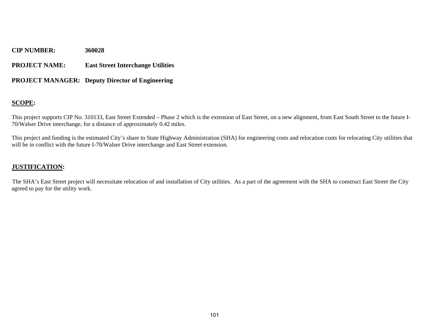#### **PROJECT NAME: East Street Interchange Utilities**

#### **PROJECT MANAGER: Deputy Director of Engineering**

#### **SCOPE:**

This project supports CIP No. 310133, East Street Extended – Phase 2 which is the extension of East Street, on a new alignment, from East South Street to the future I-70/Walser Drive interchange, for a distance of approximately 0.42 miles.

This project and funding is the estimated City's share to State Highway Administration (SHA) for engineering costs and relocation costs for relocating City utilities that will be in conflict with the future I-70/Walser Drive interchange and East Street extension.

#### **JUSTIFICATION:**

The SHA's East Street project will necessitate relocation of and installation of City utilities. As a part of the agreement with the SHA to construct East Street the City agreed to pay for the utility work.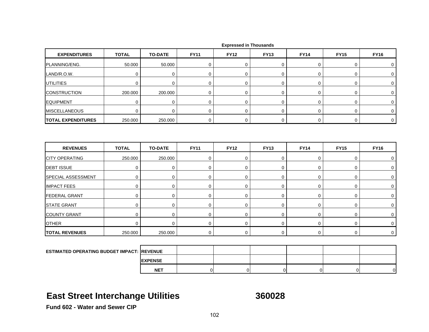| <b>EXPENDITURES</b>       | <b>TOTAL</b> | <b>TO-DATE</b> | <b>FY11</b> | <b>FY12</b> | <b>FY13</b> | <b>FY14</b> | <b>FY15</b> | <b>FY16</b> |
|---------------------------|--------------|----------------|-------------|-------------|-------------|-------------|-------------|-------------|
| PLANNING/ENG.             | 50.000       | 50.000         | 0           | $\mathbf 0$ | 0           | 0           | 0           | 0           |
| LAND/R.O.W.               | $\mathbf 0$  | $\mathbf 0$    | $\mathbf 0$ | $\mathbf 0$ | 0           | 0           | 0           | 0           |
| <b>UTILITIES</b>          | $\mathbf 0$  | $\mathbf 0$    | $\mathbf 0$ | $\mathbf 0$ | 0           | $\mathbf 0$ | 0           | $\mathbf 0$ |
| <b>CONSTRUCTION</b>       | 200.000      | 200.000        | $\mathbf 0$ | $\mathbf 0$ | $\mathbf 0$ | $\mathbf 0$ | 0           | 0           |
| <b>EQUIPMENT</b>          | $\mathbf 0$  | $\mathbf 0$    | 0           | 0           | 0           | 0           | 0           | 0           |
| <b>MISCELLANEOUS</b>      | $\mathbf 0$  | $\mathbf 0$    | $\mathbf 0$ | $\mathbf 0$ | 0           | $\mathbf 0$ | 0           | $\mathbf 0$ |
| <b>TOTAL EXPENDITURES</b> | 250.000      | 250.000        | $\mathbf 0$ | 0           | $\mathbf 0$ | $\mathbf 0$ | 0           | $\mathbf 0$ |
| <b>REVENUES</b>           | <b>TOTAL</b> | <b>TO-DATE</b> | <b>FY11</b> | <b>FY12</b> | <b>FY13</b> | <b>FY14</b> | <b>FY15</b> | <b>FY16</b> |
| <b>CITY OPERATING</b>     | 250.000      | 250.000        | $\mathbf 0$ | $\mathbf 0$ | 0           | $\mathbf 0$ | 0           | $\mathbf 0$ |
| <b>DEBT ISSUE</b>         | $\mathbf 0$  | $\mathbf 0$    | $\mathbf 0$ | $\mathbf 0$ | 0           | $\mathbf 0$ | 0           | 0           |
| SPECIAL ASSESSMENT        | 0            | 0              | 0           | $\mathbf 0$ | 0           | 0           | 0           | 0           |
| <b>IMPACT FEES</b>        | $\mathbf 0$  | $\mathbf 0$    | $\mathbf 0$ | $\mathbf 0$ | 0           | 0           | 0           | 0           |
| <b>FEDERAL GRANT</b>      | $\mathbf 0$  | $\mathbf 0$    | $\mathbf 0$ | $\mathbf 0$ | 0           | $\mathbf 0$ | 0           | 0           |
| <b>STATE GRANT</b>        | 0            | 0              | 0           | $\mathbf 0$ | 0           | 0           | 0           | 0           |
| <b>COUNTY GRANT</b>       | $\mathbf 0$  | 0              | 0           | $\mathbf 0$ | 0           | 0           | 0           | 0           |
| <b>OTHER</b>              | $\mathbf 0$  | $\mathbf 0$    | $\mathbf 0$ | $\mathbf 0$ | 0           | $\mathbf 0$ | 0           | 0           |
| <b>TOTAL REVENUES</b>     | 250.000      | 250.000        | 0           | $\mathbf 0$ | 0           | $\mathbf 0$ | 0           | $\mathbf 0$ |
|                           |              |                |             |             |             |             |             |             |

| <b>ESTIMATED OPERATING BUDGET IMPACT: REVENUE</b> |                 |  |          |    |
|---------------------------------------------------|-----------------|--|----------|----|
|                                                   | <b>IEXPENSE</b> |  |          |    |
|                                                   | <b>NET</b>      |  | $\Omega$ | ΩI |

## **East Street Interchange Utilities 360028**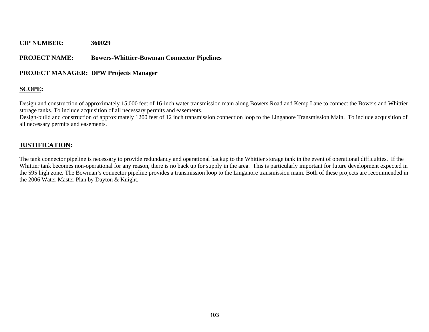#### **PROJECT NAME: Bowers-Whittier-Bowman Connector Pipelines**

#### **PROJECT MANAGER: DPW Projects Manager**

### **SCOPE:**

Design and construction of approximately 15,000 feet of 16-inch water transmission main along Bowers Road and Kemp Lane to connect the Bowers and Whittier storage tanks. To include acquisition of all necessary permits and easements.

Design-build and construction of approximately 1200 feet of 12 inch transmission connection loop to the Linganore Transmission Main. To include acquisition of all necessary permits and easements.

#### **JUSTIFICATION:**

The tank connector pipeline is necessary to provide redundancy and operational backup to the Whittier storage tank in the event of operational difficulties. If the Whittier tank becomes non-operational for any reason, there is no back up for supply in the area. This is particularly important for future development expected in the 595 high zone. The Bowman's connector pipeline provides a transmission loop to the Linganore transmission main. Both of these projects are recommended in the 2006 Water Master Plan by Dayton & Knight.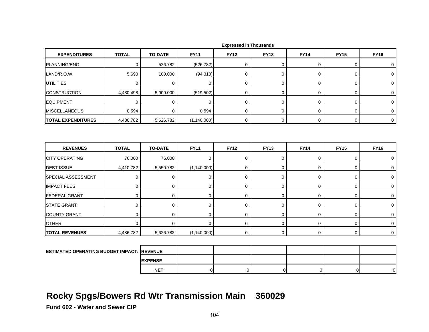| <b>EXPENDITURES</b>                               | <b>TOTAL</b> | <b>TO-DATE</b> | <b>FY11</b>    | <b>FY12</b>      | <b>FY13</b>      | <b>FY14</b>    | <b>FY15</b>    | <b>FY16</b>         |
|---------------------------------------------------|--------------|----------------|----------------|------------------|------------------|----------------|----------------|---------------------|
| PLANNING/ENG.                                     | 0            | 526.782        | (526.782)      | $\mathbf 0$      | 0                | 0              | 0              | $\mathbf 0$         |
| LAND/R.O.W.                                       | 5.690        | 100.000        | (94.310)       | $\mathbf 0$      | $\boldsymbol{0}$ | 0              | 0              | 0                   |
| <b>UTILITIES</b>                                  | $\mathbf 0$  | $\mathbf 0$    | 0              | 0                | 0                | 0              | 0              | $\mathbf 0$         |
| <b>CONSTRUCTION</b>                               | 4,480.498    | 5,000.000      | (519.502)      | $\boldsymbol{0}$ | $\mathbf 0$      | $\mathbf 0$    | 0              | 0                   |
| <b>EQUIPMENT</b>                                  | $\mathbf 0$  | 0              | $\mathbf 0$    | $\mathbf 0$      | 0                | 0              | 0              | $\mathbf 0$         |
| <b>MISCELLANEOUS</b>                              | 0.594        | 0              | 0.594          | $\mathbf 0$      | $\mathbf 0$      | $\mathbf 0$    | $\mathbf 0$    | $\mathbf 0$         |
| <b>TOTAL EXPENDITURES</b>                         | 4,486.782    | 5,626.782      | (1,140.000)    | $\mathbf 0$      | $\mathbf 0$      | $\mathbf 0$    | 0              | $\overline{0}$      |
|                                                   |              |                |                |                  |                  |                |                |                     |
| <b>REVENUES</b>                                   | <b>TOTAL</b> | <b>TO-DATE</b> | <b>FY11</b>    | <b>FY12</b>      | <b>FY13</b>      | <b>FY14</b>    | <b>FY15</b>    | <b>FY16</b>         |
| <b>CITY OPERATING</b>                             | 76.000       | 76.000         | 0              | $\mathbf 0$      | $\mathbf 0$      | $\mathbf 0$    | 0              | 0                   |
| <b>DEBT ISSUE</b>                                 | 4,410.782    | 5,550.782      | (1,140.000)    | $\boldsymbol{0}$ | $\boldsymbol{0}$ | $\mathbf 0$    | 0              | 0                   |
| SPECIAL ASSESSMENT                                | $\mathbf 0$  | $\mathbf 0$    | $\mathbf 0$    | $\mathbf 0$      | $\boldsymbol{0}$ | $\mathbf 0$    | 0              | $\mathbf 0$         |
| <b>IMPACT FEES</b>                                | $\mathbf 0$  | 0              | $\mathbf 0$    | $\mathbf 0$      | $\boldsymbol{0}$ | 0              | 0              | $\mathbf 0$         |
| <b>FEDERAL GRANT</b>                              | 0            | 0              | 0              | 0                | 0                | 0              | 0              | $\mathbf 0$         |
| <b>STATE GRANT</b>                                | 0            | 0              | 0              | 0                | 0                | 0              | 0              | 0                   |
| <b>COUNTY GRANT</b>                               | $\mathbf 0$  | $\mathbf 0$    | $\mathbf 0$    | $\mathbf 0$      | $\boldsymbol{0}$ | 0              | 0              | $\mathsf{O}\xspace$ |
| <b>OTHER</b>                                      | $\mathbf 0$  | 0              | $\mathbf 0$    | $\mathbf 0$      | $\mathbf 0$      | $\mathbf 0$    | 0              | $\mathbf 0$         |
| <b>TOTAL REVENUES</b>                             | 4,486.782    | 5,626.782      | (1,140.000)    | $\mathbf 0$      | $\boldsymbol{0}$ | $\mathbf 0$    | 0              | $\mathsf{O}\xspace$ |
|                                                   |              |                |                |                  |                  |                |                |                     |
| <b>ESTIMATED OPERATING BUDGET IMPACT: REVENUE</b> |              |                |                |                  |                  |                |                |                     |
|                                                   |              | <b>EXPENSE</b> |                |                  |                  |                |                |                     |
|                                                   |              | <b>NET</b>     | $\overline{0}$ | $\overline{0}$   | $\overline{0}$   | $\overline{0}$ | $\overline{0}$ | ΟI                  |

## **Rocky Spgs/Bowers Rd Wtr Transmission Main 360029**

**Fund 602 - Water and Sewer CIP**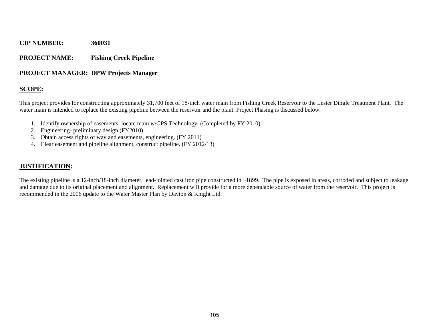#### **PROJECT NAME: Fishing Creek Pipeline**

#### **PROJECT MANAGER: DPW Projects Manager**

#### **SCOPE:**

This project provides for constructing approximately 31,700 feet of 18-inch water main from Fishing Creek Reservoir to the Lester Dingle Treatment Plant. The water main is intended to replace the existing pipeline between the reservoir and the plant. Project Phasing is discussed below.

- 1. Identify ownership of easements; locate main w/GPS Technology. (Completed by FY 2010)
- 2. Engineering- preliminary design (FY2010)
- 3. Obtain access rights of way and easements, engineering. (FY 2011)
- 4. Clear easement and pipeline alignment, construct pipeline. (FY 2012/13)

#### **JUSTIFICATION:**

The existing pipeline is a 12-inch/18-inch diameter, lead-jointed cast iron pipe constructed in ~1899. The pipe is exposed in areas, corroded and subject to leakage and damage due to its original placement and alignment. Replacement will provide for a more dependable source of water from the reservoir. This project is recommended in the 2006 update to the Water Master Plan by Dayton & Knight Ltd.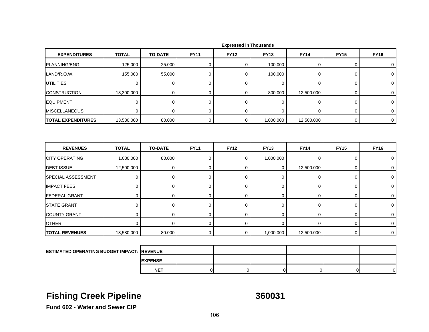| <b>EXPENDITURES</b>       | <b>TOTAL</b> | <b>TO-DATE</b> | <b>FY11</b> | <b>FY12</b> | <b>FY13</b> | <b>FY14</b> | <b>FY15</b> | <b>FY16</b> |
|---------------------------|--------------|----------------|-------------|-------------|-------------|-------------|-------------|-------------|
| PLANNING/ENG.             | 125.000      | 25.000         | 0           | $\mathbf 0$ | 100.000     | 0           | 0           | 0           |
| LAND/R.O.W.               | 155.000      | 55.000         | $\mathbf 0$ | $\mathbf 0$ | 100.000     | 0           | 0           | 0           |
| <b>UTILITIES</b>          | $\mathbf 0$  | $\mathbf 0$    | $\mathbf 0$ | $\mathbf 0$ | 0           | 0           | 0           | 0           |
| <b>CONSTRUCTION</b>       | 13,300.000   | 0              | $\mathbf 0$ | $\mathbf 0$ | 800.000     | 12,500.000  | 0           | $\mathbf 0$ |
| <b>EQUIPMENT</b>          | $\mathbf 0$  | $\pmb{0}$      | $\mathbf 0$ | $\mathbf 0$ | $\mathbf 0$ | $\mathbf 0$ | 0           | $\mathbf 0$ |
| <b>MISCELLANEOUS</b>      | $\mathbf 0$  | $\Omega$       | $\mathbf 0$ | $\mathbf 0$ | $\mathbf 0$ | 0           | 0           | $\mathbf 0$ |
| <b>TOTAL EXPENDITURES</b> | 13,580.000   | 80.000         | $\mathbf 0$ | $\mathbf 0$ | 1,000.000   | 12,500.000  | 0           | $\mathbf 0$ |
| <b>REVENUES</b>           | <b>TOTAL</b> | <b>TO-DATE</b> | <b>FY11</b> | <b>FY12</b> | <b>FY13</b> | <b>FY14</b> | <b>FY15</b> | <b>FY16</b> |
|                           |              |                |             |             |             |             |             |             |
| <b>CITY OPERATING</b>     | 1,080.000    | 80.000         | $\mathbf 0$ | $\mathbf 0$ | 1,000.000   | $\mathbf 0$ | 0           | 0           |
| <b>DEBT ISSUE</b>         | 12,500.000   | $\mathbf 0$    | $\pmb{0}$   | $\mathbf 0$ | 0           | 12,500.000  | 0           | $\mathbf 0$ |
| SPECIAL ASSESSMENT        | 0            | $\mathbf 0$    | $\mathbf 0$ | $\mathbf 0$ | $\mathbf 0$ | 0           | 0           | 0           |
| <b>IMPACT FEES</b>        | 0            | 0              | $\pmb{0}$   | 0           | $\mathbf 0$ | 0           | 0           | 0           |
| <b>FEDERAL GRANT</b>      | $\mathbf 0$  | $\mathbf 0$    | $\mathbf 0$ | $\mathbf 0$ | 0           | $\mathbf 0$ | 0           | $\mathbf 0$ |
| <b>STATE GRANT</b>        |              |                |             |             |             |             |             |             |
|                           | 0            | 0              | $\mathbf 0$ | $\mathbf 0$ | 0           | 0           | 0           | 0           |
| <b>COUNTY GRANT</b>       | $\mathbf 0$  | $\mathbf 0$    | $\mathbf 0$ | $\mathbf 0$ | 0           | $\mathbf 0$ | 0           | 0           |
| <b>OTHER</b>              | $\mathbf 0$  | $\mathbf 0$    | $\mathbf 0$ | 0           | $\mathbf 0$ | 0           | 0           | $\mathbf 0$ |
|                           |              |                |             |             |             |             |             |             |
| <b>TOTAL REVENUES</b>     | 13,580.000   | 80.000         | $\mathbf 0$ | $\mathbf 0$ | 1,000.000   | 12,500.000  | $\mathbf 0$ | $\mathbf 0$ |

|  |  | <b>Expressed in Thousands</b> |
|--|--|-------------------------------|
|--|--|-------------------------------|

| <b>ESTIMATED OPERATING BUDGET IMPACT: REVENUE</b> |                 |  |  |    |
|---------------------------------------------------|-----------------|--|--|----|
|                                                   | <b>IEXPENSE</b> |  |  |    |
|                                                   | <b>NET</b>      |  |  | ∩∎ |

## **Fishing Creek Pipeline 360031**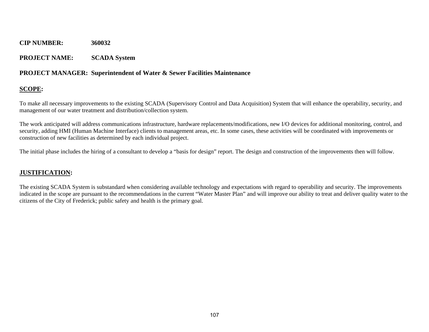#### **PROJECT NAME: SCADA System**

#### **PROJECT MANAGER: Superintendent of Water & Sewer Facilities Maintenance**

### **SCOPE:**

To make all necessary improvements to the existing SCADA (Supervisory Control and Data Acquisition) System that will enhance the operability, security, and management of our water treatment and distribution/collection system.

The work anticipated will address communications infrastructure, hardware replacements/modifications, new I/O devices for additional monitoring, control, and security, adding HMI (Human Machine Interface) clients to management areas, etc. In some cases, these activities will be coordinated with improvements or construction of new facilities as determined by each individual project.

The initial phase includes the hiring of a consultant to develop a "basis for design" report. The design and construction of the improvements then will follow.

### **JUSTIFICATION:**

The existing SCADA System is substandard when considering available technology and expectations with regard to operability and security. The improvements indicated in the scope are pursuant to the recommendations in the current "Water Master Plan" and will improve our ability to treat and deliver quality water to the citizens of the City of Frederick; public safety and health is the primary goal.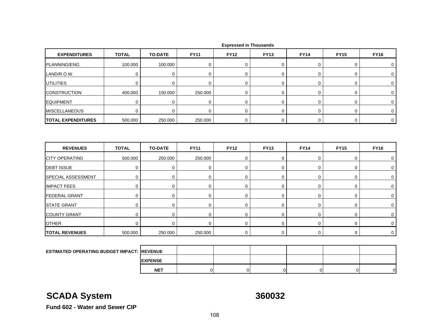| <b>EXPENDITURES</b>                               | <b>TOTAL</b> | <b>TO-DATE</b> | <b>FY11</b> | <b>FY12</b> | <b>FY13</b>    | <b>FY14</b> | <b>FY15</b> | <b>FY16</b> |
|---------------------------------------------------|--------------|----------------|-------------|-------------|----------------|-------------|-------------|-------------|
| PLANNING/ENG.                                     | 100.000      | 100.000        | 0           | 0           | 0              | 0           | 0           | 0           |
| LAND/R.O.W.                                       | $\mathbf 0$  | $\mathbf 0$    | $\mathbf 0$ | $\mathbf 0$ | 0              | $\mathbf 0$ | 0           | 0           |
| <b>UTILITIES</b>                                  | $\mathbf 0$  | $\mathbf 0$    | $\mathbf 0$ | $\mathbf 0$ | 0              | 0           | 0           | 0           |
| <b>CONSTRUCTION</b>                               | 400.000      | 150.000        | 250.000     | $\mathbf 0$ | 0              | 0           | 0           | 0           |
| <b>EQUIPMENT</b>                                  | $\mathbf 0$  | $\pmb{0}$      | $\pmb{0}$   | $\mathbf 0$ | 0              | $\mathsf 0$ | 0           | $\pmb{0}$   |
| <b>MISCELLANEOUS</b>                              | $\mathbf 0$  | $\Omega$       | $\mathbf 0$ | $\Omega$    | $\overline{0}$ | 0           | 0           | 0           |
| <b>TOTAL EXPENDITURES</b>                         | 500.000      | 250.000        | 250.000     | 0           | 0              | 0           | 0           | $\mathbf 0$ |
| <b>REVENUES</b>                                   | <b>TOTAL</b> | <b>TO-DATE</b> | <b>FY11</b> | <b>FY12</b> | <b>FY13</b>    | <b>FY14</b> | <b>FY15</b> | <b>FY16</b> |
| <b>CITY OPERATING</b>                             | 500.000      | 250.000        | 250.000     | $\mathbf 0$ | 0              | 0           | 0           | 0           |
| <b>DEBT ISSUE</b>                                 | $\mathbf 0$  | 0              | 0           | $\mathbf 0$ | 0              | 0           | 0           | $\mathbf 0$ |
| SPECIAL ASSESSMENT                                | $\mathbf 0$  | $\mathbf 0$    | $\mathbf 0$ | $\mathbf 0$ | 0              | 0           | 0           | 0           |
| <b>IMPACT FEES</b>                                | $\mathbf 0$  | 0              | $\pmb{0}$   | $\mathbf 0$ | 0              | 0           | 0           | 0           |
| <b>FEDERAL GRANT</b>                              | $\mathbf 0$  | $\mathbf 0$    | 0           | $\mathbf 0$ | $\mathbf 0$    | 0           | 0           | 0           |
| <b>STATE GRANT</b>                                | $\mathbf 0$  | $\mathbf 0$    | $\mathbf 0$ | $\mathbf 0$ | 0              | $\mathbf 0$ | 0           | 0           |
| <b>COUNTY GRANT</b>                               | 0            | 0              | $\mathbf 0$ | $\mathbf 0$ | 0              | 0           | 0           | 0           |
| <b>OTHER</b>                                      | $\mathbf 0$  | $\Omega$       | $\mathbf 0$ | $\mathbf 0$ | $\pmb{0}$      | $\pmb{0}$   | 0           | 0           |
| <b>TOTAL REVENUES</b>                             | 500.000      | 250.000        | 250.000     | $\mathbf 0$ | 0              | 0           | 0           | $\mathbf 0$ |
|                                                   |              |                |             |             |                |             |             |             |
| <b>ESTIMATED OPERATING BUDGET IMPACT: REVENUE</b> |              |                |             |             |                |             |             |             |
|                                                   |              | <b>EXPENSE</b> |             |             |                |             |             |             |

## **SCADA System 360032**

T | 0| 0| 0| 0| 0| 0|

**Fund 602 - Water and Sewer CIP**

**NET**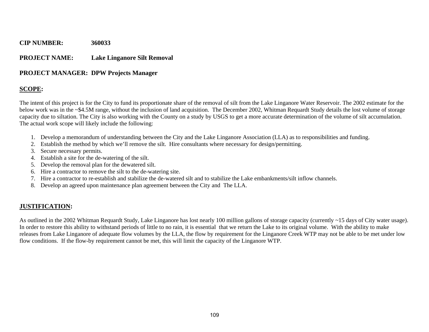#### **PROJECT NAME: Lake Linganore Silt Removal**

#### **PROJECT MANAGER: DPW Projects Manager**

### **SCOPE:**

The intent of this project is for the City to fund its proportionate share of the removal of silt from the Lake Linganore Water Reservoir. The 2002 estimate for the below work was in the ~\$4.5M range, without the inclusion of land acquisition. The December 2002, Whitman Requardt Study details the lost volume of storage capacity due to siltation. The City is also working with the County on a study by USGS to get a more accurate determination of the volume of silt accumulation. The actual work scope will likely include the following:

- 1. Develop a memorandum of understanding between the City and the Lake Linganore Association (LLA) as to responsibilities and funding.
- 2. Establish the method by which we'll remove the silt. Hire consultants where necessary for design/permitting.
- 3. Secure necessary permits.
- 4. Establish a site for the de-watering of the silt.
- 5. Develop the removal plan for the dewatered silt.
- 6. Hire a contractor to remove the silt to the de-watering site.
- 7. Hire a contractor to re-establish and stabilize the de-watered silt and to stabilize the Lake embankments/silt inflow channels.
- 8. Develop an agreed upon maintenance plan agreement between the City and The LLA.

#### **JUSTIFICATION:**

As outlined in the 2002 Whitman Requardt Study, Lake Linganore has lost nearly 100 million gallons of storage capacity (currently ~15 days of City water usage). In order to restore this ability to withstand periods of little to no rain, it is essential that we return the Lake to its original volume. With the ability to make releases from Lake Linganore of adequate flow volumes by the LLA, the flow by requirement for the Linganore Creek WTP may not be able to be met under low flow conditions. If the flow-by requirement cannot be met, this will limit the capacity of the Linganore WTP.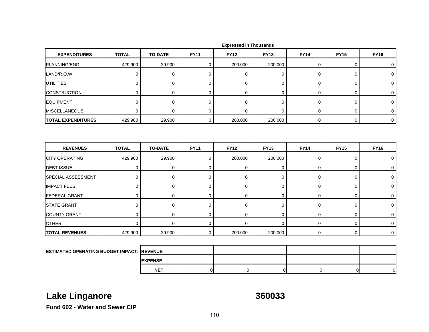| <b>EXPENDITURES</b>                        | <b>TOTAL</b> | <b>TO-DATE</b> | <b>FY11</b> | <b>FY12</b> | <b>FY13</b>    | <b>FY14</b> | <b>FY15</b> | <b>FY16</b>  |
|--------------------------------------------|--------------|----------------|-------------|-------------|----------------|-------------|-------------|--------------|
| PLANNING/ENG.                              | 429.900      | 29.900         | 0           | 200.000     | 200.000        | 0           | 0           | 0            |
| LAND/R.O.W.                                | 0            | $\mathbf 0$    | 0           | $\mathbf 0$ | 0              | 0           | 0           | 0            |
| <b>UTILITIES</b>                           | $\mathbf 0$  | $\mathbf 0$    | $\mathbf 0$ | $\mathbf 0$ | $\mathbf 0$    | $\mathbf 0$ | 0           | $\mathbf 0$  |
| <b>CONSTRUCTION</b>                        | $\mathbf 0$  | $\mathbf 0$    | $\mathbf 0$ | $\mathbf 0$ | 0              | $\mathbf 0$ | 0           | $\mathbf 0$  |
| <b>EQUIPMENT</b>                           | $\mathbf 0$  | $\mathbf 0$    | $\mathbf 0$ | $\mathbf 0$ | 0              | 0           | 0           | 0            |
| <b>MISCELLANEOUS</b>                       | $\mathbf 0$  | $\mathbf 0$    | $\mathbf 0$ | $\mathbf 0$ | $\overline{0}$ | $\mathbf 0$ | 0           | $\mathbf 0$  |
| <b>TOTAL EXPENDITURES</b>                  | 429.900      | 29.900         | 0           | 200.000     | 200.000        | 0           | 0           | $\mathbf{0}$ |
|                                            |              |                |             |             |                |             |             |              |
|                                            |              |                |             |             |                |             |             |              |
| <b>REVENUES</b>                            | <b>TOTAL</b> | <b>TO-DATE</b> | <b>FY11</b> | <b>FY12</b> | <b>FY13</b>    | <b>FY14</b> | <b>FY15</b> | <b>FY16</b>  |
| <b>CITY OPERATING</b>                      | 429.900      | 29.900         | $\mathbf 0$ | 200.000     | 200.000        | $\mathbf 0$ | 0           | 0            |
| <b>DEBT ISSUE</b>                          | $\mathbf 0$  | $\mathbf 0$    | 0           | $\mathbf 0$ | 0              | $\mathbf 0$ | 0           | 0            |
|                                            | $\mathbf 0$  | $\mathbf 0$    | $\mathbf 0$ | $\mathbf 0$ | 0              | $\mathbf 0$ | 0           | 0            |
| SPECIAL ASSESSMENT<br><b>IMPACT FEES</b>   | $\mathbf 0$  | $\mathbf 0$    | $\mathbf 0$ | $\mathbf 0$ | $\mathbf 0$    | 0           | 0           | $\mathbf 0$  |
|                                            | $\mathbf 0$  | $\mathbf 0$    | $\mathbf 0$ | $\mathbf 0$ | 0              | $\mathbf 0$ | 0           | 0            |
| <b>FEDERAL GRANT</b><br><b>STATE GRANT</b> | $\mathbf 0$  | $\mathbf 0$    | $\mathbf 0$ | $\mathbf 0$ | $\overline{0}$ | $\mathbf 0$ | 0           | 0            |
| <b>COUNTY GRANT</b>                        | $\mathbf 0$  | $\mathbf 0$    | 0           | $\mathbf 0$ | 0              | 0           | 0           | 0            |
| <b>OTHER</b>                               | $\Omega$     | $\mathbf 0$    | $\mathbf 0$ | $\mathbf 0$ | $\mathbf 0$    | 0           | 0           | 0            |

|  |  | <b>Expressed in Thousands</b> |
|--|--|-------------------------------|
|--|--|-------------------------------|

| <b>ESTIMATED OPERATING BUDGET IMPACT: REVENUE</b> |                |  |  |    |   |
|---------------------------------------------------|----------------|--|--|----|---|
|                                                   | <b>EXPENSE</b> |  |  |    |   |
|                                                   | <b>NET</b>     |  |  | וח | n |

## **Lake Linganore 360033**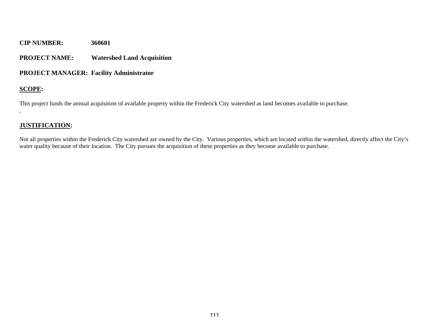#### **PROJECT NAME: Watershed Land Acquisition**

#### **PROJECT MANAGER: Facility Administrator**

#### **SCOPE:**

.

This project funds the annual acquisition of available property within the Frederick City watershed as land becomes available to purchase.

### **JUSTIFICATION:**

Not all properties within the Frederick City watershed are owned by the City. Various properties, which are located within the watershed, directly affect the City's water quality because of their location. The City pursues the acquisition of these properties as they become available to purchase.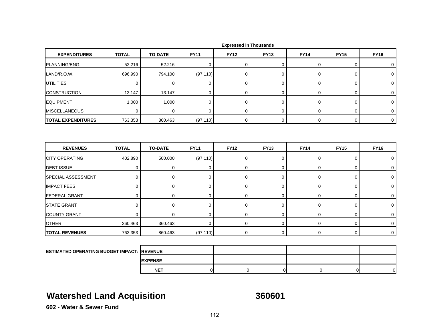| <b>EXPENDITURES</b>                               | <b>TOTAL</b> | <b>TO-DATE</b> | <b>FY11</b> | <b>FY12</b> | <b>FY13</b>      | <b>FY14</b> | <b>FY15</b> | <b>FY16</b> |
|---------------------------------------------------|--------------|----------------|-------------|-------------|------------------|-------------|-------------|-------------|
| PLANNING/ENG.                                     | 52.216       | 52.216         | 0           | $\mathbf 0$ | 0                | 0           | 0           | 0           |
| LAND/R.O.W.                                       | 696.990      | 794.100        | (97.110)    | $\pmb{0}$   | $\boldsymbol{0}$ | $\mathbf 0$ | 0           | $\mathbf 0$ |
| <b>UTILITIES</b>                                  | $\mathbf 0$  | $\mathbf 0$    | $\mathbf 0$ | $\mathbf 0$ | $\mathbf 0$      | 0           | 0           | 0           |
| <b>CONSTRUCTION</b>                               | 13.147       | 13.147         | $\mathbf 0$ | $\mathbf 0$ | $\boldsymbol{0}$ | 0           | 0           | 0           |
| <b>EQUIPMENT</b>                                  | 1.000        | 1.000          | $\pmb{0}$   | $\mathbf 0$ | $\pmb{0}$        | $\pmb{0}$   | 0           | 0           |
| <b>MISCELLANEOUS</b>                              | $\mathbf 0$  | $\mathbf 0$    | $\mathbf 0$ | $\mathbf 0$ | $\mathbf 0$      | $\mathbf 0$ | $\mathbf 0$ | $\mathbf 0$ |
| <b>TOTAL EXPENDITURES</b>                         | 763.353      | 860.463        | (97.110)    | 0           | $\mathbf 0$      | $\mathbf 0$ | 0           | $\mathbf 0$ |
| <b>REVENUES</b>                                   | <b>TOTAL</b> | <b>TO-DATE</b> | <b>FY11</b> | <b>FY12</b> | <b>FY13</b>      | <b>FY14</b> | <b>FY15</b> | <b>FY16</b> |
| <b>CITY OPERATING</b>                             | 402.890      | 500.000        | (97.110)    | $\mathbf 0$ | $\mathbf 0$      | 0           | 0           | $\mathbf 0$ |
| <b>DEBT ISSUE</b>                                 | $\mathbf 0$  | $\mathbf 0$    | $\mathbf 0$ | $\mathbf 0$ | $\mathbf 0$      | $\mathbf 0$ | 0           | 0           |
| SPECIAL ASSESSMENT                                | $\mathbf 0$  | 0              | $\mathbf 0$ | $\mathbf 0$ | $\boldsymbol{0}$ | $\mathbf 0$ | 0           | $\mathbf 0$ |
| <b>IMPACT FEES</b>                                | $\mathbf 0$  | $\mathbf 0$    | $\mathbf 0$ | $\mathbf 0$ | $\pmb{0}$        | $\pmb{0}$   | 0           | $\mathbf 0$ |
| <b>FEDERAL GRANT</b>                              | $\mathbf 0$  | 0              | $\mathbf 0$ | $\mathbf 0$ | $\mathbf 0$      | $\mathbf 0$ | 0           | $\mathbf 0$ |
| <b>STATE GRANT</b>                                | $\mathbf 0$  | $\mathbf 0$    | $\mathbf 0$ | $\mathbf 0$ | $\boldsymbol{0}$ | $\mathbf 0$ | 0           | $\mathbf 0$ |
| <b>COUNTY GRANT</b>                               | $\mathbf 0$  | 0              | 0           | $\mathbf 0$ | 0                | 0           | 0           | $\mathbf 0$ |
| <b>OTHER</b>                                      | 360.463      | 360.463        | 0           | $\mathbf 0$ | 0                | $\mathbf 0$ | 0           | $\mathbf 0$ |
| <b>TOTAL REVENUES</b>                             | 763.353      | 860.463        | (97.110)    | 0           | $\mathbf 0$      | $\mathbf 0$ | 0           | $\mathbf 0$ |
|                                                   |              |                |             |             |                  |             |             |             |
| <b>ESTIMATED OPERATING BUDGET IMPACT: REVENUE</b> |              |                |             |             |                  |             |             |             |
|                                                   |              | <b>EXPENSE</b> |             |             |                  |             |             |             |

## **Watershed Land Acquisition 360601**

**NET**

T | 0| 0| 0| 0| 0| 0|

**602 - Water & Sewer Fund**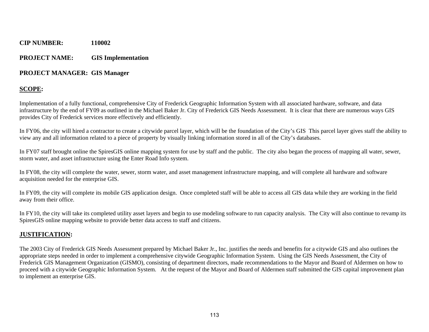#### **PROJECT NAME: GIS Implementation**

#### **PROJECT MANAGER: GIS Manager**

### **SCOPE:**

Implementation of a fully functional, comprehensive City of Frederick Geographic Information System with all associated hardware, software, and data infrastructure by the end of FY09 as outlined in the Michael Baker Jr. City of Frederick GIS Needs Assessment. It is clear that there are numerous ways GIS provides City of Frederick services more effectively and efficiently.

In FY06, the city will hired a contractor to create a citywide parcel layer, which will be the foundation of the City's GIS This parcel layer gives staff the ability to view any and all information related to a piece of property by visually linking information stored in all of the City's databases.

In FY07 staff brought online the SpiresGIS online mapping system for use by staff and the public. The city also began the process of mapping all water, sewer, storm water, and asset infrastructure using the Enter Road Info system.

In FY08, the city will complete the water, sewer, storm water, and asset management infrastructure mapping, and will complete all hardware and software acquisition needed for the enterprise GIS.

In FY09, the city will complete its mobile GIS application design. Once completed staff will be able to access all GIS data while they are working in the field away from their office.

In FY10, the city will take its completed utility asset layers and begin to use modeling software to run capacity analysis. The City will also continue to revamp its SpiresGIS online mapping website to provide better data access to staff and citizens.

### **JUSTIFICATION:**

The 2003 City of Frederick GIS Needs Assessment prepared by Michael Baker Jr., Inc. justifies the needs and benefits for a citywide GIS and also outlines the appropriate steps needed in order to implement a comprehensive citywide Geographic Information System. Using the GIS Needs Assessment, the City of Frederick GIS Management Organization (GISMO), consisting of department directors, made recommendations to the Mayor and Board of Aldermen on how to proceed with a citywide Geographic Information System. At the request of the Mayor and Board of Aldermen staff submitted the GIS capital improvement plan to implement an enterprise GIS.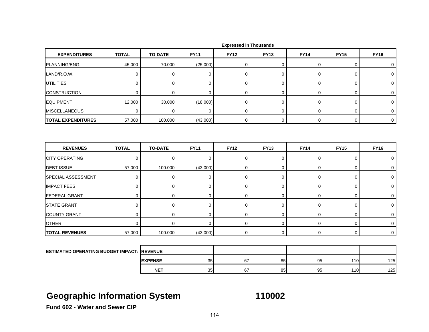| <b>EXPENDITURES</b>                               | <b>TOTAL</b> | <b>TO-DATE</b> | <b>FY11</b> | <b>FY12</b>      | <b>FY13</b> | <b>FY14</b> | <b>FY15</b> | <b>FY16</b> |
|---------------------------------------------------|--------------|----------------|-------------|------------------|-------------|-------------|-------------|-------------|
| PLANNING/ENG.                                     | 45.000       | 70.000         | (25.000)    | $\boldsymbol{0}$ | 0           | $\mathbf 0$ | 0           | $\mathbf 0$ |
| LAND/R.O.W.                                       | $\mathbf 0$  | 0              | $\mathbf 0$ | $\mathbf 0$      | 0           | $\mathbf 0$ | 0           | $\mathbf 0$ |
| <b>UTILITIES</b>                                  | $\mathbf 0$  | $\mathbf 0$    | $\mathbf 0$ | $\mathbf 0$      | $\mathbf 0$ | $\mathbf 0$ | 0           | 0           |
| <b>CONSTRUCTION</b>                               | $\mathbf 0$  | $\mathbf 0$    | $\mathbf 0$ | $\mathbf 0$      | 0           | $\mathbf 0$ | 0           | $\mathbf 0$ |
| <b>EQUIPMENT</b>                                  | 12.000       | 30.000         | (18.000)    | $\mathbf 0$      | 0           | $\pmb{0}$   | 0           | 0           |
| <b>MISCELLANEOUS</b>                              | $\mathbf 0$  | 0              | $\mathbf 0$ | $\mathbf 0$      | 0           | $\mathbf 0$ | 0           | $\mathbf 0$ |
| <b>TOTAL EXPENDITURES</b>                         | 57.000       | 100.000        | (43.000)    | 0                | 0           | $\mathbf 0$ | 0           | $\mathbf 0$ |
|                                                   |              |                |             |                  |             |             |             |             |
| <b>REVENUES</b>                                   | <b>TOTAL</b> | <b>TO-DATE</b> | <b>FY11</b> | <b>FY12</b>      | <b>FY13</b> | <b>FY14</b> | <b>FY15</b> | <b>FY16</b> |
| <b>CITY OPERATING</b>                             | $\mathbf 0$  | 0              | $\mathbf 0$ | $\mathbf 0$      | 0           | $\mathbf 0$ | 0           | 0           |
| <b>DEBT ISSUE</b>                                 | 57.000       | 100.000        | (43.000)    | 0                | $\pmb{0}$   | 0           | 0           | 0           |
| SPECIAL ASSESSMENT                                | $\mathbf 0$  | 0              | 0           | $\mathbf 0$      | $\mathbf 0$ | 0           | 0           | 0           |
| <b>IMPACT FEES</b>                                | 0            | $\mathbf 0$    | 0           | 0                | $\pmb{0}$   | $\pmb{0}$   | 0           | $\pmb{0}$   |
| <b>FEDERAL GRANT</b>                              | $\mathbf 0$  | 0              | 0           | $\mathbf 0$      | 0           | $\mathbf 0$ | 0           | 0           |
| <b>STATE GRANT</b>                                | $\mathbf 0$  | 0              | 0           | 0                | 0           | $\pmb{0}$   | 0           | 0           |
| <b>COUNTY GRANT</b>                               | $\mathbf 0$  | $\mathbf 0$    | $\mathbf 0$ | $\mathbf 0$      | 0           | $\mathbf 0$ | 0           | $\mathbf 0$ |
| <b>OTHER</b>                                      | $\mathbf 0$  | $\mathbf 0$    | $\mathbf 0$ | $\Omega$         | $\mathbf 0$ | $\mathbf 0$ | 0           | 0           |
| <b>TOTAL REVENUES</b>                             | 57.000       | 100.000        | (43.000)    | $\mathbf 0$      | 0           | 0           | 0           | $\mathbf 0$ |
|                                                   |              |                |             |                  |             |             |             |             |
| <b>ESTIMATED OPERATING BUDGET IMPACT: REVENUE</b> |              |                |             |                  |             |             |             |             |
|                                                   |              | <b>EXPENSE</b> | 35          | 67               | 85          | 95          | 110         | 125         |
|                                                   |              | <b>NET</b>     | 35          | 67               | 85          | 95          | 110         | 125         |

# **Geographic Information System 110002**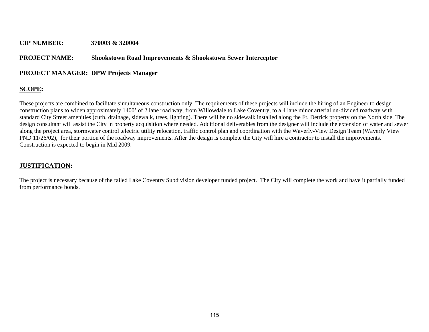#### **CIP NUMBER: 370003 & 320004**

#### **PROJECT NAME: Shookstown Road Improvements & Shookstown Sewer Interceptor**

#### **PROJECT MANAGER: DPW Projects Manager**

#### **SCOPE:**

These projects are combined to facilitate simultaneous construction only. The requirements of these projects will include the hiring of an Engineer to design construction plans to widen approximately 1400' of 2 lane road way, from Willowdale to Lake Coventry, to a 4 lane minor arterial un-divided roadway with standard City Street amenities (curb, drainage, sidewalk, trees, lighting). There will be no sidewalk installed along the Ft. Detrick property on the North side. The design consultant will assist the City in property acquisition where needed. Additional deliverables from the designer will include the extension of water and sewer along the project area, stormwater control ,electric utility relocation, traffic control plan and coordination with the Waverly-View Design Team (Waverly View PND 11/26/02), for their portion of the roadway improvements. After the design is complete the City will hire a contractor to install the improvements. Construction is expected to begin in Mid 2009.

#### **JUSTIFICATION:**

The project is necessary because of the failed Lake Coventry Subdivision developer funded project. The City will complete the work and have it partially funded from performance bonds.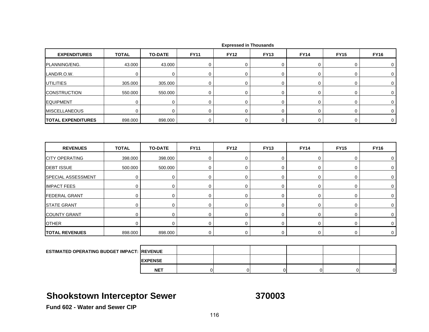| <b>EXPENDITURES</b>       | <b>TOTAL</b>     | <b>TO-DATE</b> | <b>FY11</b> | <b>FY12</b> | <b>FY13</b>      | <b>FY14</b> | <b>FY15</b> | <b>FY16</b> |
|---------------------------|------------------|----------------|-------------|-------------|------------------|-------------|-------------|-------------|
| PLANNING/ENG.             | 43.000           | 43.000         | 0           | $\mathbf 0$ | 0                | 0           | $\mathbf 0$ | 0           |
| LAND/R.O.W.               | $\mathbf 0$      | $\mathbf 0$    | 0           | $\mathbf 0$ | 0                | 0           | $\mathbf 0$ | $\mathbf 0$ |
| <b>UTILITIES</b>          | 305.000          | 305.000        | 0           | 0           | 0                | 0           | $\mathbf 0$ | 0           |
| <b>CONSTRUCTION</b>       | 550.000          | 550.000        | $\mathbf 0$ | $\mathbf 0$ | 0                | $\mathbf 0$ | $\mathbf 0$ | 0           |
| <b>EQUIPMENT</b>          | $\mathbf 0$      | 0              | $\mathbf 0$ | $\mathbf 0$ | 0                | 0           | $\mathbf 0$ | 0           |
| <b>MISCELLANEOUS</b>      | $\mathbf 0$      | $\mathbf 0$    | $\mathbf 0$ | $\mathbf 0$ | 0                | 0           | 0           | $\mathbf 0$ |
| <b>TOTAL EXPENDITURES</b> | 898.000          | 898.000        | $\mathbf 0$ | 0           | 0                | 0           | $\mathbf 0$ | $\mathbf 0$ |
| <b>REVENUES</b>           | <b>TOTAL</b>     | <b>TO-DATE</b> | <b>FY11</b> | <b>FY12</b> | <b>FY13</b>      | <b>FY14</b> | <b>FY15</b> | <b>FY16</b> |
|                           |                  |                |             |             |                  |             |             |             |
| <b>CITY OPERATING</b>     | 398.000          | 398.000        | $\mathbf 0$ | 0           | $\boldsymbol{0}$ | $\mathbf 0$ | $\mathbf 0$ | $\mathbf 0$ |
| <b>DEBT ISSUE</b>         | 500.000          | 500.000        | 0           | 0           | $\pmb{0}$        | $\pmb{0}$   | $\mathbf 0$ | 0           |
| SPECIAL ASSESSMENT        | $\boldsymbol{0}$ | $\mathbf 0$    | 0           | 0           | $\boldsymbol{0}$ | 0           | $\mathbf 0$ | 0           |
| <b>IMPACT FEES</b>        | 0                | $\mathbf 0$    | 0           | 0           | 0                | 0           | 0           | 0           |
| <b>FEDERAL GRANT</b>      | $\mathbf 0$      | $\mathbf 0$    | $\mathbf 0$ | 0           | $\boldsymbol{0}$ | $\mathbf 0$ | $\mathbf 0$ | 0           |
| <b>STATE GRANT</b>        | $\mathbf 0$      | $\mathbf 0$    | $\mathbf 0$ | 0           | $\,0\,$          | $\mathsf 0$ | $\mathbf 0$ | 0           |
| <b>COUNTY GRANT</b>       | $\mathbf 0$      | $\mathbf 0$    | $\mathbf 0$ | 0           | 0                | 0           | $\mathbf 0$ | 0           |
| <b>OTHER</b>              | $\mathbf 0$      | $\mathbf 0$    | 0           | $\mathbf 0$ | $\boldsymbol{0}$ | 0           | $\mathbf 0$ | $\mathbf 0$ |
| <b>TOTAL REVENUES</b>     | 898.000          | 898.000        | 0           | 0           | 0                | $\mathbf 0$ | $\mathbf 0$ | $\mathbf 0$ |
|                           |                  |                |             |             |                  |             |             |             |

| <b>ESTIMATED OPERATING BUDGET IMPACT: REVENUE</b> |                 |  |  |    |
|---------------------------------------------------|-----------------|--|--|----|
|                                                   | <b>IEXPENSE</b> |  |  |    |
|                                                   | <b>NET</b>      |  |  | ΩL |

## **Shookstown Interceptor Sewer 370003**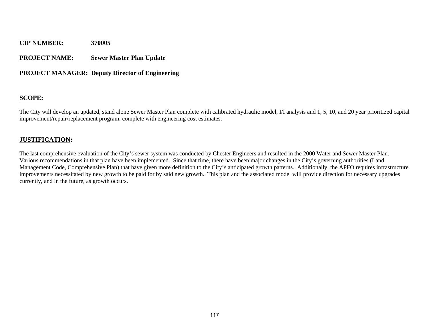#### **PROJECT NAME: Sewer Master Plan Update**

#### **PROJECT MANAGER: Deputy Director of Engineering**

#### **SCOPE:**

The City will develop an updated, stand alone Sewer Master Plan complete with calibrated hydraulic model, I/I analysis and 1, 5, 10, and 20 year prioritized capital improvement/repair/replacement program, complete with engineering cost estimates.

#### **JUSTIFICATION:**

The last comprehensive evaluation of the City's sewer system was conducted by Chester Engineers and resulted in the 2000 Water and Sewer Master Plan. Various recommendations in that plan have been implemented. Since that time, there have been major changes in the City's governing authorities (Land Management Code, Comprehensive Plan) that have given more definition to the City's anticipated growth patterns. Additionally, the APFO requires infrastructure improvements necessitated by new growth to be paid for by said new growth. This plan and the associated model will provide direction for necessary upgrades currently, and in the future, as growth occurs.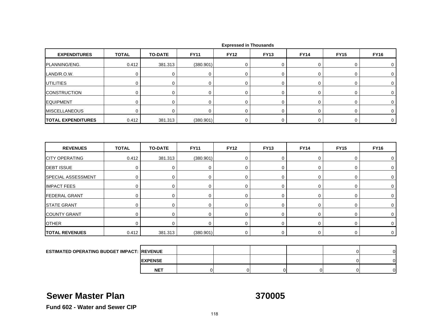| <b>EXPENDITURES</b>                               | <b>TOTAL</b>        | <b>TO-DATE</b> | <b>FY11</b> | <b>FY12</b> | <b>FY13</b> | <b>FY14</b> | <b>FY15</b> | <b>FY16</b>    |
|---------------------------------------------------|---------------------|----------------|-------------|-------------|-------------|-------------|-------------|----------------|
| PLANNING/ENG.                                     | 0.412               | 381.313        | (380.901)   | 0           | 0           | 0           | 0           | 0              |
| LAND/R.O.W.                                       | $\mathbf 0$         | $\mathbf 0$    | $\mathbf 0$ | $\mathbf 0$ | $\mathbf 0$ | $\mathbf 0$ | $\mathbf 0$ | $\mathbf 0$    |
| UTILITIES                                         | 0                   | 0              | 0           | $\mathbf 0$ | 0           | $\mathbf 0$ | $\mathbf 0$ | 0              |
| <b>CONSTRUCTION</b>                               | 0                   | 0              | 0           | $\mathbf 0$ | 0           | $\pmb{0}$   | $\pmb{0}$   | 0              |
| <b>EQUIPMENT</b>                                  | $\mathsf 0$         | 0              | 0           | $\pmb{0}$   | $\pmb{0}$   | $\pmb{0}$   | $\mathsf 0$ | 0              |
| <b>MISCELLANEOUS</b>                              | $\mathbf 0$         | $\mathbf 0$    | $\mathbf 0$ | $\mathbf 0$ | $\mathbf 0$ | $\pmb{0}$   | $\mathbf 0$ | $\mathbf 0$    |
| <b>TOTAL EXPENDITURES</b>                         | 0.412               | 381.313        | (380.901)   | 0           | 0           | $\mathbf 0$ | $\mathbf 0$ | 0              |
| <b>REVENUES</b>                                   | <b>TOTAL</b>        | <b>TO-DATE</b> |             | <b>FY12</b> | <b>FY13</b> | <b>FY14</b> |             | <b>FY16</b>    |
|                                                   |                     |                | <b>FY11</b> |             |             |             | <b>FY15</b> |                |
| <b>CITY OPERATING</b>                             | 0.412               | 381.313        | (380.901)   | 0           | $\mathbf 0$ | $\mathbf 0$ | $\mathsf 0$ | 0              |
| <b>DEBT ISSUE</b>                                 | $\mathbf 0$         | $\mathbf 0$    | 0           | $\mathbf 0$ | $\mathbf 0$ | $\pmb{0}$   | $\mathsf 0$ | 0              |
| SPECIAL ASSESSMENT                                | $\mathsf{O}\xspace$ | $\mathbf 0$    | 0           | $\mathbf 0$ | $\pmb{0}$   | $\pmb{0}$   | $\mathsf 0$ | 0              |
| <b>IMPACT FEES</b>                                | 0                   | 0              | 0           | 0           | 0           | $\pmb{0}$   | 0           | 0              |
| <b>FEDERAL GRANT</b>                              | 0                   | 0              | 0           | $\mathbf 0$ | 0           | $\mathbf 0$ | $\mathbf 0$ | 0              |
| <b>STATE GRANT</b>                                | $\mathbf 0$         | 0              | 0           | 0           | 0           | $\pmb{0}$   | $\mathsf 0$ | 0              |
| <b>COUNTY GRANT</b>                               | 0                   | 0              | 0           | 0           | 0           | 0           | $\mathbf 0$ | 0              |
| <b>OTHER</b>                                      | $\mathbf 0$         | $\mathbf 0$    | $\mathbf 0$ | 0           | $\mathbf 0$ | $\pmb{0}$   | $\mathbf 0$ | 0              |
| <b>TOTAL REVENUES</b>                             | 0.412               | 381.313        | (380.901)   | $\mathbf 0$ | $\mathbf 0$ | $\mathsf 0$ | $\mathbf 0$ | 0              |
|                                                   |                     |                |             |             |             |             |             |                |
| <b>ESTIMATED OPERATING BUDGET IMPACT: REVENUE</b> |                     |                |             |             |             |             | $\mathbf 0$ | $\mathbf 0$    |
|                                                   |                     | <b>EXPENSE</b> |             |             |             |             | $\mathbf 0$ | $\overline{0}$ |

### **Sewer Master Plan**

**370005**

T | 0| 0| 0| 0| 0| 0|

**Fund 602 - Water and Sewer CIP**

**NET**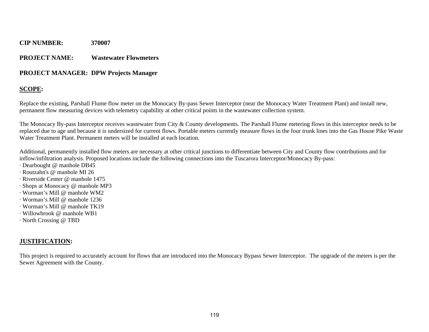#### **PROJECT NAME: Wastewater Flowmeters**

#### **PROJECT MANAGER: DPW Projects Manager**

#### **SCOPE:**

Replace the existing, Parshall Flume flow meter on the Monocacy By-pass Sewer Interceptor (near the Monocacy Water Treatment Plant) and install new, permanent flow measuring devices with telemetry capability at other critical points in the wastewater collection system.

The Monocacy By-pass Interceptor receives wastewater from City & County developments. The Parshall Flume metering flows in this interceptor needs to be replaced due to age and because it is undersized for current flows. Portable meters currently measure flows in the four trunk lines into the Gas House Pike Waste Water Treatment Plant. Permanent meters will be installed at each location.

Additional, permanently installed flow meters are necessary at other critical junctions to differentiate between City and County flow contributions and for inflow/infiltration analysis. Proposed locations include the following connections into the Tuscarora Interceptor/Monocacy By-pass:

- · Dearbought @ manhole DB45
- · Routzahn's @ manhole MI 26
- · Riverside Center @ manhole 1475
- · Shops at Monocacy @ manhole MP3
- · Worman's Mill @ manhole WM2
- · Worman's Mill @ manhole 1236
- · Worman's Mill @ manhole TK19
- · Willowbrook @ manhole WB1
- · North Crossing @ TBD

### **JUSTIFICATION:**

This project is required to accurately account for flows that are introduced into the Monocacy Bypass Sewer Interceptor. The upgrade of the meters is per the Sewer Agreement with the County.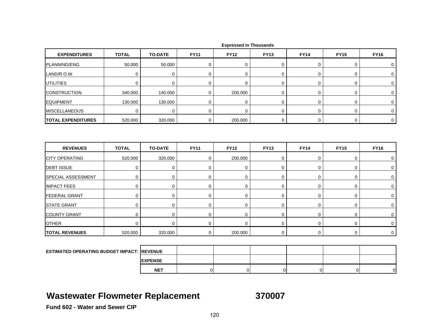| <b>EXPENDITURES</b>       | <b>TOTAL</b> | <b>TO-DATE</b> | <b>FY11</b> | <b>FY12</b> | <b>FY13</b> | <b>FY14</b> | <b>FY15</b> | <b>FY16</b> |
|---------------------------|--------------|----------------|-------------|-------------|-------------|-------------|-------------|-------------|
| PLANNING/ENG.             | 50.000       | 50.000         | 0           | $\mathbf 0$ | 0           | $\mathbf 0$ | 0           | 0           |
| LAND/R.O.W.               | $\mathbf 0$  | $\mathbf 0$    | $\mathbf 0$ | 0           | 0           | 0           | 0           | 0           |
| <b>UTILITIES</b>          | 0            | 0              | $\mathbf 0$ | $\mathbf 0$ | $\mathbf 0$ | $\mathbf 0$ | 0           | $\mathbf 0$ |
| <b>CONSTRUCTION</b>       | 340.000      | 140.000        | $\mathbf 0$ | 200.000     | $\pmb{0}$   | $\mathbf 0$ | 0           | $\mathbf 0$ |
| <b>EQUIPMENT</b>          | 130.000      | 130.000        | $\mathbf 0$ | $\mathbf 0$ | $\mathbf 0$ | 0           | 0           | 0           |
| <b>MISCELLANEOUS</b>      | $\mathbf 0$  | $\mathbf 0$    | $\mathbf 0$ | $\Omega$    | 0           | 0           | 0           | 0           |
| <b>TOTAL EXPENDITURES</b> | 520.000      | 320.000        | 0           | 200.000     | 0           | $\mathbf 0$ | 0           | $\mathbf 0$ |
| <b>REVENUES</b>           | <b>TOTAL</b> | <b>TO-DATE</b> | <b>FY11</b> | <b>FY12</b> | <b>FY13</b> | <b>FY14</b> | <b>FY15</b> | <b>FY16</b> |
|                           |              |                |             |             |             |             |             |             |
| <b>CITY OPERATING</b>     | 520.000      | 320.000        | $\mathbf 0$ | 200.000     | 0           | $\mathbf 0$ | 0           | $\mathbf 0$ |
| <b>DEBT ISSUE</b>         | $\mathbf 0$  | $\pmb{0}$      | $\mathbf 0$ | $\mathbf 0$ | 0           | $\mathbf 0$ | 0           | $\mathbf 0$ |
| <b>SPECIAL ASSESSMENT</b> | $\mathbf 0$  | 0              | $\mathbf 0$ | $\mathbf 0$ | 0           | $\mathbf 0$ | 0           | $\mathbf 0$ |
| <b>IMPACT FEES</b>        | 0            | $\pmb{0}$      | 0           | $\mathbf 0$ | $\mathbf 0$ | $\mathbf 0$ | 0           | 0           |
| <b>FEDERAL GRANT</b>      | $\mathbf 0$  | 0              | $\mathbf 0$ | $\mathbf 0$ | 0           | 0           | 0           | 0           |
| <b>STATE GRANT</b>        | 0            | 0              | $\mathbf 0$ | $\mathbf 0$ | 0           | $\mathbf 0$ | 0           | $\mathbf 0$ |
| <b>COUNTY GRANT</b>       | $\mathbf 0$  | 0              | $\pmb{0}$   | $\mathbf 0$ | 0           | 0           | 0           | 0           |
| <b>OTHER</b>              | $\mathbf 0$  | $\mathbf 0$    | 0           | $\Omega$    | 0           | $\mathbf 0$ | 0           | $\mathbf 0$ |
| <b>TOTAL REVENUES</b>     | 520.000      | 320.000        | 0           | 200.000     | 0           | 0           | 0           | $\mathbf 0$ |
|                           |              |                |             |             |             |             |             |             |

| <b>ESTIMATED OPERATING BUDGET IMPACT: REVENUE</b> |                 |  |  |    |
|---------------------------------------------------|-----------------|--|--|----|
|                                                   | <b>IEXPENSE</b> |  |  |    |
|                                                   | <b>NET</b>      |  |  | ∩∎ |

## **Wastewater Flowmeter Replacement 370007**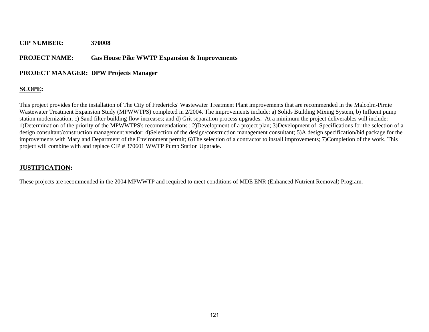#### **PROJECT NAME: Gas House Pike WWTP Expansion & Improvements**

#### **PROJECT MANAGER: DPW Projects Manager**

### **SCOPE:**

This project provides for the installation of The City of Fredericks' Wastewater Treatment Plant improvements that are recommended in the Malcolm-Pirnie Wastewater Treatment Expansion Study (MPWWTPS) completed in 2/2004. The improvements include: a) Solids Building Mixing System, b) Influent pump station modernization; c) Sand filter building flow increases; and d) Grit separation process upgrades. At a minimum the project deliverables will include: 1)Determination of the priority of the MPWWTPS's recommendations ; 2)Development of a project plan; 3)Development of Specifications for the selection of a design consultant/construction management vendor; 4)Selection of the design/construction management consultant; 5)A design specification/bid package for the improvements with Maryland Department of the Environment permit; 6)The selection of a contractor to install improvements; 7)Completion of the work. This project will combine with and replace CIP # 370601 WWTP Pump Station Upgrade.

#### **JUSTIFICATION:**

These projects are recommended in the 2004 MPWWTP and required to meet conditions of MDE ENR (Enhanced Nutrient Removal) Program.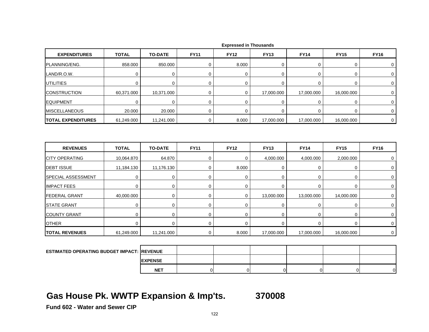|                           | <b>TO-DATE</b> | <b>FY11</b> | <b>FY12</b> | <b>FY13</b> | <b>FY14</b> | <b>FY15</b>    | <b>FY16</b> |
|---------------------------|----------------|-------------|-------------|-------------|-------------|----------------|-------------|
| 858.000                   | 850.000        | 0           | 8.000       | 0           | 0           | 0              | 0           |
| $\mathbf 0$               | $\mathbf 0$    | 0           | $\Omega$    | 0           | 0           | 0              | $\mathbf 0$ |
| $\mathbf 0$               | $\mathbf 0$    | $\mathbf 0$ | $\mathbf 0$ | $\mathbf 0$ | 0           | 0              | 0           |
| 60,371.000                | 10,371.000     | $\mathbf 0$ | 0           | 17,000.000  | 17,000.000  | 16,000.000     | 0           |
| $\Omega$                  | $\mathbf 0$    | 0           | $\mathbf 0$ | 0           | 0           | 0              | 0           |
| 20.000                    | 20.000         | 0           | 0           | $\mathbf 0$ | 0           | 0              | 0           |
| 61,249.000                | 11,241.000     | 0           | 8.000       | 17,000.000  | 17,000.000  | 16,000.000     | $\mathbf 0$ |
| <b>TOTAL</b>              | <b>TO-DATE</b> | <b>FY11</b> | <b>FY12</b> | <b>FY13</b> | <b>FY14</b> | <b>FY15</b>    | <b>FY16</b> |
|                           |                | $\mathbf 0$ |             | 4,000.000   | 4,000.000   |                |             |
|                           |                |             |             |             |             |                |             |
|                           | 11,176.130     | 0           | 8.000       | 0           | 0           | 2,000.000<br>0 | 0<br>0      |
| 11,184.130<br>$\mathbf 0$ | $\mathbf 0$    | $\mathbf 0$ | $\mathbf 0$ | 0           | 0           | 0              | 0           |
| 0                         | $\mathbf 0$    | $\mathbf 0$ | $\mathbf 0$ | 0           | 0           | 0              | 0           |
| 40,000.000                | $\mathbf 0$    | $\mathbf 0$ | $\mathbf 0$ | 13,000.000  | 13,000.000  | 14,000.000     | $\mathbf 0$ |
| $\mathbf 0$               | $\mathbf 0$    | $\mathbf 0$ | $\mathbf 0$ | 0           | 0           | 0              | 0           |
| $\mathbf 0$               | $\pmb{0}$      | 0           | $\mathbf 0$ | $\mathbf 0$ | 0           | 0              | $\mathbf 0$ |
| 0                         | $\mathbf 0$    | $\mathbf 0$ | $\Omega$    | 0           | 0           | 0              | 0           |
|                           | 10,064.870     | 64.870      |             | $\Omega$    |             |                |             |

 **Expressed in Thousands**

| <b>ESTIMATED OPERATING BUDGET IMPACT: IREVENUE</b> |                 |  |  |   |
|----------------------------------------------------|-----------------|--|--|---|
|                                                    | <b>IEXPENSE</b> |  |  |   |
|                                                    | <b>NET</b>      |  |  | 0 |

## **Gas House Pk. WWTP Expansion & Imp'ts. 370008**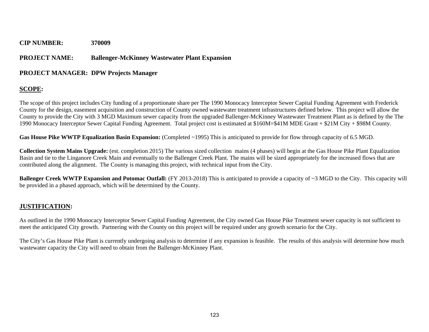#### **PROJECT NAME: Ballenger-McKinney Wastewater Plant Expansion**

#### **PROJECT MANAGER: DPW Projects Manager**

#### **SCOPE:**

The scope of this project includes City funding of a proportionate share per The 1990 Monocacy Interceptor Sewer Capital Funding Agreement with Frederick County for the design, easement acquisition and construction of County owned wastewater treatment infrastructures defined below. This project will allow the County to provide the City with 3 MGD Maximum sewer capacity from the upgraded Ballenger-McKinney Wastewater Treatment Plant as is defined by the The 1990 Monocacy Interceptor Sewer Capital Funding Agreement. Total project cost is estimated at \$160M=\$41M MDE Grant + \$21M City + \$98M County.

**Gas House Pike WWTP Equalization Basin Expansion:** (Completed ~1995) This is anticipated to provide for flow through capacity of 6.5 MGD.

**Collection System Mains Upgrade:** (est. completion 2015) The various sized collection mains (4 phases) will begin at the Gas House Pike Plant Equalization Basin and tie to the Linganore Creek Main and eventually to the Ballenger Creek Plant. The mains will be sized appropriately for the increased flows that are contributed along the alignment. The County is managing this project, with technical input from the City.

**Ballenger Creek WWTP Expansion and Potomac Outfall:** (FY 2013-2018) This is anticipated to provide a capacity of ~3 MGD to the City. This capacity will be provided in a phased approach, which will be determined by the County.

#### **JUSTIFICATION:**

As outlined in the 1990 Monocacy Interceptor Sewer Capital Funding Agreement, the City owned Gas House Pike Treatment sewer capacity is not sufficient to meet the anticipated City growth. Partnering with the County on this project will be required under any growth scenario for the City.

The City's Gas House Pike Plant is currently undergoing analysis to determine if any expansion is feasible. The results of this analysis will determine how much wastewater capacity the City will need to obtain from the Ballenger-McKinney Plant.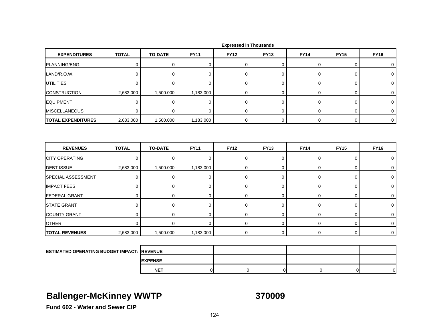| <b>EXPENDITURES</b>                                | <b>TOTAL</b> | <b>TO-DATE</b> | <b>FY11</b> | <b>FY12</b> | <b>FY13</b> | <b>FY14</b> | <b>FY15</b> | <b>FY16</b> |
|----------------------------------------------------|--------------|----------------|-------------|-------------|-------------|-------------|-------------|-------------|
| PLANNING/ENG.                                      | $\mathbf 0$  | 0              | 0           | 0           | 0           | 0           | 0           | 0           |
| LAND/R.O.W.                                        | $\mathbf 0$  | $\mathbf 0$    | $\mathbf 0$ | $\Omega$    | 0           | 0           | 0           | $\mathbf 0$ |
| <b>UTILITIES</b>                                   | $\mathbf 0$  | $\mathbf 0$    | 0           | 0           | 0           | 0           | 0           | 0           |
| <b>CONSTRUCTION</b>                                | 2,683.000    | 1,500.000      | 1,183.000   | 0           | $\mathbf 0$ | 0           | 0           | 0           |
| <b>EQUIPMENT</b>                                   | $\mathbf 0$  | 0              | 0           | $\mathbf 0$ | 0           | 0           | 0           | $\mathbf 0$ |
| <b>MISCELLANEOUS</b>                               | $\mathbf 0$  | $\Omega$       | $\mathbf 0$ | $\Omega$    | $\mathbf 0$ | 0           | 0           | $\mathbf 0$ |
| <b>TOTAL EXPENDITURES</b>                          | 2,683.000    | 1,500.000      | 1,183.000   | 0           | $\mathbf 0$ | 0           | 0           | $\mathbf 0$ |
| <b>REVENUES</b>                                    | <b>TOTAL</b> | <b>TO-DATE</b> | <b>FY11</b> | <b>FY12</b> | <b>FY13</b> | <b>FY14</b> | <b>FY15</b> | <b>FY16</b> |
| <b>CITY OPERATING</b>                              | $\mathbf 0$  | $\mathbf 0$    | $\mathbf 0$ | 0           | 0           | 0           | 0           | 0           |
| <b>DEBT ISSUE</b>                                  | 2,683.000    | 1,500.000      | 1,183.000   | $\mathbf 0$ | 0           | 0           | 0           | $\mathbf 0$ |
| SPECIAL ASSESSMENT                                 | $\mathbf 0$  | $\mathbf 0$    | $\mathbf 0$ | $\mathbf 0$ | 0           | 0           | 0           | $\mathbf 0$ |
| <b>IMPACT FEES</b>                                 | $\mathbf 0$  | 0              | $\mathbf 0$ | 0           | 0           | 0           | 0           | 0           |
| <b>FEDERAL GRANT</b>                               | $\mathbf 0$  | $\mathbf 0$    | 0           | 0           | 0           | 0           | 0           | 0           |
| <b>STATE GRANT</b>                                 | $\mathbf 0$  | 0              | $\mathbf 0$ | $\mathbf 0$ | 0           | 0           | 0           | $\mathbf 0$ |
| <b>COUNTY GRANT</b>                                | $\mathbf 0$  | $\mathbf 0$    | $\mathbf 0$ | 0           | 0           | $\mathbf 0$ | 0           | 0           |
| <b>OTHER</b>                                       | $\mathbf 0$  | $\mathbf 0$    | $\mathbf 0$ | 0           | 0           | 0           | 0           | 0           |
| <b>TOTAL REVENUES</b>                              | 2,683.000    | 1,500.000      | 1,183.000   | $\mathbf 0$ | 0           | 0           | $\mathbf 0$ | $\mathbf 0$ |
|                                                    |              |                |             |             |             |             |             |             |
| <b>ESTIMATED OPERATING BUDGET IMPACT: IREVENUE</b> |              |                |             |             |             |             |             |             |
|                                                    |              | <b>EXPENSE</b> |             |             |             |             |             |             |

## **Ballenger-McKinney WWTP 370009**

**NET**

T | 0| 0| 0| 0| 0| 0|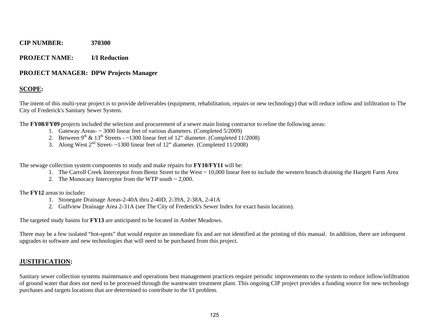#### **PROJECT NAME: I/I Reduction**

#### **PROJECT MANAGER: DPW Projects Manager**

#### **SCOPE:**

The intent of this multi-year project is to provide deliverables (equipment, rehabilitation, repairs or new technology) that will reduce inflow and infiltration to The City of Frederick's Sanitary Sewer System.

The **FY08/FY09** projects included the selection and procurement of a sewer main lining contractor to reline the following areas:

- 1. Gateway Areas- ~ 3000 linear feet of various diameters. (Completed 5/2009)
- 2. Between 9<sup>th</sup> & 13<sup>th</sup> Streets ~1300 linear feet of 12" diameter. (Completed 11/2008)
- 3. Along West  $2<sup>nd</sup>$  Street- $\sim$ 1300 linear feet of 12" diameter. (Completed 11/2008)

The sewage collection system components to study and make repairs for **FY10/FY11** will be:

- 1. The Carroll Creek Interceptor from Bentz Street to the West ~ 10,000 linear feet to include the western branch draining the Hargett Farm Area
- 2. The Monocacy Interceptor from the WTP south ~ 2,000.

The **FY12** areas to include**:** 

- 1. Stonegate Drainage Areas-2-40A thru 2-40D, 2-39A, 2-38A, 2-41A
- 2. Gulfview Drainage Area 2-31A (see The City of Frederick's Sewer Index for exact basin location).

The targeted study basins for **FY13** are anticipated to be located in Amber Meadows.

There may be a few isolated "hot-spots" that would require an immediate fix and are not identified at the printing of this manual. In addition, there are infrequent upgrades to software and new technologies that will need to be purchased from this project.

#### **JUSTIFICATION:**

Sanitary sewer collection systems maintenance and operations best management practices require periodic improvements to the system to reduce inflow/infiltration of ground water that does not need to be processed through the wastewater treatment plant. This ongoing CIP project provides a funding source for new technology purchases and targets locations that are determined to contribute to the I/I problem.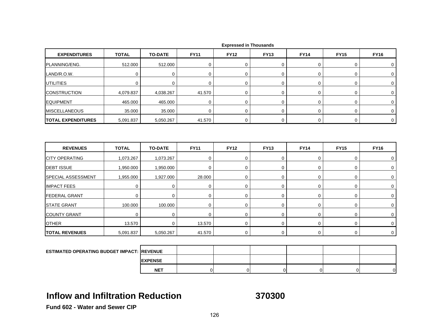| <b>EXPENDITURES</b>                               | <b>TOTAL</b> | <b>TO-DATE</b> | <b>FY11</b> | <b>FY12</b>      | <b>FY13</b> | <b>FY14</b> | <b>FY15</b> | <b>FY16</b> |
|---------------------------------------------------|--------------|----------------|-------------|------------------|-------------|-------------|-------------|-------------|
| PLANNING/ENG.                                     | 512.000      | 512.000        | $\mathbf 0$ | $\Omega$         | 0           | 0           | 0           | 0           |
| LAND/R.O.W.                                       | $\mathbf 0$  | $\mathbf 0$    | $\mathbf 0$ | $\mathbf 0$      | 0           | 0           | 0           | 0           |
| <b>UTILITIES</b>                                  | $\mathbf 0$  | 0              | 0           | $\mathbf 0$      | 0           | $\mathbf 0$ | 0           | $\mathbf 0$ |
| <b>CONSTRUCTION</b>                               | 4,079.837    | 4,038.267      | 41.570      | $\mathbf 0$      | 0           | 0           | 0           | 0           |
| <b>EQUIPMENT</b>                                  | 465.000      | 465.000        | $\mathbf 0$ | $\mathbf 0$      | 0           | 0           | 0           | 0           |
| <b>MISCELLANEOUS</b>                              | 35.000       | 35.000         | $\mathbf 0$ | $\mathbf 0$      | $\mathbf 0$ | $\mathbf 0$ | 0           | $\mathbf 0$ |
| <b>TOTAL EXPENDITURES</b>                         | 5,091.837    | 5,050.267      | 41.570      | 0                | 0           | $\mathbf 0$ | 0           | $\mathbf 0$ |
| <b>REVENUES</b>                                   | <b>TOTAL</b> | <b>TO-DATE</b> | <b>FY11</b> | <b>FY12</b>      | <b>FY13</b> | <b>FY14</b> | <b>FY15</b> | <b>FY16</b> |
| <b>CITY OPERATING</b>                             | 1,073.267    | 1,073.267      | 0           | $\mathbf 0$      | $\mathbf 0$ | 0           | 0           | 0           |
| <b>DEBT ISSUE</b>                                 | 1,950.000    | 1,950.000      | $\mathbf 0$ | $\mathbf 0$      | 0           | 0           | 0           | $\mathbf 0$ |
| <b>SPECIAL ASSESSMENT</b>                         | 1,955.000    | 1,927.000      | 28.000      | $\boldsymbol{0}$ | $\mathbf 0$ | $\mathbf 0$ | 0           | $\mathbf 0$ |
| <b>IMPACT FEES</b>                                | $\mathbf 0$  | 0              | $\mathbf 0$ | $\mathbf 0$      | 0           | $\mathbf 0$ | 0           | 0           |
| <b>FEDERAL GRANT</b>                              | $\Omega$     | $\mathbf 0$    | $\mathbf 0$ | $\mathbf 0$      | 0           | $\mathbf 0$ | 0           | 0           |
| <b>STATE GRANT</b>                                | 100.000      | 100.000        | $\mathbf 0$ | $\boldsymbol{0}$ | 0           | $\mathsf 0$ | 0           | 0           |
| <b>COUNTY GRANT</b>                               | 0            | 0              | 0           | $\mathbf 0$      | 0           | 0           | 0           | 0           |
| <b>OTHER</b>                                      | 13.570       | 0              | 13.570      | 0                | 0           | 0           | 0           | 0           |
| <b>TOTAL REVENUES</b>                             | 5,091.837    | 5,050.267      | 41.570      | $\mathbf 0$      | 0           | $\mathbf 0$ | 0           | $\mathbf 0$ |
|                                                   |              |                |             |                  |             |             |             |             |
| <b>ESTIMATED OPERATING BUDGET IMPACT: REVENUE</b> |              |                |             |                  |             |             |             |             |

 **Expressed in Thousands**

### **Inflow and Infiltration Reduction**

**EXPENSE NET**

**370300**

T | 0| 0| 0| 0| 0| 0|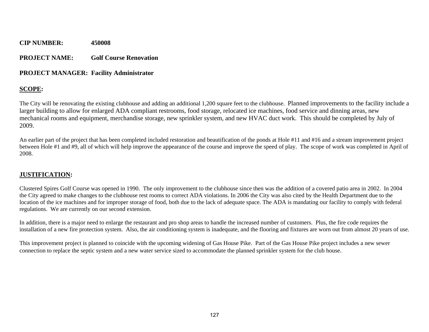#### **PROJECT NAME: Golf Course Renovation**

#### **PROJECT MANAGER: Facility Administrator**

### **SCOPE:**

The City will be renovating the existing clubhouse and adding an additional 1,200 square feet to the clubhouse. Planned improvements to the facility include a larger building to allow for enlarged ADA compliant restrooms, food storage, relocated ice machines, food service and dinning areas, new mechanical rooms and equipment, merchandise storage, new sprinkler system, and new HVAC duct work. This should be completed by July of 2009.

An earlier part of the project that has been completed included restoration and beautification of the ponds at Hole #11 and #16 and a stream improvement project between Hole #1 and #9, all of which will help improve the appearance of the course and improve the speed of play. The scope of work was completed in April of 2008.

### **JUSTIFICATION:**

Clustered Spires Golf Course was opened in 1990. The only improvement to the clubhouse since then was the addition of a covered patio area in 2002. In 2004 the City agreed to make changes to the clubhouse rest rooms to correct ADA violations. In 2006 the City was also cited by the Health Department due to the location of the ice machines and for improper storage of food, both due to the lack of adequate space. The ADA is mandating our facility to comply with federal regulations. We are currently on our second extension.

In addition, there is a major need to enlarge the restaurant and pro shop areas to handle the increased number of customers. Plus, the fire code requires the installation of a new fire protection system. Also, the air conditioning system is inadequate, and the flooring and fixtures are worn out from almost 20 years of use.

This improvement project is planned to coincide with the upcoming widening of Gas House Pike. Part of the Gas House Pike project includes a new sewer connection to replace the septic system and a new water service sized to accommodate the planned sprinkler system for the club house.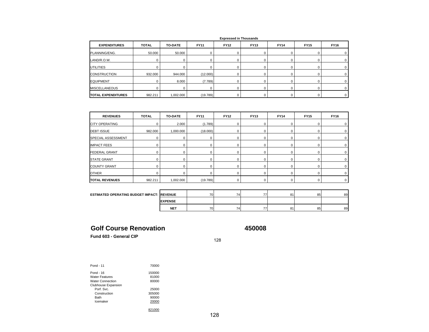|                           |              |                |             | <b>EXPLOSSED III IIIOUSUIIUS</b> |             |             |             |             |
|---------------------------|--------------|----------------|-------------|----------------------------------|-------------|-------------|-------------|-------------|
| <b>EXPENDITURES</b>       | <b>TOTAL</b> | <b>TO-DATE</b> | <b>FY11</b> | <b>FY12</b>                      | <b>FY13</b> | <b>FY14</b> | <b>FY15</b> | <b>FY16</b> |
| PLANNING/ENG.             | 50.000       | 50.000         |             |                                  |             |             |             |             |
| LAND/R.O.W.               |              |                |             |                                  |             |             |             |             |
| <b>UTILITIES</b>          |              |                |             |                                  |             |             |             |             |
| <b>CONSTRUCTION</b>       | 932.000      | 944.000        | (12.000)    |                                  |             |             |             |             |
| <b>EQUIPMENT</b>          |              | 8.000          | (7.789)     |                                  |             |             |             |             |
| <b>MISCELLANEOUS</b>      |              |                |             |                                  |             |             |             |             |
| <b>TOTAL EXPENDITURES</b> | 982.211      | 1,002.000      | (19.789)    |                                  |             |             |             | 0.          |

| <b>Expressed in Thousands</b> |  |
|-------------------------------|--|
|-------------------------------|--|

| <b>REVENUES</b>       | <b>TOTAL</b> | <b>TO-DATE</b> | <b>FY11</b> | <b>FY12</b> | <b>FY13</b> | <b>FY14</b> | <b>FY15</b> | <b>FY16</b> |
|-----------------------|--------------|----------------|-------------|-------------|-------------|-------------|-------------|-------------|
| <b>CITY OPERATING</b> |              | 2.000          | (1.789)     |             |             |             |             |             |
| <b>DEBT ISSUE</b>     | 982.000      | 1,000.000      | (18.000)    |             |             |             |             |             |
| SPECIAL ASSESSMENT    |              |                |             |             |             |             |             |             |
| <b>IMPACT FEES</b>    |              |                |             |             |             |             |             |             |
| <b>FEDERAL GRANT</b>  |              |                |             |             |             |             |             |             |
| <b>STATE GRANT</b>    |              |                |             |             |             |             |             |             |
| <b>COUNTY GRANT</b>   |              |                |             |             |             |             |             |             |
| <b>OTHER</b>          |              |                |             |             |             |             |             |             |
| <b>TOTAL REVENUES</b> | 982.211      | 1,002.000      | (19.789)    |             |             | 0           | 0           |             |

| <b>ESTIMATED OPERATING BUDGET IMPACT: IREVENUE</b> |                | 70 | $\overline{\phantom{a}}$<br>4 | 77 | $^{\circ}$ | 85 | 89 |
|----------------------------------------------------|----------------|----|-------------------------------|----|------------|----|----|
|                                                    | <b>EXPENSE</b> |    |                               |    |            |    |    |
|                                                    | <b>NET</b>     | 70 | -<br>74                       | -- | $\sim$     | 85 | 89 |

### **Golf Course Renovation**

**450008**

**Fund 603 - General CIP**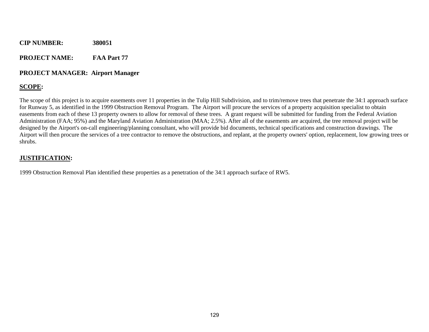**PROJECT NAME: FAA Part 77** 

#### **PROJECT MANAGER: Airport Manager**

#### **SCOPE:**

The scope of this project is to acquire easements over 11 properties in the Tulip Hill Subdivision, and to trim/remove trees that penetrate the 34:1 approach surface for Runway 5, as identified in the 1999 Obstruction Removal Program. The Airport will procure the services of a property acquisition specialist to obtain easements from each of these 13 property owners to allow for removal of these trees. A grant request will be submitted for funding from the Federal Aviation Administration (FAA; 95%) and the Maryland Aviation Administration (MAA; 2.5%). After all of the easements are acquired, the tree removal project will be designed by the Airport's on-call engineering/planning consultant, who will provide bid documents, technical specifications and construction drawings. The Airport will then procure the services of a tree contractor to remove the obstructions, and replant, at the property owners' option, replacement, low growing trees or shrubs.

#### **JUSTIFICATION:**

1999 Obstruction Removal Plan identified these properties as a penetration of the 34:1 approach surface of RW5.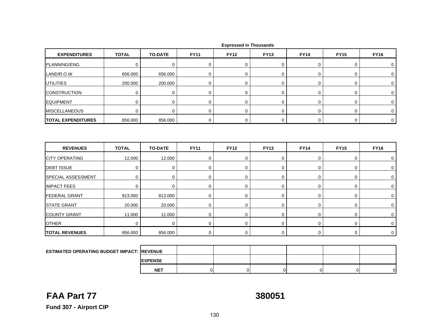| <b>EXPENDITURES</b>                     | <b>TOTAL</b> | <b>TO-DATE</b> | <b>FY11</b> | <b>FY12</b> | <b>FY13</b> | <b>FY14</b> | <b>FY15</b> | <b>FY16</b> |
|-----------------------------------------|--------------|----------------|-------------|-------------|-------------|-------------|-------------|-------------|
| PLANNING/ENG.                           | $\mathbf 0$  | $\mathbf 0$    | $\mathbf 0$ | $\mathbf 0$ | 0           | 0           | 0           | 0           |
| LAND/R.O.W.                             | 656.000      | 656.000        | $\mathbf 0$ | $\mathbf 0$ | 0           | $\mathbf 0$ | 0           | $\mathbf 0$ |
| <b>UTILITIES</b>                        | 200.000      | 200.000        | $\pmb{0}$   | $\mathbf 0$ | 0           | $\pmb{0}$   | 0           | 0           |
| <b>CONSTRUCTION</b>                     | $\mathbf 0$  | $\mathbf 0$    | $\mathbf 0$ | $\mathbf 0$ | 0           | 0           | 0           | 0           |
| <b>EQUIPMENT</b>                        | $\mathbf 0$  | $\pmb{0}$      | $\mathbf 0$ | $\mathbf 0$ | 0           | $\mathbf 0$ | 0           | 0           |
| <b>MISCELLANEOUS</b>                    | $\Omega$     | $\Omega$       | $\mathbf 0$ | $\mathbf 0$ | 0           | 0           | 0           | $\mathbf 0$ |
| <b>TOTAL EXPENDITURES</b>               | 856.000      | 856.000        | $\mathbf 0$ | $\mathbf 0$ | 0           | $\mathbf 0$ | 0           | $\mathbf 0$ |
|                                         |              |                |             |             |             |             |             |             |
|                                         |              |                |             |             |             |             |             |             |
| <b>REVENUES</b>                         | <b>TOTAL</b> | <b>TO-DATE</b> | <b>FY11</b> | <b>FY12</b> | <b>FY13</b> | <b>FY14</b> | <b>FY15</b> | <b>FY16</b> |
| <b>CITY OPERATING</b>                   | 12.000       | 12.000         | 0           | $\mathbf 0$ | 0           | 0           | 0           | $\mathbf 0$ |
|                                         | $\Omega$     | $\mathbf 0$    | $\mathbf 0$ | $\Omega$    | $\mathbf 0$ | $\mathbf 0$ | 0           | 0           |
| <b>DEBT ISSUE</b><br>SPECIAL ASSESSMENT | $\mathbf 0$  | 0              | $\mathbf 0$ | $\mathbf 0$ | 0           | $\mathbf 0$ | 0           | 0           |
| <b>IMPACT FEES</b>                      | $\mathbf 0$  | $\mathbf 0$    | $\mathbf 0$ | $\mathbf 0$ | 0           | $\mathbf 0$ | 0           | $\mathbf 0$ |
| <b>FEDERAL GRANT</b>                    | 813.000      | 813.000        | 0           | $\mathbf 0$ | 0           | 0           | 0           | $\mathbf 0$ |
| <b>STATE GRANT</b>                      | 20.000       | 20.000         | $\mathbf 0$ | $\mathbf 0$ | 0           | $\mathbf 0$ | 0           | 0           |
| <b>COUNTY GRANT</b>                     | 11.000       | 11.000         | $\mathbf 0$ | $\mathbf 0$ | 0           | 0           | 0           | 0           |
| <b>OTHER</b>                            | $\mathbf 0$  | $\mathbf 0$    | 0           | $\Omega$    | $\mathbf 0$ | $\mathbf 0$ | 0           | 0           |

| <b>ESTIMATED OPERATING BUDGET IMPACT: REVENUE</b> |                |  |  |  |
|---------------------------------------------------|----------------|--|--|--|
|                                                   | <b>EXPENSE</b> |  |  |  |
|                                                   | <b>NET</b>     |  |  |  |
|                                                   |                |  |  |  |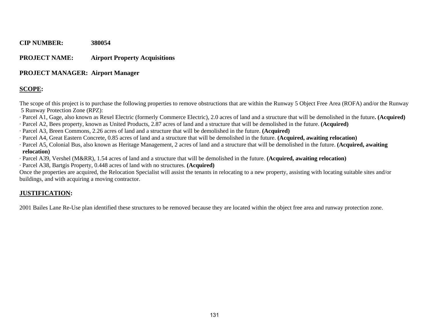#### **PROJECT NAME: Airport Property Acquisitions**

#### **PROJECT MANAGER: Airport Manager**

### **SCOPE:**

The scope of this project is to purchase the following properties to remove obstructions that are within the Runway 5 Object Free Area (ROFA) and/or the Runway 5 Runway Protection Zone (RPZ):

- · Parcel A1, Gage, also known as Rexel Electric (formerly Commerce Electric), 2.0 acres of land and a structure that will be demolished in the future**. (Acquired)**
- · Parcel A2, Bees property, known as United Products, 2.87 acres of land and a structure that will be demolished in the future. **(Acquired)**
- · Parcel A3, Breen Commons, 2.26 acres of land and a structure that will be demolished in the future. **(Acquired)**
- · Parcel A4, Great Eastern Concrete, 0.85 acres of land and a structure that will be demolished in the future. **(Acquired, awaiting relocation)**
- · Parcel A5, Colonial Bus, also known as Heritage Management, 2 acres of land and a structure that will be demolished in the future. **(Acquired, awaiting relocation)**
- · Parcel A39, Vershel (M&RR), 1.54 acres of land and a structure that will be demolished in the future. **(Acquired, awaiting relocation)**
- · Parcel A38, Bartgis Property, 0.448 acres of land with no structures. **(Acquired)**

Once the properties are acquired, the Relocation Specialist will assist the tenants in relocating to a new property, assisting with locating suitable sites and/or buildings, and with acquiring a moving contractor.

### **JUSTIFICATION:**

2001 Bailes Lane Re-Use plan identified these structures to be removed because they are located within the object free area and runway protection zone.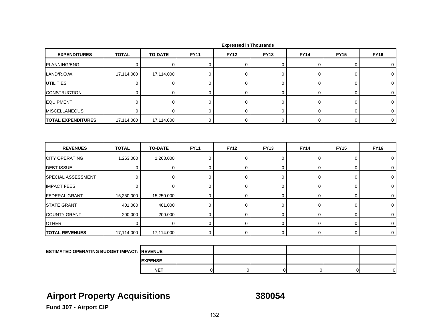| <b>EXPENDITURES</b>                        | <b>TOTAL</b> | <b>TO-DATE</b> | <b>FY11</b> | <b>FY12</b>      | <b>FY13</b> | <b>FY14</b> | <b>FY15</b> | <b>FY16</b>    |
|--------------------------------------------|--------------|----------------|-------------|------------------|-------------|-------------|-------------|----------------|
| PLANNING/ENG.                              | $\mathbf 0$  | $\mathbf 0$    | 0           | $\mathbf 0$      | 0           | 0           | 0           | $\mathbf 0$    |
| LAND/R.O.W.                                | 17,114.000   | 17,114.000     | $\mathbf 0$ | $\mathbf 0$      | 0           | 0           | 0           | $\mathbf 0$    |
| <b>UTILITIES</b>                           | $\mathbf 0$  | 0              | $\mathbf 0$ | $\mathbf 0$      | $\mathbf 0$ | 0           | 0           | $\mathbf 0$    |
| <b>CONSTRUCTION</b>                        | 0            | 0              | 0           | $\mathbf 0$      | 0           | 0           | 0           | 0              |
| <b>EQUIPMENT</b>                           | 0            | 0              | $\mathbf 0$ | 0                | 0           | 0           | 0           | 0              |
| <b>MISCELLANEOUS</b>                       | $\mathbf 0$  | $\mathbf 0$    | $\mathbf 0$ | $\mathbf 0$      | $\mathbf 0$ | 0           | 0           | $\mathbf 0$    |
| <b>TOTAL EXPENDITURES</b>                  | 17,114.000   | 17,114.000     | 0           | 0                | 0           | $\mathsf 0$ | 0           | $\overline{0}$ |
|                                            |              |                |             |                  |             |             |             |                |
|                                            |              |                |             |                  |             |             |             |                |
| <b>REVENUES</b>                            | <b>TOTAL</b> | <b>TO-DATE</b> | <b>FY11</b> | <b>FY12</b>      | <b>FY13</b> | <b>FY14</b> | <b>FY15</b> | <b>FY16</b>    |
| <b>CITY OPERATING</b>                      | 1,263.000    | 1,263.000      | $\mathbf 0$ | $\mathbf 0$      | 0           | $\mathbf 0$ | 0           | 0              |
| <b>DEBT ISSUE</b>                          | 0            | 0              | 0           | $\mathbf 0$      | 0           | 0           | 0           | 0              |
|                                            | 0            | $\mathbf 0$    | $\mathbf 0$ | $\mathbf 0$      | 0           | $\mathbf 0$ | 0           | $\mathbf 0$    |
| SPECIAL ASSESSMENT<br><b>IMPACT FEES</b>   | $\mathbf 0$  | $\mathbf 0$    | $\mathbf 0$ | $\mathbf 0$      | 0           | 0           | 0           | 0              |
|                                            | 15,250.000   | 15,250.000     | 0           | $\mathbf 0$      | $\mathbf 0$ | 0           | 0           | $\mathbf 0$    |
| <b>FEDERAL GRANT</b><br><b>STATE GRANT</b> | 401.000      | 401.000        | $\mathbf 0$ | 0                | 0           | 0           | 0           | 0              |
| <b>COUNTY GRANT</b>                        | 200.000      | 200.000        | $\mathbf 0$ | $\boldsymbol{0}$ | 0           | $\mathbf 0$ | 0           | $\mathbf 0$    |
| <b>OTHER</b>                               | $\Omega$     | $\mathbf 0$    | $\mathbf 0$ | $\mathbf 0$      | $\mathbf 0$ | 0           | 0           | $\mathbf 0$    |

**EXPENSE NET**T | 0| 0| 0| 0| 0| 0|

## **Airport Property Acquisitions 380054**

**Fund 307 - Airport CIP**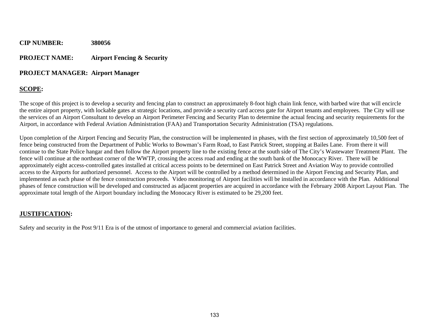### **CIP NUMBER: 380056 PROJECT NAME: Airport Fencing & Security**

#### **PROJECT MANAGER: Airport Manager**

### **SCOPE:**

The scope of this project is to develop a security and fencing plan to construct an approximately 8-foot high chain link fence, with barbed wire that will encircle the entire airport property, with lockable gates at strategic locations, and provide a security card access gate for Airport tenants and employees. The City will use the services of an Airport Consultant to develop an Airport Perimeter Fencing and Security Plan to determine the actual fencing and security requirements for the Airport, in accordance with Federal Aviation Administration (FAA) and Transportation Security Administration (TSA) regulations.

Upon completion of the Airport Fencing and Security Plan, the construction will be implemented in phases, with the first section of approximately 10,500 feet of fence being constructed from the Department of Public Works to Bowman's Farm Road, to East Patrick Street, stopping at Bailes Lane. From there it will continue to the State Police hangar and then follow the Airport property line to the existing fence at the south side of The City's Wastewater Treatment Plant. The fence will continue at the northeast corner of the WWTP, crossing the access road and ending at the south bank of the Monocacy River. There will be approximately eight access-controlled gates installed at critical access points to be determined on East Patrick Street and Aviation Way to provide controlled access to the Airports for authorized personnel. Access to the Airport will be controlled by a method determined in the Airport Fencing and Security Plan, and implemented as each phase of the fence construction proceeds. Video monitoring of Airport facilities will be installed in accordance with the Plan. Additional phases of fence construction will be developed and constructed as adjacent properties are acquired in accordance with the February 2008 Airport Layout Plan. The approximate total length of the Airport boundary including the Monocacy River is estimated to be 29,200 feet.

### **JUSTIFICATION:**

Safety and security in the Post 9/11 Era is of the utmost of importance to general and commercial aviation facilities.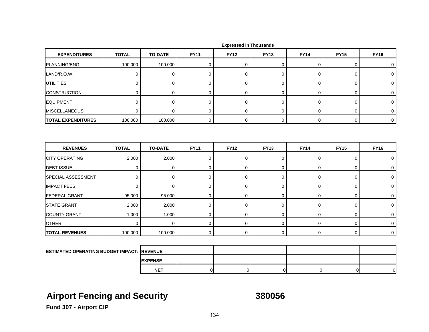| <b>EXPENDITURES</b>                               | <b>TOTAL</b> | <b>TO-DATE</b> | <b>FY11</b> | <b>FY12</b> | <b>FY13</b> | <b>FY14</b> | <b>FY15</b> | <b>FY16</b>    |
|---------------------------------------------------|--------------|----------------|-------------|-------------|-------------|-------------|-------------|----------------|
| PLANNING/ENG.                                     | 100.000      | 100.000        | 0           | $\mathbf 0$ | 0           | 0           | 0           | 0              |
| LAND/R.O.W.                                       | $\mathbf 0$  | $\mathbf 0$    | $\mathbf 0$ | $\mathbf 0$ | 0           | 0           | 0           | 0              |
| UTILITIES                                         | $\mathbf 0$  | $\mathbf 0$    | $\mathbf 0$ | $\mathbf 0$ | 0           | 0           | 0           | 0              |
| <b>CONSTRUCTION</b>                               | $\mathbf 0$  | $\mathbf 0$    | $\mathbf 0$ | 0           | 0           | 0           | 0           | 0              |
| <b>EQUIPMENT</b>                                  | $\mathbf 0$  | $\mathbf 0$    | $\mathbf 0$ | $\mathbf 0$ | 0           | 0           | 0           | 0              |
| <b>MISCELLANEOUS</b>                              | $\mathbf 0$  | $\mathbf 0$    | $\mathbf 0$ | 0           | 0           | $\mathbf 0$ | 0           | $\mathbf 0$    |
| <b>TOTAL EXPENDITURES</b>                         | 100.000      | 100.000        | $\mathbf 0$ | 0           | 0           | $\mathbf 0$ | $\mathbf 0$ | $\overline{0}$ |
| <b>REVENUES</b>                                   | <b>TOTAL</b> | <b>TO-DATE</b> | <b>FY11</b> | <b>FY12</b> | <b>FY13</b> | <b>FY14</b> | <b>FY15</b> | <b>FY16</b>    |
|                                                   |              |                |             |             |             |             |             |                |
| <b>CITY OPERATING</b>                             | 2.000        | 2.000          | 0           | $\mathbf 0$ | 0           | 0           | 0           | 0              |
| <b>DEBT ISSUE</b>                                 | $\mathbf 0$  | $\mathbf 0$    | $\mathbf 0$ | $\mathbf 0$ | 0           | $\mathbf 0$ | 0           | 0              |
| SPECIAL ASSESSMENT                                | $\mathbf 0$  | $\mathbf 0$    | 0           | 0           | 0           | 0           | 0           | 0              |
| <b>IMPACT FEES</b>                                | $\mathbf 0$  | $\mathbf 0$    | 0           | $\mathbf 0$ | 0           | 0           | 0           | 0              |
| <b>FEDERAL GRANT</b>                              | 95.000       | 95.000         | $\mathbf 0$ | $\mathbf 0$ | 0           | 0           | 0           | 0              |
| <b>STATE GRANT</b>                                | 2.000        | 2.000          | $\mathbf 0$ | 0           | 0           | $\mathbf 0$ | 0           | $\mathbf 0$    |
| <b>COUNTY GRANT</b>                               | 1.000        | 1.000          | $\mathbf 0$ | $\mathbf 0$ | 0           | $\mathbf 0$ | 0           | 0              |
| <b>OTHER</b>                                      | $\Omega$     | $\mathbf 0$    | 0           | $\mathbf 0$ | $\mathbf 0$ | 0           | 0           | $\mathbf 0$    |
| <b>TOTAL REVENUES</b>                             | 100.000      | 100.000        | $\mathbf 0$ | $\Omega$    | $\mathbf 0$ | $\mathbf 0$ | 0           | $\Omega$       |
|                                                   |              |                |             |             |             |             |             |                |
| <b>ESTIMATED OPERATING BUDGET IMPACT: REVENUE</b> |              |                |             |             |             |             |             |                |

## **Airport Fencing and Security 380056**

**EXPENSE**

**NET**

T | 0| 0| 0| 0| 0| 0|

**Fund 307 - Airport CIP**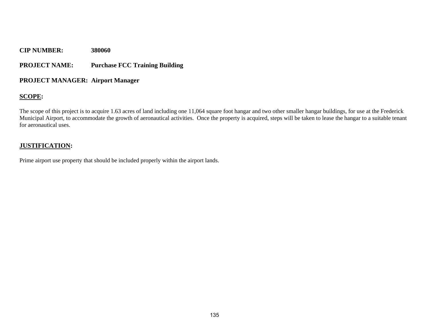#### **PROJECT NAME: Purchase FCC Training Building**

#### **PROJECT MANAGER: Airport Manager**

#### **SCOPE:**

The scope of this project is to acquire 1.63 acres of land including one 11,064 square foot hangar and two other smaller hangar buildings, for use at the Frederick Municipal Airport, to accommodate the growth of aeronautical activities. Once the property is acquired, steps will be taken to lease the hangar to a suitable tenant for aeronautical uses.

#### **JUSTIFICATION:**

Prime airport use property that should be included properly within the airport lands.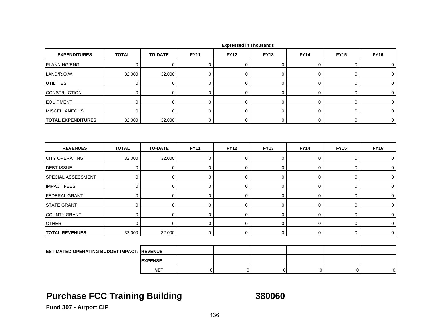| <b>EXPENDITURES</b>                               | <b>TOTAL</b> | <b>TO-DATE</b> | <b>FY11</b> | <b>FY12</b> | <b>FY13</b> | <b>FY14</b> | <b>FY15</b> | <b>FY16</b> |
|---------------------------------------------------|--------------|----------------|-------------|-------------|-------------|-------------|-------------|-------------|
| PLANNING/ENG.                                     | $\mathbf 0$  | $\mathbf 0$    | 0           | 0           | 0           | 0           | 0           | 0           |
| LAND/R.O.W.                                       | 32.000       | 32.000         | $\mathbf 0$ | 0           | 0           | $\mathbf 0$ | 0           | $\mathbf 0$ |
| <b>UTILITIES</b>                                  | $\pmb{0}$    | $\mathbf 0$    | $\mathbf 0$ | 0           | 0           | $\mathbf 0$ | 0           | $\pmb{0}$   |
| <b>CONSTRUCTION</b>                               | $\mathbf 0$  | $\mathbf 0$    | $\mathbf 0$ | $\mathbf 0$ | 0           | 0           | 0           | 0           |
| <b>EQUIPMENT</b>                                  | $\mathbf 0$  | $\mathbf 0$    | $\mathbf 0$ | 0           | $\mathbf 0$ | $\mathbf 0$ | 0           | 0           |
| <b>MISCELLANEOUS</b>                              | $\mathbf 0$  | $\mathbf 0$    | $\mathbf 0$ | 0           | 0           | $\mathbf 0$ | 0           | $\mathbf 0$ |
| <b>TOTAL EXPENDITURES</b>                         | 32.000       | 32.000         | $\mathbf 0$ | $\mathbf 0$ | 0           | 0           | 0           | $\mathbf 0$ |
| <b>REVENUES</b>                                   | <b>TOTAL</b> | <b>TO-DATE</b> | <b>FY11</b> | <b>FY12</b> | <b>FY13</b> | <b>FY14</b> | <b>FY15</b> | <b>FY16</b> |
| <b>CITY OPERATING</b>                             | 32.000       | 32.000         | $\pmb{0}$   | 0           | 0           | 0           | 0           | 0           |
| <b>DEBT ISSUE</b>                                 | $\mathbf 0$  | $\mathbf 0$    | $\mathbf 0$ | $\mathbf 0$ | 0           | 0           | 0           | 0           |
| SPECIAL ASSESSMENT                                | $\pmb{0}$    | $\mathbf 0$    | 0           | 0           | 0           | 0           | 0           | $\mathbf 0$ |
| <b>IMPACT FEES</b>                                | $\mathbf 0$  | $\mathbf 0$    | 0           | 0           | 0           | 0           | 0           | 0           |
| <b>FEDERAL GRANT</b>                              | $\mathbf 0$  | 0              | $\mathbf 0$ | 0           | 0           | $\mathbf 0$ | 0           | 0           |
| <b>STATE GRANT</b>                                | $\mathbf 0$  | $\mathbf 0$    | $\mathbf 0$ | 0           | 0           | 0           | 0           | $\mathbf 0$ |
| <b>COUNTY GRANT</b>                               | $\mathbf 0$  | 0              | 0           | 0           | 0           | 0           | 0           | $\mathbf 0$ |
| <b>OTHER</b>                                      | $\mathbf 0$  | $\mathbf 0$    | $\mathbf 0$ | 0           | 0           | $\mathbf 0$ | 0           | 0           |
| <b>TOTAL REVENUES</b>                             | 32.000       | 32.000         | $\mathbf 0$ | 0           | 0           | $\mathbf 0$ | 0           | $\mathbf 0$ |
|                                                   |              |                |             |             |             |             |             |             |
| <b>ESTIMATED OPERATING BUDGET IMPACT: REVENUE</b> |              |                |             |             |             |             |             |             |
|                                                   |              | <b>EXPENSE</b> |             |             |             |             |             |             |

# **Purchase FCC Training Building 380060**

**NET**

T | 0| 0| 0| 0| 0| 0|

**Fund 307 - Airport CIP**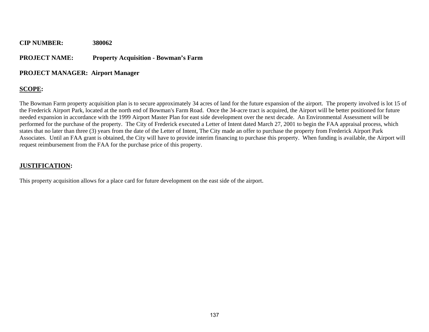#### **PROJECT NAME: Property Acquisition - Bowman's Farm**

#### **PROJECT MANAGER: Airport Manager**

### **SCOPE:**

The Bowman Farm property acquisition plan is to secure approximately 34 acres of land for the future expansion of the airport. The property involved is lot 15 of the Frederick Airport Park, located at the north end of Bowman's Farm Road. Once the 34-acre tract is acquired, the Airport will be better positioned for future needed expansion in accordance with the 1999 Airport Master Plan for east side development over the next decade. An Environmental Assessment will be performed for the purchase of the property. The City of Frederick executed a Letter of Intent dated March 27, 2001 to begin the FAA appraisal process, which states that no later than three (3) years from the date of the Letter of Intent, The City made an offer to purchase the property from Frederick Airport Park Associates. Until an FAA grant is obtained, the City will have to provide interim financing to purchase this property. When funding is available, the Airport will request reimbursement from the FAA for the purchase price of this property.

#### **JUSTIFICATION:**

This property acquisition allows for a place card for future development on the east side of the airport.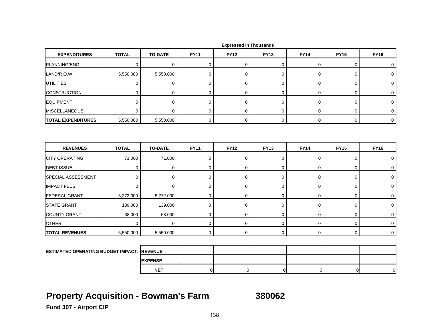| <b>EXPENDITURES</b>                        | <b>TOTAL</b>          | <b>TO-DATE</b>        | <b>FY11</b>                | <b>FY12</b>                | <b>FY13</b> | <b>FY14</b>                | <b>FY15</b> | <b>FY16</b>                |
|--------------------------------------------|-----------------------|-----------------------|----------------------------|----------------------------|-------------|----------------------------|-------------|----------------------------|
| PLANNING/ENG.                              | $\mathbf 0$           | $\mathbf 0$           | $\mathbf 0$                | $\mathbf 0$                | 0           | $\mathbf 0$                | 0           | 0                          |
| LAND/R.O.W.                                | 5,550.000             | 5,550.000             | $\mathbf 0$                | $\mathbf 0$                | 0           | $\mathbf 0$                | 0           | 0                          |
| <b>UTILITIES</b>                           | $\mathbf 0$           | $\pmb{0}$             | $\mathbf 0$                | $\mathbf 0$                | $\mathbf 0$ | $\mathsf 0$                | 0           | $\mathbf 0$                |
| <b>CONSTRUCTION</b>                        | 0                     | $\pmb{0}$             | $\mathbf 0$                | $\mathbf 0$                | 0           | $\mathbf 0$                | 0           | 0                          |
| <b>EQUIPMENT</b>                           | 0                     | $\pmb{0}$             | 0                          | $\mathbf 0$                | $\mathbf 0$ | $\mathbf 0$                | 0           | $\mathbf 0$                |
| <b>MISCELLANEOUS</b>                       | $\mathbf 0$           | $\mathbf 0$           | 0                          | $\mathbf 0$                | 0           | 0                          | 0           | 0                          |
| <b>TOTAL EXPENDITURES</b>                  | 5,550.000             | 5,550.000             | $\mathbf 0$                | $\mathbf 0$                | 0           | $\mathbf 0$                | 0           | $\mathbf 0$                |
| <b>REVENUES</b>                            | <b>TOTAL</b>          | <b>TO-DATE</b>        | <b>FY11</b>                | <b>FY12</b>                | <b>FY13</b> | <b>FY14</b>                | <b>FY15</b> | <b>FY16</b>                |
|                                            |                       |                       |                            |                            |             |                            |             |                            |
| <b>CITY OPERATING</b><br><b>DEBT ISSUE</b> | 71.000<br>$\mathbf 0$ | 71.000<br>$\mathbf 0$ | $\mathbf 0$<br>$\mathbf 0$ | $\mathbf 0$<br>$\mathbf 0$ | 0<br>0      | $\mathbf 0$<br>$\mathbf 0$ | 0<br>0      | $\mathbf 0$<br>$\mathbf 0$ |
| SPECIAL ASSESSMENT                         | $\mathbf 0$           | $\mathbf 0$           | $\mathbf 0$                | $\mathbf 0$                | 0           | $\mathbf 0$                | 0           | 0                          |
| <b>IMPACT FEES</b>                         | $\mathbf 0$           | 0                     | 0                          | $\mathbf 0$                | 0           | 0                          | 0           | 0                          |
| <b>FEDERAL GRANT</b>                       | 5,272.000             | 5,272.000             | $\mathbf 0$                | $\mathbf 0$                | 0           | 0                          | 0           | 0                          |
| <b>STATE GRANT</b>                         | 139.000               | 139.000               | $\mathbf 0$                | $\boldsymbol{0}$           | 0           | $\mathbf 0$                | 0           | $\mathbf 0$                |
| <b>COUNTY GRANT</b>                        | 68.000                | 68.000                | $\mathbf 0$                | $\mathbf 0$                | $\mathbf 0$ | 0                          | 0           | $\mathbf 0$                |
| <b>OTHER</b>                               | $\Omega$              | $\mathbf 0$           | $\mathbf 0$                | $\mathbf 0$                | 0           | 0                          | 0           | $\mathbf 0$                |
| <b>TOTAL REVENUES</b>                      | 5,550.000             | 5,550.000             | $\mathbf 0$                | $\mathbf 0$                | 0           | $\mathbf 0$                | 0           | $\mathbf 0$                |
|                                            |                       |                       |                            |                            |             |                            |             |                            |

**ESTIMATED OPERATING BUDGET IMPACT: REVENUE EXPENSENET**T | 0| 0| 0| 0| 0| 0|

## **Property Acquisition - Bowman's Farm 380062**

**Fund 307 - Airport CIP**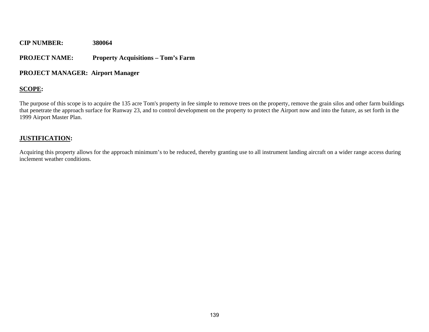#### **PROJECT NAME: Property Acquisitions – Tom's Farm**

#### **PROJECT MANAGER: Airport Manager**

### **SCOPE:**

The purpose of this scope is to acquire the 135 acre Tom's property in fee simple to remove trees on the property, remove the grain silos and other farm buildings that penetrate the approach surface for Runway 23, and to control development on the property to protect the Airport now and into the future, as set forth in the 1999 Airport Master Plan.

#### **JUSTIFICATION:**

Acquiring this property allows for the approach minimum's to be reduced, thereby granting use to all instrument landing aircraft on a wider range access during inclement weather conditions.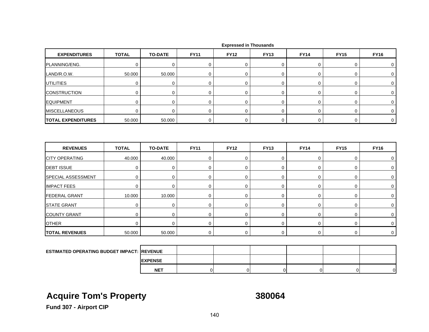| <b>EXPENDITURES</b>                               | <b>TOTAL</b>     | <b>TO-DATE</b> | <b>FY11</b> | <b>FY12</b> | <b>FY13</b> | <b>FY14</b> | <b>FY15</b> | <b>FY16</b> |
|---------------------------------------------------|------------------|----------------|-------------|-------------|-------------|-------------|-------------|-------------|
| PLANNING/ENG.                                     | 0                | 0              | 0           | 0           | 0           | 0           | 0           | 0           |
| LAND/R.O.W.                                       | 50.000           | 50.000         | 0           | $\mathbf 0$ | 0           | 0           | 0           | 0           |
| UTILITIES                                         | $\mathbf 0$      | $\mathbf 0$    | 0           | 0           | $\pmb{0}$   | 0           | 0           | 0           |
| <b>CONSTRUCTION</b>                               | $\mathbf 0$      | 0              | 0           | $\mathbf 0$ | 0           | 0           | 0           | 0           |
| EQUIPMENT                                         | $\mathbf 0$      | $\mathbf 0$    | 0           | 0           | 0           | 0           | 0           | 0           |
| <b>MISCELLANEOUS</b>                              | $\mathbf 0$      | $\mathbf 0$    | 0           | $\mathbf 0$ | $\mathbf 0$ | $\mathbf 0$ | 0           | 0           |
| <b>TOTAL EXPENDITURES</b>                         | 50.000           | 50.000         | $\mathbf 0$ | $\mathbf 0$ | 0           | $\mathbf 0$ | 0           | $\mathbf 0$ |
| <b>REVENUES</b>                                   | <b>TOTAL</b>     | <b>TO-DATE</b> | <b>FY11</b> | <b>FY12</b> | <b>FY13</b> | <b>FY14</b> | <b>FY15</b> | <b>FY16</b> |
| <b>CITY OPERATING</b>                             | 40.000           | 40.000         | 0           | 0           | 0           | 0           | 0           | 0           |
| <b>DEBT ISSUE</b>                                 | $\mathbf 0$      | $\mathbf 0$    | $\mathbf 0$ | 0           | 0           | $\mathbf 0$ | 0           | 0           |
| SPECIAL ASSESSMENT                                | $\mathbf 0$      | 0              | 0           | 0           | 0           | $\mathbf 0$ | 0           | 0           |
| <b>IMPACT FEES</b>                                | $\mathbf 0$      | $\mathbf 0$    | 0           | 0           | 0           | 0           | 0           | 0           |
| <b>FEDERAL GRANT</b>                              | 10.000           | 10.000         | $\mathbf 0$ | 0           | 0           | $\mathbf 0$ | 0           | 0           |
| <b>STATE GRANT</b>                                | $\boldsymbol{0}$ | $\mathbf 0$    | $\pmb{0}$   | $\mathbf 0$ | 0           | 0           | 0           | 0           |
| <b>COUNTY GRANT</b>                               | $\mathbf 0$      | $\mathbf 0$    | $\mathbf 0$ | $\mathbf 0$ | 0           | 0           | 0           | 0           |
| <b>OTHER</b>                                      | $\Omega$         | $\mathbf 0$    | $\mathbf 0$ | 0           | 0           | $\mathbf 0$ | 0           | $\mathbf 0$ |
| <b>TOTAL REVENUES</b>                             | 50.000           | 50.000         | $\mathbf 0$ | $\mathbf 0$ | 0           | $\mathbf 0$ | $\mathbf 0$ | $\mathbf 0$ |
|                                                   |                  |                |             |             |             |             |             |             |
| <b>ESTIMATED OPERATING BUDGET IMPACT: REVENUE</b> |                  |                |             |             |             |             |             |             |

 **Expressed in Thousands**

# **Acquire Tom's Property 380064**

**EXPENSE NET**

T | 0| 0| 0| 0| 0| 0|

**Fund 307 - Airport CIP**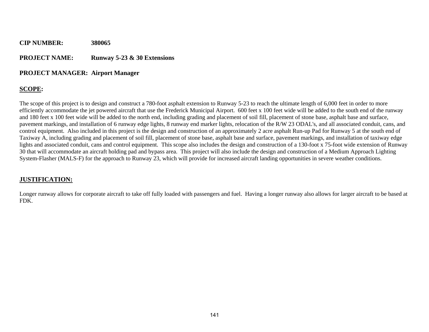### **CIP NUMBER: 380065 PROJECT NAME: Runway 5-23 & 30 Extensions**

#### **PROJECT MANAGER: Airport Manager**

### **SCOPE:**

The scope of this project is to design and construct a 780-foot asphalt extension to Runway 5-23 to reach the ultimate length of 6,000 feet in order to more efficiently accommodate the jet powered aircraft that use the Frederick Municipal Airport. 600 feet x 100 feet wide will be added to the south end of the runway and 180 feet x 100 feet wide will be added to the north end, including grading and placement of soil fill, placement of stone base, asphalt base and surface, pavement markings, and installation of 6 runway edge lights, 8 runway end marker lights, relocation of the R/W 23 ODAL's, and all associated conduit, cans, and control equipment. Also included in this project is the design and construction of an approximately 2 acre asphalt Run-up Pad for Runway 5 at the south end of Taxiway A, including grading and placement of soil fill, placement of stone base, asphalt base and surface, pavement markings, and installation of taxiway edge lights and associated conduit, cans and control equipment. This scope also includes the design and construction of a 130-foot x 75-foot wide extension of Runway 30 that will accommodate an aircraft holding pad and bypass area. This project will also include the design and construction of a Medium Approach Lighting System-Flasher (MALS-F) for the approach to Runway 23, which will provide for increased aircraft landing opportunities in severe weather conditions.

#### **JUSTIFICATION:**

Longer runway allows for corporate aircraft to take off fully loaded with passengers and fuel. Having a longer runway also allows for larger aircraft to be based at FDK.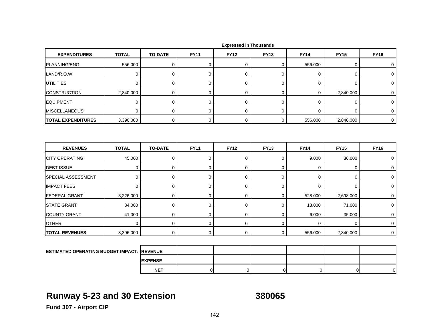| <b>EXPENDITURES</b>                                | <b>TOTAL</b> | <b>TO-DATE</b> | <b>FY11</b> | <b>FY12</b> | <b>FY13</b> | <b>FY14</b> | <b>FY15</b> | <b>FY16</b> |
|----------------------------------------------------|--------------|----------------|-------------|-------------|-------------|-------------|-------------|-------------|
| PLANNING/ENG.                                      | 556.000      | 0              | 0           | 0           | 0           | 556.000     | 0           | 0           |
| LAND/R.O.W.                                        | $\mathbf 0$  | $\mathbf 0$    | 0           | 0           | 0           | 0           | 0           | $\mathbf 0$ |
| UTILITIES                                          | $\mathbf 0$  | $\mathbf 0$    | 0           | 0           | 0           | 0           | 0           | 0           |
| <b>CONSTRUCTION</b>                                | 2,840.000    | 0              | 0           | 0           | 0           | 0           | 2,840.000   | 0           |
| <b>EQUIPMENT</b>                                   | $\mathbf 0$  | $\mathbf 0$    | $\mathbf 0$ | 0           | 0           | $\mathbf 0$ | 0           | $\mathbf 0$ |
| <b>MISCELLANEOUS</b>                               | $\mathbf 0$  | $\mathbf 0$    | $\mathbf 0$ | $\mathbf 0$ | 0           | 0           | 0           | 0           |
| <b>TOTAL EXPENDITURES</b>                          | 3,396.000    | $\mathbf 0$    | $\mathbf 0$ | $\mathbf 0$ | $\mathbf 0$ | 556.000     | 2,840.000   | $\mathbf 0$ |
| <b>REVENUES</b>                                    | <b>TOTAL</b> | <b>TO-DATE</b> | <b>FY11</b> | <b>FY12</b> | <b>FY13</b> | <b>FY14</b> | <b>FY15</b> | <b>FY16</b> |
| <b>CITY OPERATING</b>                              | 45.000       | $\mathbf 0$    | 0           | $\mathbf 0$ | 0           | 9.000       | 36.000      | 0           |
| <b>DEBT ISSUE</b>                                  | $\mathbf 0$  | 0              | 0           | $\mathbf 0$ | 0           | 0           | 0           | 0           |
| SPECIAL ASSESSMENT                                 | $\mathbf 0$  | $\mathbf 0$    | 0           | $\mathbf 0$ | 0           | 0           | 0           | 0           |
| <b>IMPACT FEES</b>                                 | $\mathbf 0$  | $\mathbf 0$    | $\mathbf 0$ | $\mathbf 0$ | 0           | 0           | 0           | $\mathbf 0$ |
| <b>FEDERAL GRANT</b>                               | 3,226.000    | 0              | $\mathbf 0$ | $\mathbf 0$ | $\mathbf 0$ | 528.000     | 2,698.000   | 0           |
| <b>STATE GRANT</b>                                 | 84.000       | $\mathbf 0$    | $\mathbf 0$ | 0           | 0           | 13.000      | 71.000      | $\mathbf 0$ |
| <b>COUNTY GRANT</b>                                | 41.000       | $\mathbf 0$    | $\mathbf 0$ | $\mathbf 0$ | 0           | 6.000       | 35.000      | 0           |
| <b>OTHER</b>                                       | $\mathbf 0$  | $\mathbf 0$    | $\mathbf 0$ | $\mathbf 0$ | 0           | $\mathbf 0$ | 0           | $\mathbf 0$ |
| <b>TOTAL REVENUES</b>                              | 3,396.000    | $\mathbf 0$    | $\mathbf 0$ | $\mathbf 0$ | 0           | 556.000     | 2,840.000   | $\mathbf 0$ |
|                                                    |              |                |             |             |             |             |             |             |
| <b>ESTIMATED OPERATING BUDGET IMPACT: IREVENUE</b> |              |                |             |             |             |             |             |             |
|                                                    |              | <b>EXPENSE</b> |             |             |             |             |             |             |

## **Runway 5-23 and 30 Extension 380065**

**NET**

T | 0| 0| 0| 0| 0| 0|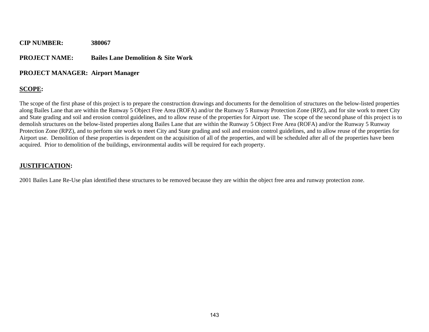### **PROJECT NAME: Bailes Lane Demolition & Site Work**

#### **PROJECT MANAGER: Airport Manager**

### **SCOPE:**

The scope of the first phase of this project is to prepare the construction drawings and documents for the demolition of structures on the below-listed properties along Bailes Lane that are within the Runway 5 Object Free Area (ROFA) and/or the Runway 5 Runway Protection Zone (RPZ), and for site work to meet City and State grading and soil and erosion control guidelines, and to allow reuse of the properties for Airport use. The scope of the second phase of this project is to demolish structures on the below-listed properties along Bailes Lane that are within the Runway 5 Object Free Area (ROFA) and/or the Runway 5 Runway Protection Zone (RPZ), and to perform site work to meet City and State grading and soil and erosion control guidelines, and to allow reuse of the properties for Airport use. Demolition of these properties is dependent on the acquisition of all of the properties, and will be scheduled after all of the properties have been acquired. Prior to demolition of the buildings, environmental audits will be required for each property.

#### **JUSTIFICATION:**

2001 Bailes Lane Re-Use plan identified these structures to be removed because they are within the object free area and runway protection zone.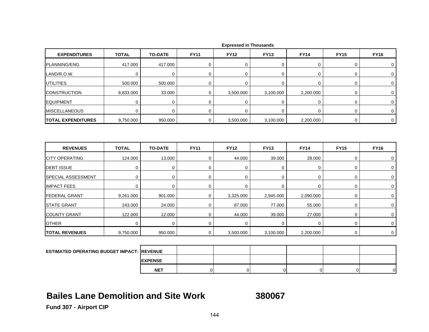| <b>EXPENDITURES</b>       | <b>TOTAL</b> | <b>TO-DATE</b> | <b>FY11</b> | <b>FY12</b> | <b>FY13</b>    | <b>FY14</b> | <b>FY15</b> | <b>FY16</b> |
|---------------------------|--------------|----------------|-------------|-------------|----------------|-------------|-------------|-------------|
| PLANNING/ENG.             | 417.000      | 417.000        | 0           | $\mathbf 0$ | 0              | 0           | 0           | 0           |
| LAND/R.O.W.               | $\mathbf 0$  | $\mathbf 0$    | 0           | 0           | 0              | 0           | 0           | 0           |
| <b>UTILITIES</b>          | 500.000      | 500.000        | 0           | $\mathbf 0$ | 0              | 0           | 0           | 0           |
| <b>CONSTRUCTION</b>       | 8,833.000    | 33.000         | 0           | 3,500.000   | 3,100.000      | 2,200.000   | 0           | 0           |
| <b>EQUIPMENT</b>          | $\mathbf 0$  | 0              | $\mathbf 0$ | $\mathbf 0$ | $\overline{0}$ | 0           | 0           | 0           |
| <b>MISCELLANEOUS</b>      | $\Omega$     | $\Omega$       | $\mathbf 0$ | $\Omega$    | $\Omega$       | $\mathbf 0$ | 0           | $\mathbf 0$ |
| <b>TOTAL EXPENDITURES</b> | 9,750.000    | 950.000        | $\mathbf 0$ | 3,500.000   | 3,100.000      | 2,200.000   | 0           | $\mathbf 0$ |
| <b>REVENUES</b>           | <b>TOTAL</b> | <b>TO-DATE</b> | <b>FY11</b> | <b>FY12</b> | <b>FY13</b>    | <b>FY14</b> | <b>FY15</b> | <b>FY16</b> |
| <b>CITY OPERATING</b>     | 124.000      | 13.000         | $\mathbf 0$ | 44.000      | 39.000         | 28.000      | 0           | 0           |
| <b>DEBT ISSUE</b>         | $\mathbf 0$  | $\mathbf 0$    | $\mathbf 0$ | $\mathbf 0$ | $\overline{0}$ | $\mathbf 0$ | 0           | $\mathbf 0$ |
| SPECIAL ASSESSMENT        | $\mathbf 0$  | 0              | $\mathbf 0$ | $\mathbf 0$ | 0              | 0           | 0           | 0           |
| <b>IMPACT FEES</b>        | 0            | 0              | 0           | 0           | 0              | 0           | 0           | 0           |
| <b>FEDERAL GRANT</b>      | 9,261.000    | 901.000        | $\mathbf 0$ | 3,325.000   | 2,945.000      | 2,090.000   | 0           | $\mathbf 0$ |
| <b>STATE GRANT</b>        | 243.000      | 24.000         | $\mathbf 0$ | 87.000      | 77.000         | 55.000      | 0           | $\mathbf 0$ |
| <b>COUNTY GRANT</b>       | 122.000      | 12.000         | $\mathbf 0$ | 44.000      | 39.000         | 27.000      | 0           | $\mathbf 0$ |
| <b>OTHER</b>              | $\mathbf 0$  | $\mathbf 0$    | $\mathbf 0$ | 0           | $\mathbf 0$    | $\mathbf 0$ | 0           | $\mathbf 0$ |
| <b>TOTAL REVENUES</b>     | 9,750.000    | 950.000        | 0           | 3,500.000   | 3,100.000      | 2,200.000   | 0           | $\mathbf 0$ |
|                           |              |                |             |             |                |             |             |             |

| <b>ESTIMATED OPERATING BUDGET IMPACT: REVENUE</b> |                 |  |  |  |
|---------------------------------------------------|-----------------|--|--|--|
|                                                   | <b>IEXPENSE</b> |  |  |  |
|                                                   | <b>NET</b>      |  |  |  |

### **Bailes Lane Demolition and Site Work**

**380067**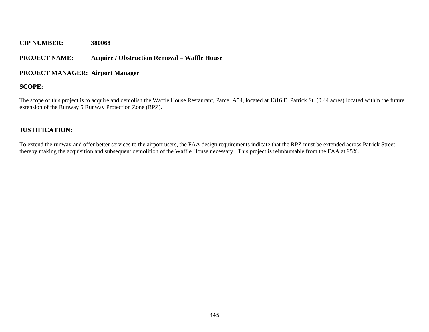#### **PROJECT NAME: Acquire / Obstruction Removal – Waffle House**

#### **PROJECT MANAGER: Airport Manager**

#### **SCOPE:**

The scope of this project is to acquire and demolish the Waffle House Restaurant, Parcel A54, located at 1316 E. Patrick St. (0.44 acres) located within the future extension of the Runway 5 Runway Protection Zone (RPZ).

#### **JUSTIFICATION:**

To extend the runway and offer better services to the airport users, the FAA design requirements indicate that the RPZ must be extended across Patrick Street, thereby making the acquisition and subsequent demolition of the Waffle House necessary. This project is reimbursable from the FAA at 95%.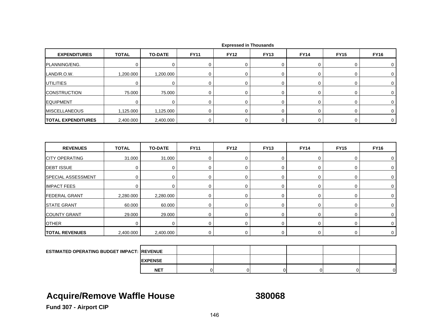| <b>EXPENDITURES</b>                               | <b>TOTAL</b> | <b>TO-DATE</b> | <b>FY11</b> | <b>FY12</b> | <b>FY13</b>    | <b>FY14</b> | <b>FY15</b> | <b>FY16</b> |
|---------------------------------------------------|--------------|----------------|-------------|-------------|----------------|-------------|-------------|-------------|
| PLANNING/ENG.                                     | 0            | $\mathbf 0$    | 0           | $\mathbf 0$ | 0              | 0           | 0           | 0           |
| LAND/R.O.W.                                       | 1,200.000    | 1,200.000      | $\mathbf 0$ | $\mathbf 0$ | $\overline{0}$ | $\mathbf 0$ | 0           | $\mathbf 0$ |
| <b>UTILITIES</b>                                  | $\mathbf 0$  | $\mathbf 0$    | $\pmb{0}$   | $\mathbf 0$ | 0              | $\pmb{0}$   | 0           | 0           |
| <b>CONSTRUCTION</b>                               | 75.000       | 75.000         | $\mathbf 0$ | $\mathbf 0$ | 0              | $\pmb{0}$   | 0           | $\mathbf 0$ |
| <b>EQUIPMENT</b>                                  | $\mathbf 0$  | $\mathbf 0$    | $\mathbf 0$ | $\mathbf 0$ | 0              | 0           | 0           | 0           |
| <b>MISCELLANEOUS</b>                              | 1,125.000    | 1,125.000      | $\mathbf 0$ | $\mathbf 0$ | $\mathbf 0$    | $\mathbf 0$ | 0           | 0           |
| <b>TOTAL EXPENDITURES</b>                         | 2,400.000    | 2,400.000      | $\mathbf 0$ | $\mathbf 0$ | 0              | $\mathbf 0$ | 0           | $\mathbf 0$ |
| <b>REVENUES</b>                                   | <b>TOTAL</b> | <b>TO-DATE</b> | <b>FY11</b> | <b>FY12</b> | <b>FY13</b>    | <b>FY14</b> | <b>FY15</b> | <b>FY16</b> |
|                                                   |              |                |             |             |                |             |             |             |
| <b>CITY OPERATING</b>                             | 31.000       | 31.000         | 0           | 0           | 0              | 0           | 0           | 0           |
| <b>DEBT ISSUE</b>                                 | $\mathbf 0$  | $\mathbf 0$    | $\mathbf 0$ | $\mathbf 0$ | 0              | $\mathbf 0$ | 0           | 0           |
| SPECIAL ASSESSMENT                                | $\mathbf 0$  | 0              | $\mathbf 0$ | $\mathbf 0$ | 0              | 0           | 0           | $\mathbf 0$ |
| <b>IMPACT FEES</b>                                | $\Omega$     | $\mathbf 0$    | 0           | $\mathbf 0$ | 0              | $\pmb{0}$   | 0           | $\mathbf 0$ |
| <b>FEDERAL GRANT</b>                              | 2,280.000    | 2,280.000      | $\mathbf 0$ | $\mathbf 0$ | $\mathsf 0$    | $\mathbf 0$ | 0           | 0           |
| <b>STATE GRANT</b>                                | 60.000       | 60.000         | $\mathbf 0$ | $\mathbf 0$ | 0              | $\pmb{0}$   | 0           | 0           |
| <b>COUNTY GRANT</b>                               | 29.000       | 29.000         | 0           | $\mathbf 0$ | 0              | 0           | 0           | 0           |
| <b>OTHER</b>                                      | $\Omega$     | $\mathbf 0$    | 0           | $\mathbf 0$ | 0              | 0           | 0           | $\mathbf 0$ |
| <b>TOTAL REVENUES</b>                             | 2,400.000    | 2,400.000      | $\mathbf 0$ | 0           | 0              | 0           | 0           | $\mathbf 0$ |
|                                                   |              |                |             |             |                |             |             |             |
| <b>ESTIMATED OPERATING BUDGET IMPACT: REVENUE</b> |              |                |             |             |                |             |             |             |

 **Expressed in Thousands**

## **Acquire/Remove Waffle House 380068**

**EXPENSE NET**

T | 0| 0| 0| 0| 0| 0|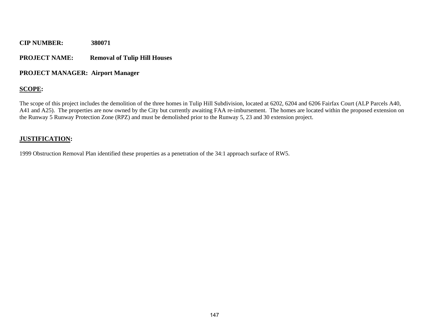#### **PROJECT NAME:Removal of Tulip Hill Houses**

#### **PROJECT MANAGER: Airport Manager**

#### **SCOPE:**

The scope of this project includes the demolition of the three homes in Tulip Hill Subdivision, located at 6202, 6204 and 6206 Fairfax Court (ALP Parcels A40, A41 and A25). The properties are now owned by the City but currently awaiting FAA re-imbursement. The homes are located within the proposed extension on the Runway 5 Runway Protection Zone (RPZ) and must be demolished prior to the Runway 5, 23 and 30 extension project.

#### **JUSTIFICATION:**

1999 Obstruction Removal Plan identified these properties as a penetration of the 34:1 approach surface of RW5.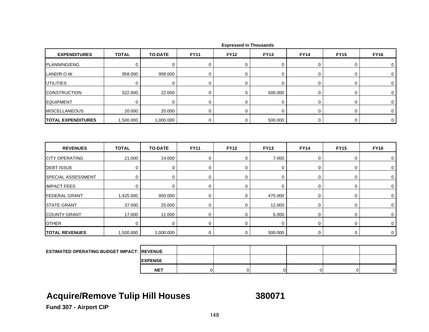| <b>EXPENDITURES</b>                               | <b>TOTAL</b> | <b>TO-DATE</b> | <b>FY11</b> | <b>FY12</b>      | <b>FY13</b> | <b>FY14</b> | <b>FY15</b> | <b>FY16</b> |
|---------------------------------------------------|--------------|----------------|-------------|------------------|-------------|-------------|-------------|-------------|
| PLANNING/ENG.                                     | $\mathbf 0$  | $\mathbf 0$    | 0           | 0                | 0           | 0           | 0           | 0           |
| LAND/R.O.W.                                       | 958.000      | 958.000        | $\mathbf 0$ | $\mathbf 0$      | 0           | $\mathbf 0$ | 0           | 0           |
| <b>UTILITIES</b>                                  | $\mathbf 0$  | $\mathbf 0$    | $\mathbf 0$ | $\mathbf 0$      | 0           | $\pmb{0}$   | 0           | 0           |
| <b>CONSTRUCTION</b>                               | 522.000      | 22.000         | 0           | $\mathbf 0$      | 500.000     | 0           | 0           | 0           |
| <b>EQUIPMENT</b>                                  | $\mathbf 0$  | $\mathbf 0$    | $\mathbf 0$ | $\mathbf 0$      | 0           | $\mathbf 0$ | 0           | 0           |
| <b>MISCELLANEOUS</b>                              | 20.000       | 20.000         | $\mathbf 0$ | $\mathbf 0$      | $\mathbf 0$ | $\mathbf 0$ | 0           | $\mathbf 0$ |
| <b>TOTAL EXPENDITURES</b>                         | 1,500.000    | 1,000.000      | $\mathbf 0$ | 0                | 500.000     | $\mathbf 0$ | $\mathbf 0$ | $\mathbf 0$ |
| <b>REVENUES</b>                                   | <b>TOTAL</b> | <b>TO-DATE</b> | <b>FY11</b> | <b>FY12</b>      | <b>FY13</b> | <b>FY14</b> | <b>FY15</b> | <b>FY16</b> |
| <b>CITY OPERATING</b>                             | 21.000       | 14.000         | $\mathbf 0$ | $\mathbf 0$      | 7.000       | 0           | 0           | 0           |
| <b>DEBT ISSUE</b>                                 | $\mathbf 0$  | 0              | $\mathbf 0$ | $\mathbf 0$      | 0           | $\mathbf 0$ | 0           | 0           |
| SPECIAL ASSESSMENT                                | 0            | 0              | $\mathbf 0$ | $\mathbf 0$      | 0           | 0           | 0           | 0           |
| <b>IMPACT FEES</b>                                | 0            | $\mathbf 0$    | 0           | $\mathbf 0$      | 0           | 0           | 0           | 0           |
| <b>FEDERAL GRANT</b>                              | 1,425.000    | 950.000        | $\mathbf 0$ | $\boldsymbol{0}$ | 475.000     | $\mathbf 0$ | 0           | 0           |
| <b>STATE GRANT</b>                                | 37.000       | 25.000         | $\mathbf 0$ | $\mathbf 0$      | 12.000      | 0           | 0           | $\mathbf 0$ |
| <b>COUNTY GRANT</b>                               | 17.000       | 11.000         | $\mathbf 0$ | $\mathbf 0$      | 6.000       | $\mathsf 0$ | 0           | 0           |
| <b>OTHER</b>                                      | $\Omega$     | $\mathbf 0$    | $\mathbf 0$ | $\Omega$         | $\Omega$    | $\mathbf 0$ | 0           | 0           |
| <b>TOTAL REVENUES</b>                             | 1,500.000    | 1,000.000      | $\mathbf 0$ | 0                | 500.000     | $\mathbf 0$ | 0           | $\mathbf 0$ |
|                                                   |              |                |             |                  |             |             |             |             |
| <b>ESTIMATED OPERATING BUDGET IMPACT: REVENUE</b> |              |                |             |                  |             |             |             |             |

## **Acquire/Remove Tulip Hill Houses 380071**

**EXPENSE NET**

T | 0| 0| 0| 0| 0| 0|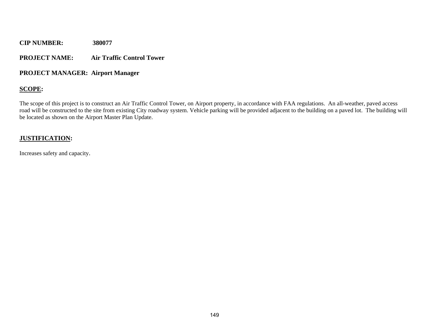#### **PROJECT NAME: Air Traffic Control Tower**

#### **PROJECT MANAGER: Airport Manager**

#### **SCOPE:**

The scope of this project is to construct an Air Traffic Control Tower, on Airport property, in accordance with FAA regulations. An all-weather, paved access road will be constructed to the site from existing City roadway system. Vehicle parking will be provided adjacent to the building on a paved lot. The building will be located as shown on the Airport Master Plan Update.

#### **JUSTIFICATION:**

Increases safety and capacity.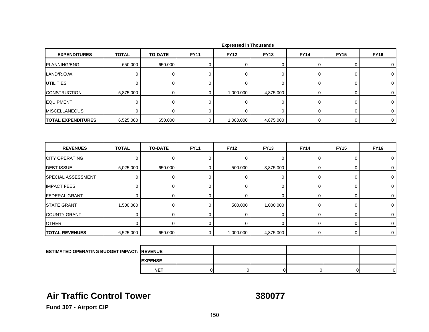| <b>EXPENDITURES</b>                       | <b>TOTAL</b> | <b>TO-DATE</b> | <b>FY11</b> | <b>FY12</b> | <b>FY13</b> | <b>FY14</b> | <b>FY15</b> | <b>FY16</b>  |
|-------------------------------------------|--------------|----------------|-------------|-------------|-------------|-------------|-------------|--------------|
| PLANNING/ENG.                             | 650.000      | 650.000        | 0           | $\mathbf 0$ | 0           | 0           | 0           | 0            |
| LAND/R.O.W.                               | $\mathbf 0$  | 0              | 0           | $\mathbf 0$ | 0           | 0           | 0           | 0            |
| <b>UTILITIES</b>                          | $\Omega$     | $\mathbf 0$    | $\mathbf 0$ | $\Omega$    | $\mathbf 0$ | $\mathbf 0$ | 0           | $\mathbf 0$  |
| <b>CONSTRUCTION</b>                       | 5,875.000    | $\mathbf 0$    | 0           | 1,000.000   | 4,875.000   | $\mathbf 0$ | 0           | 0            |
| <b>EQUIPMENT</b>                          | $\mathbf 0$  | $\mathbf 0$    | $\mathbf 0$ | $\mathbf 0$ | 0           | 0           | 0           | 0            |
| <b>MISCELLANEOUS</b>                      | $\mathbf 0$  | $\mathbf 0$    | $\mathbf 0$ | $\Omega$    | $\mathbf 0$ | $\mathbf 0$ | 0           | $\mathbf 0$  |
| <b>TOTAL EXPENDITURES</b>                 | 6,525.000    | 650.000        | $\mathbf 0$ | 1,000.000   | 4,875.000   | 0           | 0           | $\mathbf{0}$ |
|                                           |              |                |             |             |             |             |             |              |
|                                           |              |                |             |             |             |             |             |              |
| <b>REVENUES</b>                           | <b>TOTAL</b> | <b>TO-DATE</b> | <b>FY11</b> | <b>FY12</b> | <b>FY13</b> | <b>FY14</b> | <b>FY15</b> | <b>FY16</b>  |
| <b>CITY OPERATING</b>                     | 0            | $\mathbf 0$    | $\mathbf 0$ | $\mathbf 0$ | 0           | $\mathbf 0$ | 0           | 0            |
|                                           | 5,025.000    | 650.000        | $\mathbf 0$ | 500.000     | 3,875.000   | $\mathbf 0$ | 0           | $\mathbf 0$  |
| <b>DEBT ISSUE</b><br>SPECIAL ASSESSMENT   | $\mathbf 0$  | $\mathbf 0$    | $\mathbf 0$ | $\mathbf 0$ | 0           | $\mathbf 0$ | 0           | 0            |
| <b>IMPACT FEES</b>                        | $\Omega$     | $\mathbf 0$    | $\mathbf 0$ | $\Omega$    | $\mathbf 0$ | 0           | 0           | $\mathbf 0$  |
| <b>FEDERAL GRANT</b>                      | $\mathbf 0$  | $\mathbf 0$    | $\mathbf 0$ | $\mathbf 0$ | 0           | $\mathbf 0$ | 0           | 0            |
|                                           | 1,500.000    | $\mathbf 0$    | $\mathbf 0$ | 500.000     | 1,000.000   | $\mathbf 0$ | 0           | 0            |
| <b>STATE GRANT</b><br><b>COUNTY GRANT</b> | $\mathbf 0$  | 0              | 0           | $\mathbf 0$ | 0           | 0           | 0           | 0            |
| <b>OTHER</b>                              | $\Omega$     | $\mathbf 0$    | $\mathbf 0$ | $\mathbf 0$ | $\mathbf 0$ | 0           | 0           | 0            |

|  |  | <b>Expressed in Thousands</b> |
|--|--|-------------------------------|
|--|--|-------------------------------|

| <b>ESTIMATED OPERATING BUDGET IMPACT: REVENUE</b> |                |  |  |  |
|---------------------------------------------------|----------------|--|--|--|
|                                                   | <b>EXPENSE</b> |  |  |  |
|                                                   | <b>NET</b>     |  |  |  |

## **Air Traffic Control Tower**

**380077**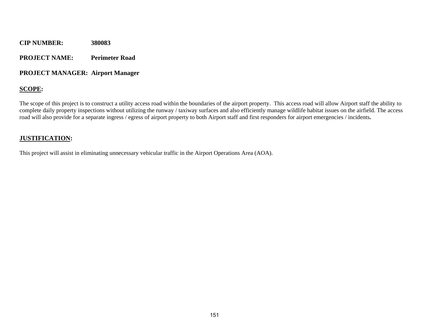#### **PROJECT NAME: Perimeter Road**

#### **PROJECT MANAGER: Airport Manager**

#### **SCOPE:**

The scope of this project is to construct a utility access road within the boundaries of the airport property. This access road will allow Airport staff the ability to complete daily property inspections without utilizing the runway / taxiway surfaces and also efficiently manage wildlife habitat issues on the airfield. The access road will also provide for a separate ingress / egress of airport property to both Airport staff and first responders for airport emergencies / incidents**.** 

#### **JUSTIFICATION:**

This project will assist in eliminating unnecessary vehicular traffic in the Airport Operations Area (AOA).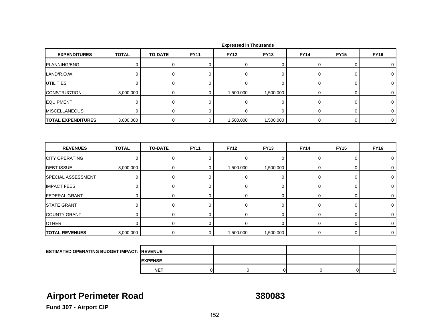| <b>EXPENDITURES</b>       | <b>TOTAL</b> | <b>TO-DATE</b> | <b>FY11</b> | <b>FY12</b> | <b>FY13</b> | <b>FY14</b> | <b>FY15</b> | <b>FY16</b> |
|---------------------------|--------------|----------------|-------------|-------------|-------------|-------------|-------------|-------------|
| PLANNING/ENG.             | $\mathbf 0$  | 0              | 0           | 0           | 0           | 0           | 0           | 0           |
| LAND/R.O.W.               | $\mathbf 0$  | $\mathbf 0$    | 0           | $\mathbf 0$ | 0           | 0           | 0           | 0           |
| <b>UTILITIES</b>          | $\mathbf 0$  | $\mathbf 0$    | 0           | $\mathbf 0$ | 0           | 0           | 0           | 0           |
| <b>CONSTRUCTION</b>       | 3,000.000    | $\mathbf 0$    | $\mathbf 0$ | 1,500.000   | 1,500.000   | $\mathbf 0$ | 0           | $\mathbf 0$ |
| <b>EQUIPMENT</b>          | $\mathbf 0$  | $\mathbf 0$    | $\mathbf 0$ | $\mathbf 0$ | 0           | 0           | 0           | 0           |
| <b>MISCELLANEOUS</b>      | $\mathbf 0$  | $\mathbf 0$    | $\mathbf 0$ | $\mathbf 0$ | 0           | 0           | 0           | 0           |
| <b>TOTAL EXPENDITURES</b> | 3,000.000    | $\mathbf 0$    | 0           | 1,500.000   | 1,500.000   | 0           | 0           | 0           |
| <b>REVENUES</b>           | <b>TOTAL</b> | <b>TO-DATE</b> | <b>FY11</b> | <b>FY12</b> | <b>FY13</b> | <b>FY14</b> | <b>FY15</b> | <b>FY16</b> |
|                           |              |                |             |             |             |             |             |             |
| <b>CITY OPERATING</b>     | $\mathbf 0$  | $\mathbf 0$    | $\mathbf 0$ | $\mathbf 0$ | 0           | $\mathbf 0$ | 0           | $\mathbf 0$ |
| <b>DEBT ISSUE</b>         | 3,000.000    | 0              | $\mathbf 0$ | 1,500.000   | 1,500.000   | 0           | 0           | 0           |
| SPECIAL ASSESSMENT        | $\mathbf 0$  | $\mathbf 0$    | $\mathbf 0$ | $\mathbf 0$ | 0           | 0           | 0           | $\mathbf 0$ |
| <b>IMPACT FEES</b>        | $\mathbf 0$  | $\mathbf 0$    | $\mathbf 0$ | $\mathbf 0$ | 0           | 0           | 0           | 0           |
| <b>FEDERAL GRANT</b>      | $\mathbf 0$  | $\mathbf 0$    | $\mathbf 0$ | 0           | 0           | $\mathbf 0$ | 0           | 0           |
| <b>STATE GRANT</b>        | $\mathbf 0$  | $\mathbf 0$    | $\mathbf 0$ | $\mathbf 0$ | 0           | 0           | 0           | $\mathbf 0$ |
| <b>COUNTY GRANT</b>       | $\mathbf 0$  | $\mathbf 0$    | $\mathbf 0$ | $\mathbf 0$ | 0           | 0           | 0           | 0           |
| <b>OTHER</b>              | $\mathbf 0$  | $\mathbf 0$    | $\mathbf 0$ | $\Omega$    | 0           | 0           | 0           | $\Omega$    |
| <b>TOTAL REVENUES</b>     |              |                |             |             |             |             |             |             |

|  |  | <b>Expressed in Thousands</b> |
|--|--|-------------------------------|
|--|--|-------------------------------|

| <b>ESTIMATED OPERATING BUDGET IMPACT: REVENUE</b> |                 |  |  |        |
|---------------------------------------------------|-----------------|--|--|--------|
|                                                   | <b>IEXPENSE</b> |  |  |        |
|                                                   | <b>NET</b>      |  |  | $\cap$ |

# **Airport Perimeter Road 380083**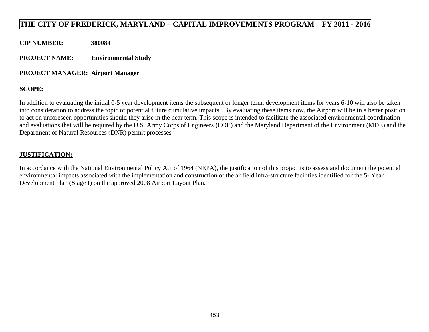### **THE CITY OF FREDERICK, MARYLAND – CAPITAL IMPROVEMENTS PROGRAM FY 2011 - 2016**

**CIP NUMBER: 380084** 

**PROJECT NAME: Environmental Study** 

#### **PROJECT MANAGER: Airport Manager**

### **SCOPE:**

In addition to evaluating the initial 0-5 year development items the subsequent or longer term, development items for years 6-10 will also be taken into consideration to address the topic of potential future cumulative impacts. By evaluating these items now, the Airport will be in a better position to act on unforeseen opportunities should they arise in the near term. This scope is intended to facilitate the associated environmental coordination and evaluations that will be required by the U.S. Army Corps of Engineers (COE) and the Maryland Department of the Environment (MDE) and the Department of Natural Resources (DNR) permit processes

#### **JUSTIFICATION:**

In accordance with the National Environmental Policy Act of 1964 (NEPA), the justification of this project is to assess and document the potential environmental impacts associated with the implementation and construction of the airfield infra-structure facilities identified for the 5- Year Development Plan (Stage I) on the approved 2008 Airport Layout Plan.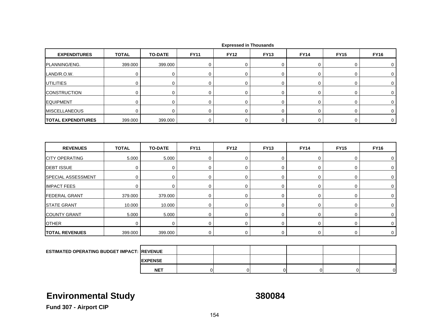| <b>EXPENDITURES</b>       | <b>TOTAL</b> | <b>TO-DATE</b> | <b>FY11</b> | <b>FY12</b> | <b>FY13</b> | <b>FY14</b> | <b>FY15</b> | <b>FY16</b> |
|---------------------------|--------------|----------------|-------------|-------------|-------------|-------------|-------------|-------------|
| PLANNING/ENG.             | 399.000      | 399.000        | $\mathbf 0$ | $\mathbf 0$ | 0           | $\mathbf 0$ | 0           | 0           |
| LAND/R.O.W.               | $\mathbf 0$  | $\mathbf 0$    | $\mathbf 0$ | $\mathbf 0$ | 0           | 0           | 0           | 0           |
| <b>UTILITIES</b>          | 0            | $\mathbf 0$    | 0           | $\mathbf 0$ | 0           | 0           | 0           | 0           |
| <b>CONSTRUCTION</b>       | $\mathbf 0$  | $\mathbf 0$    | 0           | $\mathbf 0$ | 0           | 0           | 0           | 0           |
| <b>EQUIPMENT</b>          | 0            | $\mathbf 0$    | 0           | $\mathbf 0$ | 0           | 0           | 0           | 0           |
| <b>MISCELLANEOUS</b>      | $\Omega$     | $\mathbf 0$    | $\mathbf 0$ | $\mathbf 0$ | 0           | 0           | 0           | $\mathbf 0$ |
| <b>TOTAL EXPENDITURES</b> | 399.000      | 399.000        | 0           | 0           | 0           | $\mathbf 0$ | 0           | $\mathbf 0$ |
|                           |              |                |             |             |             |             |             |             |
|                           |              |                |             |             |             |             |             |             |
| <b>REVENUES</b>           | <b>TOTAL</b> | <b>TO-DATE</b> | <b>FY11</b> | <b>FY12</b> | <b>FY13</b> | <b>FY14</b> | <b>FY15</b> | <b>FY16</b> |
| <b>CITY OPERATING</b>     | 5.000        | 5.000          | 0           | $\mathbf 0$ | 0           | 0           | 0           | 0           |
| <b>DEBT ISSUE</b>         | $\mathbf 0$  | $\mathbf 0$    | 0           | $\mathbf 0$ | 0           | 0           | 0           | 0           |
| <b>SPECIAL ASSESSMENT</b> | $\mathbf 0$  | $\mathbf 0$    | 0           | $\mathbf 0$ | 0           | 0           | 0           | 0           |
| <b>IMPACT FEES</b>        | $\mathbf 0$  | $\mathbf 0$    | $\mathbf 0$ | $\mathbf 0$ | 0           | 0           | 0           | 0           |
| <b>FEDERAL GRANT</b>      | 379.000      | 379.000        | $\mathbf 0$ | 0           | $\mathbf 0$ | $\mathbf 0$ | 0           | $\mathbf 0$ |
| <b>STATE GRANT</b>        | 10.000       | 10.000         | $\mathbf 0$ | $\mathbf 0$ | 0           | 0           | 0           | $\Omega$    |
| <b>COUNTY GRANT</b>       | 5.000        | 5.000          | $\mathbf 0$ | $\mathbf 0$ | 0           | 0           | 0           | $\mathbf 0$ |
| <b>OTHER</b>              | $\mathbf 0$  | $\mathbf 0$    | 0           | $\mathbf 0$ | 0           | 0           | 0           | $\mathbf 0$ |

|  |  | <b>Expressed in Thousands</b> |
|--|--|-------------------------------|
|--|--|-------------------------------|

| <b>ESTIMATED OPERATING BUDGET IMPACT: REVENUE</b> |                |  |  |  |
|---------------------------------------------------|----------------|--|--|--|
|                                                   | <b>EXPENSE</b> |  |  |  |
|                                                   | <b>NET</b>     |  |  |  |

## **Environmental Study 380084**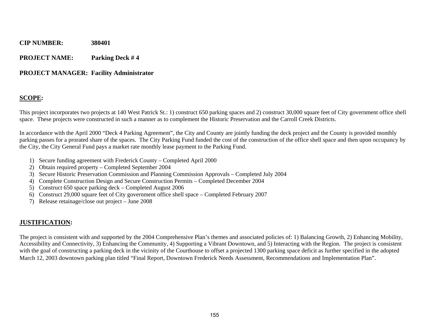**PROJECT NAME: Parking Deck # 4** 

#### **PROJECT MANAGER: Facility Administrator**

#### **SCOPE:**

This project incorporates two projects at 140 West Patrick St.: 1) construct 650 parking spaces and 2) construct 30,000 square feet of City government office shell space. These projects were constructed in such a manner as to complement the Historic Preservation and the Carroll Creek Districts.

In accordance with the April 2000 "Deck 4 Parking Agreement", the City and County are jointly funding the deck project and the County is provided monthly parking passes for a prorated share of the spaces. The City Parking Fund funded the cost of the construction of the office shell space and then upon occupancy by the City, the City General Fund pays a market rate monthly lease payment to the Parking Fund.

- 1) Secure funding agreement with Frederick County Completed April 2000
- 2) Obtain required property Completed September 2004
- 3) Secure Historic Preservation Commission and Planning Commission Approvals Completed July 2004
- 4) Complete Construction Design and Secure Construction Permits Completed December 2004
- 5) Construct 650 space parking deck Completed August 2006
- 6) Construct 29,000 square feet of City government office shell space Completed February 2007
- 7) Release retainage/close out project June 2008

#### **JUSTIFICATION:**

The project is consistent with and supported by the 2004 Comprehensive Plan's themes and associated policies of: 1) Balancing Growth, 2) Enhancing Mobility, Accessibility and Connectivity, 3) Enhancing the Community, 4) Supporting a Vibrant Downtown, and 5) Interacting with the Region. The project is consistent with the goal of constructing a parking deck in the vicinity of the Courthouse to offset a projected 1300 parking space deficit as further specified in the adopted March 12, 2003 downtown parking plan titled "Final Report, Downtown Frederick Needs Assessment, Recommendations and Implementation Plan".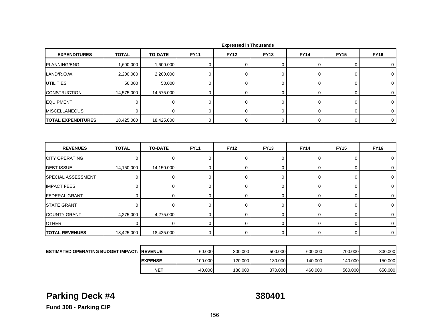| <b>EXPENDITURES</b>                               | <b>TOTAL</b>    | <b>TO-DATE</b> | <b>FY11</b> | <b>FY12</b> | <b>FY13</b> | <b>FY14</b> | <b>FY15</b> | <b>FY16</b>         |
|---------------------------------------------------|-----------------|----------------|-------------|-------------|-------------|-------------|-------------|---------------------|
| PLANNING/ENG.                                     | 1,600.000       | 1,600.000      | 0           | 0           | 0           | 0           | 0           | 0                   |
| LAND/R.O.W.                                       | 2,200.000       | 2,200.000      | $\mathbf 0$ | $\mathbf 0$ | 0           | $\mathbf 0$ | 0           | $\mathbf 0$         |
| <b>UTILITIES</b>                                  | 50.000          | 50.000         | $\mathbf 0$ | $\mathbf 0$ | 0           | $\pmb{0}$   | $\mathbf 0$ | 0                   |
| <b>CONSTRUCTION</b>                               | 14,575.000      | 14,575.000     | 0           | 0           | 0           | 0           | 0           | 0                   |
| <b>EQUIPMENT</b>                                  | 0               | 0              | 0           | $\mathbf 0$ | 0           | 0           | 0           | 0                   |
| <b>MISCELLANEOUS</b>                              | $\mathbf 0$     | $\mathbf 0$    | $\mathbf 0$ | $\mathbf 0$ | $\mathbf 0$ | $\mathbf 0$ | $\mathbf 0$ | 0                   |
| <b>TOTAL EXPENDITURES</b>                         | 18,425.000      | 18,425.000     | 0           | $\mathbf 0$ | 0           | 0           | $\mathbf 0$ | $\mathbf 0$         |
| <b>REVENUES</b>                                   | <b>TOTAL</b>    | <b>TO-DATE</b> | <b>FY11</b> | <b>FY12</b> | <b>FY13</b> | <b>FY14</b> | <b>FY15</b> | <b>FY16</b>         |
|                                                   |                 | $\mathbf 0$    |             | $\mathbf 0$ | $\mathbf 0$ | $\mathbf 0$ |             |                     |
| <b>CITY OPERATING</b><br><b>DEBT ISSUE</b>        | 0<br>14,150.000 | 14,150.000     | 0<br>0      | 0           | 0           | $\mathbf 0$ | 0<br>0      | 0<br>0              |
| SPECIAL ASSESSMENT                                | 0               | 0              | $\mathbf 0$ | $\mathbf 0$ | 0           | $\mathbf 0$ | $\mathbf 0$ | $\mathbf 0$         |
| <b>IMPACT FEES</b>                                | $\mathbf 0$     | 0              | 0           | $\mathbf 0$ | 0           | $\pmb{0}$   | 0           | 0                   |
| <b>FEDERAL GRANT</b>                              | $\mathbf 0$     | 0              | $\mathbf 0$ | $\mathbf 0$ | 0           | 0           | $\mathbf 0$ | 0                   |
| <b>STATE GRANT</b>                                | $\mathbf 0$     | $\mathbf 0$    | $\mathbf 0$ | $\mathbf 0$ | 0           | 0           | $\mathbf 0$ | $\mathbf 0$         |
| <b>COUNTY GRANT</b>                               | 4,275.000       | 4,275.000      | 0           | 0           | 0           | 0           | 0           | 0                   |
| <b>OTHER</b>                                      | 0               | $\mathbf 0$    | 0           | $\Omega$    | $\mathbf 0$ | 0           | 0           | $\mathbf 0$         |
| <b>TOTAL REVENUES</b>                             | 18,425.000      | 18,425.000     | $\mathbf 0$ | $\mathbf 0$ | $\mathbf 0$ | $\mathbf 0$ | $\mathbf 0$ | $\mathsf{O}\xspace$ |
|                                                   |                 |                |             |             |             |             |             |                     |
| <b>ESTIMATED OPERATING BUDGET IMPACT: REVENUE</b> |                 |                | 60.000      | 300.000     | 500.000     | 600.000     | 700.000     | 800.000             |

 **Expressed in Thousands**

| ESTIMATED OPERATING BUDGET IMPACT: IREVENUE |                 | 60.000    | 300,000 | 500.000 | 600.000 | 700.000 | 800.000 |
|---------------------------------------------|-----------------|-----------|---------|---------|---------|---------|---------|
|                                             | <b>IEXPENSE</b> | 100.000   | 120.000 | 130.000 | 140.000 | 140.000 | 150.000 |
|                                             | <b>NET</b>      | $-40.000$ | 180.000 | 370.000 | 460,000 | 560,000 | 650.000 |

# **Parking Deck #4 380401**

**Fund 308 - Parking CIP**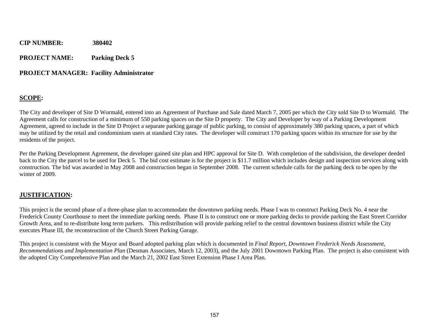**PROJECT NAME: Parking Deck 5** 

#### **PROJECT MANAGER: Facility Administrator**

#### **SCOPE:**

The City and developer of Site D Wormald, entered into an Agreement of Purchase and Sale dated March 7, 2005 per which the City sold Site D to Wormald. The Agreement calls for construction of a minimum of 550 parking spaces on the Site D property. The City and Developer by way of a Parking Development Agreement, agreed to include in the Site D Project a separate parking garage of public parking, to consist of approximately 380 parking spaces, a part of which may be utilized by the retail and condominium users at standard City rates. The developer will construct 170 parking spaces within its structure for use by the residents of the project.

Per the Parking Development Agreement, the developer gained site plan and HPC approval for Site D. With completion of the subdivision, the developer deeded back to the City the parcel to be used for Deck 5. The bid cost estimate is for the project is \$11.7 million which includes design and inspection services along with construction. The bid was awarded in May 2008 and construction began in September 2008. The current schedule calls for the parking deck to be open by the winter of 2009.

#### **JUSTIFICATION:**

This project is the second phase of a three-phase plan to accommodate the downtown parking needs. Phase I was to construct Parking Deck No. 4 near the Frederick County Courthouse to meet the immediate parking needs. Phase II is to construct one or more parking decks to provide parking the East Street Corridor Growth Area, and to re-distribute long term parkers. This redistribution will provide parking relief to the central downtown business district while the City executes Phase III, the reconstruction of the Church Street Parking Garage.

This project is consistent with the Mayor and Board adopted parking plan which is documented in *Final Report, Downtown Frederick Needs Assessment, Recommendations and Implementation Plan* (Desman Associates, March 12, 2003), and the July 2001 Downtown Parking Plan. The project is also consistent with the adopted City Comprehensive Plan and the March 21, 2002 East Street Extension Phase I Area Plan.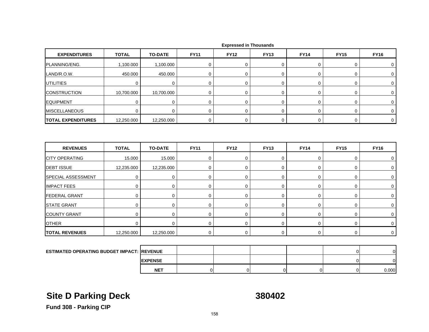| <b>EXPENDITURES</b>       | <b>TOTAL</b> | <b>TO-DATE</b> | <b>FY11</b> | <b>FY12</b> | <b>FY13</b> | <b>FY14</b> | <b>FY15</b> | <b>FY16</b> |  |
|---------------------------|--------------|----------------|-------------|-------------|-------------|-------------|-------------|-------------|--|
| PLANNING/ENG.             | 1,100.000    | 1,100.000      |             |             |             |             |             |             |  |
| LAND/R.O.W.               | 450.000      | 450.000        |             |             |             |             |             |             |  |
| <b>UTILITIES</b>          |              |                |             |             |             |             |             |             |  |
| <b>CONSTRUCTION</b>       | 10,700.000   | 10,700.000     |             |             |             |             |             |             |  |
| <b>EQUIPMENT</b>          |              |                |             |             |             |             |             |             |  |
| <b>MISCELLANEOUS</b>      |              |                |             |             |             |             |             |             |  |
| <b>TOTAL EXPENDITURES</b> | 12,250.000   | 12,250.000     |             |             |             |             |             |             |  |

| <b>REVENUES</b>           | <b>TOTAL</b>   | <b>TO-DATE</b> | <b>FY11</b> | <b>FY12</b> | <b>FY13</b> | <b>FY14</b> | <b>FY15</b> | <b>FY16</b> |
|---------------------------|----------------|----------------|-------------|-------------|-------------|-------------|-------------|-------------|
| <b>CITY OPERATING</b>     | 15.000         | 15.000         |             |             |             |             |             |             |
| <b>DEBT ISSUE</b>         | 12,235.000     | 12,235.000     |             |             |             |             |             |             |
| <b>SPECIAL ASSESSMENT</b> | 0              | 0              |             |             | 0           |             |             |             |
| <b>IMPACT FEES</b>        | $\overline{0}$ |                |             |             |             |             |             |             |
| <b>FEDERAL GRANT</b>      | 0              |                |             |             |             |             |             |             |
| <b>STATE GRANT</b>        | 0              |                |             |             |             |             |             |             |
| <b>COUNTY GRANT</b>       | 0              |                |             |             | 0           |             |             |             |
| <b>OTHER</b>              | 0              |                |             |             |             |             |             |             |
| <b>TOTAL REVENUES</b>     | 12,250.000     | 12,250.000     |             |             |             |             |             |             |

| <b>ESTIMATED OPERATING BUDGET IMPACT: REVENUE</b> |                 |  |  |       |
|---------------------------------------------------|-----------------|--|--|-------|
|                                                   | <b>IEXPENSE</b> |  |  |       |
|                                                   | <b>NET</b>      |  |  | 0.000 |

# **Site D Parking Deck 380402**

**Fund 308 - Parking CIP**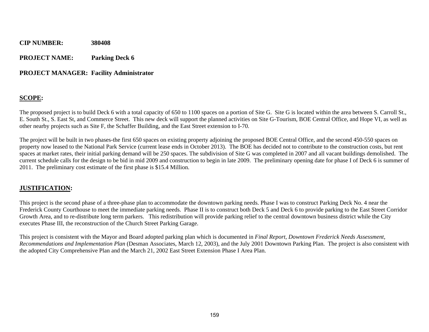#### **PROJECT NAME: Parking Deck 6**

#### **PROJECT MANAGER: Facility Administrator**

#### **SCOPE:**

The proposed project is to build Deck 6 with a total capacity of 650 to 1100 spaces on a portion of Site G. Site G is located within the area between S. Carroll St., E. South St., S. East St, and Commerce Street. This new deck will support the planned activities on Site G-Tourism, BOE Central Office, and Hope VI, as well as other nearby projects such as Site F, the Schaffer Building, and the East Street extension to I-70.

The project will be built in two phases-the first 650 spaces on existing property adjoining the proposed BOE Central Office, and the second 450-550 spaces on property now leased to the National Park Service (current lease ends in October 2013). The BOE has decided not to contribute to the construction costs, but rent spaces at market rates, their initial parking demand will be 250 spaces. The subdivision of Site G was completed in 2007 and all vacant buildings demolished. The current schedule calls for the design to be bid in mid 2009 and construction to begin in late 2009. The preliminary opening date for phase I of Deck 6 is summer of 2011. The preliminary cost estimate of the first phase is \$15.4 Million.

#### **JUSTIFICATION:**

This project is the second phase of a three-phase plan to accommodate the downtown parking needs. Phase I was to construct Parking Deck No. 4 near the Frederick County Courthouse to meet the immediate parking needs. Phase II is to construct both Deck 5 and Deck 6 to provide parking to the East Street Corridor Growth Area, and to re-distribute long term parkers. This redistribution will provide parking relief to the central downtown business district while the City executes Phase III, the reconstruction of the Church Street Parking Garage.

This project is consistent with the Mayor and Board adopted parking plan which is documented in *Final Report, Downtown Frederick Needs Assessment, Recommendations and Implementation Plan* (Desman Associates, March 12, 2003), and the July 2001 Downtown Parking Plan. The project is also consistent with the adopted City Comprehensive Plan and the March 21, 2002 East Street Extension Phase I Area Plan.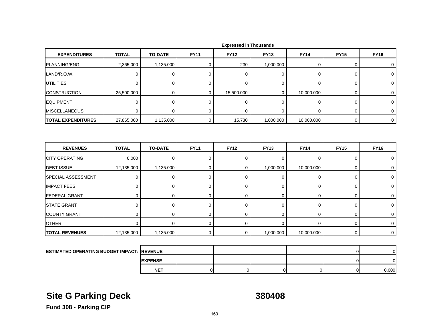| <b>EXPENDITURES</b>       | <b>TOTAL</b>                                      | <b>TO-DATE</b> | <b>FY11</b> | <b>FY12</b> | <b>FY13</b> | <b>FY14</b> | <b>FY15</b>    | <b>FY16</b>    |
|---------------------------|---------------------------------------------------|----------------|-------------|-------------|-------------|-------------|----------------|----------------|
| PLANNING/ENG.             | 2,365.000                                         | 1,135.000      | 0           | 230         | 1,000.000   | 0           | 0              | 0              |
| LAND/R.O.W.               | $\mathbf 0$                                       | $\pmb{0}$      | $\mathbf 0$ | 0           | $\mathbf 0$ | $\mathbf 0$ | 0              | 0              |
| UTILITIES                 | $\mathbf 0$                                       | $\mathbf 0$    | $\mathbf 0$ | $\mathbf 0$ | 0           | 0           | 0              | 0              |
| <b>CONSTRUCTION</b>       | 25,500.000                                        | $\mathbf 0$    | 0           | 15,500.000  | $\mathbf 0$ | 10,000.000  | 0              | $\mathbf 0$    |
| <b>EQUIPMENT</b>          | $\mathbf 0$                                       | $\mathbf 0$    | $\mathbf 0$ | $\mathbf 0$ | 0           | 0           | 0              | $\mathbf 0$    |
| <b>MISCELLANEOUS</b>      | $\mathbf 0$                                       | $\mathbf 0$    | $\mathbf 0$ | $\Omega$    | $\mathbf 0$ | $\mathbf 0$ | 0              | $\mathbf 0$    |
| <b>TOTAL EXPENDITURES</b> | 27,865.000                                        | 1,135.000      | 0           | 15,730      | 1,000.000   | 10,000.000  | 0              | $\mathbf 0$    |
| <b>REVENUES</b>           | <b>TOTAL</b>                                      | <b>TO-DATE</b> | <b>FY11</b> | <b>FY12</b> | <b>FY13</b> | <b>FY14</b> | <b>FY15</b>    | <b>FY16</b>    |
| <b>CITY OPERATING</b>     | 0.000                                             | $\mathbf 0$    | $\mathbf 0$ | $\mathbf 0$ | 0           | 0           | 0              | 0              |
| <b>DEBT ISSUE</b>         | 12,135.000                                        | 1,135.000      | $\mathbf 0$ | $\mathbf 0$ | 1,000.000   | 10,000.000  | 0              | $\mathbf 0$    |
| SPECIAL ASSESSMENT        | $\mathbf 0$                                       | $\mathbf 0$    | $\mathbf 0$ | 0           | $\mathbf 0$ | $\mathbf 0$ | 0              | 0              |
| <b>IMPACT FEES</b>        | $\mathbf 0$                                       | $\mathbf 0$    | $\mathbf 0$ | $\mathbf 0$ | 0           | 0           | 0              | $\mathbf 0$    |
| <b>FEDERAL GRANT</b>      | $\mathbf 0$                                       | 0              | $\mathbf 0$ | $\mathbf 0$ | $\pmb{0}$   | $\mathbf 0$ | 0              | 0              |
| <b>STATE GRANT</b>        | $\mathbf 0$                                       | $\mathbf 0$    | $\mathbf 0$ | $\Omega$    | $\mathbf 0$ | $\mathbf 0$ | 0              | $\mathbf 0$    |
| <b>COUNTY GRANT</b>       | $\mathbf 0$                                       | $\mathbf 0$    | $\mathbf 0$ | 0           | 0           | 0           | 0              | 0              |
| <b>OTHER</b>              | $\mathbf 0$                                       | $\mathbf 0$    | $\mathbf 0$ | $\mathbf 0$ | $\mathbf 0$ | $\mathbf 0$ | 0              | 0              |
| <b>TOTAL REVENUES</b>     | 12,135.000                                        | 1,135.000      | $\mathbf 0$ | $\mathbf 0$ | 1,000.000   | 10,000.000  | $\mathbf 0$    | $\mathbf 0$    |
|                           |                                                   |                |             |             |             |             |                |                |
|                           | <b>ESTIMATED OPERATING BUDGET IMPACT: REVENUE</b> |                |             |             |             |             | $\overline{0}$ | $\overline{O}$ |
|                           |                                                   | <b>EXPENSE</b> |             |             |             |             | $\Omega$       | $\mathbf{0}$   |

# **Site G Parking Deck 380408**

T | 0| 0| 0| 0| 0| 0| 0.000

**Fund 308 - Parking CIP**

**NET**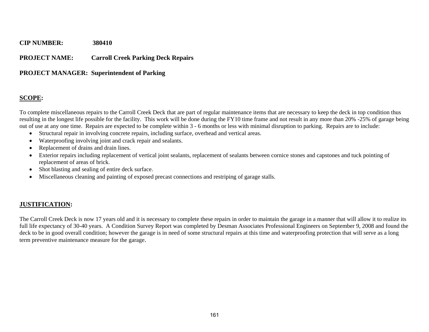#### **PROJECT NAME: Carroll Creek Parking Deck Repairs**

#### **PROJECT MANAGER: Superintendent of Parking**

#### **SCOPE:**

To complete miscellaneous repairs to the Carroll Creek Deck that are part of regular maintenance items that are necessary to keep the deck in top condition thus resulting in the longest life possible for the facility. This work will be done during the FY10 time frame and not result in any more than 20% -25% of garage being out of use at any one time. Repairs are expected to be complete within 3 - 6 months or less with minimal disruption to parking. Repairs are to include:

- Structural repair in involving concrete repairs, including surface, overhead and vertical areas.
- Waterproofing involving joint and crack repair and sealants.
- c Replacement of drains and drain lines.
- Exterior repairs including replacement of vertical joint sealants, replacement of sealants between cornice stones and capstones and tuck pointing of replacement of areas of brick.
- Shot blasting and sealing of entire deck surface.
- $\bullet$ Miscellaneous cleaning and painting of exposed precast connections and restriping of garage stalls.

#### **JUSTIFICATION:**

The Carroll Creek Deck is now 17 years old and it is necessary to complete these repairs in order to maintain the garage in a manner that will allow it to realize its full life expectancy of 30-40 years. A Condition Survey Report was completed by Desman Associates Professional Engineers on September 9, 2008 and found the deck to be in good overall condition; however the garage is in need of some structural repairs at this time and waterproofing protection that will serve as a long term preventive maintenance measure for the garage.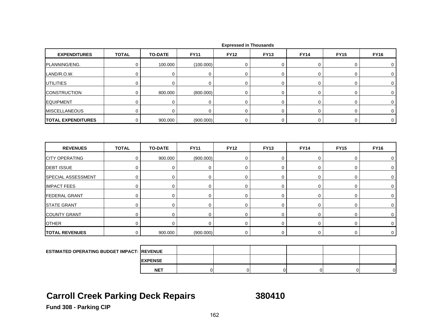| <b>EXPENDITURES</b>       | <b>TOTAL</b>                                      | <b>TO-DATE</b> | <b>FY11</b> | <b>FY12</b>    | <b>FY13</b> | <b>FY14</b> | <b>FY15</b> | <b>FY16</b>    |
|---------------------------|---------------------------------------------------|----------------|-------------|----------------|-------------|-------------|-------------|----------------|
| PLANNING/ENG.             | $\mathbf 0$                                       | 100.000        | (100.000)   | 0              | 0           | 0           | 0           | 0              |
| LAND/R.O.W.               | $\mathbf 0$                                       | $\pmb{0}$      | $\pmb{0}$   | 0              | 0           | 0           | 0           | $\mathbf 0$    |
| <b>UTILITIES</b>          | $\mathbf 0$                                       | $\mathbf 0$    | $\mathbf 0$ | $\mathbf 0$    | 0           | 0           | 0           | 0              |
| <b>CONSTRUCTION</b>       | $\mathbf 0$                                       | 800.000        | (800.000)   | 0              | 0           | 0           | 0           | $\mathbf 0$    |
| <b>EQUIPMENT</b>          | $\mathbf 0$                                       | $\mathbf 0$    | $\pmb{0}$   | 0              | $\mathbf 0$ | 0           | 0           | $\mathbf 0$    |
| <b>MISCELLANEOUS</b>      | $\mathbf 0$                                       | $\mathbf 0$    | 0           | 0              | 0           | 0           | 0           | 0              |
| <b>TOTAL EXPENDITURES</b> | $\pmb{0}$                                         | 900.000        | (900.000)   | 0              | 0           | 0           | 0           | $\mathbf 0$    |
| <b>REVENUES</b>           | <b>TOTAL</b>                                      | <b>TO-DATE</b> | <b>FY11</b> | <b>FY12</b>    | <b>FY13</b> | <b>FY14</b> | <b>FY15</b> | <b>FY16</b>    |
| <b>CITY OPERATING</b>     | $\pmb{0}$                                         | 900.000        | (900.000)   | 0              | 0           | 0           | 0           | 0              |
| <b>DEBT ISSUE</b>         | $\mathbf 0$                                       | $\mathbf 0$    | $\mathbf 0$ | 0              | 0           | 0           | 0           | 0              |
| <b>SPECIAL ASSESSMENT</b> | $\mathbf 0$                                       | 0              | 0           | $\mathbf 0$    | 0           | $\mathbf 0$ | 0           | $\mathbf 0$    |
| <b>IMPACT FEES</b>        | $\mathbf 0$                                       | $\mathbf 0$    | 0           | 0              | 0           | 0           | 0           | 0              |
| <b>FEDERAL GRANT</b>      | $\mathbf 0$                                       | $\mathbf 0$    | $\mathbf 0$ | $\mathbf 0$    | 0           | 0           | 0           | 0              |
| <b>STATE GRANT</b>        | $\mathbf 0$                                       | $\mathbf 0$    | $\pmb{0}$   | 0              | $\pmb{0}$   | 0           | 0           | $\mathbf 0$    |
| <b>COUNTY GRANT</b>       | $\mathbf 0$                                       | $\mathbf 0$    | $\mathbf 0$ | 0              | 0           | $\mathbf 0$ | 0           | $\mathbf 0$    |
| <b>OTHER</b>              | $\mathbf 0$                                       | $\mathbf 0$    | $\mathbf 0$ | $\overline{0}$ | 0           | $\mathbf 0$ | 0           | 0              |
| <b>TOTAL REVENUES</b>     | $\mathbf 0$                                       | 900.000        | (900.000)   | 0              | 0           | 0           | $\mathbf 0$ | $\overline{0}$ |
|                           |                                                   |                |             |                |             |             |             |                |
|                           | <b>ESTIMATED OPERATING BUDGET IMPACT: REVENUE</b> |                |             |                |             |             |             |                |
|                           |                                                   | <b>EXPENSE</b> |             |                |             |             |             |                |

## **Carroll Creek Parking Deck Repairs 380410**

**NET**

T | 0| 0| 0| 0| 0| 0|

**Fund 308 - Parking CIP**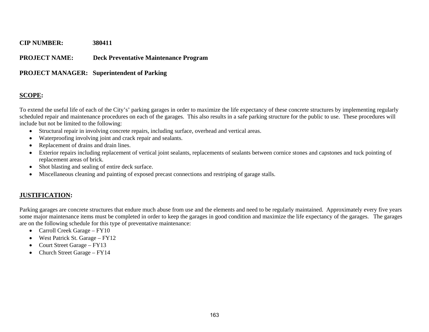#### **PROJECT NAME: Deck Preventative Maintenance Program**

#### **PROJECT MANAGER: Superintendent of Parking**

#### **SCOPE:**

To extend the useful life of each of the City's' parking garages in order to maximize the life expectancy of these concrete structures by implementing regularly scheduled repair and maintenance procedures on each of the garages. This also results in a safe parking structure for the public to use. These procedures will include but not be limited to the following:

- Structural repair in involving concrete repairs, including surface, overhead and vertical areas.
- Waterproofing involving joint and crack repair and sealants.
- Replacement of drains and drain lines.
- Exterior repairs including replacement of vertical joint sealants, replacements of sealants between cornice stones and capstones and tuck pointing of replacement areas of brick.
- Shot blasting and sealing of entire deck surface.
- $\bullet$ Miscellaneous cleaning and painting of exposed precast connections and restriping of garage stalls.

### **JUSTIFICATION:**

Parking garages are concrete structures that endure much abuse from use and the elements and need to be regularly maintained. Approximately every five years some major maintenance items must be completed in order to keep the garages in good condition and maximize the life expectancy of the garages. The garages are on the following schedule for this type of preventative maintenance:

- Carroll Creek Garage FY10
- West Patrick St. Garage FY12
- Court Street Garage FY13
- Church Street Garage FY14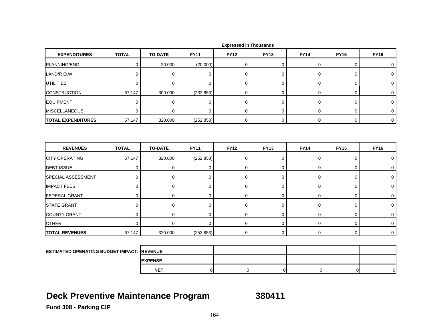| <b>EXPENDITURES</b>                               | <b>TOTAL</b> | <b>TO-DATE</b> | <b>FY11</b>    | <b>FY12</b> | <b>FY13</b>    | <b>FY14</b>    | <b>FY15</b>    | <b>FY16</b>         |
|---------------------------------------------------|--------------|----------------|----------------|-------------|----------------|----------------|----------------|---------------------|
| PLANNING/ENG.                                     | $\mathbf 0$  | 20.000         | (20.000)       | 0           | 0              | 0              | 0              | 0                   |
| LAND/R.O.W.                                       | $\mathbf 0$  | $\mathbf 0$    | $\mathbf 0$    | $\mathbf 0$ | 0              | 0              | 0              | 0                   |
| <b>UTILITIES</b>                                  | $\mathbf 0$  | $\mathbf 0$    | $\mathbf 0$    | $\mathbf 0$ | $\mathbf 0$    | 0              | 0              | 0                   |
| <b>CONSTRUCTION</b>                               | 67.147       | 300.000        | (232.853)      | 0           | 0              | 0              | 0              | $\mathbf 0$         |
| <b>EQUIPMENT</b>                                  | $\mathbf 0$  | $\mathbf 0$    | $\pmb{0}$      | 0           | 0              | $\mathbf 0$    | 0              | 0                   |
| <b>MISCELLANEOUS</b>                              | $\mathbf 0$  | $\mathbf 0$    | 0              | 0           | 0              | 0              | 0              | 0                   |
| <b>TOTAL EXPENDITURES</b>                         | 67.147       | 320.000        | (252.853)      | 0           | 0              | $\mathbf 0$    | $\mathbf 0$    | $\mathsf{O}\xspace$ |
|                                                   |              |                |                |             |                |                |                |                     |
| <b>REVENUES</b>                                   | <b>TOTAL</b> | <b>TO-DATE</b> | <b>FY11</b>    | <b>FY12</b> | <b>FY13</b>    | <b>FY14</b>    | <b>FY15</b>    | <b>FY16</b>         |
| <b>CITY OPERATING</b>                             | 67.147       | 320.000        | (252.853)      | $\mathbf 0$ | 0              | $\mathbf 0$    | 0              | $\mathbf 0$         |
| <b>DEBT ISSUE</b>                                 | $\mathbf 0$  | 0              | 0              | $\mathbf 0$ | 0              | 0              | 0              | $\mathbf 0$         |
| SPECIAL ASSESSMENT                                | $\mathbf 0$  | $\mathbf 0$    | $\mathbf 0$    | 0           | 0              | $\mathbf 0$    | 0              | 0                   |
| <b>IMPACT FEES</b>                                | $\mathbf 0$  | 0              | 0              | 0           | 0              | $\mathbf 0$    | 0              | $\mathbf 0$         |
| <b>FEDERAL GRANT</b>                              | $\mathbf 0$  | 0              | $\mathbf 0$    | $\mathbf 0$ | 0              | 0              | 0              | $\mathbf 0$         |
| <b>STATE GRANT</b>                                | $\mathbf 0$  | $\mathbf 0$    | 0              | 0           | 0              | 0              | 0              | 0                   |
| <b>COUNTY GRANT</b>                               | $\mathbf 0$  | 0              | 0              | 0           | $\mathbf 0$    | 0              | 0              | 0                   |
| <b>OTHER</b>                                      | $\mathbf 0$  | $\mathbf 0$    | $\mathbf 0$    | 0           | $\mathsf 0$    | $\mathsf 0$    | 0              | $\mathbf 0$         |
| <b>TOTAL REVENUES</b>                             | 67.147       | 320.000        | (252.853)      | 0           | $\mathsf 0$    | $\mathbf 0$    | 0              | $\mathbf 0$         |
|                                                   |              |                |                |             |                |                |                |                     |
| <b>ESTIMATED OPERATING BUDGET IMPACT: REVENUE</b> |              |                |                |             |                |                |                |                     |
|                                                   |              | <b>EXPENSE</b> |                |             |                |                |                |                     |
|                                                   |              | <b>NET</b>     | $\overline{0}$ | $\mathbf 0$ | $\overline{0}$ | $\overline{0}$ | $\overline{0}$ | $\overline{0}$      |

### **Deck Preventive Maintenance Program 380411**

**Fund 308 - Parking CIP**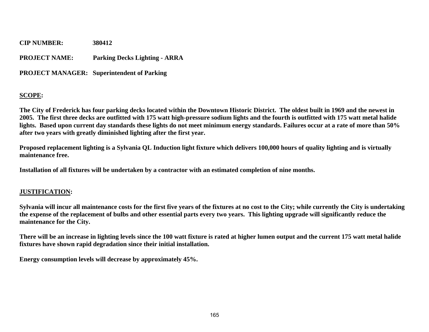**CIP NUMBER: 380412 PROJECT NAME: Parking Decks Lighting - ARRA** 

**PROJECT MANAGER: Superintendent of Parking** 

### **SCOPE:**

**The City of Frederick has four parking decks located within the Downtown Historic District. The oldest built in 1969 and the newest in 2005. The first three decks are outfitted with 175 watt high-pressure sodium lights and the fourth is outfitted with 175 watt metal halide lights. Based upon current day standards these lights do not meet minimum energy standards. Failures occur at a rate of more than 50% after two years with greatly diminished lighting after the first year.** 

**Proposed replacement lighting is a Sylvania QL Induction light fixture which delivers 100,000 hours of quality lighting and is virtually maintenance free.** 

**Installation of all fixtures will be undertaken by a contractor with an estimated completion of nine months.** 

### **JUSTIFICATION:**

**Sylvania will incur all maintenance costs for the first five years of the fixtures at no cost to the City; while currently the City is undertaking the expense of the replacement of bulbs and other essential parts every two years. This lighting upgrade will significantly reduce the maintenance for the City.** 

**There will be an increase in lighting levels since the 100 watt fixture is rated at higher lumen output and the current 175 watt metal halide fixtures have shown rapid degradation since their initial installation.** 

**Energy consumption levels will decrease by approximately 45%.**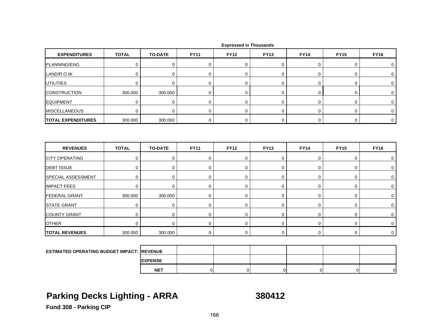| <b>EXPENDITURES</b>                                | <b>TOTAL</b> | <b>TO-DATE</b> | <b>FY11</b> | <b>FY12</b> | <b>FY13</b> | <b>FY14</b> | <b>FY15</b> | <b>FY16</b> |
|----------------------------------------------------|--------------|----------------|-------------|-------------|-------------|-------------|-------------|-------------|
| PLANNING/ENG.                                      | $\mathbf 0$  | $\mathbf 0$    | $\mathbf 0$ | $\mathbf 0$ | 0           | 0           | 0           | 0           |
| LAND/R.O.W.                                        | $\mathbf 0$  | 0              | 0           | 0           | 0           | 0           | 0           | 0           |
| <b>UTILITIES</b>                                   | $\mathbf 0$  | 0              | $\mathbf 0$ | 0           | $\mathbf 0$ | 0           | 0           | 0           |
| <b>CONSTRUCTION</b>                                | 300.000      | 300.000        | 0           | 0           | 0           | 0           | 0           | 0           |
| <b>EQUIPMENT</b>                                   | $\mathbf 0$  | $\mathbf 0$    | $\mathbf 0$ | 0           | 0           | 0           | 0           | 0           |
| <b>MISCELLANEOUS</b>                               | $\mathbf 0$  | $\mathbf 0$    | 0           | $\mathbf 0$ | 0           | 0           | 0           | 0           |
| <b>TOTAL EXPENDITURES</b>                          | 300.000      | 300.000        | 0           | $\mathbf 0$ | 0           | 0           | 0           | $\mathbf 0$ |
| <b>REVENUES</b>                                    | <b>TOTAL</b> | <b>TO-DATE</b> | <b>FY11</b> | <b>FY12</b> | <b>FY13</b> | <b>FY14</b> | <b>FY15</b> | <b>FY16</b> |
| <b>CITY OPERATING</b>                              | $\mathbf 0$  | $\mathbf 0$    | $\mathbf 0$ | 0           | 0           | $\mathbf 0$ | 0           | $\mathbf 0$ |
| <b>DEBT ISSUE</b>                                  | $\mathbf 0$  | $\mathbf 0$    | 0           | $\mathbf 0$ | $\mathbf 0$ | $\mathbf 0$ | 0           | $\mathbf 0$ |
| SPECIAL ASSESSMENT                                 | $\mathbf 0$  | $\mathbf 0$    | $\mathbf 0$ | 0           | 0           | $\mathbf 0$ | 0           | $\mathbf 0$ |
| <b>IMPACT FEES</b>                                 | $\mathbf 0$  | $\mathbf 0$    | $\mathbf 0$ | $\mathbf 0$ | 0           | 0           | 0           | $\mathbf 0$ |
| <b>FEDERAL GRANT</b>                               | 300.000      | 300.000        | 0           | 0           | 0           | 0           | 0           | $\mathbf 0$ |
| <b>STATE GRANT</b>                                 | $\mathbf 0$  | $\mathbf 0$    | 0           | 0           | 0           | 0           | 0           | 0           |
| <b>COUNTY GRANT</b>                                | 0            | $\mathbf 0$    | $\pmb{0}$   | 0           | 0           | 0           | 0           | 0           |
| <b>OTHER</b>                                       | $\Omega$     | $\mathbf 0$    | $\mathbf 0$ | $\mathbf 0$ | 0           | $\mathbf 0$ | 0           | $\mathbf 0$ |
| <b>TOTAL REVENUES</b>                              | 300.000      | 300.000        | $\mathbf 0$ | $\mathbf 0$ | $\mathbf 0$ | $\mathbf 0$ | 0           | $\mathbf 0$ |
|                                                    |              |                |             |             |             |             |             |             |
| <b>ESTIMATED OPERATING BUDGET IMPACT: IREVENUE</b> |              |                |             |             |             |             |             |             |

 **Expressed in Thousands**

## **Parking Decks Lighting - ARRA 380412**

**EXPENSE NET**

T | 0| 0| 0| 0| 0| 0|

**Fund 308 - Parking CIP**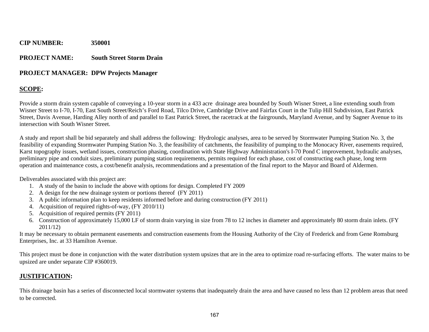#### **PROJECT NAME: South Street Storm Drain**

#### **PROJECT MANAGER: DPW Projects Manager**

#### **SCOPE:**

Provide a storm drain system capable of conveying a 10-year storm in a 433 acre drainage area bounded by South Wisner Street, a line extending south from Wisner Street to I-70, I-70, East South Street/Reich's Ford Road, Tilco Drive, Cambridge Drive and Fairfax Court in the Tulip Hill Subdivision, East Patrick Street, Davis Avenue, Harding Alley north of and parallel to East Patrick Street, the racetrack at the fairgrounds, Maryland Avenue, and by Sagner Avenue to its intersection with South Wisner Street.

A study and report shall be bid separately and shall address the following: Hydrologic analyses, area to be served by Stormwater Pumping Station No. 3, the feasibility of expanding Stormwater Pumping Station No. 3, the feasibility of catchments, the feasibility of pumping to the Monocacy River, easements required, Karst topography issues, wetland issues, construction phasing, coordination with State Highway Administration's I-70 Pond C improvement, hydraulic analyses, preliminary pipe and conduit sizes, preliminary pumping station requirements, permits required for each phase, cost of constructing each phase, long term operation and maintenance costs, a cost/benefit analysis, recommendations and a presentation of the final report to the Mayor and Board of Aldermen.

Deliverables associated with this project are:

- 1. A study of the basin to include the above with options for design. Completed FY 2009
- 2. A design for the new drainage system or portions thereof (FY 2011)
- 3. A public information plan to keep residents informed before and during construction (FY 2011)
- 4. Acquisition of required rights-of-way, (FY 2010/11)
- 5. Acquisition of required permits (FY 2011)
- 6. Construction of approximately 15,000 LF of storm drain varying in size from 78 to 12 inches in diameter and approximately 80 storm drain inlets. (FY 2011/12)

It may be necessary to obtain permanent easements and construction easements from the Housing Authority of the City of Frederick and from Gene Romsburg Enterprises, Inc. at 33 Hamilton Avenue.

This project must be done in conjunction with the water distribution system upsizes that are in the area to optimize road re-surfacing efforts. The water mains to be upsized are under separate CIP #360019.

#### **JUSTIFICATION:**

This drainage basin has a series of disconnected local stormwater systems that inadequately drain the area and have caused no less than 12 problem areas that need to be corrected.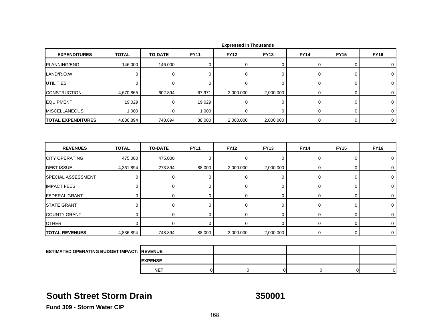| <b>EXPENDITURES</b>       | <b>TOTAL</b> | <b>TO-DATE</b> | <b>FY11</b> | <b>FY12</b> | <b>FY13</b> | <b>FY14</b> | <b>FY15</b> | <b>FY16</b> |
|---------------------------|--------------|----------------|-------------|-------------|-------------|-------------|-------------|-------------|
| PLANNING/ENG.             | 146.000      | 146.000        | 0           | $\mathbf 0$ | 0           | 0           | 0           | 0           |
| LAND/R.O.W.               | $\mathbf 0$  | $\pmb{0}$      | $\mathbf 0$ | $\mathbf 0$ | 0           | $\mathbf 0$ | 0           | 0           |
| <b>UTILITIES</b>          | 0            | 0              | 0           | $\mathbf 0$ | 0           | $\mathbf 0$ | 0           | 0           |
| <b>CONSTRUCTION</b>       | 4,670.865    | 602.894        | 67.971      | 2,000.000   | 2,000.000   | $\pmb{0}$   | 0           | $\mathbf 0$ |
| <b>EQUIPMENT</b>          | 19.029       | 0              | 19.029      | $\mathbf 0$ | $\mathbf 0$ | $\mathbf 0$ | 0           | 0           |
| <b>MISCELLANEOUS</b>      | 1.000        | 0              | 1.000       | $\mathbf 0$ | $\mathbf 0$ | $\mathbf 0$ | 0           | $\mathbf 0$ |
| <b>TOTAL EXPENDITURES</b> | 4,836.894    | 748.894        | 88.000      | 2,000.000   | 2,000.000   | $\mathbf 0$ | $\mathbf 0$ | $\mathbf 0$ |
| <b>REVENUES</b>           | <b>TOTAL</b> | <b>TO-DATE</b> | <b>FY11</b> | <b>FY12</b> | <b>FY13</b> | <b>FY14</b> | <b>FY15</b> | <b>FY16</b> |
| <b>CITY OPERATING</b>     | 475.000      | 475.000        | $\mathbf 0$ | $\mathbf 0$ | 0           | 0           | 0           | 0           |
| <b>DEBT ISSUE</b>         | 4,361.894    | 273.894        | 88.000      | 2,000.000   | 2,000.000   | 0           | 0           | $\mathbf 0$ |
| SPECIAL ASSESSMENT        | $\mathbf 0$  | $\mathbf 0$    | $\mathbf 0$ | $\mathbf 0$ | 0           | $\mathbf 0$ | 0           | $\mathbf 0$ |
| <b>IMPACT FEES</b>        | $\mathbf 0$  | $\mathbf 0$    | $\mathbf 0$ | 0           | 0           | 0           | 0           | 0           |
| <b>FEDERAL GRANT</b>      | $\mathbf 0$  | $\mathbf 0$    | $\mathbf 0$ | $\mathbf 0$ | 0           | $\mathbf 0$ | 0           | 0           |
| <b>STATE GRANT</b>        | $\mathbf 0$  | 0              | $\mathbf 0$ | $\mathbf 0$ | 0           | 0           | 0           | 0           |
| <b>COUNTY GRANT</b>       | $\mathbf 0$  | $\mathbf 0$    | $\mathbf 0$ | $\mathbf 0$ | $\mathbf 0$ | $\mathbf 0$ | 0           | $\mathbf 0$ |
| <b>OTHER</b>              | $\mathbf 0$  | $\mathbf 0$    | $\mathbf 0$ | $\mathbf 0$ | $\mathbf 0$ | $\mathbf 0$ | 0           | $\mathbf 0$ |
| <b>TOTAL REVENUES</b>     | 4,836.894    | 748.894        | 88.000      | 2,000.000   | 2,000.000   | $\mathbf 0$ | 0           | $\mathbf 0$ |
|                           |              |                |             |             |             |             |             |             |

|  |  | <b>Expressed in Thousands</b> |
|--|--|-------------------------------|
|--|--|-------------------------------|

| <b>ESTIMATED OPERATING BUDGET IMPACT: REVENUE</b> |                 |  |  |    |
|---------------------------------------------------|-----------------|--|--|----|
|                                                   | <b>IEXPENSE</b> |  |  |    |
|                                                   | <b>NET</b>      |  |  | ∩∎ |

### **South Street Storm Drain**

**350001**

**Fund 309 - Storm Water CIP**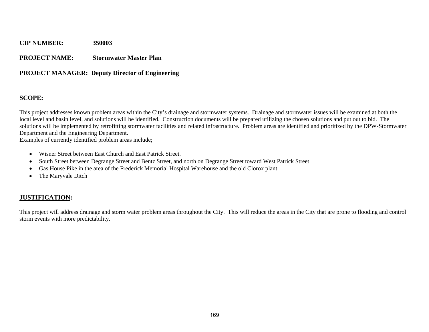#### **PROJECT NAME: Stormwater Master Plan**

#### **PROJECT MANAGER: Deputy Director of Engineering**

#### **SCOPE:**

This project addresses known problem areas within the City's drainage and stormwater systems. Drainage and stormwater issues will be examined at both the local level and basin level, and solutions will be identified. Construction documents will be prepared utilizing the chosen solutions and put out to bid. The solutions will be implemented by retrofitting stormwater facilities and related infrastructure. Problem areas are identified and prioritized by the DPW-Stormwater Department and the Engineering Department.

Examples of currently identified problem areas include;

- Wisner Street between East Church and East Patrick Street.
- South Street between Degrange Street and Bentz Street, and north on Degrange Street toward West Patrick Street
- Gas House Pike in the area of the Frederick Memorial Hospital Warehouse and the old Clorox plant
- The Maryvale Ditch

#### **JUSTIFICATION:**

This project will address drainage and storm water problem areas throughout the City. This will reduce the areas in the City that are prone to flooding and control storm events with more predictability.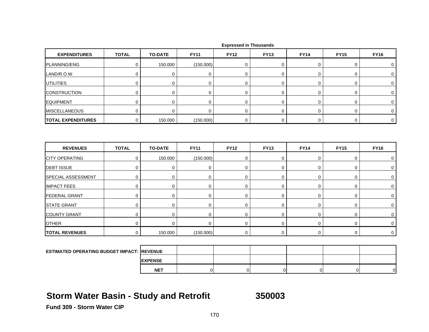| <b>EXPENDITURES</b>                               | <b>TOTAL</b> | <b>TO-DATE</b> | <b>FY11</b>    | <b>FY12</b>    | <b>FY13</b>    | <b>FY14</b>    | <b>FY15</b>    | <b>FY16</b>    |
|---------------------------------------------------|--------------|----------------|----------------|----------------|----------------|----------------|----------------|----------------|
| PLANNING/ENG.                                     | $\mathbf 0$  | 150.000        | (150.000)      | 0              | $\pmb{0}$      | $\mathbf 0$    | 0              | 0              |
| LAND/R.O.W.                                       | $\mathbf 0$  | $\mathbf 0$    | 0              | 0              | $\mathbf 0$    | 0              | 0              | 0              |
| <b>UTILITIES</b>                                  | $\mathbf 0$  | 0              | 0              | 0              | 0              | 0              | 0              | 0              |
| <b>CONSTRUCTION</b>                               | $\mathbf 0$  | 0              | 0              | 0              | 0              | 0              | 0              | 0              |
| <b>EQUIPMENT</b>                                  | $\mathbf 0$  | $\mathbf 0$    | $\mathbf 0$    | $\mathbf 0$    | 0              | 0              | 0              | 0              |
| <b>MISCELLANEOUS</b>                              | $\mathbf 0$  | $\mathbf 0$    | $\mathbf 0$    | $\overline{0}$ | 0              | 0              | 0              | 0              |
| <b>TOTAL EXPENDITURES</b>                         | $\mathbf 0$  | 150.000        | (150.000)      | 0              | 0              | $\mathbf 0$    | $\mathbf 0$    | $\overline{0}$ |
|                                                   |              |                |                |                |                |                |                |                |
| <b>REVENUES</b>                                   | <b>TOTAL</b> | <b>TO-DATE</b> | <b>FY11</b>    | <b>FY12</b>    | <b>FY13</b>    | <b>FY14</b>    | <b>FY15</b>    | <b>FY16</b>    |
| <b>CITY OPERATING</b>                             | $\mathbf 0$  | 150.000        | (150.000)      | 0              | 0              | $\mathbf 0$    | 0              | $\mathbf 0$    |
| <b>DEBT ISSUE</b>                                 | $\mathbf 0$  | $\mathbf 0$    | $\mathbf 0$    | 0              | 0              | 0              | 0              | 0              |
| SPECIAL ASSESSMENT                                | $\mathbf 0$  | $\mathbf 0$    | $\mathbf 0$    | 0              | $\mathbf 0$    | $\mathbf 0$    | 0              | $\mathbf 0$    |
| <b>IMPACT FEES</b>                                | $\mathbf 0$  | 0              | $\mathbf 0$    | $\mathbf 0$    | 0              | 0              | 0              | $\mathbf 0$    |
| <b>FEDERAL GRANT</b>                              | $\mathbf 0$  | 0              | $\mathbf 0$    | $\mathbf 0$    | $\mathbf 0$    | 0              | 0              | 0              |
| <b>STATE GRANT</b>                                | $\mathbf 0$  | $\mathbf 0$    | $\mathbf 0$    | 0              | $\pmb{0}$      | $\mathbf 0$    | 0              | 0              |
| <b>COUNTY GRANT</b>                               | $\pmb{0}$    | $\mathbf 0$    | 0              | 0              | 0              | 0              | 0              | $\pmb{0}$      |
| <b>OTHER</b>                                      | $\mathbf 0$  | $\mathbf 0$    | $\mathbf 0$    | 0              | 0              | $\mathbf 0$    | 0              | $\mathbf 0$    |
| <b>TOTAL REVENUES</b>                             | $\mathbf 0$  | 150.000        | (150.000)      | 0              | 0              | $\pmb{0}$      | 0              | $\mathbf 0$    |
|                                                   |              |                |                |                |                |                |                |                |
| <b>ESTIMATED OPERATING BUDGET IMPACT: REVENUE</b> |              |                |                |                |                |                |                |                |
|                                                   |              | <b>EXPENSE</b> |                |                |                |                |                |                |
|                                                   |              | <b>NET</b>     | $\overline{0}$ | $\mathbf 0$    | $\overline{0}$ | $\overline{0}$ | $\overline{0}$ | $\overline{0}$ |

## **Storm Water Basin - Study and Retrofit 350003**

**Fund 309 - Storm Water CIP**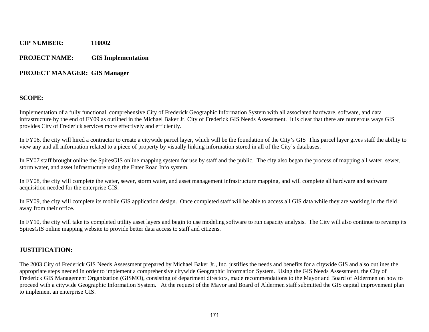#### **PROJECT NAME: GIS Implementation**

#### **PROJECT MANAGER: GIS Manager**

#### **SCOPE:**

Implementation of a fully functional, comprehensive City of Frederick Geographic Information System with all associated hardware, software, and data infrastructure by the end of FY09 as outlined in the Michael Baker Jr. City of Frederick GIS Needs Assessment. It is clear that there are numerous ways GIS provides City of Frederick services more effectively and efficiently.

In FY06, the city will hired a contractor to create a citywide parcel layer, which will be the foundation of the City's GIS This parcel layer gives staff the ability to view any and all information related to a piece of property by visually linking information stored in all of the City's databases.

In FY07 staff brought online the SpiresGIS online mapping system for use by staff and the public. The city also began the process of mapping all water, sewer, storm water, and asset infrastructure using the Enter Road Info system.

In FY08, the city will complete the water, sewer, storm water, and asset management infrastructure mapping, and will complete all hardware and software acquisition needed for the enterprise GIS.

In FY09, the city will complete its mobile GIS application design. Once completed staff will be able to access all GIS data while they are working in the field away from their office.

In FY10, the city will take its completed utility asset layers and begin to use modeling software to run capacity analysis. The City will also continue to revamp its SpiresGIS online mapping website to provide better data access to staff and citizens.

#### **JUSTIFICATION:**

The 2003 City of Frederick GIS Needs Assessment prepared by Michael Baker Jr., Inc. justifies the needs and benefits for a citywide GIS and also outlines the appropriate steps needed in order to implement a comprehensive citywide Geographic Information System. Using the GIS Needs Assessment, the City of Frederick GIS Management Organization (GISMO), consisting of department directors, made recommendations to the Mayor and Board of Aldermen on how to proceed with a citywide Geographic Information System. At the request of the Mayor and Board of Aldermen staff submitted the GIS capital improvement plan to implement an enterprise GIS.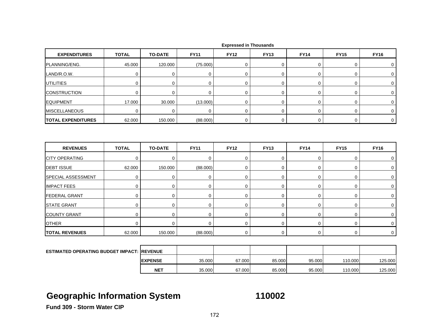| <b>EXPENDITURES</b>                                | <b>TOTAL</b> | <b>TO-DATE</b> | <b>FY11</b> | <b>FY12</b> | <b>FY13</b> | <b>FY14</b> | <b>FY15</b> | <b>FY16</b>      |
|----------------------------------------------------|--------------|----------------|-------------|-------------|-------------|-------------|-------------|------------------|
| PLANNING/ENG.                                      | 45.000       | 120.000        | (75.000)    | 0           | 0           | 0           | 0           | 0                |
| LAND/R.O.W.                                        | $\pmb{0}$    | $\pmb{0}$      | $\mathbf 0$ | $\mathbf 0$ | 0           | $\mathbf 0$ | 0           | $\boldsymbol{0}$ |
| <b>UTILITIES</b>                                   | $\mathbf 0$  | $\mathbf 0$    | $\mathbf 0$ | $\mathbf 0$ | $\mathbf 0$ | 0           | 0           | 0                |
| <b>CONSTRUCTION</b>                                | $\mathbf 0$  | $\mathbf 0$    | $\mathbf 0$ | $\mathbf 0$ | 0           | $\mathbf 0$ | 0           | 0                |
| <b>EQUIPMENT</b>                                   | 17.000       | 30.000         | (13.000)    | $\mathbf 0$ | $\mathbf 0$ | 0           | 0           | 0                |
| <b>MISCELLANEOUS</b>                               | $\mathbf 0$  | $\mathbf 0$    | 0           | 0           | 0           | $\mathsf 0$ | 0           | 0                |
| <b>TOTAL EXPENDITURES</b>                          | 62.000       | 150.000        | (88.000)    | 0           | 0           | $\mathbf 0$ | 0           | $\mathbf 0$      |
|                                                    |              |                |             |             |             |             |             |                  |
| <b>REVENUES</b>                                    | <b>TOTAL</b> | <b>TO-DATE</b> | <b>FY11</b> | <b>FY12</b> | <b>FY13</b> | <b>FY14</b> | <b>FY15</b> | <b>FY16</b>      |
| <b>CITY OPERATING</b>                              | $\mathbf 0$  | $\mathbf 0$    | $\pmb{0}$   | $\mathbf 0$ | 0           | $\pmb{0}$   | 0           | 0                |
| <b>DEBT ISSUE</b>                                  | 62.000       | 150.000        | (88.000)    | $\mathbf 0$ | $\mathbf 0$ | 0           | 0           | 0                |
| <b>SPECIAL ASSESSMENT</b>                          | $\mathbf 0$  | 0              | 0           | $\mathbf 0$ | 0           | 0           | 0           | $\mathbf 0$      |
| <b>IMPACT FEES</b>                                 | 0            | 0              | 0           | $\mathbf 0$ | 0           | 0           | 0           | 0                |
| <b>FEDERAL GRANT</b>                               | $\mathbf 0$  | $\mathbf 0$    | $\mathbf 0$ | $\mathbf 0$ | 0           | $\mathbf 0$ | 0           | 0                |
| <b>STATE GRANT</b>                                 | $\pmb{0}$    | $\mathbf 0$    | $\mathbf 0$ | $\mathbf 0$ | 0           | $\mathbf 0$ | 0           | 0                |
| <b>COUNTY GRANT</b>                                | $\mathbf 0$  | $\mathbf 0$    | $\mathbf 0$ | $\mathbf 0$ | 0           | 0           | 0           | 0                |
| <b>OTHER</b>                                       | $\mathbf 0$  | 0              | $\mathbf 0$ | $\mathbf 0$ | $\mathbf 0$ | $\pmb{0}$   | 0           | $\mathbf 0$      |
| <b>TOTAL REVENUES</b>                              | 62.000       | 150.000        | (88.000)    | 0           | $\mathbf 0$ | $\mathbf 0$ | 0           | $\mathbf 0$      |
|                                                    |              |                |             |             |             |             |             |                  |
| <b>ESTIMATED OPERATING BUDGET IMPACT: IREVENUE</b> |              |                |             |             |             |             |             |                  |
|                                                    |              | <b>EXPENSE</b> | 35.000      | 67.000      | 85.000      | 95.000      | 110.000     | 125.000          |
|                                                    |              | <b>NET</b>     | 35.000      | 67.000      | 85.000      | 95.000      | 110.000     | 125.000          |

# **Geographic Information System 110002**

**Fund 309 - Storm Water CIP**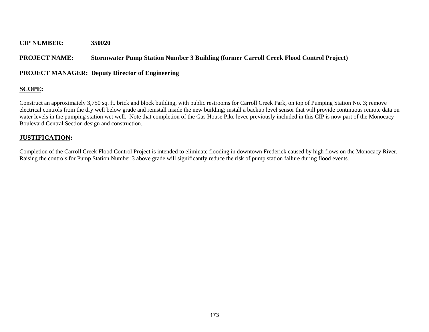#### **PROJECT NAME: Stormwater Pump Station Number 3 Building (former Carroll Creek Flood Control Project)**

#### **PROJECT MANAGER: Deputy Director of Engineering**

#### **SCOPE:**

Construct an approximately 3,750 sq. ft. brick and block building, with public restrooms for Carroll Creek Park, on top of Pumping Station No. 3; remove electrical controls from the dry well below grade and reinstall inside the new building; install a backup level sensor that will provide continuous remote data on water levels in the pumping station wet well. Note that completion of the Gas House Pike levee previously included in this CIP is now part of the Monocacy Boulevard Central Section design and construction.

#### **JUSTIFICATION:**

Completion of the Carroll Creek Flood Control Project is intended to eliminate flooding in downtown Frederick caused by high flows on the Monocacy River. Raising the controls for Pump Station Number 3 above grade will significantly reduce the risk of pump station failure during flood events.